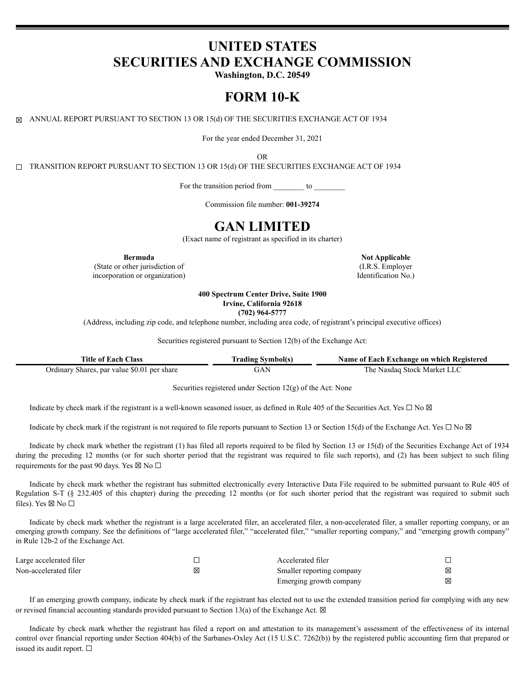# **UNITED STATES SECURITIES AND EXCHANGE COMMISSION**

**Washington, D.C. 20549**

# **FORM 10-K**

☒ ANNUAL REPORT PURSUANT TO SECTION 13 OR 15(d) OF THE SECURITIES EXCHANGE ACT OF 1934

For the year ended December 31, 2021

OR

☐ TRANSITION REPORT PURSUANT TO SECTION 13 OR 15(d) OF THE SECURITIES EXCHANGE ACT OF 1934

For the transition period from to

Commission file number: **001-39274**

# **GAN LIMITED**

(Exact name of registrant as specified in its charter)

(State or other jurisdiction of incorporation or organization)

**Bermuda Not Applicable** (I.R.S. Employer Identification No.)

**400 Spectrum Center Drive, Suite 1900**

**Irvine, California 92618**

**(702) 964-5777**

(Address, including zip code, and telephone number, including area code, of registrant's principal executive offices)

Securities registered pursuant to Section 12(b) of the Exchange Act:

| <b>Title of Each Class</b>                  | Trading Symbol(s) | Name of Each Exchange on which Registered |
|---------------------------------------------|-------------------|-------------------------------------------|
| Ordinary Shares, par value \$0.01 per share | GAN               | The Nasdaq Stock Market LLC               |

Securities registered under Section 12(g) of the Act: None

Indicate by check mark if the registrant is a well-known seasoned issuer, as defined in Rule 405 of the Securities Act. Yes  $\Box$  No  $\boxtimes$ 

Indicate by check mark if the registrant is not required to file reports pursuant to Section 13 or Section 15(d) of the Exchange Act. Yes  $\Box$  No  $\boxtimes$ 

Indicate by check mark whether the registrant (1) has filed all reports required to be filed by Section 13 or 15(d) of the Securities Exchange Act of 1934 during the preceding 12 months (or for such shorter period that the registrant was required to file such reports), and (2) has been subject to such filing requirements for the past 90 days. Yes  $\boxtimes$  No  $\Box$ 

Indicate by check mark whether the registrant has submitted electronically every Interactive Data File required to be submitted pursuant to Rule 405 of Regulation S-T (§ 232.405 of this chapter) during the preceding 12 months (or for such shorter period that the registrant was required to submit such files). Yes  $\boxtimes$  No  $\square$ 

Indicate by check mark whether the registrant is a large accelerated filer, an accelerated filer, a non-accelerated filer, a smaller reporting company, or an emerging growth company. See the definitions of "large accelerated filer," "accelerated filer," "smaller reporting company," and "emerging growth company" in Rule 12b-2 of the Exchange Act.

| Large accelerated filer |   | Accelerated filer         |  |
|-------------------------|---|---------------------------|--|
| Non-accelerated filer   | ⊠ | Smaller reporting company |  |
|                         |   | Emerging growth company   |  |

If an emerging growth company, indicate by check mark if the registrant has elected not to use the extended transition period for complying with any new or revised financial accounting standards provided pursuant to Section 13(a) of the Exchange Act.  $\boxtimes$ 

Indicate by check mark whether the registrant has filed a report on and attestation to its management's assessment of the effectiveness of its internal control over financial reporting under Section 404(b) of the Sarbanes-Oxley Act (15 U.S.C. 7262(b)) by the registered public accounting firm that prepared or issued its audit report.  $\Box$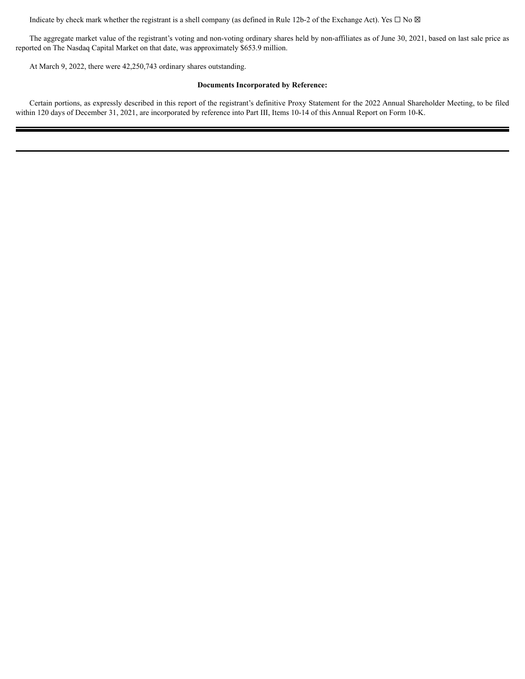Indicate by check mark whether the registrant is a shell company (as defined in Rule 12b-2 of the Exchange Act). Yes  $\Box$  No  $\boxtimes$ 

The aggregate market value of the registrant's voting and non-voting ordinary shares held by non-affiliates as of June 30, 2021, based on last sale price as reported on The Nasdaq Capital Market on that date, was approximately \$653.9 million.

At March 9, 2022, there were 42,250,743 ordinary shares outstanding.

## **Documents Incorporated by Reference:**

Certain portions, as expressly described in this report of the registrant's definitive Proxy Statement for the 2022 Annual Shareholder Meeting, to be filed within 120 days of December 31, 2021, are incorporated by reference into Part III, Items 10-14 of this Annual Report on Form 10-K.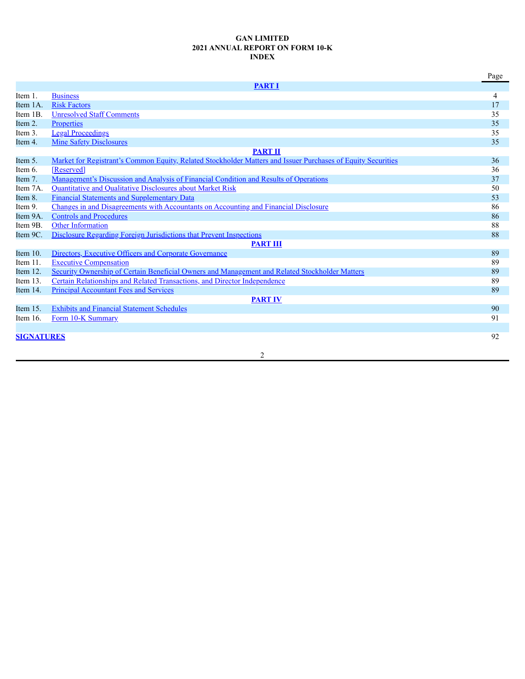# **GAN LIMITED 2021 ANNUAL REPORT ON FORM 10-K INDEX**

|                   |                                                                                                              | Page           |
|-------------------|--------------------------------------------------------------------------------------------------------------|----------------|
|                   | <b>PART I</b>                                                                                                |                |
| Item 1.           | <b>Business</b>                                                                                              | $\overline{4}$ |
| Item 1A.          | <b>Risk Factors</b>                                                                                          | 17             |
| Item 1B.          | <b>Unresolved Staff Comments</b>                                                                             | 35             |
| Item 2.           | <b>Properties</b>                                                                                            | 35             |
| Item 3.           | <b>Legal Proceedings</b>                                                                                     | 35             |
| Item 4.           | <b>Mine Safety Disclosures</b>                                                                               | 35             |
|                   | <b>PART II</b>                                                                                               |                |
| Item 5.           | Market for Registrant's Common Equity, Related Stockholder Matters and Issuer Purchases of Equity Securities | 36             |
| Item 6.           | [Reserved]                                                                                                   | 36             |
| Item 7.           | Management's Discussion and Analysis of Financial Condition and Results of Operations                        | 37             |
| Item 7A.          | Quantitative and Qualitative Disclosures about Market Risk                                                   | 50             |
| Item 8.           | <b>Financial Statements and Supplementary Data</b>                                                           | 53             |
| Item 9.           | Changes in and Disagreements with Accountants on Accounting and Financial Disclosure                         | 86             |
| Item 9A.          | <b>Controls and Procedures</b>                                                                               | 86             |
| Item 9B.          | <b>Other Information</b>                                                                                     | 88             |
| Item 9C.          | Disclosure Regarding Foreign Jurisdictions that Prevent Inspections                                          | 88             |
|                   | <b>PART III</b>                                                                                              |                |
| Item $10$ .       | Directors, Executive Officers and Corporate Governance                                                       | 89             |
| Item 11.          | <b>Executive Compensation</b>                                                                                | 89             |
| Item 12.          | Security Ownership of Certain Beneficial Owners and Management and Related Stockholder Matters               | 89             |
| Item 13.          | Certain Relationships and Related Transactions, and Director Independence                                    | 89             |
| Item 14.          | <b>Principal Accountant Fees and Services</b>                                                                | 89             |
|                   | <b>PART IV</b>                                                                                               |                |
| Item $15$ .       | <b>Exhibits and Financial Statement Schedules</b>                                                            | 90             |
| Item 16.          | Form 10-K Summary                                                                                            | 91             |
|                   |                                                                                                              |                |
| <b>SIGNATURES</b> |                                                                                                              | 92             |
|                   |                                                                                                              |                |
|                   | 2                                                                                                            |                |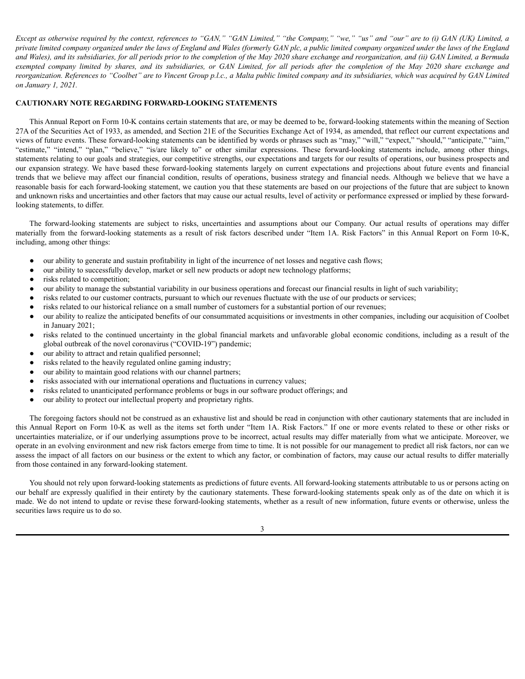Except as otherwise required by the context, references to "GAN," "GAN Limited," "the Company," "we," "us" and "our" are to (i) GAN (UK) Limited, a private limited company organized under the laws of England and Wales (formerly GAN plc, a public limited company organized under the laws of the England and Wales), and its subsidiaries, for all periods prior to the completion of the May 2020 share exchange and reorganization, and (ii) GAN Limited, a Bermuda exempted company limited by shares, and its subsidiaries, or GAN Limited, for all periods after the completion of the May 2020 share exchange and reorganization. References to "Coolbet" are to Vincent Group p.l.c., a Malta public limited company and its subsidiaries, which was acquired by GAN Limited *on January 1, 2021.*

## **CAUTIONARY NOTE REGARDING FORWARD-LOOKING STATEMENTS**

This Annual Report on Form 10-K contains certain statements that are, or may be deemed to be, forward-looking statements within the meaning of Section 27A of the Securities Act of 1933, as amended, and Section 21E of the Securities Exchange Act of 1934, as amended, that reflect our current expectations and views of future events. These forward-looking statements can be identified by words or phrases such as "may," "will," "expect," "should," "anticipate," "aim," "estimate," "intend," "plan," "believe," "is/are likely to" or other similar expressions. These forward-looking statements include, among other things, statements relating to our goals and strategies, our competitive strengths, our expectations and targets for our results of operations, our business prospects and our expansion strategy. We have based these forward-looking statements largely on current expectations and projections about future events and financial trends that we believe may affect our financial condition, results of operations, business strategy and financial needs. Although we believe that we have a reasonable basis for each forward-looking statement, we caution you that these statements are based on our projections of the future that are subject to known and unknown risks and uncertainties and other factors that may cause our actual results, level of activity or performance expressed or implied by these forwardlooking statements, to differ.

The forward-looking statements are subject to risks, uncertainties and assumptions about our Company. Our actual results of operations may differ materially from the forward-looking statements as a result of risk factors described under "Item 1A. Risk Factors" in this Annual Report on Form 10-K, including, among other things:

- our ability to generate and sustain profitability in light of the incurrence of net losses and negative cash flows;
- our ability to successfully develop, market or sell new products or adopt new technology platforms;
- risks related to competition;
- our ability to manage the substantial variability in our business operations and forecast our financial results in light of such variability;
- risks related to our customer contracts, pursuant to which our revenues fluctuate with the use of our products or services;
- risks related to our historical reliance on a small number of customers for a substantial portion of our revenues;
- our ability to realize the anticipated benefits of our consummated acquisitions or investments in other companies, including our acquisition of Coolbet in January 2021;
- risks related to the continued uncertainty in the global financial markets and unfavorable global economic conditions, including as a result of the global outbreak of the novel coronavirus ("COVID-19") pandemic;
- our ability to attract and retain qualified personnel;
- risks related to the heavily regulated online gaming industry;
- our ability to maintain good relations with our channel partners;
- risks associated with our international operations and fluctuations in currency values;
- risks related to unanticipated performance problems or bugs in our software product offerings; and
- our ability to protect our intellectual property and proprietary rights.

The foregoing factors should not be construed as an exhaustive list and should be read in conjunction with other cautionary statements that are included in this Annual Report on Form 10-K as well as the items set forth under "Item 1A. Risk Factors." If one or more events related to these or other risks or uncertainties materialize, or if our underlying assumptions prove to be incorrect, actual results may differ materially from what we anticipate. Moreover, we operate in an evolving environment and new risk factors emerge from time to time. It is not possible for our management to predict all risk factors, nor can we assess the impact of all factors on our business or the extent to which any factor, or combination of factors, may cause our actual results to differ materially from those contained in any forward-looking statement.

You should not rely upon forward-looking statements as predictions of future events. All forward-looking statements attributable to us or persons acting on our behalf are expressly qualified in their entirety by the cautionary statements. These forward-looking statements speak only as of the date on which it is made. We do not intend to update or revise these forward-looking statements, whether as a result of new information, future events or otherwise, unless the securities laws require us to do so.

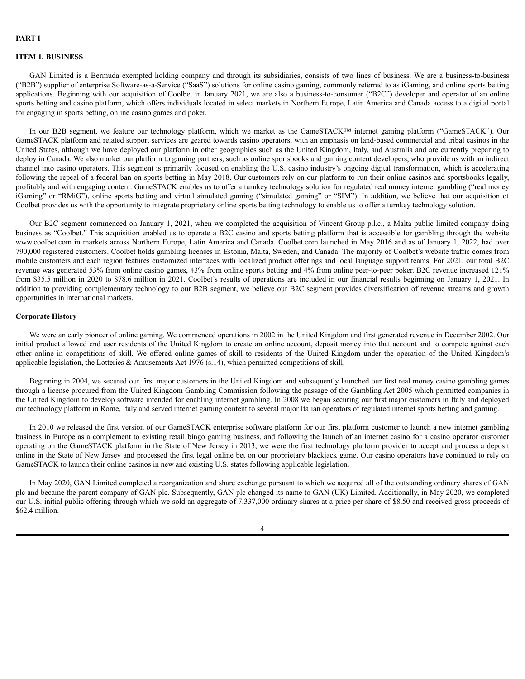## <span id="page-4-0"></span>**PART I**

# **ITEM 1. BUSINESS**

GAN Limited is a Bermuda exempted holding company and through its subsidiaries, consists of two lines of business. We are a business-to-business ("B2B") supplier of enterprise Software-as-a-Service ("SaaS") solutions for online casino gaming, commonly referred to as iGaming, and online sports betting applications. Beginning with our acquisition of Coolbet in January 2021, we are also a business-to-consumer ("B2C") developer and operator of an online sports betting and casino platform, which offers individuals located in select markets in Northern Europe, Latin America and Canada access to a digital portal for engaging in sports betting, online casino games and poker.

In our B2B segment, we feature our technology platform, which we market as the GameSTACK™ internet gaming platform ("GameSTACK"). Our GameSTACK platform and related support services are geared towards casino operators, with an emphasis on land-based commercial and tribal casinos in the United States, although we have deployed our platform in other geographies such as the United Kingdom, Italy, and Australia and are currently preparing to deploy in Canada. We also market our platform to gaming partners, such as online sportsbooks and gaming content developers, who provide us with an indirect channel into casino operators. This segment is primarily focused on enabling the U.S. casino industry's ongoing digital transformation, which is accelerating following the repeal of a federal ban on sports betting in May 2018. Our customers rely on our platform to run their online casinos and sportsbooks legally, profitably and with engaging content. GameSTACK enables us to offer a turnkey technology solution for regulated real money internet gambling ("real money iGaming" or "RMiG"), online sports betting and virtual simulated gaming ("simulated gaming" or "SIM"). In addition, we believe that our acquisition of Coolbet provides us with the opportunity to integrate proprietary online sports betting technology to enable us to offer a turnkey technology solution.

Our B2C segment commenced on January 1, 2021, when we completed the acquisition of Vincent Group p.l.c., a Malta public limited company doing business as "Coolbet." This acquisition enabled us to operate a B2C casino and sports betting platform that is accessible for gambling through the website www.coolbet.com in markets across Northern Europe, Latin America and Canada. Coolbet.com launched in May 2016 and as of January 1, 2022, had over 790,000 registered customers. Coolbet holds gambling licenses in Estonia, Malta, Sweden, and Canada. The majority of Coolbet's website traffic comes from mobile customers and each region features customized interfaces with localized product offerings and local language support teams. For 2021, our total B2C revenue was generated 53% from online casino games, 43% from online sports betting and 4% from online peer-to-peer poker. B2C revenue increased 121% from \$35.5 million in 2020 to \$78.6 million in 2021. Coolbet's results of operations are included in our financial results beginning on January 1, 2021. In addition to providing complementary technology to our B2B segment, we believe our B2C segment provides diversification of revenue streams and growth opportunities in international markets.

#### **Corporate History**

We were an early pioneer of online gaming. We commenced operations in 2002 in the United Kingdom and first generated revenue in December 2002. Our initial product allowed end user residents of the United Kingdom to create an online account, deposit money into that account and to compete against each other online in competitions of skill. We offered online games of skill to residents of the United Kingdom under the operation of the United Kingdom's applicable legislation, the Lotteries & Amusements Act 1976 (s.14), which permitted competitions of skill.

Beginning in 2004, we secured our first major customers in the United Kingdom and subsequently launched our first real money casino gambling games through a license procured from the United Kingdom Gambling Commission following the passage of the Gambling Act 2005 which permitted companies in the United Kingdom to develop software intended for enabling internet gambling. In 2008 we began securing our first major customers in Italy and deployed our technology platform in Rome, Italy and served internet gaming content to several major Italian operators of regulated internet sports betting and gaming.

In 2010 we released the first version of our GameSTACK enterprise software platform for our first platform customer to launch a new internet gambling business in Europe as a complement to existing retail bingo gaming business, and following the launch of an internet casino for a casino operator customer operating on the GameSTACK platform in the State of New Jersey in 2013, we were the first technology platform provider to accept and process a deposit online in the State of New Jersey and processed the first legal online bet on our proprietary blackjack game. Our casino operators have continued to rely on GameSTACK to launch their online casinos in new and existing U.S. states following applicable legislation.

In May 2020, GAN Limited completed a reorganization and share exchange pursuant to which we acquired all of the outstanding ordinary shares of GAN plc and became the parent company of GAN plc. Subsequently, GAN plc changed its name to GAN (UK) Limited. Additionally, in May 2020, we completed our U.S. initial public offering through which we sold an aggregate of 7,337,000 ordinary shares at a price per share of \$8.50 and received gross proceeds of \$62.4 million.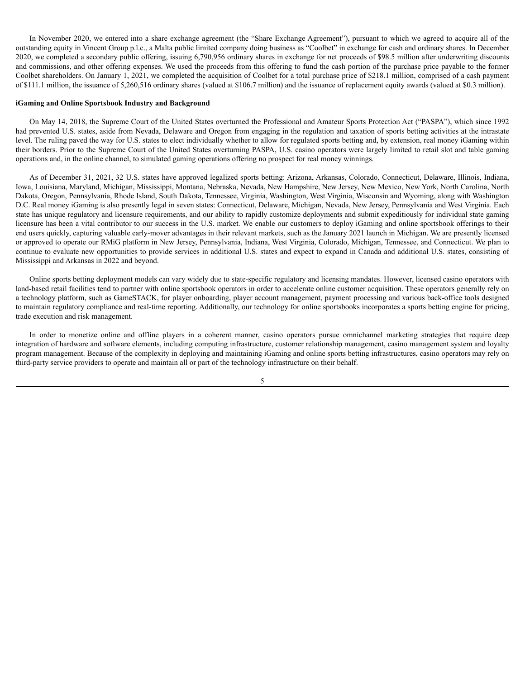In November 2020, we entered into a share exchange agreement (the "Share Exchange Agreement"), pursuant to which we agreed to acquire all of the outstanding equity in Vincent Group p.l.c., a Malta public limited company doing business as "Coolbet" in exchange for cash and ordinary shares. In December 2020, we completed a secondary public offering, issuing 6,790,956 ordinary shares in exchange for net proceeds of \$98.5 million after underwriting discounts and commissions, and other offering expenses. We used the proceeds from this offering to fund the cash portion of the purchase price payable to the former Coolbet shareholders. On January 1, 2021, we completed the acquisition of Coolbet for a total purchase price of \$218.1 million, comprised of a cash payment of \$111.1 million, the issuance of 5,260,516 ordinary shares (valued at \$106.7 million) and the issuance of replacement equity awards (valued at \$0.3 million).

#### **iGaming and Online Sportsbook Industry and Background**

On May 14, 2018, the Supreme Court of the United States overturned the Professional and Amateur Sports Protection Act ("PASPA"), which since 1992 had prevented U.S. states, aside from Nevada, Delaware and Oregon from engaging in the regulation and taxation of sports betting activities at the intrastate level. The ruling paved the way for U.S. states to elect individually whether to allow for regulated sports betting and, by extension, real money iGaming within their borders. Prior to the Supreme Court of the United States overturning PASPA, U.S. casino operators were largely limited to retail slot and table gaming operations and, in the online channel, to simulated gaming operations offering no prospect for real money winnings.

As of December 31, 2021, 32 U.S. states have approved legalized sports betting: Arizona, Arkansas, Colorado, Connecticut, Delaware, Illinois, Indiana, Iowa, Louisiana, Maryland, Michigan, Mississippi, Montana, Nebraska, Nevada, New Hampshire, New Jersey, New Mexico, New York, North Carolina, North Dakota, Oregon, Pennsylvania, Rhode Island, South Dakota, Tennessee, Virginia, Washington, West Virginia, Wisconsin and Wyoming, along with Washington D.C. Real money iGaming is also presently legal in seven states: Connecticut, Delaware, Michigan, Nevada, New Jersey, Pennsylvania and West Virginia. Each state has unique regulatory and licensure requirements, and our ability to rapidly customize deployments and submit expeditiously for individual state gaming licensure has been a vital contributor to our success in the U.S. market. We enable our customers to deploy iGaming and online sportsbook offerings to their end users quickly, capturing valuable early-mover advantages in their relevant markets, such as the January 2021 launch in Michigan. We are presently licensed or approved to operate our RMiG platform in New Jersey, Pennsylvania, Indiana, West Virginia, Colorado, Michigan, Tennessee, and Connecticut. We plan to continue to evaluate new opportunities to provide services in additional U.S. states and expect to expand in Canada and additional U.S. states, consisting of Mississippi and Arkansas in 2022 and beyond.

Online sports betting deployment models can vary widely due to state-specific regulatory and licensing mandates. However, licensed casino operators with land-based retail facilities tend to partner with online sportsbook operators in order to accelerate online customer acquisition. These operators generally rely on a technology platform, such as GameSTACK, for player onboarding, player account management, payment processing and various back-office tools designed to maintain regulatory compliance and real-time reporting. Additionally, our technology for online sportsbooks incorporates a sports betting engine for pricing, trade execution and risk management.

In order to monetize online and offline players in a coherent manner, casino operators pursue omnichannel marketing strategies that require deep integration of hardware and software elements, including computing infrastructure, customer relationship management, casino management system and loyalty program management. Because of the complexity in deploying and maintaining iGaming and online sports betting infrastructures, casino operators may rely on third-party service providers to operate and maintain all or part of the technology infrastructure on their behalf.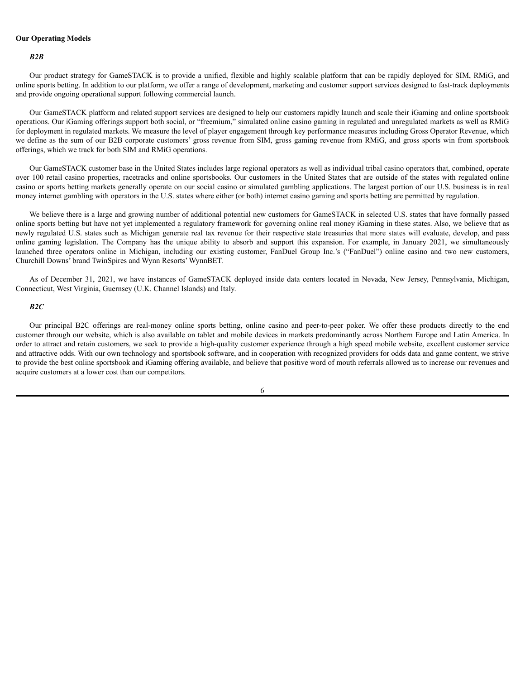## **Our Operating Models**

## *B2B*

Our product strategy for GameSTACK is to provide a unified, flexible and highly scalable platform that can be rapidly deployed for SIM, RMiG, and online sports betting. In addition to our platform, we offer a range of development, marketing and customer support services designed to fast-track deployments and provide ongoing operational support following commercial launch.

Our GameSTACK platform and related support services are designed to help our customers rapidly launch and scale their iGaming and online sportsbook operations. Our iGaming offerings support both social, or "freemium," simulated online casino gaming in regulated and unregulated markets as well as RMiG for deployment in regulated markets. We measure the level of player engagement through key performance measures including Gross Operator Revenue, which we define as the sum of our B2B corporate customers' gross revenue from SIM, gross gaming revenue from RMiG, and gross sports win from sportsbook offerings, which we track for both SIM and RMiG operations.

Our GameSTACK customer base in the United States includes large regional operators as well as individual tribal casino operators that, combined, operate over 100 retail casino properties, racetracks and online sportsbooks. Our customers in the United States that are outside of the states with regulated online casino or sports betting markets generally operate on our social casino or simulated gambling applications. The largest portion of our U.S. business is in real money internet gambling with operators in the U.S. states where either (or both) internet casino gaming and sports betting are permitted by regulation.

We believe there is a large and growing number of additional potential new customers for GameSTACK in selected U.S. states that have formally passed online sports betting but have not yet implemented a regulatory framework for governing online real money iGaming in these states. Also, we believe that as newly regulated U.S. states such as Michigan generate real tax revenue for their respective state treasuries that more states will evaluate, develop, and pass online gaming legislation. The Company has the unique ability to absorb and support this expansion. For example, in January 2021, we simultaneously launched three operators online in Michigan, including our existing customer, FanDuel Group Inc.'s ("FanDuel") online casino and two new customers, Churchill Downs' brand TwinSpires and Wynn Resorts' WynnBET.

As of December 31, 2021, we have instances of GameSTACK deployed inside data centers located in Nevada, New Jersey, Pennsylvania, Michigan, Connecticut, West Virginia, Guernsey (U.K. Channel Islands) and Italy.

#### *B2C*

Our principal B2C offerings are real-money online sports betting, online casino and peer-to-peer poker. We offer these products directly to the end customer through our website, which is also available on tablet and mobile devices in markets predominantly across Northern Europe and Latin America. In order to attract and retain customers, we seek to provide a high-quality customer experience through a high speed mobile website, excellent customer service and attractive odds. With our own technology and sportsbook software, and in cooperation with recognized providers for odds data and game content, we strive to provide the best online sportsbook and iGaming offering available, and believe that positive word of mouth referrals allowed us to increase our revenues and acquire customers at a lower cost than our competitors.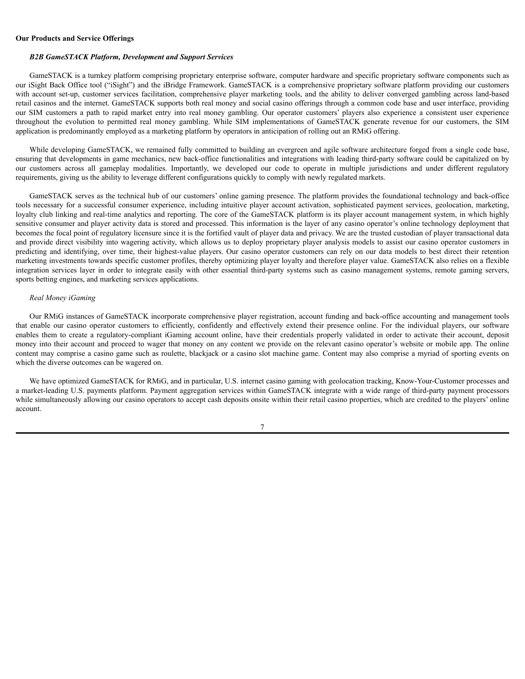#### **Our Products and Service Offerings**

## *B2B GameSTACK Platform, Development and Support Services*

GameSTACK is a turnkey platform comprising proprietary enterprise software, computer hardware and specific proprietary software components such as our iSight Back Office tool ("iSight") and the iBridge Framework. GameSTACK is a comprehensive proprietary software platform providing our customers with account set-up, customer services facilitation, comprehensive player marketing tools, and the ability to deliver converged gambling across land-based retail casinos and the internet. GameSTACK supports both real money and social casino offerings through a common code base and user interface, providing our SIM customers a path to rapid market entry into real money gambling. Our operator customers' players also experience a consistent user experience throughout the evolution to permitted real money gambling. While SIM implementations of GameSTACK generate revenue for our customers, the SIM application is predominantly employed as a marketing platform by operators in anticipation of rolling out an RMiG offering.

While developing GameSTACK, we remained fully committed to building an evergreen and agile software architecture forged from a single code base, ensuring that developments in game mechanics, new back-office functionalities and integrations with leading third-party software could be capitalized on by our customers across all gameplay modalities. Importantly, we developed our code to operate in multiple jurisdictions and under different regulatory requirements, giving us the ability to leverage different configurations quickly to comply with newly regulated markets.

GameSTACK serves as the technical hub of our customers' online gaming presence. The platform provides the foundational technology and back-office tools necessary for a successful consumer experience, including intuitive player account activation, sophisticated payment services, geolocation, marketing, loyalty club linking and real-time analytics and reporting. The core of the GameSTACK platform is its player account management system, in which highly sensitive consumer and player activity data is stored and processed. This information is the layer of any casino operator's online technology deployment that becomes the focal point of regulatory licensure since it is the fortified vault of player data and privacy. We are the trusted custodian of player transactional data and provide direct visibility into wagering activity, which allows us to deploy proprietary player analysis models to assist our casino operator customers in predicting and identifying, over time, their highest-value players. Our casino operator customers can rely on our data models to best direct their retention marketing investments towards specific customer profiles, thereby optimizing player loyalty and therefore player value. GameSTACK also relies on a flexible integration services layer in order to integrate easily with other essential third-party systems such as casino management systems, remote gaming servers, sports betting engines, and marketing services applications.

#### *Real Money iGaming*

Our RMiG instances of GameSTACK incorporate comprehensive player registration, account funding and back-office accounting and management tools that enable our casino operator customers to efficiently, confidently and effectively extend their presence online. For the individual players, our software enables them to create a regulatory-compliant iGaming account online, have their credentials properly validated in order to activate their account, deposit money into their account and proceed to wager that money on any content we provide on the relevant casino operator's website or mobile app. The online content may comprise a casino game such as roulette, blackjack or a casino slot machine game. Content may also comprise a myriad of sporting events on which the diverse outcomes can be wagered on.

We have optimized GameSTACK for RMiG, and in particular, U.S. internet casino gaming with geolocation tracking, Know-Your-Customer processes and a market-leading U.S. payments platform. Payment aggregation services within GameSTACK integrate with a wide range of third-party payment processors while simultaneously allowing our casino operators to accept cash deposits onsite within their retail casino properties, which are credited to the players' online account.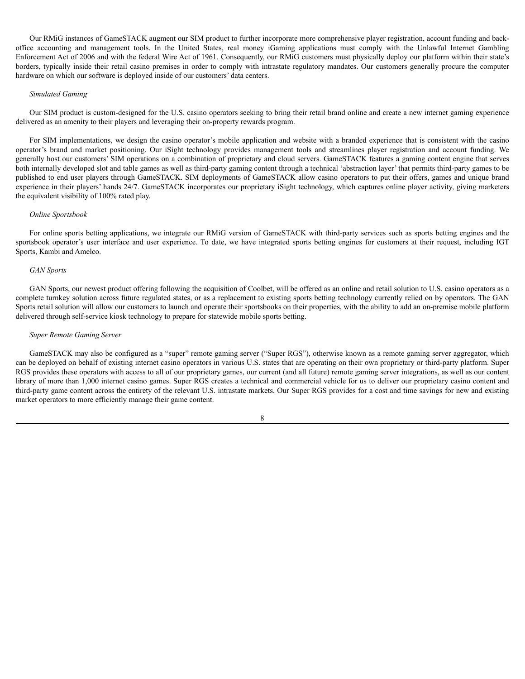Our RMiG instances of GameSTACK augment our SIM product to further incorporate more comprehensive player registration, account funding and backoffice accounting and management tools. In the United States, real money iGaming applications must comply with the Unlawful Internet Gambling Enforcement Act of 2006 and with the federal Wire Act of 1961. Consequently, our RMiG customers must physically deploy our platform within their state's borders, typically inside their retail casino premises in order to comply with intrastate regulatory mandates. Our customers generally procure the computer hardware on which our software is deployed inside of our customers' data centers.

#### *Simulated Gaming*

Our SIM product is custom-designed for the U.S. casino operators seeking to bring their retail brand online and create a new internet gaming experience delivered as an amenity to their players and leveraging their on-property rewards program.

For SIM implementations, we design the casino operator's mobile application and website with a branded experience that is consistent with the casino operator's brand and market positioning. Our iSight technology provides management tools and streamlines player registration and account funding. We generally host our customers' SIM operations on a combination of proprietary and cloud servers. GameSTACK features a gaming content engine that serves both internally developed slot and table games as well as third-party gaming content through a technical 'abstraction layer' that permits third-party games to be published to end user players through GameSTACK. SIM deployments of GameSTACK allow casino operators to put their offers, games and unique brand experience in their players' hands 24/7. GameSTACK incorporates our proprietary iSight technology, which captures online player activity, giving marketers the equivalent visibility of 100% rated play.

#### *Online Sportsbook*

For online sports betting applications, we integrate our RMiG version of GameSTACK with third-party services such as sports betting engines and the sportsbook operator's user interface and user experience. To date, we have integrated sports betting engines for customers at their request, including IGT Sports, Kambi and Amelco.

#### *GAN Sports*

GAN Sports, our newest product offering following the acquisition of Coolbet, will be offered as an online and retail solution to U.S. casino operators as a complete turnkey solution across future regulated states, or as a replacement to existing sports betting technology currently relied on by operators. The GAN Sports retail solution will allow our customers to launch and operate their sportsbooks on their properties, with the ability to add an on-premise mobile platform delivered through self-service kiosk technology to prepare for statewide mobile sports betting.

#### *Super Remote Gaming Server*

GameSTACK may also be configured as a "super" remote gaming server ("Super RGS"), otherwise known as a remote gaming server aggregator, which can be deployed on behalf of existing internet casino operators in various U.S. states that are operating on their own proprietary or third-party platform. Super RGS provides these operators with access to all of our proprietary games, our current (and all future) remote gaming server integrations, as well as our content library of more than 1,000 internet casino games. Super RGS creates a technical and commercial vehicle for us to deliver our proprietary casino content and third-party game content across the entirety of the relevant U.S. intrastate markets. Our Super RGS provides for a cost and time savings for new and existing market operators to more efficiently manage their game content.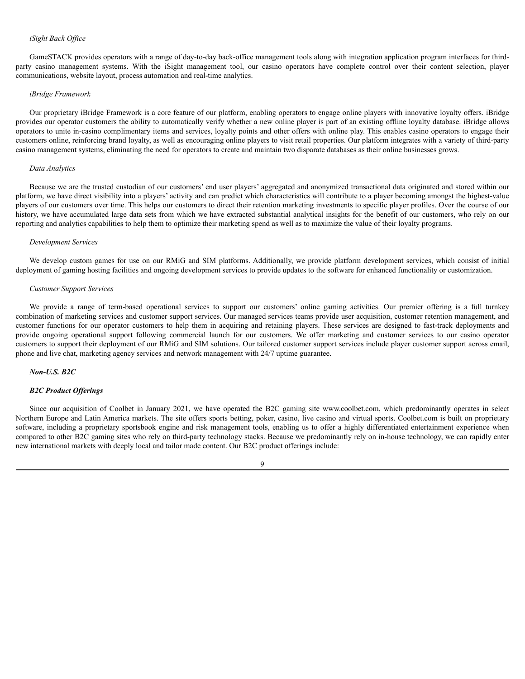## *iSight Back Of ice*

GameSTACK provides operators with a range of day-to-day back-office management tools along with integration application program interfaces for thirdparty casino management systems. With the iSight management tool, our casino operators have complete control over their content selection, player communications, website layout, process automation and real-time analytics.

#### *iBridge Framework*

Our proprietary iBridge Framework is a core feature of our platform, enabling operators to engage online players with innovative loyalty offers. iBridge provides our operator customers the ability to automatically verify whether a new online player is part of an existing offline loyalty database. iBridge allows operators to unite in-casino complimentary items and services, loyalty points and other offers with online play. This enables casino operators to engage their customers online, reinforcing brand loyalty, as well as encouraging online players to visit retail properties. Our platform integrates with a variety of third-party casino management systems, eliminating the need for operators to create and maintain two disparate databases as their online businesses grows.

#### *Data Analytics*

Because we are the trusted custodian of our customers' end user players' aggregated and anonymized transactional data originated and stored within our platform, we have direct visibility into a players' activity and can predict which characteristics will contribute to a player becoming amongst the highest-value players of our customers over time. This helps our customers to direct their retention marketing investments to specific player profiles. Over the course of our history, we have accumulated large data sets from which we have extracted substantial analytical insights for the benefit of our customers, who rely on our reporting and analytics capabilities to help them to optimize their marketing spend as well as to maximize the value of their loyalty programs.

#### *Development Services*

We develop custom games for use on our RMiG and SIM platforms. Additionally, we provide platform development services, which consist of initial deployment of gaming hosting facilities and ongoing development services to provide updates to the software for enhanced functionality or customization.

#### *Customer Support Services*

We provide a range of term-based operational services to support our customers' online gaming activities. Our premier offering is a full turnkey combination of marketing services and customer support services. Our managed services teams provide user acquisition, customer retention management, and customer functions for our operator customers to help them in acquiring and retaining players. These services are designed to fast-track deployments and provide ongoing operational support following commercial launch for our customers. We offer marketing and customer services to our casino operator customers to support their deployment of our RMiG and SIM solutions. Our tailored customer support services include player customer support across email, phone and live chat, marketing agency services and network management with 24/7 uptime guarantee.

#### *Non-U.S. B2C*

#### *B2C Product Of erings*

Since our acquisition of Coolbet in January 2021, we have operated the B2C gaming site www.coolbet.com, which predominantly operates in select Northern Europe and Latin America markets. The site offers sports betting, poker, casino, live casino and virtual sports. Coolbet.com is built on proprietary software, including a proprietary sportsbook engine and risk management tools, enabling us to offer a highly differentiated entertainment experience when compared to other B2C gaming sites who rely on third-party technology stacks. Because we predominantly rely on in-house technology, we can rapidly enter new international markets with deeply local and tailor made content. Our B2C product offerings include: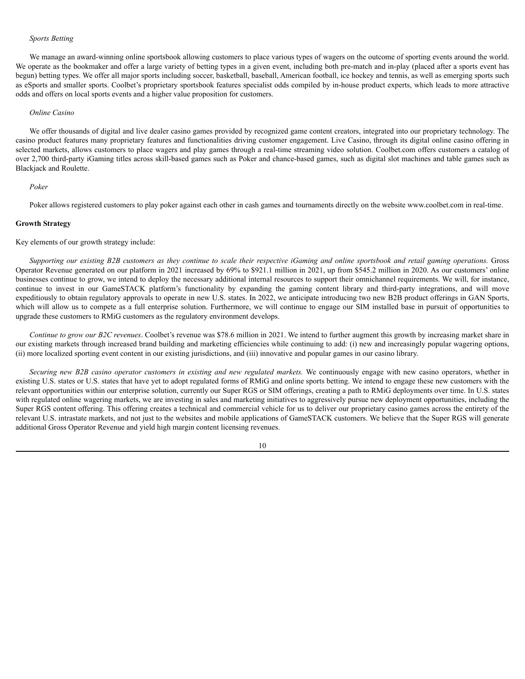# *Sports Betting*

We manage an award-winning online sportsbook allowing customers to place various types of wagers on the outcome of sporting events around the world. We operate as the bookmaker and offer a large variety of betting types in a given event, including both pre-match and in-play (placed after a sports event has begun) betting types. We offer all major sports including soccer, basketball, baseball, American football, ice hockey and tennis, as well as emerging sports such as eSports and smaller sports. Coolbet's proprietary sportsbook features specialist odds compiled by in-house product experts, which leads to more attractive odds and offers on local sports events and a higher value proposition for customers.

#### *Online Casino*

We offer thousands of digital and live dealer casino games provided by recognized game content creators, integrated into our proprietary technology. The casino product features many proprietary features and functionalities driving customer engagement. Live Casino, through its digital online casino offering in selected markets, allows customers to place wagers and play games through a real-time streaming video solution. Coolbet.com offers customers a catalog of over 2,700 third-party iGaming titles across skill-based games such as Poker and chance-based games, such as digital slot machines and table games such as Blackjack and Roulette.

## *Poker*

Poker allows registered customers to play poker against each other in cash games and tournaments directly on the website www.coolbet.com in real-time.

#### **Growth Strategy**

Key elements of our growth strategy include:

Supporting our existing B2B customers as they continue to scale their respective iGaming and online sportsbook and retail gaming operations. Gross Operator Revenue generated on our platform in 2021 increased by 69% to \$921.1 million in 2021, up from \$545.2 million in 2020. As our customers' online businesses continue to grow, we intend to deploy the necessary additional internal resources to support their omnichannel requirements. We will, for instance, continue to invest in our GameSTACK platform's functionality by expanding the gaming content library and third-party integrations, and will move expeditiously to obtain regulatory approvals to operate in new U.S. states. In 2022, we anticipate introducing two new B2B product offerings in GAN Sports, which will allow us to compete as a full enterprise solution. Furthermore, we will continue to engage our SIM installed base in pursuit of opportunities to upgrade these customers to RMiG customers as the regulatory environment develops.

*Continue to grow our B2C revenues*. Coolbet's revenue was \$78.6 million in 2021. We intend to further augment this growth by increasing market share in our existing markets through increased brand building and marketing efficiencies while continuing to add: (i) new and increasingly popular wagering options, (ii) more localized sporting event content in our existing jurisdictions, and (iii) innovative and popular games in our casino library.

Securing new B2B casino operator customers in existing and new regulated markets. We continuously engage with new casino operators, whether in existing U.S. states or U.S. states that have yet to adopt regulated forms of RMiG and online sports betting. We intend to engage these new customers with the relevant opportunities within our enterprise solution, currently our Super RGS or SIM offerings, creating a path to RMiG deployments over time. In U.S. states with regulated online wagering markets, we are investing in sales and marketing initiatives to aggressively pursue new deployment opportunities, including the Super RGS content offering. This offering creates a technical and commercial vehicle for us to deliver our proprietary casino games across the entirety of the relevant U.S. intrastate markets, and not just to the websites and mobile applications of GameSTACK customers. We believe that the Super RGS will generate additional Gross Operator Revenue and yield high margin content licensing revenues.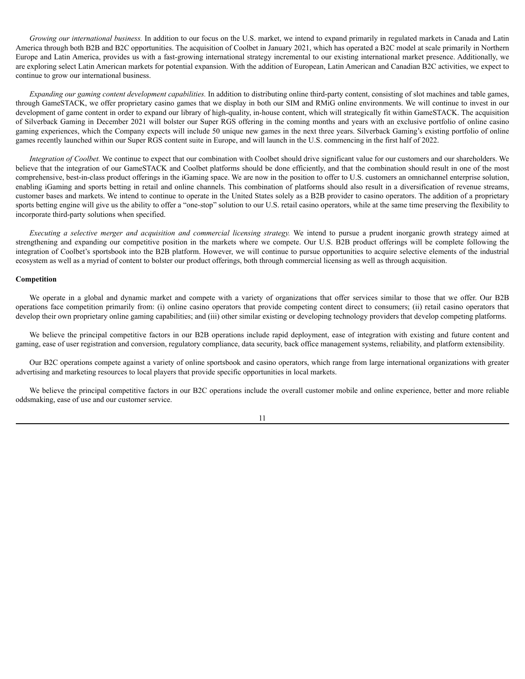*Growing our international business.* In addition to our focus on the U.S. market, we intend to expand primarily in regulated markets in Canada and Latin America through both B2B and B2C opportunities. The acquisition of Coolbet in January 2021, which has operated a B2C model at scale primarily in Northern Europe and Latin America, provides us with a fast-growing international strategy incremental to our existing international market presence. Additionally, we are exploring select Latin American markets for potential expansion. With the addition of European, Latin American and Canadian B2C activities, we expect to continue to grow our international business.

*Expanding our gaming content development capabilities.* In addition to distributing online third-party content, consisting of slot machines and table games, through GameSTACK, we offer proprietary casino games that we display in both our SIM and RMiG online environments. We will continue to invest in our development of game content in order to expand our library of high-quality, in-house content, which will strategically fit within GameSTACK. The acquisition of Silverback Gaming in December 2021 will bolster our Super RGS offering in the coming months and years with an exclusive portfolio of online casino gaming experiences, which the Company expects will include 50 unique new games in the next three years. Silverback Gaming's existing portfolio of online games recently launched within our Super RGS content suite in Europe, and will launch in the U.S. commencing in the first half of 2022.

*Integration of Coolbet.* We continue to expect that our combination with Coolbet should drive significant value for our customers and our shareholders. We believe that the integration of our GameSTACK and Coolbet platforms should be done efficiently, and that the combination should result in one of the most comprehensive, best-in-class product offerings in the iGaming space. We are now in the position to offer to U.S. customers an omnichannel enterprise solution, enabling iGaming and sports betting in retail and online channels. This combination of platforms should also result in a diversification of revenue streams, customer bases and markets. We intend to continue to operate in the United States solely as a B2B provider to casino operators. The addition of a proprietary sports betting engine will give us the ability to offer a "one-stop" solution to our U.S. retail casino operators, while at the same time preserving the flexibility to incorporate third-party solutions when specified.

*Executing a selective merger and acquisition and commercial licensing strategy.* We intend to pursue a prudent inorganic growth strategy aimed at strengthening and expanding our competitive position in the markets where we compete. Our U.S. B2B product offerings will be complete following the integration of Coolbet's sportsbook into the B2B platform. However, we will continue to pursue opportunities to acquire selective elements of the industrial ecosystem as well as a myriad of content to bolster our product offerings, both through commercial licensing as well as through acquisition.

#### **Competition**

We operate in a global and dynamic market and compete with a variety of organizations that offer services similar to those that we offer. Our B2B operations face competition primarily from: (i) online casino operators that provide competing content direct to consumers; (ii) retail casino operators that develop their own proprietary online gaming capabilities; and (iii) other similar existing or developing technology providers that develop competing platforms.

We believe the principal competitive factors in our B2B operations include rapid deployment, ease of integration with existing and future content and gaming, ease of user registration and conversion, regulatory compliance, data security, back office management systems, reliability, and platform extensibility.

Our B2C operations compete against a variety of online sportsbook and casino operators, which range from large international organizations with greater advertising and marketing resources to local players that provide specific opportunities in local markets.

We believe the principal competitive factors in our B2C operations include the overall customer mobile and online experience, better and more reliable oddsmaking, ease of use and our customer service.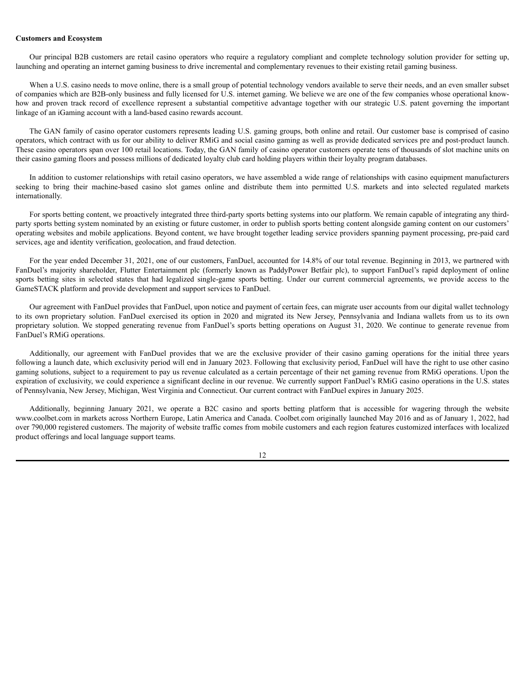#### **Customers and Ecosystem**

Our principal B2B customers are retail casino operators who require a regulatory compliant and complete technology solution provider for setting up, launching and operating an internet gaming business to drive incremental and complementary revenues to their existing retail gaming business.

When a U.S. casino needs to move online, there is a small group of potential technology vendors available to serve their needs, and an even smaller subset of companies which are B2B-only business and fully licensed for U.S. internet gaming. We believe we are one of the few companies whose operational knowhow and proven track record of excellence represent a substantial competitive advantage together with our strategic U.S. patent governing the important linkage of an iGaming account with a land-based casino rewards account.

The GAN family of casino operator customers represents leading U.S. gaming groups, both online and retail. Our customer base is comprised of casino operators, which contract with us for our ability to deliver RMiG and social casino gaming as well as provide dedicated services pre and post-product launch. These casino operators span over 100 retail locations. Today, the GAN family of casino operator customers operate tens of thousands of slot machine units on their casino gaming floors and possess millions of dedicated loyalty club card holding players within their loyalty program databases.

In addition to customer relationships with retail casino operators, we have assembled a wide range of relationships with casino equipment manufacturers seeking to bring their machine-based casino slot games online and distribute them into permitted U.S. markets and into selected regulated markets internationally.

For sports betting content, we proactively integrated three third-party sports betting systems into our platform. We remain capable of integrating any thirdparty sports betting system nominated by an existing or future customer, in order to publish sports betting content alongside gaming content on our customers' operating websites and mobile applications. Beyond content, we have brought together leading service providers spanning payment processing, pre-paid card services, age and identity verification, geolocation, and fraud detection.

For the year ended December 31, 2021, one of our customers, FanDuel, accounted for 14.8% of our total revenue. Beginning in 2013, we partnered with FanDuel's majority shareholder, Flutter Entertainment plc (formerly known as PaddyPower Betfair plc), to support FanDuel's rapid deployment of online sports betting sites in selected states that had legalized single-game sports betting. Under our current commercial agreements, we provide access to the GameSTACK platform and provide development and support services to FanDuel.

Our agreement with FanDuel provides that FanDuel, upon notice and payment of certain fees, can migrate user accounts from our digital wallet technology to its own proprietary solution. FanDuel exercised its option in 2020 and migrated its New Jersey, Pennsylvania and Indiana wallets from us to its own proprietary solution. We stopped generating revenue from FanDuel's sports betting operations on August 31, 2020. We continue to generate revenue from FanDuel's RMiG operations.

Additionally, our agreement with FanDuel provides that we are the exclusive provider of their casino gaming operations for the initial three years following a launch date, which exclusivity period will end in January 2023. Following that exclusivity period, FanDuel will have the right to use other casino gaming solutions, subject to a requirement to pay us revenue calculated as a certain percentage of their net gaming revenue from RMiG operations. Upon the expiration of exclusivity, we could experience a significant decline in our revenue. We currently support FanDuel's RMiG casino operations in the U.S. states of Pennsylvania, New Jersey, Michigan, West Virginia and Connecticut. Our current contract with FanDuel expires in January 2025.

Additionally, beginning January 2021, we operate a B2C casino and sports betting platform that is accessible for wagering through the website www.coolbet.com in markets across Northern Europe, Latin America and Canada. Coolbet.com originally launched May 2016 and as of January 1, 2022, had over 790,000 registered customers. The majority of website traffic comes from mobile customers and each region features customized interfaces with localized product offerings and local language support teams.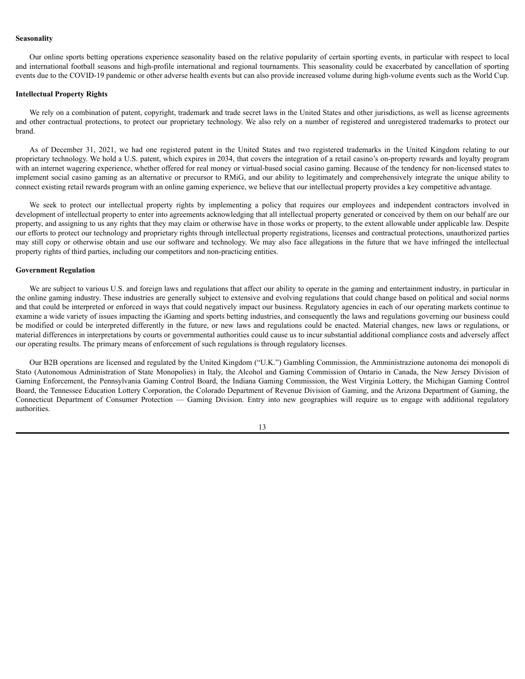#### **Seasonality**

Our online sports betting operations experience seasonality based on the relative popularity of certain sporting events, in particular with respect to local and international football seasons and high-profile international and regional tournaments. This seasonality could be exacerbated by cancellation of sporting events due to the COVID-19 pandemic or other adverse health events but can also provide increased volume during high-volume events such as the World Cup.

#### **Intellectual Property Rights**

We rely on a combination of patent, copyright, trademark and trade secret laws in the United States and other jurisdictions, as well as license agreements and other contractual protections, to protect our proprietary technology. We also rely on a number of registered and unregistered trademarks to protect our brand.

As of December 31, 2021, we had one registered patent in the United States and two registered trademarks in the United Kingdom relating to our proprietary technology. We hold a U.S. patent, which expires in 2034, that covers the integration of a retail casino's on-property rewards and loyalty program with an internet wagering experience, whether offered for real money or virtual-based social casino gaming. Because of the tendency for non-licensed states to implement social casino gaming as an alternative or precursor to RMiG, and our ability to legitimately and comprehensively integrate the unique ability to connect existing retail rewards program with an online gaming experience, we believe that our intellectual property provides a key competitive advantage.

We seek to protect our intellectual property rights by implementing a policy that requires our employees and independent contractors involved in development of intellectual property to enter into agreements acknowledging that all intellectual property generated or conceived by them on our behalf are our property, and assigning to us any rights that they may claim or otherwise have in those works or property, to the extent allowable under applicable law. Despite our efforts to protect our technology and proprietary rights through intellectual property registrations, licenses and contractual protections, unauthorized parties may still copy or otherwise obtain and use our software and technology. We may also face allegations in the future that we have infringed the intellectual property rights of third parties, including our competitors and non-practicing entities.

#### **Government Regulation**

We are subject to various U.S. and foreign laws and regulations that affect our ability to operate in the gaming and entertainment industry, in particular in the online gaming industry. These industries are generally subject to extensive and evolving regulations that could change based on political and social norms and that could be interpreted or enforced in ways that could negatively impact our business. Regulatory agencies in each of our operating markets continue to examine a wide variety of issues impacting the iGaming and sports betting industries, and consequently the laws and regulations governing our business could be modified or could be interpreted differently in the future, or new laws and regulations could be enacted. Material changes, new laws or regulations, or material differences in interpretations by courts or governmental authorities could cause us to incur substantial additional compliance costs and adversely affect our operating results. The primary means of enforcement of such regulations is through regulatory licenses.

Our B2B operations are licensed and regulated by the United Kingdom ("U.K.") Gambling Commission, the Amministrazione autonoma dei monopoli di Stato (Autonomous Administration of State Monopolies) in Italy, the Alcohol and Gaming Commission of Ontario in Canada, the New Jersey Division of Gaming Enforcement, the Pennsylvania Gaming Control Board, the Indiana Gaming Commission, the West Virginia Lottery, the Michigan Gaming Control Board, the Tennessee Education Lottery Corporation, the Colorado Department of Revenue Division of Gaming, and the Arizona Department of Gaming, the Connecticut Department of Consumer Protection — Gaming Division. Entry into new geographies will require us to engage with additional regulatory authorities.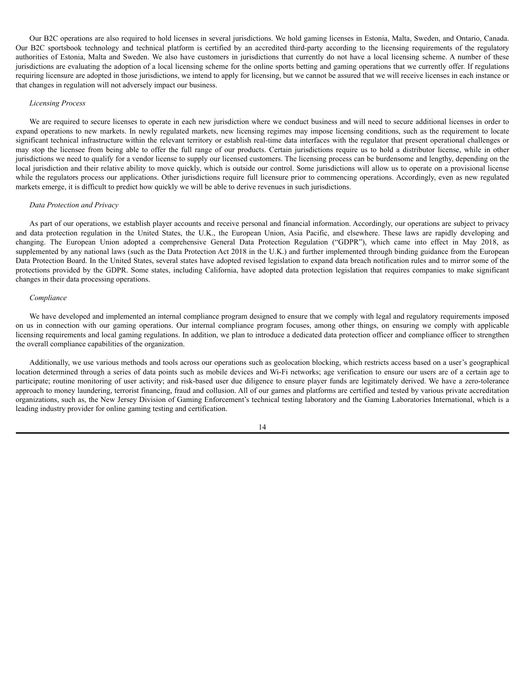Our B2C operations are also required to hold licenses in several jurisdictions. We hold gaming licenses in Estonia, Malta, Sweden, and Ontario, Canada. Our B2C sportsbook technology and technical platform is certified by an accredited third-party according to the licensing requirements of the regulatory authorities of Estonia, Malta and Sweden. We also have customers in jurisdictions that currently do not have a local licensing scheme. A number of these jurisdictions are evaluating the adoption of a local licensing scheme for the online sports betting and gaming operations that we currently offer. If regulations requiring licensure are adopted in those jurisdictions, we intend to apply for licensing, but we cannot be assured that we will receive licenses in each instance or that changes in regulation will not adversely impact our business.

#### *Licensing Process*

We are required to secure licenses to operate in each new jurisdiction where we conduct business and will need to secure additional licenses in order to expand operations to new markets. In newly regulated markets, new licensing regimes may impose licensing conditions, such as the requirement to locate significant technical infrastructure within the relevant territory or establish real-time data interfaces with the regulator that present operational challenges or may stop the licensee from being able to offer the full range of our products. Certain jurisdictions require us to hold a distributor license, while in other jurisdictions we need to qualify for a vendor license to supply our licensed customers. The licensing process can be burdensome and lengthy, depending on the local jurisdiction and their relative ability to move quickly, which is outside our control. Some jurisdictions will allow us to operate on a provisional license while the regulators process our applications. Other jurisdictions require full licensure prior to commencing operations. Accordingly, even as new regulated markets emerge, it is difficult to predict how quickly we will be able to derive revenues in such jurisdictions.

#### *Data Protection and Privacy*

As part of our operations, we establish player accounts and receive personal and financial information. Accordingly, our operations are subject to privacy and data protection regulation in the United States, the U.K., the European Union, Asia Pacific, and elsewhere. These laws are rapidly developing and changing. The European Union adopted a comprehensive General Data Protection Regulation ("GDPR"), which came into effect in May 2018, as supplemented by any national laws (such as the Data Protection Act 2018 in the U.K.) and further implemented through binding guidance from the European Data Protection Board. In the United States, several states have adopted revised legislation to expand data breach notification rules and to mirror some of the protections provided by the GDPR. Some states, including California, have adopted data protection legislation that requires companies to make significant changes in their data processing operations.

#### *Compliance*

We have developed and implemented an internal compliance program designed to ensure that we comply with legal and regulatory requirements imposed on us in connection with our gaming operations. Our internal compliance program focuses, among other things, on ensuring we comply with applicable licensing requirements and local gaming regulations. In addition, we plan to introduce a dedicated data protection officer and compliance officer to strengthen the overall compliance capabilities of the organization.

Additionally, we use various methods and tools across our operations such as geolocation blocking, which restricts access based on a user's geographical location determined through a series of data points such as mobile devices and Wi-Fi networks; age verification to ensure our users are of a certain age to participate; routine monitoring of user activity; and risk-based user due diligence to ensure player funds are legitimately derived. We have a zero-tolerance approach to money laundering, terrorist financing, fraud and collusion. All of our games and platforms are certified and tested by various private accreditation organizations, such as, the New Jersey Division of Gaming Enforcement's technical testing laboratory and the Gaming Laboratories International, which is a leading industry provider for online gaming testing and certification.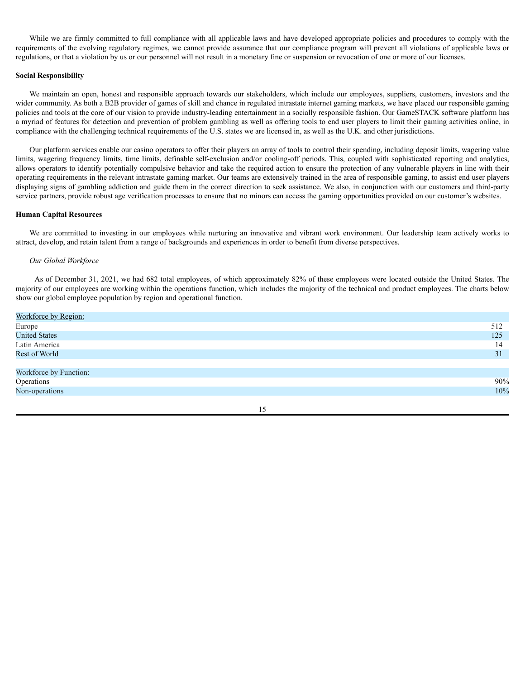While we are firmly committed to full compliance with all applicable laws and have developed appropriate policies and procedures to comply with the requirements of the evolving regulatory regimes, we cannot provide assurance that our compliance program will prevent all violations of applicable laws or regulations, or that a violation by us or our personnel will not result in a monetary fine or suspension or revocation of one or more of our licenses.

## **Social Responsibility**

We maintain an open, honest and responsible approach towards our stakeholders, which include our employees, suppliers, customers, investors and the wider community. As both a B2B provider of games of skill and chance in regulated intrastate internet gaming markets, we have placed our responsible gaming policies and tools at the core of our vision to provide industry-leading entertainment in a socially responsible fashion. Our GameSTACK software platform has a myriad of features for detection and prevention of problem gambling as well as offering tools to end user players to limit their gaming activities online, in compliance with the challenging technical requirements of the U.S. states we are licensed in, as well as the U.K. and other jurisdictions.

Our platform services enable our casino operators to offer their players an array of tools to control their spending, including deposit limits, wagering value limits, wagering frequency limits, time limits, definable self-exclusion and/or cooling-off periods. This, coupled with sophisticated reporting and analytics, allows operators to identify potentially compulsive behavior and take the required action to ensure the protection of any vulnerable players in line with their operating requirements in the relevant intrastate gaming market. Our teams are extensively trained in the area of responsible gaming, to assist end user players displaying signs of gambling addiction and guide them in the correct direction to seek assistance. We also, in conjunction with our customers and third-party service partners, provide robust age verification processes to ensure that no minors can access the gaming opportunities provided on our customer's websites.

#### **Human Capital Resources**

We are committed to investing in our employees while nurturing an innovative and vibrant work environment. Our leadership team actively works to attract, develop, and retain talent from a range of backgrounds and experiences in order to benefit from diverse perspectives.

## *Our Global Workforce*

As of December 31, 2021, we had 682 total employees, of which approximately 82% of these employees were located outside the United States. The majority of our employees are working within the operations function, which includes the majority of the technical and product employees. The charts below show our global employee population by region and operational function.

| Workforce by Region:         |     |
|------------------------------|-----|
| Europe                       | 512 |
| <b>United States</b>         | 125 |
| Latin America                | 14  |
| Rest of World                | 31  |
|                              |     |
| Workforce by Function:       |     |
| Operations<br>Non-operations | 90% |
|                              | 10% |
|                              |     |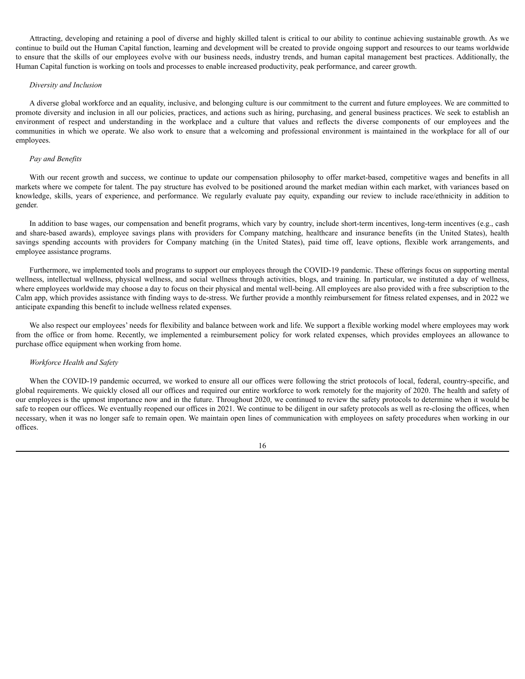Attracting, developing and retaining a pool of diverse and highly skilled talent is critical to our ability to continue achieving sustainable growth. As we continue to build out the Human Capital function, learning and development will be created to provide ongoing support and resources to our teams worldwide to ensure that the skills of our employees evolve with our business needs, industry trends, and human capital management best practices. Additionally, the Human Capital function is working on tools and processes to enable increased productivity, peak performance, and career growth.

#### *Diversity and Inclusion*

A diverse global workforce and an equality, inclusive, and belonging culture is our commitment to the current and future employees. We are committed to promote diversity and inclusion in all our policies, practices, and actions such as hiring, purchasing, and general business practices. We seek to establish an environment of respect and understanding in the workplace and a culture that values and reflects the diverse components of our employees and the communities in which we operate. We also work to ensure that a welcoming and professional environment is maintained in the workplace for all of our employees.

## *Pay and Benefits*

With our recent growth and success, we continue to update our compensation philosophy to offer market-based, competitive wages and benefits in all markets where we compete for talent. The pay structure has evolved to be positioned around the market median within each market, with variances based on knowledge, skills, years of experience, and performance. We regularly evaluate pay equity, expanding our review to include race/ethnicity in addition to gender.

In addition to base wages, our compensation and benefit programs, which vary by country, include short-term incentives, long-term incentives (e.g., cash and share-based awards), employee savings plans with providers for Company matching, healthcare and insurance benefits (in the United States), health savings spending accounts with providers for Company matching (in the United States), paid time off, leave options, flexible work arrangements, and employee assistance programs.

Furthermore, we implemented tools and programs to support our employees through the COVID-19 pandemic. These offerings focus on supporting mental wellness, intellectual wellness, physical wellness, and social wellness through activities, blogs, and training. In particular, we instituted a day of wellness, where employees worldwide may choose a day to focus on their physical and mental well-being. All employees are also provided with a free subscription to the Calm app, which provides assistance with finding ways to de-stress. We further provide a monthly reimbursement for fitness related expenses, and in 2022 we anticipate expanding this benefit to include wellness related expenses.

We also respect our employees' needs for flexibility and balance between work and life. We support a flexible working model where employees may work from the office or from home. Recently, we implemented a reimbursement policy for work related expenses, which provides employees an allowance to purchase office equipment when working from home.

## *Workforce Health and Safety*

When the COVID-19 pandemic occurred, we worked to ensure all our offices were following the strict protocols of local, federal, country-specific, and global requirements. We quickly closed all our offices and required our entire workforce to work remotely for the majority of 2020. The health and safety of our employees is the upmost importance now and in the future. Throughout 2020, we continued to review the safety protocols to determine when it would be safe to reopen our offices. We eventually reopened our offices in 2021. We continue to be diligent in our safety protocols as well as re-closing the offices, when necessary, when it was no longer safe to remain open. We maintain open lines of communication with employees on safety procedures when working in our offices.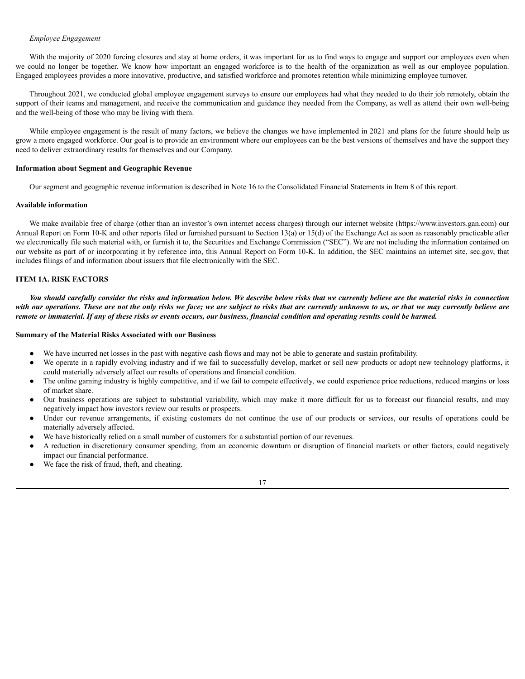#### *Employee Engagement*

With the majority of 2020 forcing closures and stay at home orders, it was important for us to find ways to engage and support our employees even when we could no longer be together. We know how important an engaged workforce is to the health of the organization as well as our employee population. Engaged employees provides a more innovative, productive, and satisfied workforce and promotes retention while minimizing employee turnover.

Throughout 2021, we conducted global employee engagement surveys to ensure our employees had what they needed to do their job remotely, obtain the support of their teams and management, and receive the communication and guidance they needed from the Company, as well as attend their own well-being and the well-being of those who may be living with them.

While employee engagement is the result of many factors, we believe the changes we have implemented in 2021 and plans for the future should help us grow a more engaged workforce. Our goal is to provide an environment where our employees can be the best versions of themselves and have the support they need to deliver extraordinary results for themselves and our Company.

## **Information about Segment and Geographic Revenue**

Our segment and geographic revenue information is described in Note 16 to the Consolidated Financial Statements in Item 8 of this report.

#### **Available information**

We make available free of charge (other than an investor's own internet access charges) through our internet website (https://www.investors.gan.com) our Annual Report on Form 10-K and other reports filed or furnished pursuant to Section 13(a) or 15(d) of the Exchange Act as soon as reasonably practicable after we electronically file such material with, or furnish it to, the Securities and Exchange Commission ("SEC"). We are not including the information contained on our website as part of or incorporating it by reference into, this Annual Report on Form 10-K. In addition, the SEC maintains an internet site, sec.gov, that includes filings of and information about issuers that file electronically with the SEC.

# <span id="page-17-0"></span>**ITEM 1A. RISK FACTORS**

You should carefully consider the risks and information below. We describe below risks that we currently believe are the material risks in connection with our operations. These are not the only risks we face; we are subject to risks that are currently unknown to us, or that we may currently believe are remote or immaterial. If any of these risks or events occurs, our business, financial condition and operating results could be harmed.

## **Summary of the Material Risks Associated with our Business**

- We have incurred net losses in the past with negative cash flows and may not be able to generate and sustain profitability.
- We operate in a rapidly evolving industry and if we fail to successfully develop, market or sell new products or adopt new technology platforms, it could materially adversely affect our results of operations and financial condition.
- The online gaming industry is highly competitive, and if we fail to compete effectively, we could experience price reductions, reduced margins or loss of market share.
- Our business operations are subject to substantial variability, which may make it more difficult for us to forecast our financial results, and may negatively impact how investors review our results or prospects.
- Under our revenue arrangements, if existing customers do not continue the use of our products or services, our results of operations could be materially adversely affected.
- We have historically relied on a small number of customers for a substantial portion of our revenues.
- A reduction in discretionary consumer spending, from an economic downturn or disruption of financial markets or other factors, could negatively impact our financial performance.
- We face the risk of fraud, theft, and cheating.

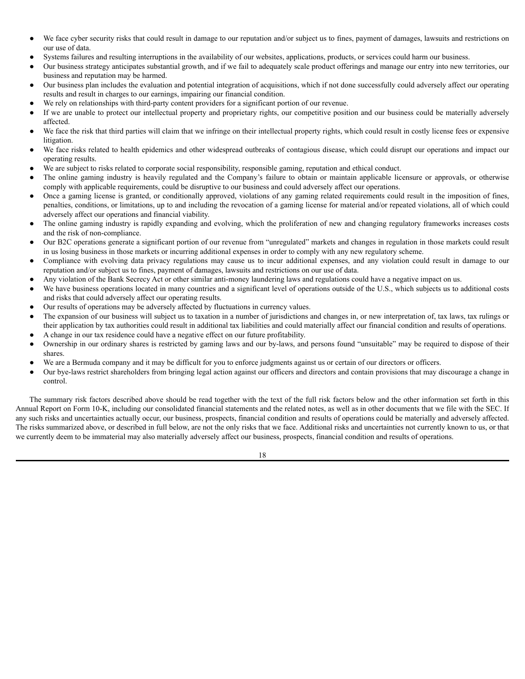- We face cyber security risks that could result in damage to our reputation and/or subject us to fines, payment of damages, lawsuits and restrictions on our use of data.
- Systems failures and resulting interruptions in the availability of our websites, applications, products, or services could harm our business.
- Our business strategy anticipates substantial growth, and if we fail to adequately scale product offerings and manage our entry into new territories, our business and reputation may be harmed.
- Our business plan includes the evaluation and potential integration of acquisitions, which if not done successfully could adversely affect our operating results and result in charges to our earnings, impairing our financial condition.
- We rely on relationships with third-party content providers for a significant portion of our revenue.
- If we are unable to protect our intellectual property and proprietary rights, our competitive position and our business could be materially adversely affected.
- We face the risk that third parties will claim that we infringe on their intellectual property rights, which could result in costly license fees or expensive litigation.
- We face risks related to health epidemics and other widespread outbreaks of contagious disease, which could disrupt our operations and impact our operating results.
- We are subject to risks related to corporate social responsibility, responsible gaming, reputation and ethical conduct.
- The online gaming industry is heavily regulated and the Company's failure to obtain or maintain applicable licensure or approvals, or otherwise comply with applicable requirements, could be disruptive to our business and could adversely affect our operations.
- Once a gaming license is granted, or conditionally approved, violations of any gaming related requirements could result in the imposition of fines, penalties, conditions, or limitations, up to and including the revocation of a gaming license for material and/or repeated violations, all of which could adversely affect our operations and financial viability.
- The online gaming industry is rapidly expanding and evolving, which the proliferation of new and changing regulatory frameworks increases costs and the risk of non-compliance.
- Our B2C operations generate a significant portion of our revenue from "unregulated" markets and changes in regulation in those markets could result in us losing business in those markets or incurring additional expenses in order to comply with any new regulatory scheme.
- Compliance with evolving data privacy regulations may cause us to incur additional expenses, and any violation could result in damage to our reputation and/or subject us to fines, payment of damages, lawsuits and restrictions on our use of data.
- Any violation of the Bank Secrecy Act or other similar anti-money laundering laws and regulations could have a negative impact on us.
- We have business operations located in many countries and a significant level of operations outside of the U.S., which subjects us to additional costs and risks that could adversely affect our operating results.
- Our results of operations may be adversely affected by fluctuations in currency values.
- The expansion of our business will subject us to taxation in a number of jurisdictions and changes in, or new interpretation of, tax laws, tax rulings or their application by tax authorities could result in additional tax liabilities and could materially affect our financial condition and results of operations.
- A change in our tax residence could have a negative effect on our future profitability.
- Ownership in our ordinary shares is restricted by gaming laws and our by-laws, and persons found "unsuitable" may be required to dispose of their shares.
- We are a Bermuda company and it may be difficult for you to enforce judgments against us or certain of our directors or officers.
- Our bye-laws restrict shareholders from bringing legal action against our officers and directors and contain provisions that may discourage a change in control.

The summary risk factors described above should be read together with the text of the full risk factors below and the other information set forth in this Annual Report on Form 10-K, including our consolidated financial statements and the related notes, as well as in other documents that we file with the SEC. If any such risks and uncertainties actually occur, our business, prospects, financial condition and results of operations could be materially and adversely affected. The risks summarized above, or described in full below, are not the only risks that we face. Additional risks and uncertainties not currently known to us, or that we currently deem to be immaterial may also materially adversely affect our business, prospects, financial condition and results of operations.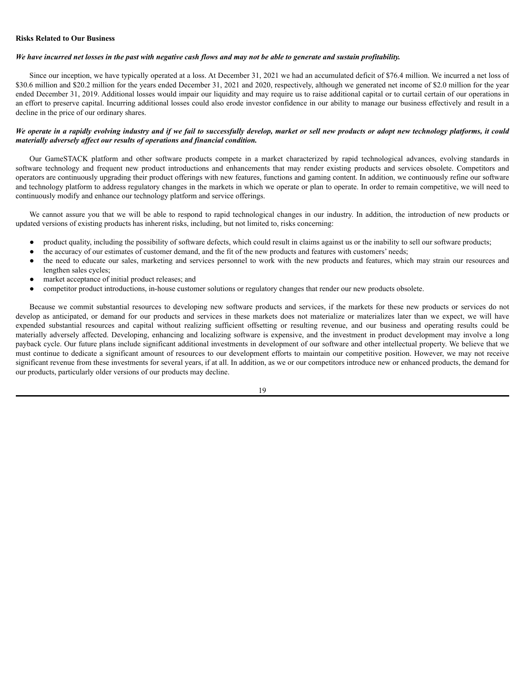## **Risks Related to Our Business**

## We have incurred net losses in the past with negative cash flows and may not be able to generate and sustain profitability.

Since our inception, we have typically operated at a loss. At December 31, 2021 we had an accumulated deficit of \$76.4 million. We incurred a net loss of \$30.6 million and \$20.2 million for the years ended December 31, 2021 and 2020, respectively, although we generated net income of \$2.0 million for the year ended December 31, 2019. Additional losses would impair our liquidity and may require us to raise additional capital or to curtail certain of our operations in an effort to preserve capital. Incurring additional losses could also erode investor confidence in our ability to manage our business effectively and result in a decline in the price of our ordinary shares.

## We operate in a rapidly evolving industry and if we fail to successfully develop, market or sell new products or adopt new technology platforms, it could *materially adversely af ect our results of operations and financial condition.*

Our GameSTACK platform and other software products compete in a market characterized by rapid technological advances, evolving standards in software technology and frequent new product introductions and enhancements that may render existing products and services obsolete. Competitors and operators are continuously upgrading their product offerings with new features, functions and gaming content. In addition, we continuously refine our software and technology platform to address regulatory changes in the markets in which we operate or plan to operate. In order to remain competitive, we will need to continuously modify and enhance our technology platform and service offerings.

We cannot assure you that we will be able to respond to rapid technological changes in our industry. In addition, the introduction of new products or updated versions of existing products has inherent risks, including, but not limited to, risks concerning:

- product quality, including the possibility of software defects, which could result in claims against us or the inability to sell our software products;
- the accuracy of our estimates of customer demand, and the fit of the new products and features with customers' needs;
- the need to educate our sales, marketing and services personnel to work with the new products and features, which may strain our resources and lengthen sales cycles;
- market acceptance of initial product releases; and
- competitor product introductions, in-house customer solutions or regulatory changes that render our new products obsolete.

Because we commit substantial resources to developing new software products and services, if the markets for these new products or services do not develop as anticipated, or demand for our products and services in these markets does not materialize or materializes later than we expect, we will have expended substantial resources and capital without realizing sufficient offsetting or resulting revenue, and our business and operating results could be materially adversely affected. Developing, enhancing and localizing software is expensive, and the investment in product development may involve a long payback cycle. Our future plans include significant additional investments in development of our software and other intellectual property. We believe that we must continue to dedicate a significant amount of resources to our development efforts to maintain our competitive position. However, we may not receive significant revenue from these investments for several years, if at all. In addition, as we or our competitors introduce new or enhanced products, the demand for our products, particularly older versions of our products may decline.

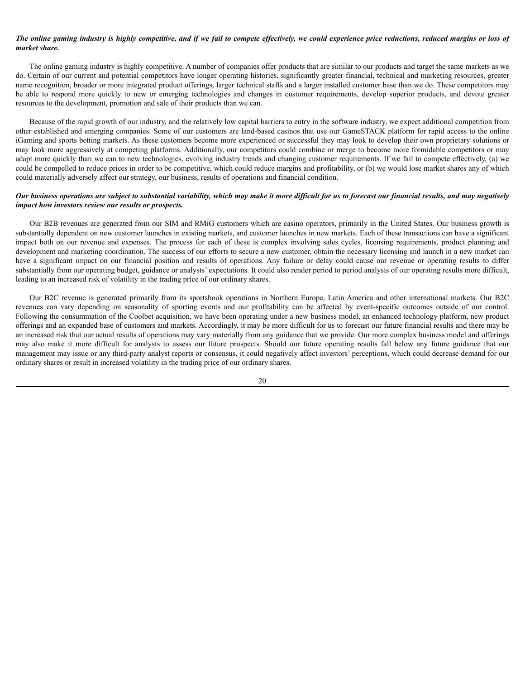# The online gaming industry is highly competitive, and if we fail to compete effectively, we could experience price reductions, reduced margins or loss of *market share.*

The online gaming industry is highly competitive. A number of companies offer products that are similar to our products and target the same markets as we do. Certain of our current and potential competitors have longer operating histories, significantly greater financial, technical and marketing resources, greater name recognition, broader or more integrated product offerings, larger technical staffs and a larger installed customer base than we do. These competitors may be able to respond more quickly to new or emerging technologies and changes in customer requirements, develop superior products, and devote greater resources to the development, promotion and sale of their products than we can.

Because of the rapid growth of our industry, and the relatively low capital barriers to entry in the software industry, we expect additional competition from other established and emerging companies. Some of our customers are land-based casinos that use our GameSTACK platform for rapid access to the online iGaming and sports betting markets. As these customers become more experienced or successful they may look to develop their own proprietary solutions or may look more aggressively at competing platforms. Additionally, our competitors could combine or merge to become more formidable competitors or may adapt more quickly than we can to new technologies, evolving industry trends and changing customer requirements. If we fail to compete effectively, (a) we could be compelled to reduce prices in order to be competitive, which could reduce margins and profitability, or (b) we would lose market shares any of which could materially adversely affect our strategy, our business, results of operations and financial condition.

## Our business operations are subject to substantial variability, which may make it more difficult for us to forecast our financial results, and may negatively *impact how investors review our results or prospects.*

Our B2B revenues are generated from our SIM and RMiG customers which are casino operators, primarily in the United States. Our business growth is substantially dependent on new customer launches in existing markets, and customer launches in new markets. Each of these transactions can have a significant impact both on our revenue and expenses. The process for each of these is complex involving sales cycles, licensing requirements, product planning and development and marketing coordination. The success of our efforts to secure a new customer, obtain the necessary licensing and launch in a new market can have a significant impact on our financial position and results of operations. Any failure or delay could cause our revenue or operating results to differ substantially from our operating budget, guidance or analysts' expectations. It could also render period to period analysis of our operating results more difficult, leading to an increased risk of volatility in the trading price of our ordinary shares.

Our B2C revenue is generated primarily from its sportsbook operations in Northern Europe, Latin America and other international markets. Our B2C revenues can vary depending on seasonality of sporting events and our profitability can be affected by event-specific outcomes outside of our control. Following the consummation of the Coolbet acquisition, we have been operating under a new business model, an enhanced technology platform, new product offerings and an expanded base of customers and markets. Accordingly, it may be more difficult for us to forecast our future financial results and there may be an increased risk that our actual results of operations may vary materially from any guidance that we provide. Our more complex business model and offerings may also make it more difficult for analysts to assess our future prospects. Should our future operating results fall below any future guidance that our management may issue or any third-party analyst reports or consensus, it could negatively affect investors' perceptions, which could decrease demand for our ordinary shares or result in increased volatility in the trading price of our ordinary shares.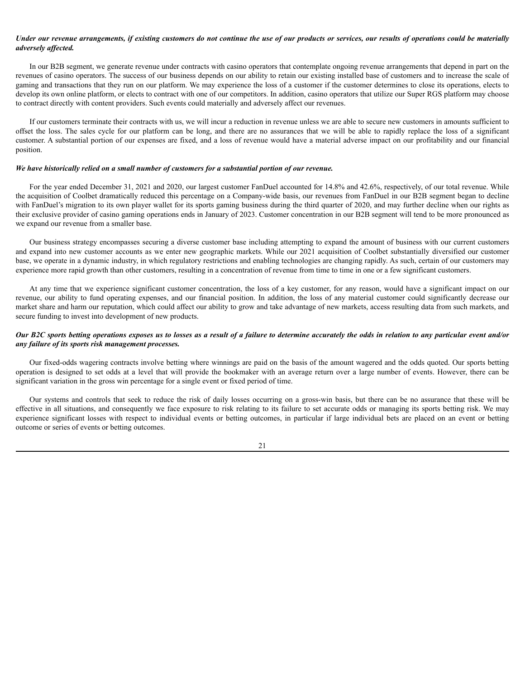# Under our revenue arrangements, if existing customers do not continue the use of our products or services, our results of operations could be materially *adversely af ected.*

In our B2B segment, we generate revenue under contracts with casino operators that contemplate ongoing revenue arrangements that depend in part on the revenues of casino operators. The success of our business depends on our ability to retain our existing installed base of customers and to increase the scale of gaming and transactions that they run on our platform. We may experience the loss of a customer if the customer determines to close its operations, elects to develop its own online platform, or elects to contract with one of our competitors. In addition, casino operators that utilize our Super RGS platform may choose to contract directly with content providers. Such events could materially and adversely affect our revenues.

If our customers terminate their contracts with us, we will incur a reduction in revenue unless we are able to secure new customers in amounts sufficient to offset the loss. The sales cycle for our platform can be long, and there are no assurances that we will be able to rapidly replace the loss of a significant customer. A substantial portion of our expenses are fixed, and a loss of revenue would have a material adverse impact on our profitability and our financial position.

### *We have historically relied on a small number of customers for a substantial portion of our revenue.*

For the year ended December 31, 2021 and 2020, our largest customer FanDuel accounted for 14.8% and 42.6%, respectively, of our total revenue. While the acquisition of Coolbet dramatically reduced this percentage on a Company-wide basis, our revenues from FanDuel in our B2B segment began to decline with FanDuel's migration to its own player wallet for its sports gaming business during the third quarter of 2020, and may further decline when our rights as their exclusive provider of casino gaming operations ends in January of 2023. Customer concentration in our B2B segment will tend to be more pronounced as we expand our revenue from a smaller base.

Our business strategy encompasses securing a diverse customer base including attempting to expand the amount of business with our current customers and expand into new customer accounts as we enter new geographic markets. While our 2021 acquisition of Coolbet substantially diversified our customer base, we operate in a dynamic industry, in which regulatory restrictions and enabling technologies are changing rapidly. As such, certain of our customers may experience more rapid growth than other customers, resulting in a concentration of revenue from time to time in one or a few significant customers.

At any time that we experience significant customer concentration, the loss of a key customer, for any reason, would have a significant impact on our revenue, our ability to fund operating expenses, and our financial position. In addition, the loss of any material customer could significantly decrease our market share and harm our reputation, which could affect our ability to grow and take advantage of new markets, access resulting data from such markets, and secure funding to invest into development of new products.

# Our B2C sports betting operations exposes us to losses as a result of a failure to determine accurately the odds in relation to any particular event and/or *any failure of its sports risk management processes.*

Our fixed-odds wagering contracts involve betting where winnings are paid on the basis of the amount wagered and the odds quoted. Our sports betting operation is designed to set odds at a level that will provide the bookmaker with an average return over a large number of events. However, there can be significant variation in the gross win percentage for a single event or fixed period of time.

Our systems and controls that seek to reduce the risk of daily losses occurring on a gross-win basis, but there can be no assurance that these will be effective in all situations, and consequently we face exposure to risk relating to its failure to set accurate odds or managing its sports betting risk. We may experience significant losses with respect to individual events or betting outcomes, in particular if large individual bets are placed on an event or betting outcome or series of events or betting outcomes.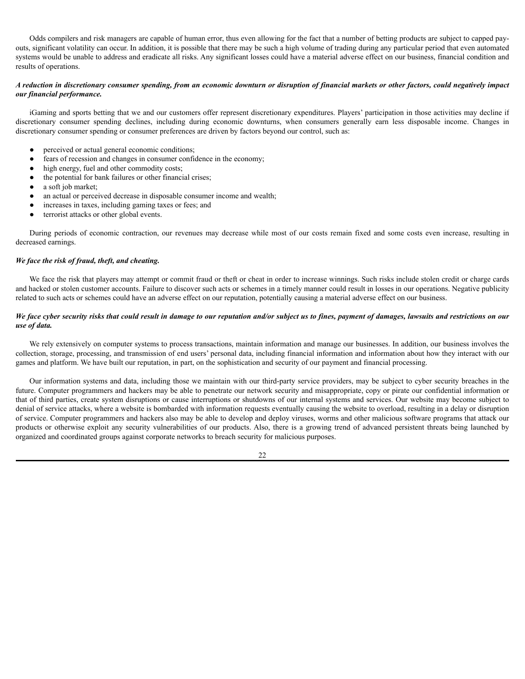Odds compilers and risk managers are capable of human error, thus even allowing for the fact that a number of betting products are subject to capped payouts, significant volatility can occur. In addition, it is possible that there may be such a high volume of trading during any particular period that even automated systems would be unable to address and eradicate all risks. Any significant losses could have a material adverse effect on our business, financial condition and results of operations.

## A reduction in discretionary consumer spending, from an economic downturn or disruption of financial markets or other factors, could negatively impact *our financial performance.*

iGaming and sports betting that we and our customers offer represent discretionary expenditures. Players' participation in those activities may decline if discretionary consumer spending declines, including during economic downturns, when consumers generally earn less disposable income. Changes in discretionary consumer spending or consumer preferences are driven by factors beyond our control, such as:

- perceived or actual general economic conditions;
- fears of recession and changes in consumer confidence in the economy;
- high energy, fuel and other commodity costs;
- the potential for bank failures or other financial crises;
- a soft job market;
- an actual or perceived decrease in disposable consumer income and wealth;
- increases in taxes, including gaming taxes or fees; and
- terrorist attacks or other global events.

During periods of economic contraction, our revenues may decrease while most of our costs remain fixed and some costs even increase, resulting in decreased earnings.

### *We face the risk of fraud, theft, and cheating.*

We face the risk that players may attempt or commit fraud or theft or cheat in order to increase winnings. Such risks include stolen credit or charge cards and hacked or stolen customer accounts. Failure to discover such acts or schemes in a timely manner could result in losses in our operations. Negative publicity related to such acts or schemes could have an adverse effect on our reputation, potentially causing a material adverse effect on our business.

## We face cyber security risks that could result in damage to our reputation and/or subject us to fines, payment of damages, lawsuits and restrictions on our *use of data.*

We rely extensively on computer systems to process transactions, maintain information and manage our businesses. In addition, our business involves the collection, storage, processing, and transmission of end users' personal data, including financial information and information about how they interact with our games and platform. We have built our reputation, in part, on the sophistication and security of our payment and financial processing.

Our information systems and data, including those we maintain with our third-party service providers, may be subject to cyber security breaches in the future. Computer programmers and hackers may be able to penetrate our network security and misappropriate, copy or pirate our confidential information or that of third parties, create system disruptions or cause interruptions or shutdowns of our internal systems and services. Our website may become subject to denial of service attacks, where a website is bombarded with information requests eventually causing the website to overload, resulting in a delay or disruption of service. Computer programmers and hackers also may be able to develop and deploy viruses, worms and other malicious software programs that attack our products or otherwise exploit any security vulnerabilities of our products. Also, there is a growing trend of advanced persistent threats being launched by organized and coordinated groups against corporate networks to breach security for malicious purposes.

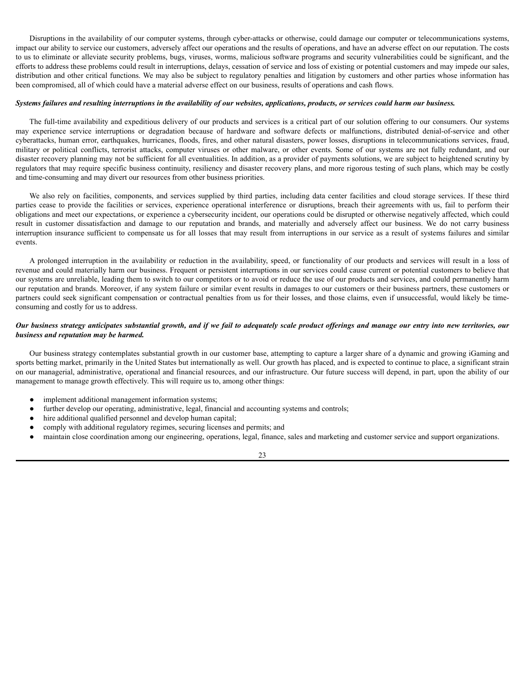Disruptions in the availability of our computer systems, through cyber-attacks or otherwise, could damage our computer or telecommunications systems, impact our ability to service our customers, adversely affect our operations and the results of operations, and have an adverse effect on our reputation. The costs to us to eliminate or alleviate security problems, bugs, viruses, worms, malicious software programs and security vulnerabilities could be significant, and the efforts to address these problems could result in interruptions, delays, cessation of service and loss of existing or potential customers and may impede our sales, distribution and other critical functions. We may also be subject to regulatory penalties and litigation by customers and other parties whose information has been compromised, all of which could have a material adverse effect on our business, results of operations and cash flows.

#### Systems failures and resulting interruptions in the availability of our websites, applications, products, or services could harm our business.

The full-time availability and expeditious delivery of our products and services is a critical part of our solution offering to our consumers. Our systems may experience service interruptions or degradation because of hardware and software defects or malfunctions, distributed denial-of-service and other cyberattacks, human error, earthquakes, hurricanes, floods, fires, and other natural disasters, power losses, disruptions in telecommunications services, fraud, military or political conflicts, terrorist attacks, computer viruses or other malware, or other events. Some of our systems are not fully redundant, and our disaster recovery planning may not be sufficient for all eventualities. In addition, as a provider of payments solutions, we are subject to heightened scrutiny by regulators that may require specific business continuity, resiliency and disaster recovery plans, and more rigorous testing of such plans, which may be costly and time-consuming and may divert our resources from other business priorities.

We also rely on facilities, components, and services supplied by third parties, including data center facilities and cloud storage services. If these third parties cease to provide the facilities or services, experience operational interference or disruptions, breach their agreements with us, fail to perform their obligations and meet our expectations, or experience a cybersecurity incident, our operations could be disrupted or otherwise negatively affected, which could result in customer dissatisfaction and damage to our reputation and brands, and materially and adversely affect our business. We do not carry business interruption insurance sufficient to compensate us for all losses that may result from interruptions in our service as a result of systems failures and similar events.

A prolonged interruption in the availability or reduction in the availability, speed, or functionality of our products and services will result in a loss of revenue and could materially harm our business. Frequent or persistent interruptions in our services could cause current or potential customers to believe that our systems are unreliable, leading them to switch to our competitors or to avoid or reduce the use of our products and services, and could permanently harm our reputation and brands. Moreover, if any system failure or similar event results in damages to our customers or their business partners, these customers or partners could seek significant compensation or contractual penalties from us for their losses, and those claims, even if unsuccessful, would likely be timeconsuming and costly for us to address.

## Our business strategy anticipates substantial growth, and if we fail to adequately scale product offerings and manage our entry into new territories, our *business and reputation may be harmed.*

Our business strategy contemplates substantial growth in our customer base, attempting to capture a larger share of a dynamic and growing iGaming and sports betting market, primarily in the United States but internationally as well. Our growth has placed, and is expected to continue to place, a significant strain on our managerial, administrative, operational and financial resources, and our infrastructure. Our future success will depend, in part, upon the ability of our management to manage growth effectively. This will require us to, among other things:

- implement additional management information systems;
- further develop our operating, administrative, legal, financial and accounting systems and controls;
- hire additional qualified personnel and develop human capital;
- comply with additional regulatory regimes, securing licenses and permits; and
- maintain close coordination among our engineering, operations, legal, finance, sales and marketing and customer service and support organizations.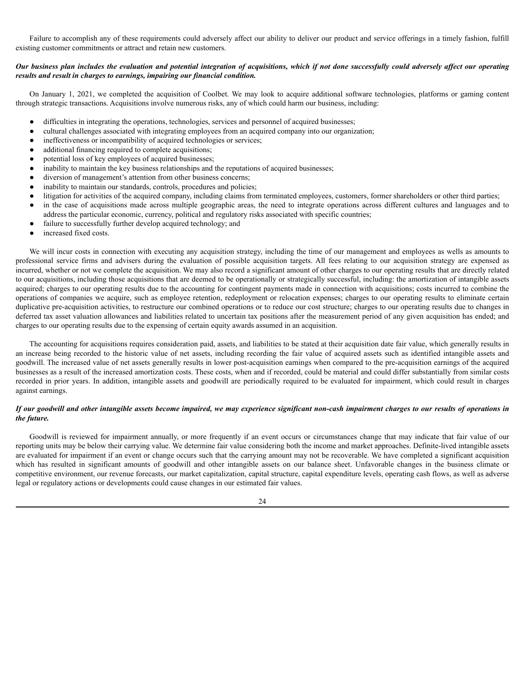Failure to accomplish any of these requirements could adversely affect our ability to deliver our product and service offerings in a timely fashion, fulfill existing customer commitments or attract and retain new customers.

# Our business plan includes the evaluation and potential integration of acquisitions, which if not done successfully could adversely affect our operating *results and result in charges to earnings, impairing our financial condition.*

On January 1, 2021, we completed the acquisition of Coolbet. We may look to acquire additional software technologies, platforms or gaming content through strategic transactions. Acquisitions involve numerous risks, any of which could harm our business, including:

- difficulties in integrating the operations, technologies, services and personnel of acquired businesses;
- cultural challenges associated with integrating employees from an acquired company into our organization;
- ineffectiveness or incompatibility of acquired technologies or services;
- additional financing required to complete acquisitions;
- potential loss of key employees of acquired businesses;
- inability to maintain the key business relationships and the reputations of acquired businesses;
- diversion of management's attention from other business concerns;
- inability to maintain our standards, controls, procedures and policies;
- litigation for activities of the acquired company, including claims from terminated employees, customers, former shareholders or other third parties;
- in the case of acquisitions made across multiple geographic areas, the need to integrate operations across different cultures and languages and to address the particular economic, currency, political and regulatory risks associated with specific countries;
- failure to successfully further develop acquired technology; and
- increased fixed costs.

We will incur costs in connection with executing any acquisition strategy, including the time of our management and employees as wells as amounts to professional service firms and advisers during the evaluation of possible acquisition targets. All fees relating to our acquisition strategy are expensed as incurred, whether or not we complete the acquisition. We may also record a significant amount of other charges to our operating results that are directly related to our acquisitions, including those acquisitions that are deemed to be operationally or strategically successful, including: the amortization of intangible assets acquired; charges to our operating results due to the accounting for contingent payments made in connection with acquisitions; costs incurred to combine the operations of companies we acquire, such as employee retention, redeployment or relocation expenses; charges to our operating results to eliminate certain duplicative pre-acquisition activities, to restructure our combined operations or to reduce our cost structure; charges to our operating results due to changes in deferred tax asset valuation allowances and liabilities related to uncertain tax positions after the measurement period of any given acquisition has ended; and charges to our operating results due to the expensing of certain equity awards assumed in an acquisition.

The accounting for acquisitions requires consideration paid, assets, and liabilities to be stated at their acquisition date fair value, which generally results in an increase being recorded to the historic value of net assets, including recording the fair value of acquired assets such as identified intangible assets and goodwill. The increased value of net assets generally results in lower post-acquisition earnings when compared to the pre-acquisition earnings of the acquired businesses as a result of the increased amortization costs. These costs, when and if recorded, could be material and could differ substantially from similar costs recorded in prior years. In addition, intangible assets and goodwill are periodically required to be evaluated for impairment, which could result in charges against earnings.

## If our goodwill and other intangible assets become impaired, we may experience significant non-cash impairment charges to our results of operations in *the future.*

Goodwill is reviewed for impairment annually, or more frequently if an event occurs or circumstances change that may indicate that fair value of our reporting units may be below their carrying value. We determine fair value considering both the income and market approaches. Definite-lived intangible assets are evaluated for impairment if an event or change occurs such that the carrying amount may not be recoverable. We have completed a significant acquisition which has resulted in significant amounts of goodwill and other intangible assets on our balance sheet. Unfavorable changes in the business climate or competitive environment, our revenue forecasts, our market capitalization, capital structure, capital expenditure levels, operating cash flows, as well as adverse legal or regulatory actions or developments could cause changes in our estimated fair values.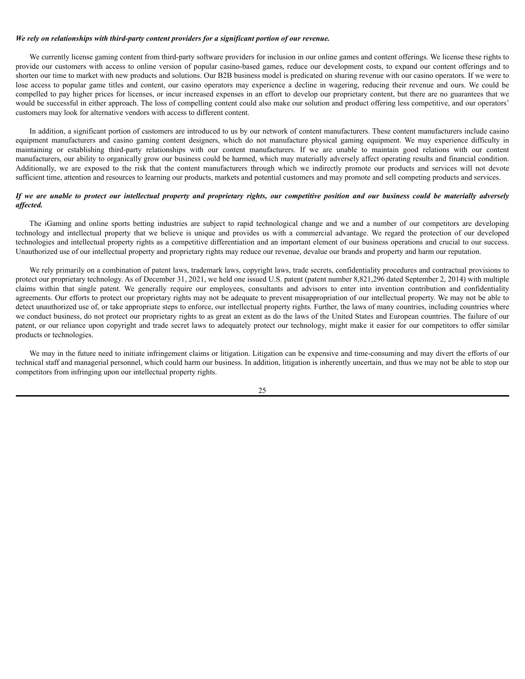## *We rely on relationships with third-party content providers for a significant portion of our revenue.*

We currently license gaming content from third-party software providers for inclusion in our online games and content offerings. We license these rights to provide our customers with access to online version of popular casino-based games, reduce our development costs, to expand our content offerings and to shorten our time to market with new products and solutions. Our B2B business model is predicated on sharing revenue with our casino operators. If we were to lose access to popular game titles and content, our casino operators may experience a decline in wagering, reducing their revenue and ours. We could be compelled to pay higher prices for licenses, or incur increased expenses in an effort to develop our proprietary content, but there are no guarantees that we would be successful in either approach. The loss of compelling content could also make our solution and product offering less competitive, and our operators' customers may look for alternative vendors with access to different content.

In addition, a significant portion of customers are introduced to us by our network of content manufacturers. These content manufacturers include casino equipment manufacturers and casino gaming content designers, which do not manufacture physical gaming equipment. We may experience difficulty in maintaining or establishing third-party relationships with our content manufacturers. If we are unable to maintain good relations with our content manufacturers, our ability to organically grow our business could be harmed, which may materially adversely affect operating results and financial condition. Additionally, we are exposed to the risk that the content manufacturers through which we indirectly promote our products and services will not devote sufficient time, attention and resources to learning our products, markets and potential customers and may promote and sell competing products and services.

## If we are unable to protect our intellectual property and proprietary rights, our competitive position and our business could be materially adversely *af ected.*

The iGaming and online sports betting industries are subject to rapid technological change and we and a number of our competitors are developing technology and intellectual property that we believe is unique and provides us with a commercial advantage. We regard the protection of our developed technologies and intellectual property rights as a competitive differentiation and an important element of our business operations and crucial to our success. Unauthorized use of our intellectual property and proprietary rights may reduce our revenue, devalue our brands and property and harm our reputation.

We rely primarily on a combination of patent laws, trademark laws, copyright laws, trade secrets, confidentiality procedures and contractual provisions to protect our proprietary technology. As of December 31, 2021, we held one issued U.S. patent (patent number 8,821,296 dated September 2, 2014) with multiple claims within that single patent. We generally require our employees, consultants and advisors to enter into invention contribution and confidentiality agreements. Our efforts to protect our proprietary rights may not be adequate to prevent misappropriation of our intellectual property. We may not be able to detect unauthorized use of, or take appropriate steps to enforce, our intellectual property rights. Further, the laws of many countries, including countries where we conduct business, do not protect our proprietary rights to as great an extent as do the laws of the United States and European countries. The failure of our patent, or our reliance upon copyright and trade secret laws to adequately protect our technology, might make it easier for our competitors to offer similar products or technologies.

We may in the future need to initiate infringement claims or litigation. Litigation can be expensive and time-consuming and may divert the efforts of our technical staff and managerial personnel, which could harm our business. In addition, litigation is inherently uncertain, and thus we may not be able to stop our competitors from infringing upon our intellectual property rights.

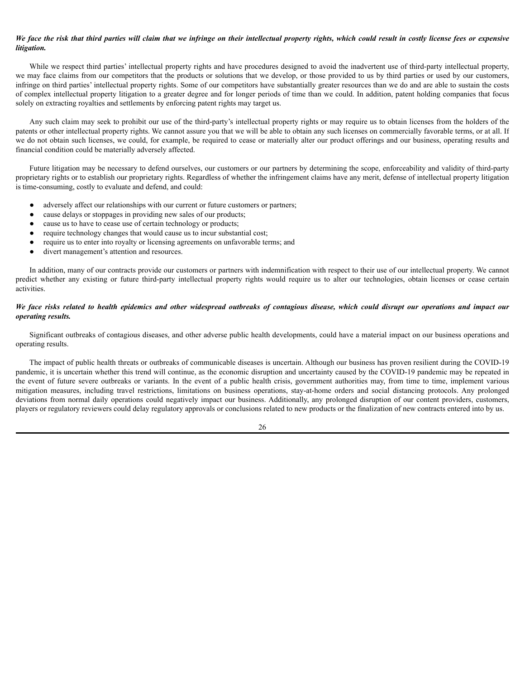# We face the risk that third parties will claim that we infringe on their intellectual property rights, which could result in costly license fees or expensive *litigation.*

While we respect third parties' intellectual property rights and have procedures designed to avoid the inadvertent use of third-party intellectual property, we may face claims from our competitors that the products or solutions that we develop, or those provided to us by third parties or used by our customers, infringe on third parties' intellectual property rights. Some of our competitors have substantially greater resources than we do and are able to sustain the costs of complex intellectual property litigation to a greater degree and for longer periods of time than we could. In addition, patent holding companies that focus solely on extracting royalties and settlements by enforcing patent rights may target us.

Any such claim may seek to prohibit our use of the third-party's intellectual property rights or may require us to obtain licenses from the holders of the patents or other intellectual property rights. We cannot assure you that we will be able to obtain any such licenses on commercially favorable terms, or at all. If we do not obtain such licenses, we could, for example, be required to cease or materially alter our product offerings and our business, operating results and financial condition could be materially adversely affected.

Future litigation may be necessary to defend ourselves, our customers or our partners by determining the scope, enforceability and validity of third-party proprietary rights or to establish our proprietary rights. Regardless of whether the infringement claims have any merit, defense of intellectual property litigation is time-consuming, costly to evaluate and defend, and could:

- adversely affect our relationships with our current or future customers or partners;
- cause delays or stoppages in providing new sales of our products;
- cause us to have to cease use of certain technology or products;
- require technology changes that would cause us to incur substantial cost;
- require us to enter into royalty or licensing agreements on unfavorable terms; and
- divert management's attention and resources.

In addition, many of our contracts provide our customers or partners with indemnification with respect to their use of our intellectual property. We cannot predict whether any existing or future third-party intellectual property rights would require us to alter our technologies, obtain licenses or cease certain activities.

# We face risks related to health epidemics and other widespread outbreaks of contagious disease, which could disrupt our operations and impact our *operating results.*

Significant outbreaks of contagious diseases, and other adverse public health developments, could have a material impact on our business operations and operating results.

The impact of public health threats or outbreaks of communicable diseases is uncertain. Although our business has proven resilient during the COVID-19 pandemic, it is uncertain whether this trend will continue, as the economic disruption and uncertainty caused by the COVID-19 pandemic may be repeated in the event of future severe outbreaks or variants. In the event of a public health crisis, government authorities may, from time to time, implement various mitigation measures, including travel restrictions, limitations on business operations, stay-at-home orders and social distancing protocols. Any prolonged deviations from normal daily operations could negatively impact our business. Additionally, any prolonged disruption of our content providers, customers, players or regulatory reviewers could delay regulatory approvals or conclusions related to new products or the finalization of new contracts entered into by us.

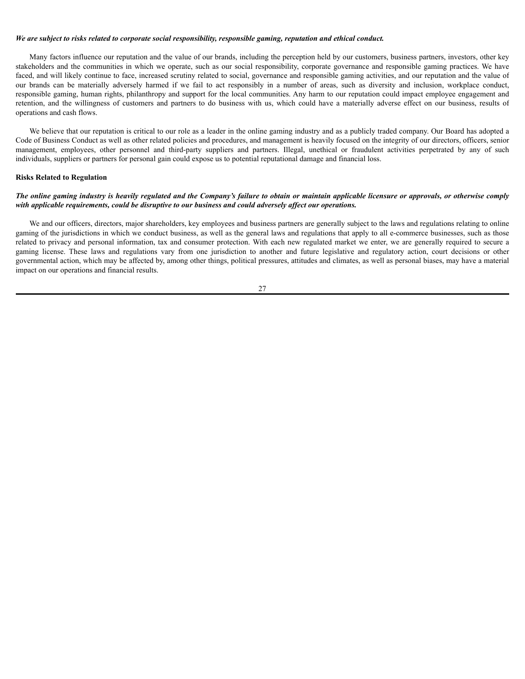## We are subject to risks related to corporate social responsibility, responsible gaming, reputation and ethical conduct.

Many factors influence our reputation and the value of our brands, including the perception held by our customers, business partners, investors, other key stakeholders and the communities in which we operate, such as our social responsibility, corporate governance and responsible gaming practices. We have faced, and will likely continue to face, increased scrutiny related to social, governance and responsible gaming activities, and our reputation and the value of our brands can be materially adversely harmed if we fail to act responsibly in a number of areas, such as diversity and inclusion, workplace conduct, responsible gaming, human rights, philanthropy and support for the local communities. Any harm to our reputation could impact employee engagement and retention, and the willingness of customers and partners to do business with us, which could have a materially adverse effect on our business, results of operations and cash flows.

We believe that our reputation is critical to our role as a leader in the online gaming industry and as a publicly traded company. Our Board has adopted a Code of Business Conduct as well as other related policies and procedures, and management is heavily focused on the integrity of our directors, officers, senior management, employees, other personnel and third-party suppliers and partners. Illegal, unethical or fraudulent activities perpetrated by any of such individuals, suppliers or partners for personal gain could expose us to potential reputational damage and financial loss.

#### **Risks Related to Regulation**

#### The online gaming industry is heavily regulated and the Company's failure to obtain or maintain applicable licensure or approvals, or otherwise comply *with applicable requirements, could be disruptive to our business and could adversely af ect our operations.*

We and our officers, directors, major shareholders, key employees and business partners are generally subject to the laws and regulations relating to online gaming of the jurisdictions in which we conduct business, as well as the general laws and regulations that apply to all e-commerce businesses, such as those related to privacy and personal information, tax and consumer protection. With each new regulated market we enter, we are generally required to secure a gaming license. These laws and regulations vary from one jurisdiction to another and future legislative and regulatory action, court decisions or other governmental action, which may be affected by, among other things, political pressures, attitudes and climates, as well as personal biases, may have a material impact on our operations and financial results.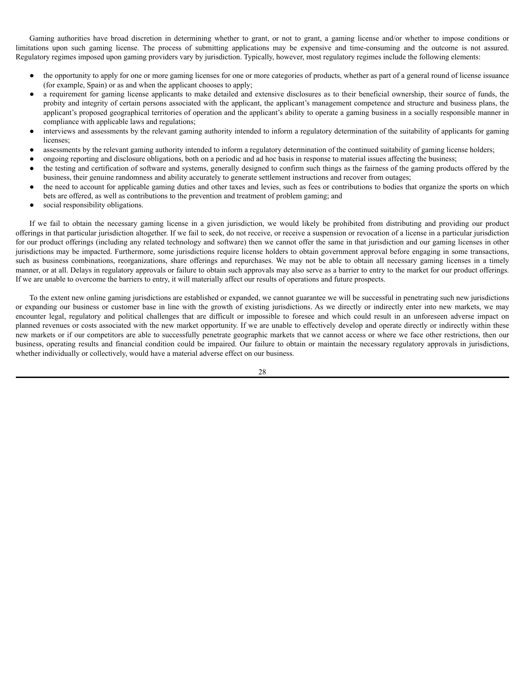Gaming authorities have broad discretion in determining whether to grant, or not to grant, a gaming license and/or whether to impose conditions or limitations upon such gaming license. The process of submitting applications may be expensive and time-consuming and the outcome is not assured. Regulatory regimes imposed upon gaming providers vary by jurisdiction. Typically, however, most regulatory regimes include the following elements:

- the opportunity to apply for one or more gaming licenses for one or more categories of products, whether as part of a general round of license issuance (for example, Spain) or as and when the applicant chooses to apply;
- a requirement for gaming license applicants to make detailed and extensive disclosures as to their beneficial ownership, their source of funds, the probity and integrity of certain persons associated with the applicant, the applicant's management competence and structure and business plans, the applicant's proposed geographical territories of operation and the applicant's ability to operate a gaming business in a socially responsible manner in compliance with applicable laws and regulations;
- interviews and assessments by the relevant gaming authority intended to inform a regulatory determination of the suitability of applicants for gaming licenses<sup>.</sup>
- assessments by the relevant gaming authority intended to inform a regulatory determination of the continued suitability of gaming license holders;
- ongoing reporting and disclosure obligations, both on a periodic and ad hoc basis in response to material issues affecting the business;
- the testing and certification of software and systems, generally designed to confirm such things as the fairness of the gaming products offered by the business, their genuine randomness and ability accurately to generate settlement instructions and recover from outages;
- the need to account for applicable gaming duties and other taxes and levies, such as fees or contributions to bodies that organize the sports on which bets are offered, as well as contributions to the prevention and treatment of problem gaming; and
- social responsibility obligations.

If we fail to obtain the necessary gaming license in a given jurisdiction, we would likely be prohibited from distributing and providing our product offerings in that particular jurisdiction altogether. If we fail to seek, do not receive, or receive a suspension or revocation of a license in a particular jurisdiction for our product offerings (including any related technology and software) then we cannot offer the same in that jurisdiction and our gaming licenses in other jurisdictions may be impacted. Furthermore, some jurisdictions require license holders to obtain government approval before engaging in some transactions, such as business combinations, reorganizations, share offerings and repurchases. We may not be able to obtain all necessary gaming licenses in a timely manner, or at all. Delays in regulatory approvals or failure to obtain such approvals may also serve as a barrier to entry to the market for our product offerings. If we are unable to overcome the barriers to entry, it will materially affect our results of operations and future prospects.

To the extent new online gaming jurisdictions are established or expanded, we cannot guarantee we will be successful in penetrating such new jurisdictions or expanding our business or customer base in line with the growth of existing jurisdictions. As we directly or indirectly enter into new markets, we may encounter legal, regulatory and political challenges that are difficult or impossible to foresee and which could result in an unforeseen adverse impact on planned revenues or costs associated with the new market opportunity. If we are unable to effectively develop and operate directly or indirectly within these new markets or if our competitors are able to successfully penetrate geographic markets that we cannot access or where we face other restrictions, then our business, operating results and financial condition could be impaired. Our failure to obtain or maintain the necessary regulatory approvals in jurisdictions, whether individually or collectively, would have a material adverse effect on our business.

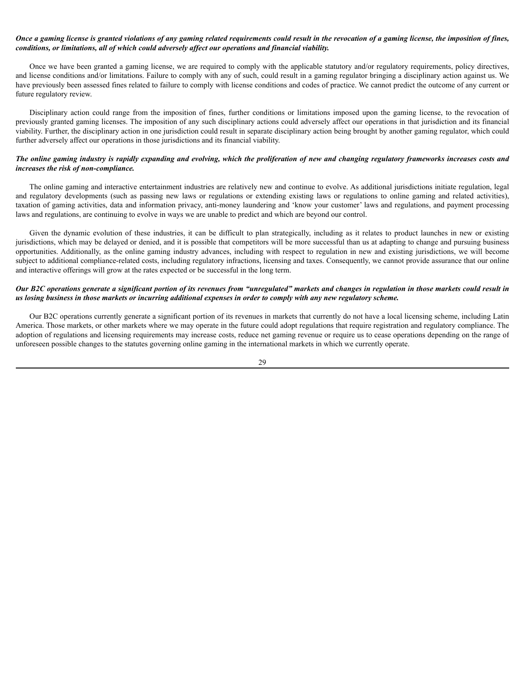# Once a gaming license is granted violations of any gaming related requirements could result in the revocation of a gaming license, the imposition of fines, *conditions, or limitations, all of which could adversely af ect our operations and financial viability.*

Once we have been granted a gaming license, we are required to comply with the applicable statutory and/or regulatory requirements, policy directives, and license conditions and/or limitations. Failure to comply with any of such, could result in a gaming regulator bringing a disciplinary action against us. We have previously been assessed fines related to failure to comply with license conditions and codes of practice. We cannot predict the outcome of any current or future regulatory review.

Disciplinary action could range from the imposition of fines, further conditions or limitations imposed upon the gaming license, to the revocation of previously granted gaming licenses. The imposition of any such disciplinary actions could adversely affect our operations in that jurisdiction and its financial viability. Further, the disciplinary action in one jurisdiction could result in separate disciplinary action being brought by another gaming regulator, which could further adversely affect our operations in those jurisdictions and its financial viability.

## The online gaming industry is rapidly expanding and evolving, which the proliferation of new and changing regulatory frameworks increases costs and *increases the risk of non-compliance.*

The online gaming and interactive entertainment industries are relatively new and continue to evolve. As additional jurisdictions initiate regulation, legal and regulatory developments (such as passing new laws or regulations or extending existing laws or regulations to online gaming and related activities), taxation of gaming activities, data and information privacy, anti-money laundering and 'know your customer' laws and regulations, and payment processing laws and regulations, are continuing to evolve in ways we are unable to predict and which are beyond our control.

Given the dynamic evolution of these industries, it can be difficult to plan strategically, including as it relates to product launches in new or existing jurisdictions, which may be delayed or denied, and it is possible that competitors will be more successful than us at adapting to change and pursuing business opportunities. Additionally, as the online gaming industry advances, including with respect to regulation in new and existing jurisdictions, we will become subject to additional compliance-related costs, including regulatory infractions, licensing and taxes. Consequently, we cannot provide assurance that our online and interactive offerings will grow at the rates expected or be successful in the long term.

# Our B2C operations generate a significant portion of its revenues from "unregulated" markets and changes in regulation in those markets could result in us losing business in those markets or incurring additional expenses in order to comply with any new regulatory scheme.

Our B2C operations currently generate a significant portion of its revenues in markets that currently do not have a local licensing scheme, including Latin America. Those markets, or other markets where we may operate in the future could adopt regulations that require registration and regulatory compliance. The adoption of regulations and licensing requirements may increase costs, reduce net gaming revenue or require us to cease operations depending on the range of unforeseen possible changes to the statutes governing online gaming in the international markets in which we currently operate.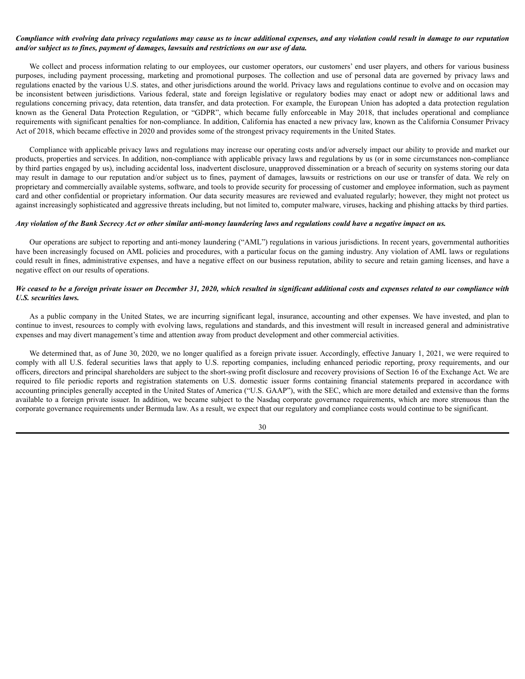## Compliance with evolving data privacy regulations may cause us to incur additional expenses, and any violation could result in damage to our reputation *and/or subject us to fines, payment of damages, lawsuits and restrictions on our use of data.*

We collect and process information relating to our employees, our customer operators, our customers' end user players, and others for various business purposes, including payment processing, marketing and promotional purposes. The collection and use of personal data are governed by privacy laws and regulations enacted by the various U.S. states, and other jurisdictions around the world. Privacy laws and regulations continue to evolve and on occasion may be inconsistent between jurisdictions. Various federal, state and foreign legislative or regulatory bodies may enact or adopt new or additional laws and regulations concerning privacy, data retention, data transfer, and data protection. For example, the European Union has adopted a data protection regulation known as the General Data Protection Regulation, or "GDPR", which became fully enforceable in May 2018, that includes operational and compliance requirements with significant penalties for non-compliance. In addition, California has enacted a new privacy law, known as the California Consumer Privacy Act of 2018, which became effective in 2020 and provides some of the strongest privacy requirements in the United States.

Compliance with applicable privacy laws and regulations may increase our operating costs and/or adversely impact our ability to provide and market our products, properties and services. In addition, non-compliance with applicable privacy laws and regulations by us (or in some circumstances non-compliance by third parties engaged by us), including accidental loss, inadvertent disclosure, unapproved dissemination or a breach of security on systems storing our data may result in damage to our reputation and/or subject us to fines, payment of damages, lawsuits or restrictions on our use or transfer of data. We rely on proprietary and commercially available systems, software, and tools to provide security for processing of customer and employee information, such as payment card and other confidential or proprietary information. Our data security measures are reviewed and evaluated regularly; however, they might not protect us against increasingly sophisticated and aggressive threats including, but not limited to, computer malware, viruses, hacking and phishing attacks by third parties.

#### Any violation of the Bank Secrecy Act or other similar anti-money laundering laws and regulations could have a negative impact on us.

Our operations are subject to reporting and anti-money laundering ("AML") regulations in various jurisdictions. In recent years, governmental authorities have been increasingly focused on AML policies and procedures, with a particular focus on the gaming industry. Any violation of AML laws or regulations could result in fines, administrative expenses, and have a negative effect on our business reputation, ability to secure and retain gaming licenses, and have a negative effect on our results of operations.

# We ceased to be a foreign private issuer on December 31, 2020, which resulted in significant additional costs and expenses related to our compliance with *U.S. securities laws.*

As a public company in the United States, we are incurring significant legal, insurance, accounting and other expenses. We have invested, and plan to continue to invest, resources to comply with evolving laws, regulations and standards, and this investment will result in increased general and administrative expenses and may divert management's time and attention away from product development and other commercial activities.

We determined that, as of June 30, 2020, we no longer qualified as a foreign private issuer. Accordingly, effective January 1, 2021, we were required to comply with all U.S. federal securities laws that apply to U.S. reporting companies, including enhanced periodic reporting, proxy requirements, and our officers, directors and principal shareholders are subject to the short-swing profit disclosure and recovery provisions of Section 16 of the Exchange Act. We are required to file periodic reports and registration statements on U.S. domestic issuer forms containing financial statements prepared in accordance with accounting principles generally accepted in the United States of America ("U.S. GAAP"), with the SEC, which are more detailed and extensive than the forms available to a foreign private issuer. In addition, we became subject to the Nasdaq corporate governance requirements, which are more strenuous than the corporate governance requirements under Bermuda law. As a result, we expect that our regulatory and compliance costs would continue to be significant.

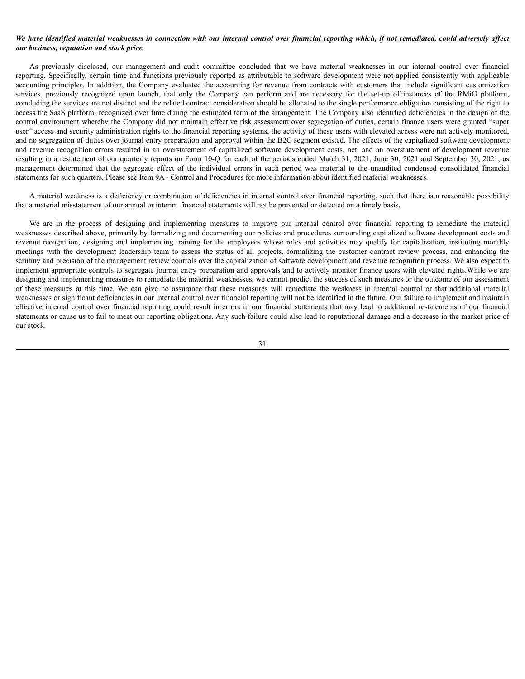# We have identified material weaknesses in connection with our internal control over financial reporting which, if not remediated, could adversely affect *our business, reputation and stock price.*

As previously disclosed, our management and audit committee concluded that we have material weaknesses in our internal control over financial reporting. Specifically, certain time and functions previously reported as attributable to software development were not applied consistently with applicable accounting principles. In addition, the Company evaluated the accounting for revenue from contracts with customers that include significant customization services, previously recognized upon launch, that only the Company can perform and are necessary for the set-up of instances of the RMiG platform, concluding the services are not distinct and the related contract consideration should be allocated to the single performance obligation consisting of the right to access the SaaS platform, recognized over time during the estimated term of the arrangement. The Company also identified deficiencies in the design of the control environment whereby the Company did not maintain effective risk assessment over segregation of duties, certain finance users were granted "super user" access and security administration rights to the financial reporting systems, the activity of these users with elevated access were not actively monitored, and no segregation of duties over journal entry preparation and approval within the B2C segment existed. The effects of the capitalized software development and revenue recognition errors resulted in an overstatement of capitalized software development costs, net, and an overstatement of development revenue resulting in a restatement of our quarterly reports on Form 10-Q for each of the periods ended March 31, 2021, June 30, 2021 and September 30, 2021, as management determined that the aggregate effect of the individual errors in each period was material to the unaudited condensed consolidated financial statements for such quarters. Please see Item 9A - Control and Procedures for more information about identified material weaknesses.

A material weakness is a deficiency or combination of deficiencies in internal control over financial reporting, such that there is a reasonable possibility that a material misstatement of our annual or interim financial statements will not be prevented or detected on a timely basis.

We are in the process of designing and implementing measures to improve our internal control over financial reporting to remediate the material weaknesses described above, primarily by formalizing and documenting our policies and procedures surrounding capitalized software development costs and revenue recognition, designing and implementing training for the employees whose roles and activities may qualify for capitalization, instituting monthly meetings with the development leadership team to assess the status of all projects, formalizing the customer contract review process, and enhancing the scrutiny and precision of the management review controls over the capitalization of software development and revenue recognition process. We also expect to implement appropriate controls to segregate journal entry preparation and approvals and to actively monitor finance users with elevated rights.While we are designing and implementing measures to remediate the material weaknesses, we cannot predict the success of such measures or the outcome of our assessment of these measures at this time. We can give no assurance that these measures will remediate the weakness in internal control or that additional material weaknesses or significant deficiencies in our internal control over financial reporting will not be identified in the future. Our failure to implement and maintain effective internal control over financial reporting could result in errors in our financial statements that may lead to additional restatements of our financial statements or cause us to fail to meet our reporting obligations. Any such failure could also lead to reputational damage and a decrease in the market price of our stock.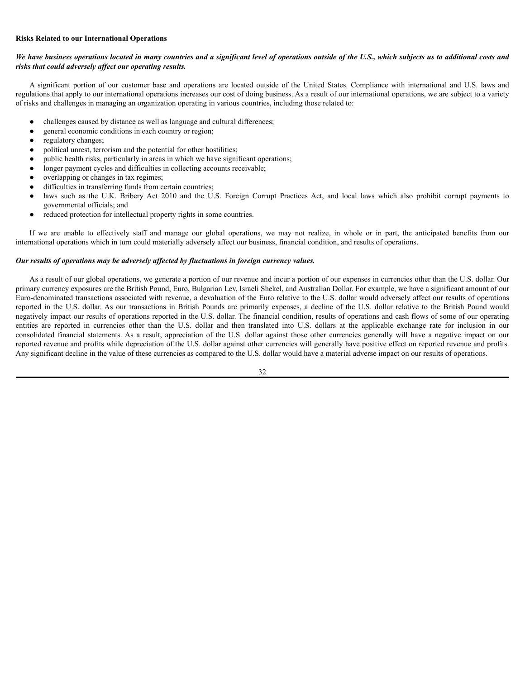## **Risks Related to our International Operations**

## We have business operations located in many countries and a significant level of operations outside of the U.S., which subjects us to additional costs and *risks that could adversely af ect our operating results.*

A significant portion of our customer base and operations are located outside of the United States. Compliance with international and U.S. laws and regulations that apply to our international operations increases our cost of doing business. As a result of our international operations, we are subject to a variety of risks and challenges in managing an organization operating in various countries, including those related to:

- challenges caused by distance as well as language and cultural differences;
- general economic conditions in each country or region;
- regulatory changes;
- political unrest, terrorism and the potential for other hostilities;
- public health risks, particularly in areas in which we have significant operations;
- longer payment cycles and difficulties in collecting accounts receivable;
- overlapping or changes in tax regimes;
- difficulties in transferring funds from certain countries;
- laws such as the U.K. Bribery Act 2010 and the U.S. Foreign Corrupt Practices Act, and local laws which also prohibit corrupt payments to governmental officials; and
- reduced protection for intellectual property rights in some countries.

If we are unable to effectively staff and manage our global operations, we may not realize, in whole or in part, the anticipated benefits from our international operations which in turn could materially adversely affect our business, financial condition, and results of operations.

## *Our results of operations may be adversely af ected by fluctuations in foreign currency values.*

As a result of our global operations, we generate a portion of our revenue and incur a portion of our expenses in currencies other than the U.S. dollar. Our primary currency exposures are the British Pound, Euro, Bulgarian Lev, Israeli Shekel, and Australian Dollar. For example, we have a significant amount of our Euro-denominated transactions associated with revenue, a devaluation of the Euro relative to the U.S. dollar would adversely affect our results of operations reported in the U.S. dollar. As our transactions in British Pounds are primarily expenses, a decline of the U.S. dollar relative to the British Pound would negatively impact our results of operations reported in the U.S. dollar. The financial condition, results of operations and cash flows of some of our operating entities are reported in currencies other than the U.S. dollar and then translated into U.S. dollars at the applicable exchange rate for inclusion in our consolidated financial statements. As a result, appreciation of the U.S. dollar against those other currencies generally will have a negative impact on our reported revenue and profits while depreciation of the U.S. dollar against other currencies will generally have positive effect on reported revenue and profits. Any significant decline in the value of these currencies as compared to the U.S. dollar would have a material adverse impact on our results of operations.

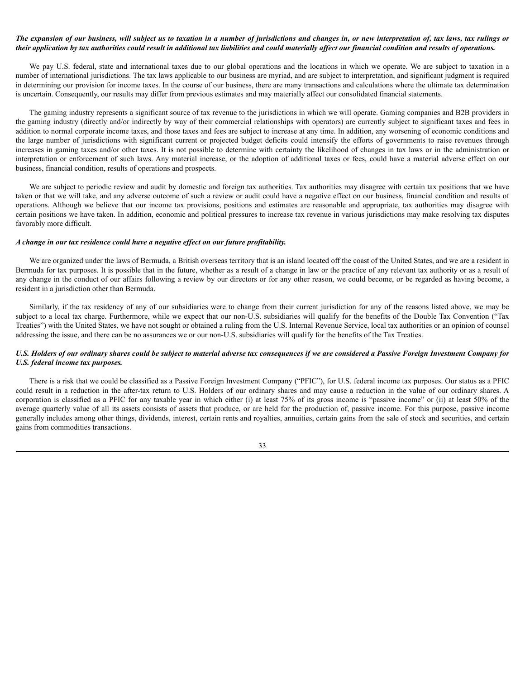## The expansion of our business, will subject us to taxation in a number of jurisdictions and changes in, or new interpretation of, tax laws, tax rulings or their application by tax authorities could result in additional tax liabilities and could materially affect our financial condition and results of operations.

We pay U.S. federal, state and international taxes due to our global operations and the locations in which we operate. We are subject to taxation in a number of international jurisdictions. The tax laws applicable to our business are myriad, and are subject to interpretation, and significant judgment is required in determining our provision for income taxes. In the course of our business, there are many transactions and calculations where the ultimate tax determination is uncertain. Consequently, our results may differ from previous estimates and may materially affect our consolidated financial statements.

The gaming industry represents a significant source of tax revenue to the jurisdictions in which we will operate. Gaming companies and B2B providers in the gaming industry (directly and/or indirectly by way of their commercial relationships with operators) are currently subject to significant taxes and fees in addition to normal corporate income taxes, and those taxes and fees are subject to increase at any time. In addition, any worsening of economic conditions and the large number of jurisdictions with significant current or projected budget deficits could intensify the efforts of governments to raise revenues through increases in gaming taxes and/or other taxes. It is not possible to determine with certainty the likelihood of changes in tax laws or in the administration or interpretation or enforcement of such laws. Any material increase, or the adoption of additional taxes or fees, could have a material adverse effect on our business, financial condition, results of operations and prospects.

We are subject to periodic review and audit by domestic and foreign tax authorities. Tax authorities may disagree with certain tax positions that we have taken or that we will take, and any adverse outcome of such a review or audit could have a negative effect on our business, financial condition and results of operations. Although we believe that our income tax provisions, positions and estimates are reasonable and appropriate, tax authorities may disagree with certain positions we have taken. In addition, economic and political pressures to increase tax revenue in various jurisdictions may make resolving tax disputes favorably more difficult.

#### *A change in our tax residence could have a negative ef ect on our future profitability.*

We are organized under the laws of Bermuda, a British overseas territory that is an island located off the coast of the United States, and we are a resident in Bermuda for tax purposes. It is possible that in the future, whether as a result of a change in law or the practice of any relevant tax authority or as a result of any change in the conduct of our affairs following a review by our directors or for any other reason, we could become, or be regarded as having become, a resident in a jurisdiction other than Bermuda.

Similarly, if the tax residency of any of our subsidiaries were to change from their current jurisdiction for any of the reasons listed above, we may be subject to a local tax charge. Furthermore, while we expect that our non-U.S. subsidiaries will qualify for the benefits of the Double Tax Convention ("Tax Treaties") with the United States, we have not sought or obtained a ruling from the U.S. Internal Revenue Service, local tax authorities or an opinion of counsel addressing the issue, and there can be no assurances we or our non-U.S. subsidiaries will qualify for the benefits of the Tax Treaties.

# U.S. Holders of our ordinary shares could be subject to material adverse tax consequences if we are considered a Passive Foreign Investment Company for *U.S. federal income tax purposes.*

There is a risk that we could be classified as a Passive Foreign Investment Company ("PFIC"), for U.S. federal income tax purposes. Our status as a PFIC could result in a reduction in the after-tax return to U.S. Holders of our ordinary shares and may cause a reduction in the value of our ordinary shares. A corporation is classified as a PFIC for any taxable year in which either (i) at least 75% of its gross income is "passive income" or (ii) at least 50% of the average quarterly value of all its assets consists of assets that produce, or are held for the production of, passive income. For this purpose, passive income generally includes among other things, dividends, interest, certain rents and royalties, annuities, certain gains from the sale of stock and securities, and certain gains from commodities transactions.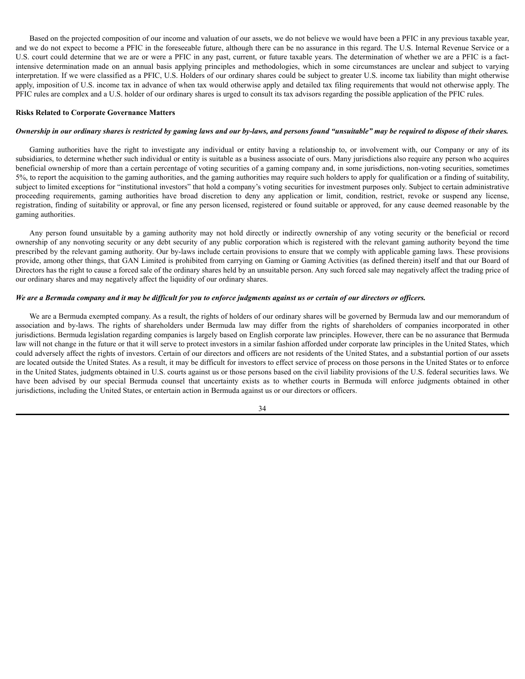Based on the projected composition of our income and valuation of our assets, we do not believe we would have been a PFIC in any previous taxable year, and we do not expect to become a PFIC in the foreseeable future, although there can be no assurance in this regard. The U.S. Internal Revenue Service or a U.S. court could determine that we are or were a PFIC in any past, current, or future taxable years. The determination of whether we are a PFIC is a factintensive determination made on an annual basis applying principles and methodologies, which in some circumstances are unclear and subject to varying interpretation. If we were classified as a PFIC, U.S. Holders of our ordinary shares could be subject to greater U.S. income tax liability than might otherwise apply, imposition of U.S. income tax in advance of when tax would otherwise apply and detailed tax filing requirements that would not otherwise apply. The PFIC rules are complex and a U.S. holder of our ordinary shares is urged to consult its tax advisors regarding the possible application of the PFIC rules.

#### **Risks Related to Corporate Governance Matters**

## Ownership in our ordinary shares is restricted by gaming laws and our by-laws, and persons found "unsuitable" may be required to dispose of their shares.

Gaming authorities have the right to investigate any individual or entity having a relationship to, or involvement with, our Company or any of its subsidiaries, to determine whether such individual or entity is suitable as a business associate of ours. Many jurisdictions also require any person who acquires beneficial ownership of more than a certain percentage of voting securities of a gaming company and, in some jurisdictions, non-voting securities, sometimes 5%, to report the acquisition to the gaming authorities, and the gaming authorities may require such holders to apply for qualification or a finding of suitability, subject to limited exceptions for "institutional investors" that hold a company's voting securities for investment purposes only. Subject to certain administrative proceeding requirements, gaming authorities have broad discretion to deny any application or limit, condition, restrict, revoke or suspend any license, registration, finding of suitability or approval, or fine any person licensed, registered or found suitable or approved, for any cause deemed reasonable by the gaming authorities.

Any person found unsuitable by a gaming authority may not hold directly or indirectly ownership of any voting security or the beneficial or record ownership of any nonvoting security or any debt security of any public corporation which is registered with the relevant gaming authority beyond the time prescribed by the relevant gaming authority. Our by-laws include certain provisions to ensure that we comply with applicable gaming laws. These provisions provide, among other things, that GAN Limited is prohibited from carrying on Gaming or Gaming Activities (as defined therein) itself and that our Board of Directors has the right to cause a forced sale of the ordinary shares held by an unsuitable person. Any such forced sale may negatively affect the trading price of our ordinary shares and may negatively affect the liquidity of our ordinary shares.

## We are a Bermuda company and it may be difficult for you to enforce judgments against us or certain of our directors or officers.

We are a Bermuda exempted company. As a result, the rights of holders of our ordinary shares will be governed by Bermuda law and our memorandum of association and by-laws. The rights of shareholders under Bermuda law may differ from the rights of shareholders of companies incorporated in other jurisdictions. Bermuda legislation regarding companies is largely based on English corporate law principles. However, there can be no assurance that Bermuda law will not change in the future or that it will serve to protect investors in a similar fashion afforded under corporate law principles in the United States, which could adversely affect the rights of investors. Certain of our directors and officers are not residents of the United States, and a substantial portion of our assets are located outside the United States. As a result, it may be difficult for investors to effect service of process on those persons in the United States or to enforce in the United States, judgments obtained in U.S. courts against us or those persons based on the civil liability provisions of the U.S. federal securities laws. We have been advised by our special Bermuda counsel that uncertainty exists as to whether courts in Bermuda will enforce judgments obtained in other jurisdictions, including the United States, or entertain action in Bermuda against us or our directors or officers.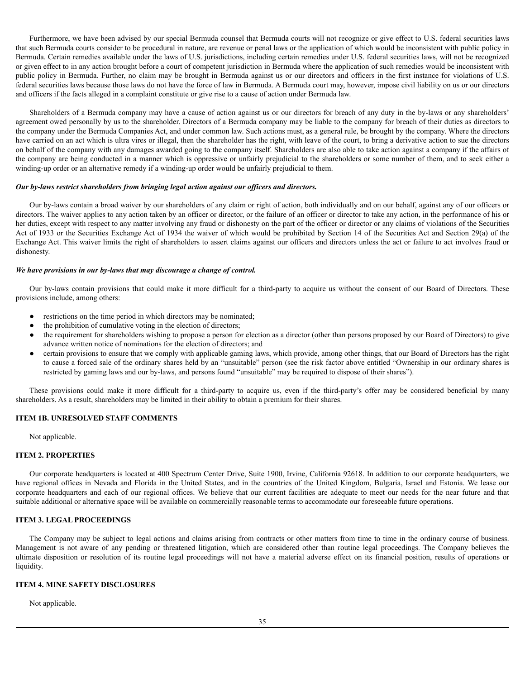Furthermore, we have been advised by our special Bermuda counsel that Bermuda courts will not recognize or give effect to U.S. federal securities laws that such Bermuda courts consider to be procedural in nature, are revenue or penal laws or the application of which would be inconsistent with public policy in Bermuda. Certain remedies available under the laws of U.S. jurisdictions, including certain remedies under U.S. federal securities laws, will not be recognized or given effect to in any action brought before a court of competent jurisdiction in Bermuda where the application of such remedies would be inconsistent with public policy in Bermuda. Further, no claim may be brought in Bermuda against us or our directors and officers in the first instance for violations of U.S. federal securities laws because those laws do not have the force of law in Bermuda. A Bermuda court may, however, impose civil liability on us or our directors and officers if the facts alleged in a complaint constitute or give rise to a cause of action under Bermuda law.

Shareholders of a Bermuda company may have a cause of action against us or our directors for breach of any duty in the by-laws or any shareholders' agreement owed personally by us to the shareholder. Directors of a Bermuda company may be liable to the company for breach of their duties as directors to the company under the Bermuda Companies Act, and under common law. Such actions must, as a general rule, be brought by the company. Where the directors have carried on an act which is ultra vires or illegal, then the shareholder has the right, with leave of the court, to bring a derivative action to sue the directors on behalf of the company with any damages awarded going to the company itself. Shareholders are also able to take action against a company if the affairs of the company are being conducted in a manner which is oppressive or unfairly prejudicial to the shareholders or some number of them, and to seek either a winding-up order or an alternative remedy if a winding-up order would be unfairly prejudicial to them.

#### *Our by-laws restrict shareholders from bringing legal action against our of icers and directors.*

Our by-laws contain a broad waiver by our shareholders of any claim or right of action, both individually and on our behalf, against any of our officers or directors. The waiver applies to any action taken by an officer or director, or the failure of an officer or director to take any action, in the performance of his or her duties, except with respect to any matter involving any fraud or dishonesty on the part of the officer or director or any claims of violations of the Securities Act of 1933 or the Securities Exchange Act of 1934 the waiver of which would be prohibited by Section 14 of the Securities Act and Section 29(a) of the Exchange Act. This waiver limits the right of shareholders to assert claims against our officers and directors unless the act or failure to act involves fraud or dishonesty.

### *We have provisions in our by-laws that may discourage a change of control.*

Our by-laws contain provisions that could make it more difficult for a third-party to acquire us without the consent of our Board of Directors. These provisions include, among others:

- restrictions on the time period in which directors may be nominated;
- the prohibition of cumulative voting in the election of directors;
- the requirement for shareholders wishing to propose a person for election as a director (other than persons proposed by our Board of Directors) to give advance written notice of nominations for the election of directors; and
- certain provisions to ensure that we comply with applicable gaming laws, which provide, among other things, that our Board of Directors has the right to cause a forced sale of the ordinary shares held by an "unsuitable" person (see the risk factor above entitled "Ownership in our ordinary shares is restricted by gaming laws and our by-laws, and persons found "unsuitable" may be required to dispose of their shares").

These provisions could make it more difficult for a third-party to acquire us, even if the third-party's offer may be considered beneficial by many shareholders. As a result, shareholders may be limited in their ability to obtain a premium for their shares.

# **ITEM 1B. UNRESOLVED STAFF COMMENTS**

Not applicable.

#### <span id="page-35-0"></span>**ITEM 2. PROPERTIES**

Our corporate headquarters is located at 400 Spectrum Center Drive, Suite 1900, Irvine, California 92618. In addition to our corporate headquarters, we have regional offices in Nevada and Florida in the United States, and in the countries of the United Kingdom, Bulgaria, Israel and Estonia. We lease our corporate headquarters and each of our regional offices. We believe that our current facilities are adequate to meet our needs for the near future and that suitable additional or alternative space will be available on commercially reasonable terms to accommodate our foreseeable future operations.

#### **ITEM 3. LEGAL PROCEEDINGS**

The Company may be subject to legal actions and claims arising from contracts or other matters from time to time in the ordinary course of business. Management is not aware of any pending or threatened litigation, which are considered other than routine legal proceedings. The Company believes the ultimate disposition or resolution of its routine legal proceedings will not have a material adverse effect on its financial position, results of operations or liquidity.

## <span id="page-35-1"></span>**ITEM 4. MINE SAFETY DISCLOSURES**

Not applicable.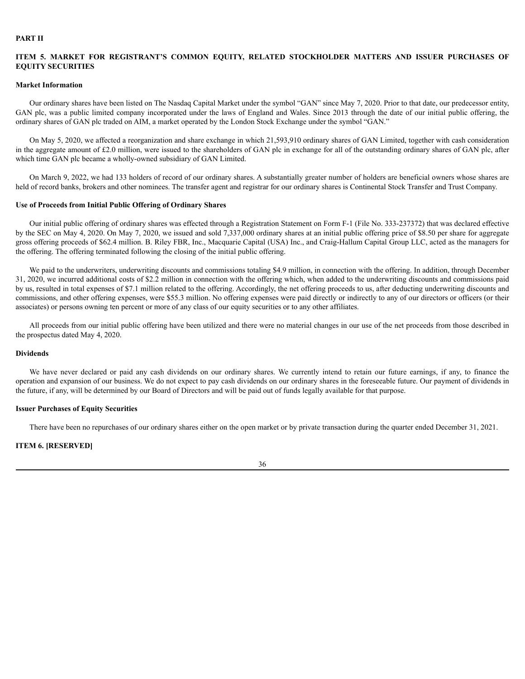# **PART II**

# **ITEM 5. MARKET FOR REGISTRANT'S COMMON EQUITY, RELATED STOCKHOLDER MATTERS AND ISSUER PURCHASES OF EQUITY SECURITIES**

# **Market Information**

Our ordinary shares have been listed on The Nasdaq Capital Market under the symbol "GAN" since May 7, 2020. Prior to that date, our predecessor entity, GAN plc, was a public limited company incorporated under the laws of England and Wales. Since 2013 through the date of our initial public offering, the ordinary shares of GAN plc traded on AIM, a market operated by the London Stock Exchange under the symbol "GAN."

On May 5, 2020, we affected a reorganization and share exchange in which 21,593,910 ordinary shares of GAN Limited, together with cash consideration in the aggregate amount of £2.0 million, were issued to the shareholders of GAN plc in exchange for all of the outstanding ordinary shares of GAN plc, after which time GAN plc became a wholly-owned subsidiary of GAN Limited.

On March 9, 2022, we had 133 holders of record of our ordinary shares. A substantially greater number of holders are beneficial owners whose shares are held of record banks, brokers and other nominees. The transfer agent and registrar for our ordinary shares is Continental Stock Transfer and Trust Company.

#### **Use of Proceeds from Initial Public Offering of Ordinary Shares**

Our initial public offering of ordinary shares was effected through a Registration Statement on Form F-1 (File No. 333-237372) that was declared effective by the SEC on May 4, 2020. On May 7, 2020, we issued and sold 7,337,000 ordinary shares at an initial public offering price of \$8.50 per share for aggregate gross offering proceeds of \$62.4 million. B. Riley FBR, Inc., Macquarie Capital (USA) Inc., and Craig-Hallum Capital Group LLC, acted as the managers for the offering. The offering terminated following the closing of the initial public offering.

We paid to the underwriters, underwriting discounts and commissions totaling \$4.9 million, in connection with the offering. In addition, through December 31, 2020, we incurred additional costs of \$2.2 million in connection with the offering which, when added to the underwriting discounts and commissions paid by us, resulted in total expenses of \$7.1 million related to the offering. Accordingly, the net offering proceeds to us, after deducting underwriting discounts and commissions, and other offering expenses, were \$55.3 million. No offering expenses were paid directly or indirectly to any of our directors or officers (or their associates) or persons owning ten percent or more of any class of our equity securities or to any other affiliates.

All proceeds from our initial public offering have been utilized and there were no material changes in our use of the net proceeds from those described in the prospectus dated May 4, 2020.

#### **Dividends**

We have never declared or paid any cash dividends on our ordinary shares. We currently intend to retain our future earnings, if any, to finance the operation and expansion of our business. We do not expect to pay cash dividends on our ordinary shares in the foreseeable future. Our payment of dividends in the future, if any, will be determined by our Board of Directors and will be paid out of funds legally available for that purpose.

### **Issuer Purchases of Equity Securities**

There have been no repurchases of our ordinary shares either on the open market or by private transaction during the quarter ended December 31, 2021.

# **ITEM 6. [RESERVED]**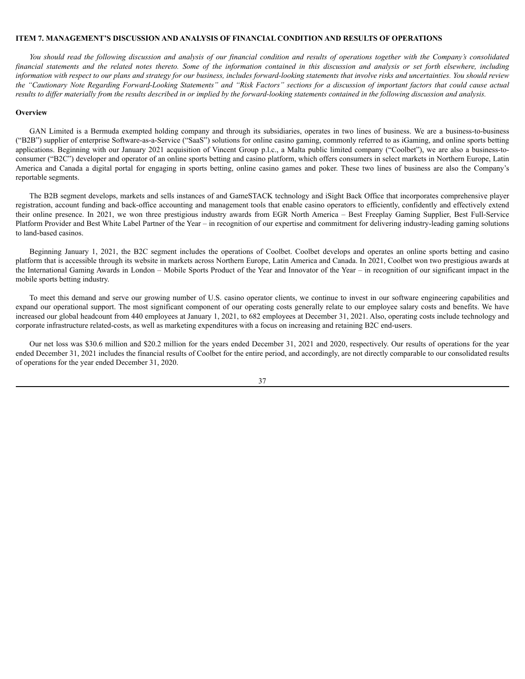### **ITEM 7. MANAGEMENT'S DISCUSSION AND ANALYSIS OF FINANCIAL CONDITION AND RESULTS OF OPERATIONS**

You should read the following discussion and analysis of our financial condition and results of operations together with the Company's consolidated financial statements and the related notes thereto. Some of the information contained in this discussion and analysis or set forth elsewhere, including information with respect to our plans and strategy for our business, includes forward-looking statements that involve risks and uncertainties. You should review the "Cautionary Note Regarding Forward-Looking Statements" and "Risk Factors" sections for a discussion of important factors that could cause actual results to differ materially from the results described in or implied by the forward-looking statements contained in the following discussion and analysis.

#### **Overview**

GAN Limited is a Bermuda exempted holding company and through its subsidiaries, operates in two lines of business. We are a business-to-business ("B2B") supplier of enterprise Software-as-a-Service ("SaaS") solutions for online casino gaming, commonly referred to as iGaming, and online sports betting applications. Beginning with our January 2021 acquisition of Vincent Group p.l.c., a Malta public limited company ("Coolbet"), we are also a business-toconsumer ("B2C") developer and operator of an online sports betting and casino platform, which offers consumers in select markets in Northern Europe, Latin America and Canada a digital portal for engaging in sports betting, online casino games and poker. These two lines of business are also the Company's reportable segments.

The B2B segment develops, markets and sells instances of and GameSTACK technology and iSight Back Office that incorporates comprehensive player registration, account funding and back-office accounting and management tools that enable casino operators to efficiently, confidently and effectively extend their online presence. In 2021, we won three prestigious industry awards from EGR North America – Best Freeplay Gaming Supplier, Best Full-Service Platform Provider and Best White Label Partner of the Year – in recognition of our expertise and commitment for delivering industry-leading gaming solutions to land-based casinos.

Beginning January 1, 2021, the B2C segment includes the operations of Coolbet. Coolbet develops and operates an online sports betting and casino platform that is accessible through its website in markets across Northern Europe, Latin America and Canada. In 2021, Coolbet won two prestigious awards at the International Gaming Awards in London – Mobile Sports Product of the Year and Innovator of the Year – in recognition of our significant impact in the mobile sports betting industry.

To meet this demand and serve our growing number of U.S. casino operator clients, we continue to invest in our software engineering capabilities and expand our operational support. The most significant component of our operating costs generally relate to our employee salary costs and benefits. We have increased our global headcount from 440 employees at January 1, 2021, to 682 employees at December 31, 2021. Also, operating costs include technology and corporate infrastructure related-costs, as well as marketing expenditures with a focus on increasing and retaining B2C end-users.

Our net loss was \$30.6 million and \$20.2 million for the years ended December 31, 2021 and 2020, respectively. Our results of operations for the year ended December 31, 2021 includes the financial results of Coolbet for the entire period, and accordingly, are not directly comparable to our consolidated results of operations for the year ended December 31, 2020.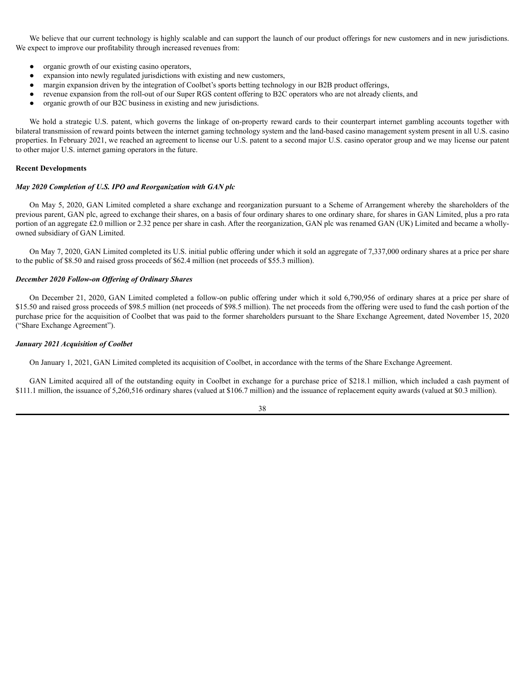We believe that our current technology is highly scalable and can support the launch of our product offerings for new customers and in new jurisdictions. We expect to improve our profitability through increased revenues from:

- organic growth of our existing casino operators,
- expansion into newly regulated jurisdictions with existing and new customers,
- margin expansion driven by the integration of Coolbet's sports betting technology in our B2B product offerings,
- revenue expansion from the roll-out of our Super RGS content offering to B2C operators who are not already clients, and
- organic growth of our B2C business in existing and new jurisdictions.

We hold a strategic U.S. patent, which governs the linkage of on-property reward cards to their counterpart internet gambling accounts together with bilateral transmission of reward points between the internet gaming technology system and the land-based casino management system present in all U.S. casino properties. In February 2021, we reached an agreement to license our U.S. patent to a second major U.S. casino operator group and we may license our patent to other major U.S. internet gaming operators in the future.

#### **Recent Developments**

## *May 2020 Completion of U.S. IPO and Reorganization with GAN plc*

On May 5, 2020, GAN Limited completed a share exchange and reorganization pursuant to a Scheme of Arrangement whereby the shareholders of the previous parent, GAN plc, agreed to exchange their shares, on a basis of four ordinary shares to one ordinary share, for shares in GAN Limited, plus a pro rata portion of an aggregate £2.0 million or 2.32 pence per share in cash. After the reorganization, GAN plc was renamed GAN (UK) Limited and became a whollyowned subsidiary of GAN Limited.

On May 7, 2020, GAN Limited completed its U.S. initial public offering under which it sold an aggregate of 7,337,000 ordinary shares at a price per share to the public of \$8.50 and raised gross proceeds of \$62.4 million (net proceeds of \$55.3 million).

# *December 2020 Follow-on Of ering of Ordinary Shares*

On December 21, 2020, GAN Limited completed a follow-on public offering under which it sold 6,790,956 of ordinary shares at a price per share of \$15.50 and raised gross proceeds of \$98.5 million (net proceeds of \$98.5 million). The net proceeds from the offering were used to fund the cash portion of the purchase price for the acquisition of Coolbet that was paid to the former shareholders pursuant to the Share Exchange Agreement, dated November 15, 2020 ("Share Exchange Agreement").

### *January 2021 Acquisition of Coolbet*

On January 1, 2021, GAN Limited completed its acquisition of Coolbet, in accordance with the terms of the Share Exchange Agreement.

GAN Limited acquired all of the outstanding equity in Coolbet in exchange for a purchase price of \$218.1 million, which included a cash payment of \$111.1 million, the issuance of 5,260,516 ordinary shares (valued at \$106.7 million) and the issuance of replacement equity awards (valued at \$0.3 million).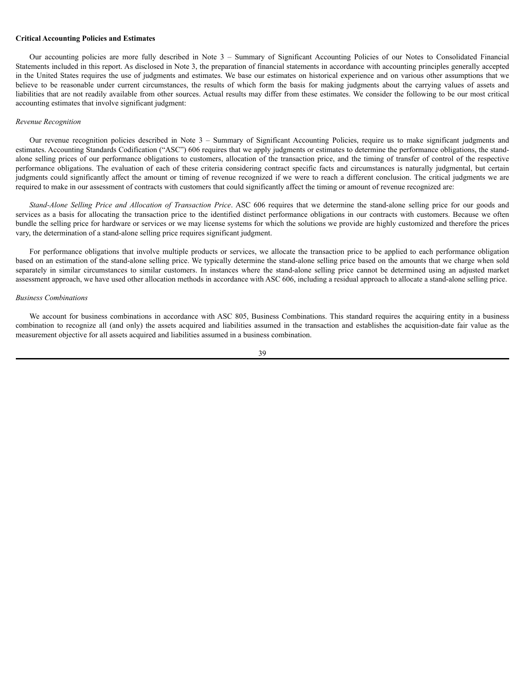# **Critical Accounting Policies and Estimates**

Our accounting policies are more fully described in Note 3 – Summary of Significant Accounting Policies of our Notes to Consolidated Financial Statements included in this report. As disclosed in Note 3, the preparation of financial statements in accordance with accounting principles generally accepted in the United States requires the use of judgments and estimates. We base our estimates on historical experience and on various other assumptions that we believe to be reasonable under current circumstances, the results of which form the basis for making judgments about the carrying values of assets and liabilities that are not readily available from other sources. Actual results may differ from these estimates. We consider the following to be our most critical accounting estimates that involve significant judgment:

#### *Revenue Recognition*

Our revenue recognition policies described in Note 3 – Summary of Significant Accounting Policies, require us to make significant judgments and estimates. Accounting Standards Codification ("ASC") 606 requires that we apply judgments or estimates to determine the performance obligations, the standalone selling prices of our performance obligations to customers, allocation of the transaction price, and the timing of transfer of control of the respective performance obligations. The evaluation of each of these criteria considering contract specific facts and circumstances is naturally judgmental, but certain judgments could significantly affect the amount or timing of revenue recognized if we were to reach a different conclusion. The critical judgments we are required to make in our assessment of contracts with customers that could significantly affect the timing or amount of revenue recognized are:

*Stand-Alone Selling Price and Allocation of Transaction Price*. ASC 606 requires that we determine the stand-alone selling price for our goods and services as a basis for allocating the transaction price to the identified distinct performance obligations in our contracts with customers. Because we often bundle the selling price for hardware or services or we may license systems for which the solutions we provide are highly customized and therefore the prices vary, the determination of a stand-alone selling price requires significant judgment.

For performance obligations that involve multiple products or services, we allocate the transaction price to be applied to each performance obligation based on an estimation of the stand-alone selling price. We typically determine the stand-alone selling price based on the amounts that we charge when sold separately in similar circumstances to similar customers. In instances where the stand-alone selling price cannot be determined using an adjusted market assessment approach, we have used other allocation methods in accordance with ASC 606, including a residual approach to allocate a stand-alone selling price.

### *Business Combinations*

We account for business combinations in accordance with ASC 805, Business Combinations. This standard requires the acquiring entity in a business combination to recognize all (and only) the assets acquired and liabilities assumed in the transaction and establishes the acquisition-date fair value as the measurement objective for all assets acquired and liabilities assumed in a business combination.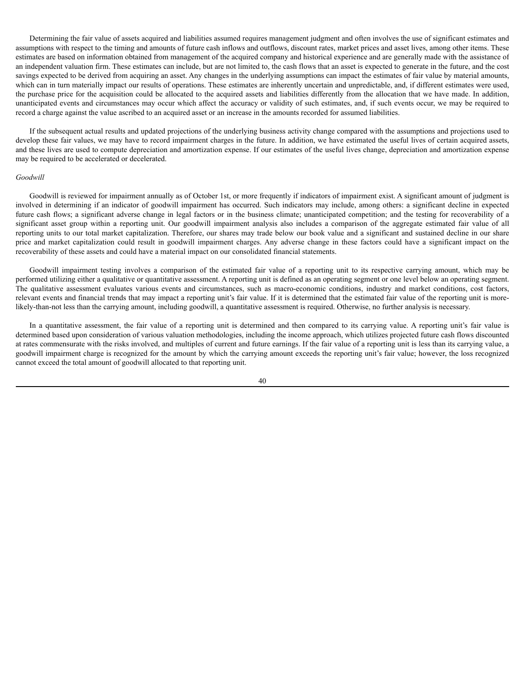Determining the fair value of assets acquired and liabilities assumed requires management judgment and often involves the use of significant estimates and assumptions with respect to the timing and amounts of future cash inflows and outflows, discount rates, market prices and asset lives, among other items. These estimates are based on information obtained from management of the acquired company and historical experience and are generally made with the assistance of an independent valuation firm. These estimates can include, but are not limited to, the cash flows that an asset is expected to generate in the future, and the cost savings expected to be derived from acquiring an asset. Any changes in the underlying assumptions can impact the estimates of fair value by material amounts, which can in turn materially impact our results of operations. These estimates are inherently uncertain and unpredictable, and, if different estimates were used, the purchase price for the acquisition could be allocated to the acquired assets and liabilities differently from the allocation that we have made. In addition, unanticipated events and circumstances may occur which affect the accuracy or validity of such estimates, and, if such events occur, we may be required to record a charge against the value ascribed to an acquired asset or an increase in the amounts recorded for assumed liabilities.

If the subsequent actual results and updated projections of the underlying business activity change compared with the assumptions and projections used to develop these fair values, we may have to record impairment charges in the future. In addition, we have estimated the useful lives of certain acquired assets, and these lives are used to compute depreciation and amortization expense. If our estimates of the useful lives change, depreciation and amortization expense may be required to be accelerated or decelerated.

#### *Goodwill*

Goodwill is reviewed for impairment annually as of October 1st, or more frequently if indicators of impairment exist. A significant amount of judgment is involved in determining if an indicator of goodwill impairment has occurred. Such indicators may include, among others: a significant decline in expected future cash flows; a significant adverse change in legal factors or in the business climate; unanticipated competition; and the testing for recoverability of a significant asset group within a reporting unit. Our goodwill impairment analysis also includes a comparison of the aggregate estimated fair value of all reporting units to our total market capitalization. Therefore, our shares may trade below our book value and a significant and sustained decline in our share price and market capitalization could result in goodwill impairment charges. Any adverse change in these factors could have a significant impact on the recoverability of these assets and could have a material impact on our consolidated financial statements.

Goodwill impairment testing involves a comparison of the estimated fair value of a reporting unit to its respective carrying amount, which may be performed utilizing either a qualitative or quantitative assessment. A reporting unit is defined as an operating segment or one level below an operating segment. The qualitative assessment evaluates various events and circumstances, such as macro-economic conditions, industry and market conditions, cost factors, relevant events and financial trends that may impact a reporting unit's fair value. If it is determined that the estimated fair value of the reporting unit is morelikely-than-not less than the carrying amount, including goodwill, a quantitative assessment is required. Otherwise, no further analysis is necessary.

In a quantitative assessment, the fair value of a reporting unit is determined and then compared to its carrying value. A reporting unit's fair value is determined based upon consideration of various valuation methodologies, including the income approach, which utilizes projected future cash flows discounted at rates commensurate with the risks involved, and multiples of current and future earnings. If the fair value of a reporting unit is less than its carrying value, a goodwill impairment charge is recognized for the amount by which the carrying amount exceeds the reporting unit's fair value; however, the loss recognized cannot exceed the total amount of goodwill allocated to that reporting unit.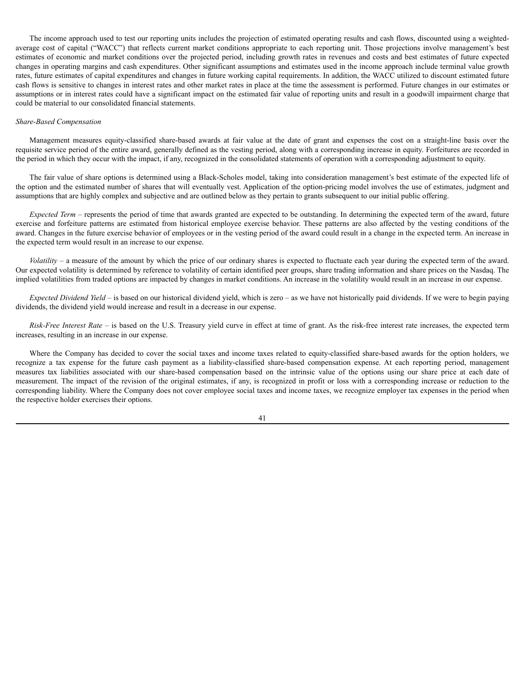The income approach used to test our reporting units includes the projection of estimated operating results and cash flows, discounted using a weightedaverage cost of capital ("WACC") that reflects current market conditions appropriate to each reporting unit. Those projections involve management's best estimates of economic and market conditions over the projected period, including growth rates in revenues and costs and best estimates of future expected changes in operating margins and cash expenditures. Other significant assumptions and estimates used in the income approach include terminal value growth rates, future estimates of capital expenditures and changes in future working capital requirements. In addition, the WACC utilized to discount estimated future cash flows is sensitive to changes in interest rates and other market rates in place at the time the assessment is performed. Future changes in our estimates or assumptions or in interest rates could have a significant impact on the estimated fair value of reporting units and result in a goodwill impairment charge that could be material to our consolidated financial statements.

# *Share-Based Compensation*

Management measures equity-classified share-based awards at fair value at the date of grant and expenses the cost on a straight-line basis over the requisite service period of the entire award, generally defined as the vesting period, along with a corresponding increase in equity. Forfeitures are recorded in the period in which they occur with the impact, if any, recognized in the consolidated statements of operation with a corresponding adjustment to equity.

The fair value of share options is determined using a Black-Scholes model, taking into consideration management's best estimate of the expected life of the option and the estimated number of shares that will eventually vest. Application of the option-pricing model involves the use of estimates, judgment and assumptions that are highly complex and subjective and are outlined below as they pertain to grants subsequent to our initial public offering.

*Expected Term* – represents the period of time that awards granted are expected to be outstanding. In determining the expected term of the award, future exercise and forfeiture patterns are estimated from historical employee exercise behavior. These patterns are also affected by the vesting conditions of the award. Changes in the future exercise behavior of employees or in the vesting period of the award could result in a change in the expected term. An increase in the expected term would result in an increase to our expense.

*Volatility* – a measure of the amount by which the price of our ordinary shares is expected to fluctuate each year during the expected term of the award. Our expected volatility is determined by reference to volatility of certain identified peer groups, share trading information and share prices on the Nasdaq. The implied volatilities from traded options are impacted by changes in market conditions. An increase in the volatility would result in an increase in our expense.

*Expected Dividend Yield* – is based on our historical dividend yield, which is zero – as we have not historically paid dividends. If we were to begin paying dividends, the dividend yield would increase and result in a decrease in our expense.

*Risk-Free Interest Rate* – is based on the U.S. Treasury yield curve in effect at time of grant. As the risk-free interest rate increases, the expected term increases, resulting in an increase in our expense.

Where the Company has decided to cover the social taxes and income taxes related to equity-classified share-based awards for the option holders, we recognize a tax expense for the future cash payment as a liability-classified share-based compensation expense. At each reporting period, management measures tax liabilities associated with our share-based compensation based on the intrinsic value of the options using our share price at each date of measurement. The impact of the revision of the original estimates, if any, is recognized in profit or loss with a corresponding increase or reduction to the corresponding liability. Where the Company does not cover employee social taxes and income taxes, we recognize employer tax expenses in the period when the respective holder exercises their options.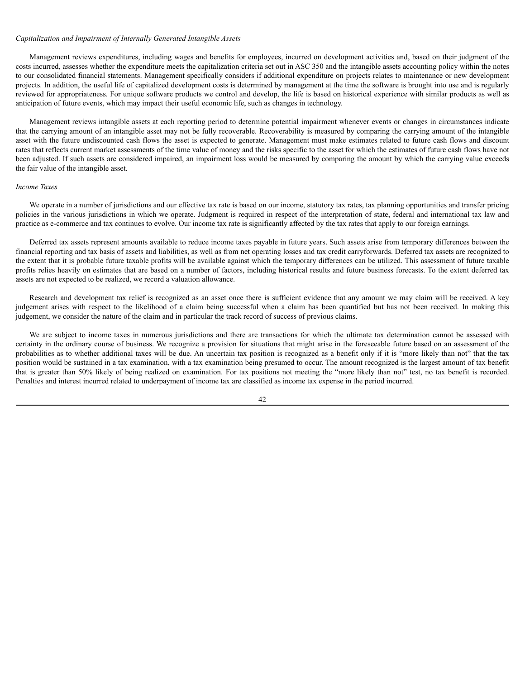# *Capitalization and Impairment of Internally Generated Intangible Assets*

Management reviews expenditures, including wages and benefits for employees, incurred on development activities and, based on their judgment of the costs incurred, assesses whether the expenditure meets the capitalization criteria set out in ASC 350 and the intangible assets accounting policy within the notes to our consolidated financial statements. Management specifically considers if additional expenditure on projects relates to maintenance or new development projects. In addition, the useful life of capitalized development costs is determined by management at the time the software is brought into use and is regularly reviewed for appropriateness. For unique software products we control and develop, the life is based on historical experience with similar products as well as anticipation of future events, which may impact their useful economic life, such as changes in technology.

Management reviews intangible assets at each reporting period to determine potential impairment whenever events or changes in circumstances indicate that the carrying amount of an intangible asset may not be fully recoverable. Recoverability is measured by comparing the carrying amount of the intangible asset with the future undiscounted cash flows the asset is expected to generate. Management must make estimates related to future cash flows and discount rates that reflects current market assessments of the time value of money and the risks specific to the asset for which the estimates of future cash flows have not been adjusted. If such assets are considered impaired, an impairment loss would be measured by comparing the amount by which the carrying value exceeds the fair value of the intangible asset.

#### *Income Taxes*

We operate in a number of jurisdictions and our effective tax rate is based on our income, statutory tax rates, tax planning opportunities and transfer pricing policies in the various jurisdictions in which we operate. Judgment is required in respect of the interpretation of state, federal and international tax law and practice as e-commerce and tax continues to evolve. Our income tax rate is significantly affected by the tax rates that apply to our foreign earnings.

Deferred tax assets represent amounts available to reduce income taxes payable in future years. Such assets arise from temporary differences between the financial reporting and tax basis of assets and liabilities, as well as from net operating losses and tax credit carryforwards. Deferred tax assets are recognized to the extent that it is probable future taxable profits will be available against which the temporary differences can be utilized. This assessment of future taxable profits relies heavily on estimates that are based on a number of factors, including historical results and future business forecasts. To the extent deferred tax assets are not expected to be realized, we record a valuation allowance.

Research and development tax relief is recognized as an asset once there is sufficient evidence that any amount we may claim will be received. A key judgement arises with respect to the likelihood of a claim being successful when a claim has been quantified but has not been received. In making this judgement, we consider the nature of the claim and in particular the track record of success of previous claims.

We are subject to income taxes in numerous jurisdictions and there are transactions for which the ultimate tax determination cannot be assessed with certainty in the ordinary course of business. We recognize a provision for situations that might arise in the foreseeable future based on an assessment of the probabilities as to whether additional taxes will be due. An uncertain tax position is recognized as a benefit only if it is "more likely than not" that the tax position would be sustained in a tax examination, with a tax examination being presumed to occur. The amount recognized is the largest amount of tax benefit that is greater than 50% likely of being realized on examination. For tax positions not meeting the "more likely than not" test, no tax benefit is recorded. Penalties and interest incurred related to underpayment of income tax are classified as income tax expense in the period incurred.

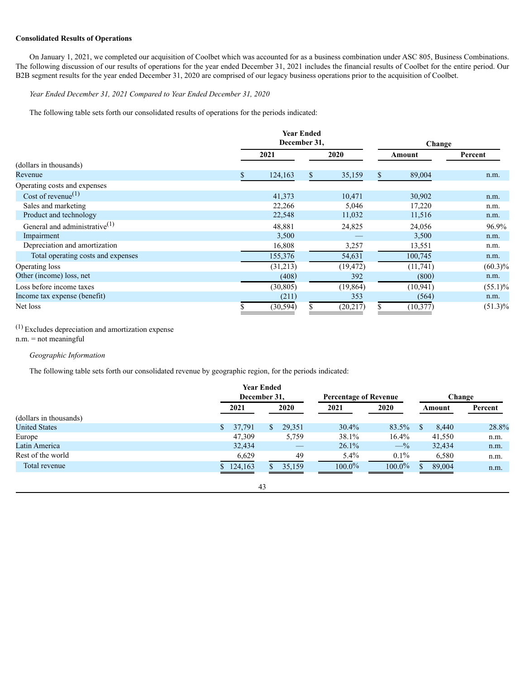# **Consolidated Results of Operations**

On January 1, 2021, we completed our acquisition of Coolbet which was accounted for as a business combination under ASC 805, Business Combinations. The following discussion of our results of operations for the year ended December 31, 2021 includes the financial results of Coolbet for the entire period. Our B2B segment results for the year ended December 31, 2020 are comprised of our legacy business operations prior to the acquisition of Coolbet.

*Year Ended December 31, 2021 Compared to Year Ended December 31, 2020*

The following table sets forth our consolidated results of operations for the periods indicated:

|                                    |   | <b>Year Ended</b><br>December 31, |   | Change    |        |           |            |  |
|------------------------------------|---|-----------------------------------|---|-----------|--------|-----------|------------|--|
|                                    |   | <b>2020</b><br>2021               |   |           | Amount |           | Percent    |  |
| (dollars in thousands)             |   |                                   |   |           |        |           |            |  |
| Revenue                            | S | 124,163                           | S | 35,159    | S.     | 89,004    | n.m.       |  |
| Operating costs and expenses       |   |                                   |   |           |        |           |            |  |
| Cost of revenue <sup>(1)</sup>     |   | 41,373                            |   | 10,471    |        | 30,902    | n.m.       |  |
| Sales and marketing                |   | 22,266                            |   | 5,046     |        | 17,220    | n.m.       |  |
| Product and technology             |   | 22,548                            |   | 11,032    |        | 11,516    | n.m.       |  |
| General and administrative $(1)$   |   | 48,881                            |   | 24,825    |        | 24,056    | 96.9%      |  |
| Impairment                         |   | 3,500                             |   |           |        | 3,500     | n.m.       |  |
| Depreciation and amortization      |   | 16,808                            |   | 3,257     |        | 13,551    | n.m.       |  |
| Total operating costs and expenses |   | 155,376                           |   | 54,631    |        | 100,745   | n.m.       |  |
| Operating loss                     |   | (31,213)                          |   | (19, 472) |        | (11,741)  | $(60.3)\%$ |  |
| Other (income) loss, net           |   | (408)                             |   | 392       |        | (800)     | n.m.       |  |
| Loss before income taxes           |   | (30, 805)                         |   | (19, 864) |        | (10, 941) | $(55.1)\%$ |  |
| Income tax expense (benefit)       |   | (211)                             |   | 353       |        | (564)     | n.m.       |  |
| Net loss                           |   | (30, 594)                         |   | (20, 217) |        | (10, 377) | $(51.3)\%$ |  |

(1) Excludes depreciation and amortization expense

n.m. = not meaningful

### *Geographic Information*

The following table sets forth our consolidated revenue by geographic region, for the periods indicated:

|                        |              | <b>Year Ended</b> | <b>Percentage of Revenue</b> |           |            |         |  |
|------------------------|--------------|-------------------|------------------------------|-----------|------------|---------|--|
|                        |              | December 31.      |                              |           | Change     |         |  |
|                        | 2021         | 2020              | 2021                         | 2020      | Amount     | Percent |  |
| (dollars in thousands) |              |                   |                              |           |            |         |  |
| <b>United States</b>   | 37,791<br>\$ | 29,351<br>S       | $30.4\%$                     | 83.5%     | 8,440<br>S | 28.8%   |  |
| Europe                 | 47,309       | 5,759             | 38.1%                        | 16.4%     | 41,550     | n.m.    |  |
| Latin America          | 32,434       |                   | 26.1%                        | $-$ %     | 32,434     | n.m.    |  |
| Rest of the world      | 6,629        | 49                | $5.4\%$                      | $0.1\%$   | 6,580      | n.m.    |  |
| Total revenue          | 124,163      | 35,159            | $100.0\%$                    | $100.0\%$ | 89,004     | n.m.    |  |
|                        |              |                   |                              |           |            |         |  |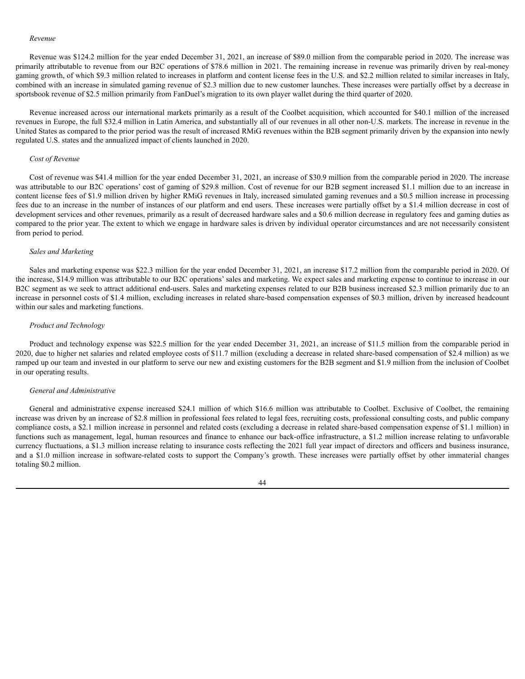#### *Revenue*

Revenue was \$124.2 million for the year ended December 31, 2021, an increase of \$89.0 million from the comparable period in 2020. The increase was primarily attributable to revenue from our B2C operations of \$78.6 million in 2021. The remaining increase in revenue was primarily driven by real-money gaming growth, of which \$9.3 million related to increases in platform and content license fees in the U.S. and \$2.2 million related to similar increases in Italy, combined with an increase in simulated gaming revenue of \$2.3 million due to new customer launches. These increases were partially offset by a decrease in sportsbook revenue of \$2.5 million primarily from FanDuel's migration to its own player wallet during the third quarter of 2020.

Revenue increased across our international markets primarily as a result of the Coolbet acquisition, which accounted for \$40.1 million of the increased revenues in Europe, the full \$32.4 million in Latin America, and substantially all of our revenues in all other non-U.S. markets. The increase in revenue in the United States as compared to the prior period was the result of increased RMiG revenues within the B2B segment primarily driven by the expansion into newly regulated U.S. states and the annualized impact of clients launched in 2020.

#### *Cost of Revenue*

Cost of revenue was \$41.4 million for the year ended December 31, 2021, an increase of \$30.9 million from the comparable period in 2020. The increase was attributable to our B2C operations' cost of gaming of \$29.8 million. Cost of revenue for our B2B segment increased \$1.1 million due to an increase in content license fees of \$1.9 million driven by higher RMiG revenues in Italy, increased simulated gaming revenues and a \$0.5 million increase in processing fees due to an increase in the number of instances of our platform and end users. These increases were partially offset by a \$1.4 million decrease in cost of development services and other revenues, primarily as a result of decreased hardware sales and a \$0.6 million decrease in regulatory fees and gaming duties as compared to the prior year. The extent to which we engage in hardware sales is driven by individual operator circumstances and are not necessarily consistent from period to period.

#### *Sales and Marketing*

Sales and marketing expense was \$22.3 million for the year ended December 31, 2021, an increase \$17.2 million from the comparable period in 2020. Of the increase, \$14.9 million was attributable to our B2C operations' sales and marketing. We expect sales and marketing expense to continue to increase in our B2C segment as we seek to attract additional end-users. Sales and marketing expenses related to our B2B business increased \$2.3 million primarily due to an increase in personnel costs of \$1.4 million, excluding increases in related share-based compensation expenses of \$0.3 million, driven by increased headcount within our sales and marketing functions.

#### *Product and Technology*

Product and technology expense was \$22.5 million for the year ended December 31, 2021, an increase of \$11.5 million from the comparable period in 2020, due to higher net salaries and related employee costs of \$11.7 million (excluding a decrease in related share-based compensation of \$2.4 million) as we ramped up our team and invested in our platform to serve our new and existing customers for the B2B segment and \$1.9 million from the inclusion of Coolbet in our operating results.

# *General and Administrative*

General and administrative expense increased \$24.1 million of which \$16.6 million was attributable to Coolbet. Exclusive of Coolbet, the remaining increase was driven by an increase of \$2.8 million in professional fees related to legal fees, recruiting costs, professional consulting costs, and public company compliance costs, a \$2.1 million increase in personnel and related costs (excluding a decrease in related share-based compensation expense of \$1.1 million) in functions such as management, legal, human resources and finance to enhance our back-office infrastructure, a \$1.2 million increase relating to unfavorable currency fluctuations, a \$1.3 million increase relating to insurance costs reflecting the 2021 full year impact of directors and officers and business insurance, and a \$1.0 million increase in software-related costs to support the Company's growth. These increases were partially offset by other immaterial changes totaling \$0.2 million.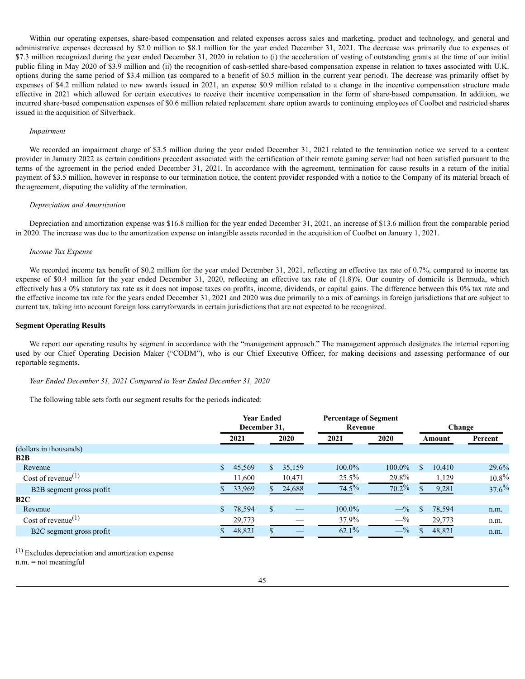Within our operating expenses, share-based compensation and related expenses across sales and marketing, product and technology, and general and administrative expenses decreased by \$2.0 million to \$8.1 million for the year ended December 31, 2021. The decrease was primarily due to expenses of \$7.3 million recognized during the year ended December 31, 2020 in relation to (i) the acceleration of vesting of outstanding grants at the time of our initial public filing in May 2020 of \$3.9 million and (ii) the recognition of cash-settled share-based compensation expense in relation to taxes associated with U.K. options during the same period of \$3.4 million (as compared to a benefit of \$0.5 million in the current year period). The decrease was primarily offset by expenses of \$4.2 million related to new awards issued in 2021, an expense \$0.9 million related to a change in the incentive compensation structure made effective in 2021 which allowed for certain executives to receive their incentive compensation in the form of share-based compensation. In addition, we incurred share-based compensation expenses of \$0.6 million related replacement share option awards to continuing employees of Coolbet and restricted shares issued in the acquisition of Silverback.

#### *Impairment*

We recorded an impairment charge of \$3.5 million during the year ended December 31, 2021 related to the termination notice we served to a content provider in January 2022 as certain conditions precedent associated with the certification of their remote gaming server had not been satisfied pursuant to the terms of the agreement in the period ended December 31, 2021. In accordance with the agreement, termination for cause results in a return of the initial payment of \$3.5 million, however in response to our termination notice, the content provider responded with a notice to the Company of its material breach of the agreement, disputing the validity of the termination.

#### *Depreciation and Amortization*

Depreciation and amortization expense was \$16.8 million for the year ended December 31, 2021, an increase of \$13.6 million from the comparable period in 2020. The increase was due to the amortization expense on intangible assets recorded in the acquisition of Coolbet on January 1, 2021.

#### *Income Tax Expense*

We recorded income tax benefit of \$0.2 million for the year ended December 31, 2021, reflecting an effective tax rate of 0.7%, compared to income tax expense of \$0.4 million for the year ended December 31, 2020, reflecting an effective tax rate of (1.8)%. Our country of domicile is Bermuda, which effectively has a 0% statutory tax rate as it does not impose taxes on profits, income, dividends, or capital gains. The difference between this 0% tax rate and the effective income tax rate for the years ended December 31, 2021 and 2020 was due primarily to a mix of earnings in foreign jurisdictions that are subject to current tax, taking into account foreign loss carryforwards in certain jurisdictions that are not expected to be recognized.

#### **Segment Operating Results**

We report our operating results by segment in accordance with the "management approach." The management approach designates the internal reporting used by our Chief Operating Decision Maker ("CODM"), who is our Chief Executive Officer, for making decisions and assessing performance of our reportable segments.

# *Year Ended December 31, 2021 Compared to Year Ended December 31, 2020*

The following table sets forth our segment results for the periods indicated:

|                                       | <b>Year Ended</b><br>December 31,<br>2020<br>2021 |        | <b>Percentage of Segment</b><br>Revenue |             |          | Change          |         |        |          |
|---------------------------------------|---------------------------------------------------|--------|-----------------------------------------|-------------|----------|-----------------|---------|--------|----------|
|                                       |                                                   |        | 2021                                    | <b>2020</b> |          | Amount          | Percent |        |          |
| (dollars in thousands)                |                                                   |        |                                         |             |          |                 |         |        |          |
| B2B                                   |                                                   |        |                                         |             |          |                 |         |        |          |
| Revenue                               |                                                   | 45,569 | \$                                      | 35,159      | 100.0%   | 100.0%          | S.      | 10,410 | 29.6%    |
| Cost of revenue <sup>(1)</sup>        |                                                   | 11,600 |                                         | 10,471      | 25.5%    | 29.8%           |         | 1,129  | $10.8\%$ |
| B <sub>2</sub> B segment gross profit |                                                   | 33,969 |                                         | 24,688      | 74.5%    | $70.2\%$        |         | 9,281  | $37.6\%$ |
| B2C                                   |                                                   |        |                                         |             |          |                 |         |        |          |
| Revenue                               |                                                   | 78,594 | <sup>\$</sup>                           |             | 100.0%   | $- \frac{9}{6}$ | S.      | 78,594 | n.m.     |
| Cost of revenue <sup>(1)</sup>        |                                                   | 29,773 |                                         |             | 37.9%    | $-$ %           |         | 29,773 | n.m.     |
| B <sub>2</sub> C segment gross profit |                                                   | 48,821 |                                         |             | $62.1\%$ | $-$ %           |         | 48,821 | n.m.     |

(1) Excludes depreciation and amortization expense

n.m. = not meaningful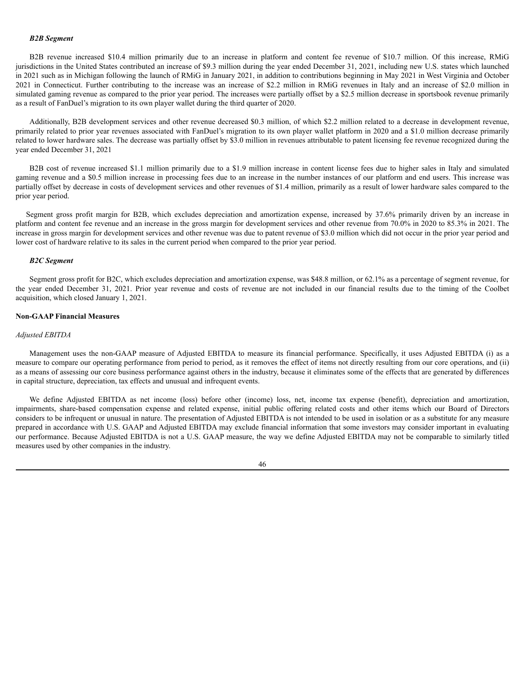#### *B2B Segment*

B2B revenue increased \$10.4 million primarily due to an increase in platform and content fee revenue of \$10.7 million. Of this increase, RMiG jurisdictions in the United States contributed an increase of \$9.3 million during the year ended December 31, 2021, including new U.S. states which launched in 2021 such as in Michigan following the launch of RMiG in January 2021, in addition to contributions beginning in May 2021 in West Virginia and October 2021 in Connecticut. Further contributing to the increase was an increase of \$2.2 million in RMiG revenues in Italy and an increase of \$2.0 million in simulated gaming revenue as compared to the prior year period. The increases were partially offset by a \$2.5 million decrease in sportsbook revenue primarily as a result of FanDuel's migration to its own player wallet during the third quarter of 2020.

Additionally, B2B development services and other revenue decreased \$0.3 million, of which \$2.2 million related to a decrease in development revenue, primarily related to prior year revenues associated with FanDuel's migration to its own player wallet platform in 2020 and a \$1.0 million decrease primarily related to lower hardware sales. The decrease was partially offset by \$3.0 million in revenues attributable to patent licensing fee revenue recognized during the year ended December 31, 2021

B2B cost of revenue increased \$1.1 million primarily due to a \$1.9 million increase in content license fees due to higher sales in Italy and simulated gaming revenue and a \$0.5 million increase in processing fees due to an increase in the number instances of our platform and end users. This increase was partially offset by decrease in costs of development services and other revenues of \$1.4 million, primarily as a result of lower hardware sales compared to the prior year period.

Segment gross profit margin for B2B, which excludes depreciation and amortization expense, increased by 37.6% primarily driven by an increase in platform and content fee revenue and an increase in the gross margin for development services and other revenue from 70.0% in 2020 to 85.3% in 2021. The increase in gross margin for development services and other revenue was due to patent revenue of \$3.0 million which did not occur in the prior year period and lower cost of hardware relative to its sales in the current period when compared to the prior year period.

## *B2C Segment*

Segment gross profit for B2C, which excludes depreciation and amortization expense, was \$48.8 million, or 62.1% as a percentage of segment revenue, for the year ended December 31, 2021. Prior year revenue and costs of revenue are not included in our financial results due to the timing of the Coolbet acquisition, which closed January 1, 2021.

#### **Non-GAAP Financial Measures**

### *Adjusted EBITDA*

Management uses the non-GAAP measure of Adjusted EBITDA to measure its financial performance. Specifically, it uses Adjusted EBITDA (i) as a measure to compare our operating performance from period to period, as it removes the effect of items not directly resulting from our core operations, and (ii) as a means of assessing our core business performance against others in the industry, because it eliminates some of the effects that are generated by differences in capital structure, depreciation, tax effects and unusual and infrequent events.

We define Adjusted EBITDA as net income (loss) before other (income) loss, net, income tax expense (benefit), depreciation and amortization, impairments, share-based compensation expense and related expense, initial public offering related costs and other items which our Board of Directors considers to be infrequent or unusual in nature. The presentation of Adjusted EBITDA is not intended to be used in isolation or as a substitute for any measure prepared in accordance with U.S. GAAP and Adjusted EBITDA may exclude financial information that some investors may consider important in evaluating our performance. Because Adjusted EBITDA is not a U.S. GAAP measure, the way we define Adjusted EBITDA may not be comparable to similarly titled measures used by other companies in the industry.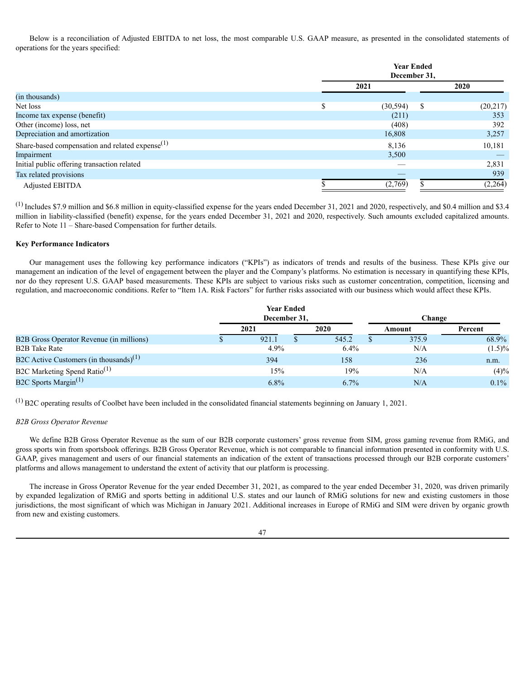Below is a reconciliation of Adjusted EBITDA to net loss, the most comparable U.S. GAAP measure, as presented in the consolidated statements of operations for the years specified:

|                                                             | <b>Year Ended</b><br>December 31, |           |    |           |  |
|-------------------------------------------------------------|-----------------------------------|-----------|----|-----------|--|
|                                                             | 2021                              |           |    | 2020      |  |
| (in thousands)                                              |                                   |           |    |           |  |
| Net loss                                                    |                                   | (30, 594) | -S | (20, 217) |  |
| Income tax expense (benefit)                                |                                   | (211)     |    | 353       |  |
| Other (income) loss, net                                    |                                   | (408)     |    | 392       |  |
| Depreciation and amortization                               |                                   | 16,808    |    | 3,257     |  |
| Share-based compensation and related expense <sup>(1)</sup> |                                   | 8,136     |    | 10,181    |  |
| Impairment                                                  |                                   | 3,500     |    |           |  |
| Initial public offering transaction related                 |                                   | __        |    | 2,831     |  |
| Tax related provisions                                      |                                   |           |    | 939       |  |
| <b>Adjusted EBITDA</b>                                      |                                   | (2,769)   |    | (2, 264)  |  |

 $^{(1)}$  Includes \$7.9 million and \$6.8 million in equity-classified expense for the years ended December 31, 2021 and 2020, respectively, and \$0.4 million and \$3.4 million in liability-classified (benefit) expense, for the years ended December 31, 2021 and 2020, respectively. Such amounts excluded capitalized amounts. Refer to Note 11 – Share-based Compensation for further details.

### **Key Performance Indicators**

Our management uses the following key performance indicators ("KPIs") as indicators of trends and results of the business. These KPIs give our management an indication of the level of engagement between the player and the Company's platforms. No estimation is necessary in quantifying these KPIs, nor do they represent U.S. GAAP based measurements. These KPIs are subject to various risks such as customer concentration, competition, licensing and regulation, and macroeconomic conditions. Refer to "Item 1A. Risk Factors" for further risks associated with our business which would affect these KPIs.

|                                                    |              | <b>Year Ended</b><br>December 31. |         |     | Change |           |  |
|----------------------------------------------------|--------------|-----------------------------------|---------|-----|--------|-----------|--|
|                                                    | 2020<br>2021 |                                   |         |     | Amount | Percent   |  |
| B2B Gross Operator Revenue (in millions)           | 921.1        |                                   | 545.2   |     | 375.9  | 68.9%     |  |
| <b>B2B</b> Take Rate                               | 4.9%         |                                   | $6.4\%$ |     |        | $(1.5)\%$ |  |
| B2C Active Customers (in thousands) <sup>(1)</sup> | 394<br>158   |                                   |         | 236 | n.m.   |           |  |
| B2C Marketing Spend Ratio <sup>(1)</sup>           | 15%          |                                   | 19%     |     | N/A    | (4)%      |  |
| B <sub>2</sub> C Sports Margin <sup>(1)</sup>      | $6.8\%$      |                                   | 6.7%    |     | N/A    | $0.1\%$   |  |

(1) B2C operating results of Coolbet have been included in the consolidated financial statements beginning on January 1, 2021.

### *B2B Gross Operator Revenue*

We define B2B Gross Operator Revenue as the sum of our B2B corporate customers' gross revenue from SIM, gross gaming revenue from RMiG, and gross sports win from sportsbook offerings. B2B Gross Operator Revenue, which is not comparable to financial information presented in conformity with U.S. GAAP, gives management and users of our financial statements an indication of the extent of transactions processed through our B2B corporate customers' platforms and allows management to understand the extent of activity that our platform is processing.

The increase in Gross Operator Revenue for the year ended December 31, 2021, as compared to the year ended December 31, 2020, was driven primarily by expanded legalization of RMiG and sports betting in additional U.S. states and our launch of RMiG solutions for new and existing customers in those jurisdictions, the most significant of which was Michigan in January 2021. Additional increases in Europe of RMiG and SIM were driven by organic growth from new and existing customers.

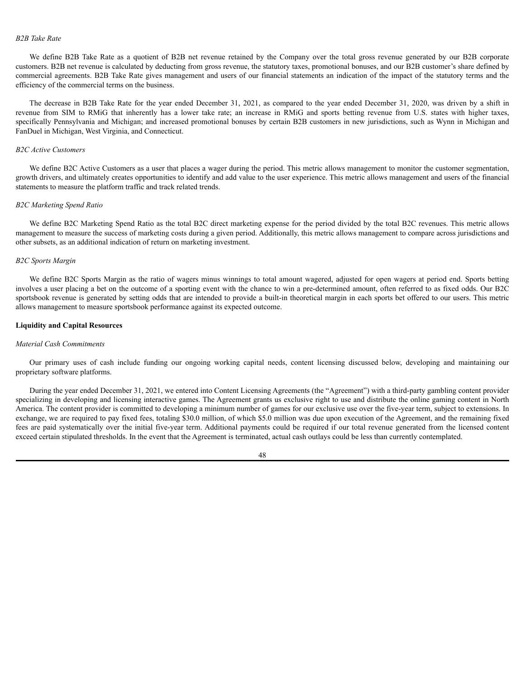# *B2B Take Rate*

We define B2B Take Rate as a quotient of B2B net revenue retained by the Company over the total gross revenue generated by our B2B corporate customers. B2B net revenue is calculated by deducting from gross revenue, the statutory taxes, promotional bonuses, and our B2B customer's share defined by commercial agreements. B2B Take Rate gives management and users of our financial statements an indication of the impact of the statutory terms and the efficiency of the commercial terms on the business.

The decrease in B2B Take Rate for the year ended December 31, 2021, as compared to the year ended December 31, 2020, was driven by a shift in revenue from SIM to RMiG that inherently has a lower take rate; an increase in RMiG and sports betting revenue from U.S. states with higher taxes, specifically Pennsylvania and Michigan; and increased promotional bonuses by certain B2B customers in new jurisdictions, such as Wynn in Michigan and FanDuel in Michigan, West Virginia, and Connecticut.

### *B2C Active Customers*

We define B2C Active Customers as a user that places a wager during the period. This metric allows management to monitor the customer segmentation, growth drivers, and ultimately creates opportunities to identify and add value to the user experience. This metric allows management and users of the financial statements to measure the platform traffic and track related trends.

#### *B2C Marketing Spend Ratio*

We define B2C Marketing Spend Ratio as the total B2C direct marketing expense for the period divided by the total B2C revenues. This metric allows management to measure the success of marketing costs during a given period. Additionally, this metric allows management to compare across jurisdictions and other subsets, as an additional indication of return on marketing investment.

#### *B2C Sports Margin*

We define B2C Sports Margin as the ratio of wagers minus winnings to total amount wagered, adjusted for open wagers at period end. Sports betting involves a user placing a bet on the outcome of a sporting event with the chance to win a pre-determined amount, often referred to as fixed odds. Our B2C sportsbook revenue is generated by setting odds that are intended to provide a built-in theoretical margin in each sports bet offered to our users. This metric allows management to measure sportsbook performance against its expected outcome.

#### **Liquidity and Capital Resources**

### *Material Cash Commitments*

Our primary uses of cash include funding our ongoing working capital needs, content licensing discussed below, developing and maintaining our proprietary software platforms.

During the year ended December 31, 2021, we entered into Content Licensing Agreements (the "Agreement") with a third-party gambling content provider specializing in developing and licensing interactive games. The Agreement grants us exclusive right to use and distribute the online gaming content in North America. The content provider is committed to developing a minimum number of games for our exclusive use over the five-year term, subject to extensions. In exchange, we are required to pay fixed fees, totaling \$30.0 million, of which \$5.0 million was due upon execution of the Agreement, and the remaining fixed fees are paid systematically over the initial five-year term. Additional payments could be required if our total revenue generated from the licensed content exceed certain stipulated thresholds. In the event that the Agreement is terminated, actual cash outlays could be less than currently contemplated.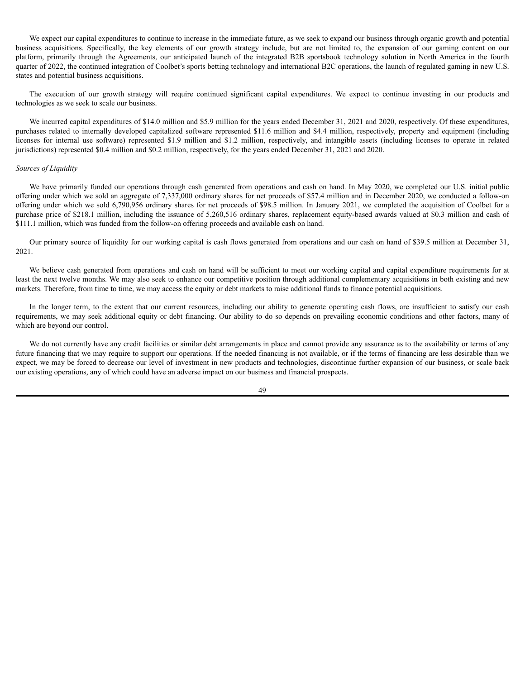We expect our capital expenditures to continue to increase in the immediate future, as we seek to expand our business through organic growth and potential business acquisitions. Specifically, the key elements of our growth strategy include, but are not limited to, the expansion of our gaming content on our platform, primarily through the Agreements, our anticipated launch of the integrated B2B sportsbook technology solution in North America in the fourth quarter of 2022, the continued integration of Coolbet's sports betting technology and international B2C operations, the launch of regulated gaming in new U.S. states and potential business acquisitions.

The execution of our growth strategy will require continued significant capital expenditures. We expect to continue investing in our products and technologies as we seek to scale our business.

We incurred capital expenditures of \$14.0 million and \$5.9 million for the years ended December 31, 2021 and 2020, respectively. Of these expenditures, purchases related to internally developed capitalized software represented \$11.6 million and \$4.4 million, respectively, property and equipment (including licenses for internal use software) represented \$1.9 million and \$1.2 million, respectively, and intangible assets (including licenses to operate in related jurisdictions) represented \$0.4 million and \$0.2 million, respectively, for the years ended December 31, 2021 and 2020.

# *Sources of Liquidity*

We have primarily funded our operations through cash generated from operations and cash on hand. In May 2020, we completed our U.S. initial public offering under which we sold an aggregate of 7,337,000 ordinary shares for net proceeds of \$57.4 million and in December 2020, we conducted a follow-on offering under which we sold 6,790,956 ordinary shares for net proceeds of \$98.5 million. In January 2021, we completed the acquisition of Coolbet for a purchase price of \$218.1 million, including the issuance of 5,260,516 ordinary shares, replacement equity-based awards valued at \$0.3 million and cash of \$111.1 million, which was funded from the follow-on offering proceeds and available cash on hand.

Our primary source of liquidity for our working capital is cash flows generated from operations and our cash on hand of \$39.5 million at December 31, 2021.

We believe cash generated from operations and cash on hand will be sufficient to meet our working capital and capital expenditure requirements for at least the next twelve months. We may also seek to enhance our competitive position through additional complementary acquisitions in both existing and new markets. Therefore, from time to time, we may access the equity or debt markets to raise additional funds to finance potential acquisitions.

In the longer term, to the extent that our current resources, including our ability to generate operating cash flows, are insufficient to satisfy our cash requirements, we may seek additional equity or debt financing. Our ability to do so depends on prevailing economic conditions and other factors, many of which are beyond our control.

We do not currently have any credit facilities or similar debt arrangements in place and cannot provide any assurance as to the availability or terms of any future financing that we may require to support our operations. If the needed financing is not available, or if the terms of financing are less desirable than we expect, we may be forced to decrease our level of investment in new products and technologies, discontinue further expansion of our business, or scale back our existing operations, any of which could have an adverse impact on our business and financial prospects.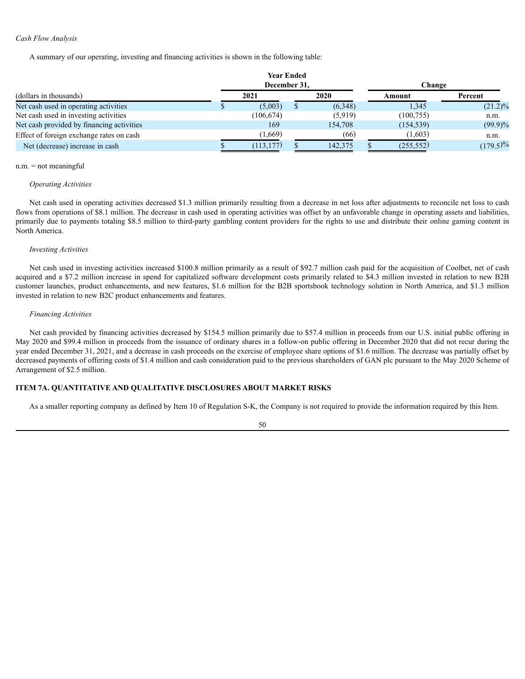# *Cash Flow Analysis*

A summary of our operating, investing and financing activities is shown in the following table:

|                                           |              | <b>Year Ended</b> |         |            |             |
|-------------------------------------------|--------------|-------------------|---------|------------|-------------|
| (dollars in thousands)                    | December 31, |                   | Change  |            |             |
|                                           | 2021         | 2020              |         | Amount     | Percent     |
| Net cash used in operating activities     | (5,003)      |                   | (6,348) | 1,345      | $(21.2)\%$  |
| Net cash used in investing activities     | (106, 674)   |                   | (5.919) | (100, 755) | n.m.        |
| Net cash provided by financing activities | 169          |                   | 154,708 | (154, 539) | $(99.9)\%$  |
| Effect of foreign exchange rates on cash  | (1,669)      |                   | (66)    | (1,603)    | n.m.        |
| Net (decrease) increase in cash           | (113, 177)   |                   | 142,375 | (255, 552) | $(179.5)\%$ |

### n.m. = not meaningful

#### *Operating Activities*

Net cash used in operating activities decreased \$1.3 million primarily resulting from a decrease in net loss after adjustments to reconcile net loss to cash flows from operations of \$8.1 million. The decrease in cash used in operating activities was offset by an unfavorable change in operating assets and liabilities, primarily due to payments totaling \$8.5 million to third-party gambling content providers for the rights to use and distribute their online gaming content in North America.

#### *Investing Activities*

Net cash used in investing activities increased \$100.8 million primarily as a result of \$92.7 million cash paid for the acquisition of Coolbet, net of cash acquired and a \$7.2 million increase in spend for capitalized software development costs primarily related to \$4.3 million invested in relation to new B2B customer launches, product enhancements, and new features, \$1.6 million for the B2B sportsbook technology solution in North America, and \$1.3 million invested in relation to new B2C product enhancements and features.

#### *Financing Activities*

Net cash provided by financing activities decreased by \$154.5 million primarily due to \$57.4 million in proceeds from our U.S. initial public offering in May 2020 and \$99.4 million in proceeds from the issuance of ordinary shares in a follow-on public offering in December 2020 that did not recur during the year ended December 31, 2021, and a decrease in cash proceeds on the exercise of employee share options of \$1.6 million. The decrease was partially offset by decreased payments of offering costs of \$1.4 million and cash consideration paid to the previous shareholders of GAN plc pursuant to the May 2020 Scheme of Arrangement of \$2.5 million.

## **ITEM 7A. QUANTITATIVE AND QUALITATIVE DISCLOSURES ABOUT MARKET RISKS**

As a smaller reporting company as defined by Item 10 of Regulation S-K, the Company is not required to provide the information required by this Item.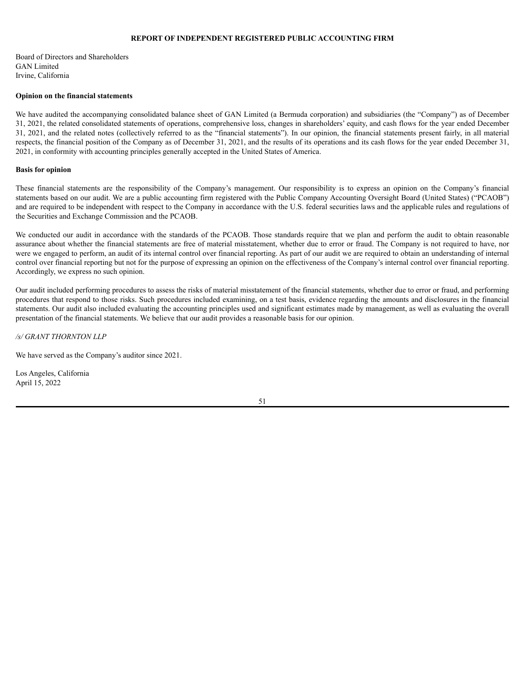# **REPORT OF INDEPENDENT REGISTERED PUBLIC ACCOUNTING FIRM**

Board of Directors and Shareholders GAN Limited Irvine, California

### **Opinion on the financial statements**

We have audited the accompanying consolidated balance sheet of GAN Limited (a Bermuda corporation) and subsidiaries (the "Company") as of December 31, 2021, the related consolidated statements of operations, comprehensive loss, changes in shareholders' equity, and cash flows for the year ended December 31, 2021, and the related notes (collectively referred to as the "financial statements"). In our opinion, the financial statements present fairly, in all material respects, the financial position of the Company as of December 31, 2021, and the results of its operations and its cash flows for the year ended December 31, 2021, in conformity with accounting principles generally accepted in the United States of America.

# **Basis for opinion**

These financial statements are the responsibility of the Company's management. Our responsibility is to express an opinion on the Company's financial statements based on our audit. We are a public accounting firm registered with the Public Company Accounting Oversight Board (United States) ("PCAOB") and are required to be independent with respect to the Company in accordance with the U.S. federal securities laws and the applicable rules and regulations of the Securities and Exchange Commission and the PCAOB.

We conducted our audit in accordance with the standards of the PCAOB. Those standards require that we plan and perform the audit to obtain reasonable assurance about whether the financial statements are free of material misstatement, whether due to error or fraud. The Company is not required to have, nor were we engaged to perform, an audit of its internal control over financial reporting. As part of our audit we are required to obtain an understanding of internal control over financial reporting but not for the purpose of expressing an opinion on the effectiveness of the Company's internal control over financial reporting. Accordingly, we express no such opinion.

Our audit included performing procedures to assess the risks of material misstatement of the financial statements, whether due to error or fraud, and performing procedures that respond to those risks. Such procedures included examining, on a test basis, evidence regarding the amounts and disclosures in the financial statements. Our audit also included evaluating the accounting principles used and significant estimates made by management, as well as evaluating the overall presentation of the financial statements. We believe that our audit provides a reasonable basis for our opinion.

*/s/ GRANT THORNTON LLP*

We have served as the Company's auditor since 2021.

Los Angeles, California April 15, 2022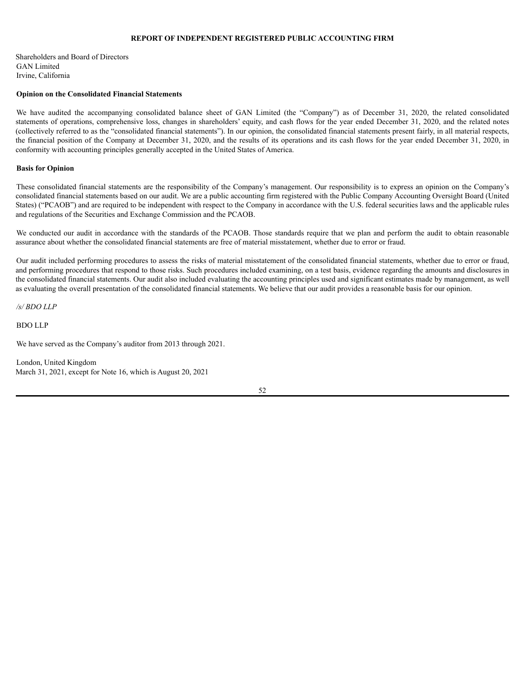# **REPORT OF INDEPENDENT REGISTERED PUBLIC ACCOUNTING FIRM**

Shareholders and Board of Directors GAN Limited Irvine, California

# **Opinion on the Consolidated Financial Statements**

We have audited the accompanying consolidated balance sheet of GAN Limited (the "Company") as of December 31, 2020, the related consolidated statements of operations, comprehensive loss, changes in shareholders' equity, and cash flows for the year ended December 31, 2020, and the related notes (collectively referred to as the "consolidated financial statements"). In our opinion, the consolidated financial statements present fairly, in all material respects, the financial position of the Company at December 31, 2020, and the results of its operations and its cash flows for the year ended December 31, 2020, in conformity with accounting principles generally accepted in the United States of America.

# **Basis for Opinion**

These consolidated financial statements are the responsibility of the Company's management. Our responsibility is to express an opinion on the Company's consolidated financial statements based on our audit. We are a public accounting firm registered with the Public Company Accounting Oversight Board (United States) ("PCAOB") and are required to be independent with respect to the Company in accordance with the U.S. federal securities laws and the applicable rules and regulations of the Securities and Exchange Commission and the PCAOB.

We conducted our audit in accordance with the standards of the PCAOB. Those standards require that we plan and perform the audit to obtain reasonable assurance about whether the consolidated financial statements are free of material misstatement, whether due to error or fraud.

Our audit included performing procedures to assess the risks of material misstatement of the consolidated financial statements, whether due to error or fraud, and performing procedures that respond to those risks. Such procedures included examining, on a test basis, evidence regarding the amounts and disclosures in the consolidated financial statements. Our audit also included evaluating the accounting principles used and significant estimates made by management, as well as evaluating the overall presentation of the consolidated financial statements. We believe that our audit provides a reasonable basis for our opinion.

*/s/ BDO LLP*

BDO LLP

We have served as the Company's auditor from 2013 through 2021.

London, United Kingdom March 31, 2021, except for Note 16, which is August 20, 2021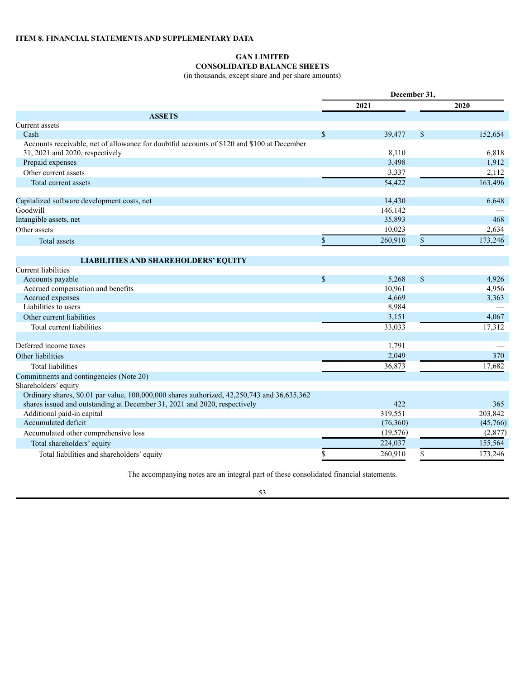# **ITEM 8. FINANCIAL STATEMENTS AND SUPPLEMENTARY DATA**

# **GAN LIMITED CONSOLIDATED BALANCE SHEETS**

(in thousands, except share and per share amounts)

|                                                                                             | December 31, |           |                           |          |
|---------------------------------------------------------------------------------------------|--------------|-----------|---------------------------|----------|
|                                                                                             |              | 2021      |                           | 2020     |
| <b>ASSETS</b>                                                                               |              |           |                           |          |
| Current assets                                                                              |              |           |                           |          |
| Cash                                                                                        | \$           | 39,477    | $\mathbb{S}$              | 152,654  |
| Accounts receivable, net of allowance for doubtful accounts of \$120 and \$100 at December  |              |           |                           |          |
| 31, 2021 and 2020, respectively                                                             |              | 8,110     |                           | 6,818    |
| Prepaid expenses                                                                            |              | 3,498     |                           | 1,912    |
| Other current assets                                                                        |              | 3,337     |                           | 2,112    |
| Total current assets                                                                        |              | 54,422    |                           | 163,496  |
| Capitalized software development costs, net                                                 |              | 14,430    |                           | 6,648    |
| Goodwill                                                                                    |              | 146,142   |                           |          |
| Intangible assets, net                                                                      |              | 35,893    |                           | 468      |
| Other assets                                                                                |              | 10,023    |                           | 2,634    |
| Total assets                                                                                | \$           | 260,910   | \$                        | 173,246  |
| <b>LIABILITIES AND SHAREHOLDERS' EQUITY</b>                                                 |              |           |                           |          |
| <b>Current liabilities</b>                                                                  |              |           |                           |          |
| Accounts payable                                                                            | $\mathbf S$  | 5,268     | $\boldsymbol{\mathsf{S}}$ | 4,926    |
| Accrued compensation and benefits                                                           |              | 10,961    |                           | 4,956    |
| Accrued expenses                                                                            |              | 4.669     |                           | 3,363    |
| Liabilities to users                                                                        |              | 8,984     |                           |          |
| Other current liabilities                                                                   |              | 3,151     |                           | 4,067    |
| Total current liabilities                                                                   |              | 33,033    |                           | 17,312   |
| Deferred income taxes                                                                       |              | 1,791     |                           |          |
| Other liabilities                                                                           |              | 2,049     |                           | 370      |
| <b>Total liabilities</b>                                                                    |              | 36,873    |                           | 17,682   |
|                                                                                             |              |           |                           |          |
| Commitments and contingencies (Note 20)<br>Shareholders' equity                             |              |           |                           |          |
| Ordinary shares, \$0.01 par value, 100,000,000 shares authorized, 42,250,743 and 36,635,362 |              |           |                           |          |
| shares issued and outstanding at December 31, 2021 and 2020, respectively                   |              | 422       |                           | 365      |
| Additional paid-in capital                                                                  |              | 319,551   |                           | 203,842  |
| Accumulated deficit                                                                         |              | (76,360)  |                           | (45,766) |
| Accumulated other comprehensive loss                                                        |              | (19, 576) |                           | (2,877)  |
| Total shareholders' equity                                                                  |              | 224,037   |                           | 155,564  |
| Total liabilities and shareholders' equity                                                  | \$           | 260,910   | \$                        | 173,246  |
|                                                                                             |              |           |                           |          |

The accompanying notes are an integral part of these consolidated financial statements.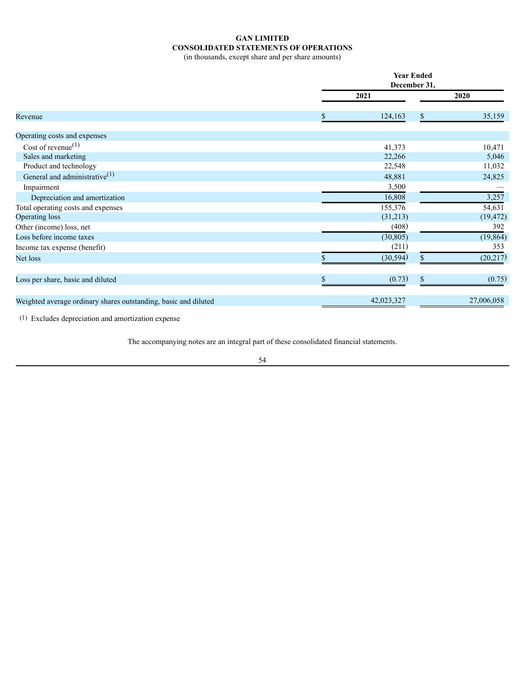# **GAN LIMITED CONSOLIDATED STATEMENTS OF OPERATIONS**

(in thousands, except share and per share amounts)

|                                                                 |              | <b>Year Ended</b><br>December 31, |              |            |  |  |
|-----------------------------------------------------------------|--------------|-----------------------------------|--------------|------------|--|--|
|                                                                 |              | 2021                              |              | 2020       |  |  |
| Revenue                                                         |              | 124,163                           | \$           | 35,159     |  |  |
| Operating costs and expenses                                    |              |                                   |              |            |  |  |
| Cost of revenue <sup>(1)</sup>                                  |              | 41,373                            |              | 10,471     |  |  |
| Sales and marketing                                             |              | 22,266                            |              | 5,046      |  |  |
| Product and technology                                          |              | 22,548                            |              | 11,032     |  |  |
| General and administrative <sup>(1)</sup>                       |              | 48,881                            |              | 24,825     |  |  |
| Impairment                                                      |              | 3,500                             |              |            |  |  |
| Depreciation and amortization                                   |              | 16,808                            |              | 3,257      |  |  |
| Total operating costs and expenses                              |              | 155,376                           |              | 54,631     |  |  |
| Operating loss                                                  |              | (31,213)                          |              | (19, 472)  |  |  |
| Other (income) loss, net                                        |              | (408)                             |              | 392        |  |  |
| Loss before income taxes                                        |              | (30, 805)                         |              | (19, 864)  |  |  |
| Income tax expense (benefit)                                    |              | (211)                             |              | 353        |  |  |
| Net loss                                                        |              | (30, 594)                         | \$           | (20,217)   |  |  |
| Loss per share, basic and diluted                               | $\mathbf{s}$ | (0.73)                            | $\mathbf{s}$ | (0.75)     |  |  |
| Weighted average ordinary shares outstanding, basic and diluted |              | 42,023,327                        |              | 27,006,058 |  |  |

(1) Excludes depreciation and amortization expense

The accompanying notes are an integral part of these consolidated financial statements.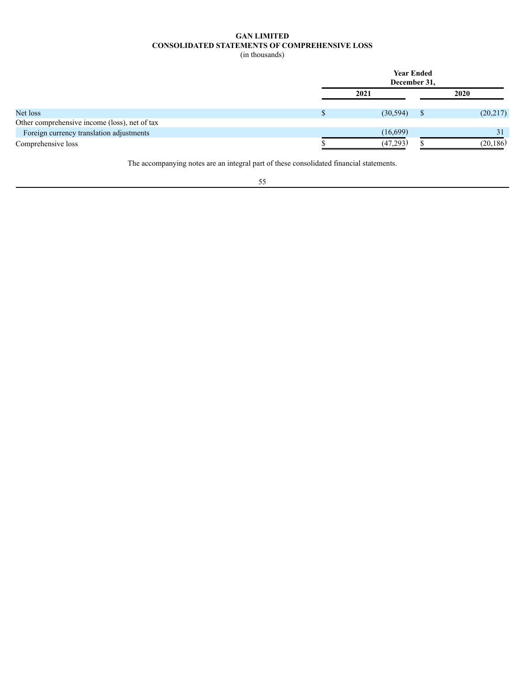# **GAN LIMITED CONSOLIDATED STATEMENTS OF COMPREHENSIVE LOSS**

(in thousands)

|                                                                                           | <b>Year Ended</b><br>December 31, |  |           |  |  |  |
|-------------------------------------------------------------------------------------------|-----------------------------------|--|-----------|--|--|--|
|                                                                                           | 2021                              |  | 2020      |  |  |  |
| Net loss                                                                                  | (30, 594)                         |  | (20,217)  |  |  |  |
| Other comprehensive income (loss), net of tax<br>Foreign currency translation adjustments | (16,699)                          |  | 31        |  |  |  |
| Comprehensive loss                                                                        | (47,293)                          |  | (20, 186) |  |  |  |

The accompanying notes are an integral part of these consolidated financial statements.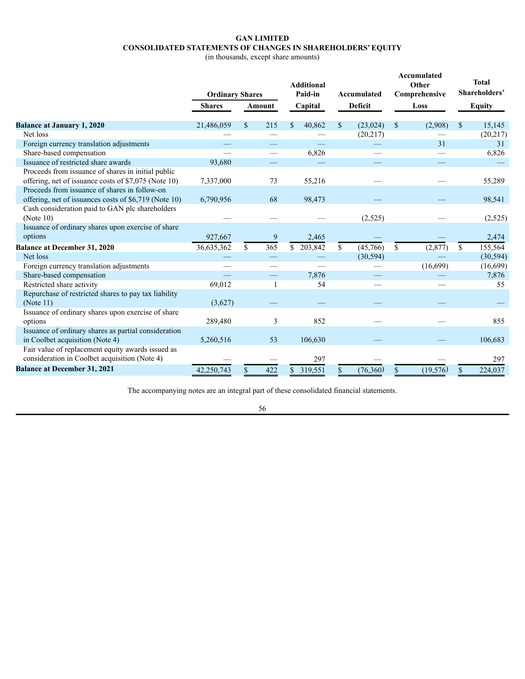# **GAN LIMITED CONSOLIDATED STATEMENTS OF CHANGES IN SHAREHOLDERS' EQUITY**

(in thousands, except share amounts)

|                                                       | <b>Ordinary Shares</b> |              |                          | <b>Additional</b><br>Paid-in |           |                |           |              |           |               |           | Accumulated |  | Accumulated<br>Other<br>Comprehensive |  |  | <b>Total</b><br>Shareholders' |
|-------------------------------------------------------|------------------------|--------------|--------------------------|------------------------------|-----------|----------------|-----------|--------------|-----------|---------------|-----------|-------------|--|---------------------------------------|--|--|-------------------------------|
|                                                       | <b>Shares</b>          |              | Amount                   |                              | Capital   | <b>Deficit</b> |           | Loss         |           | <b>Equity</b> |           |             |  |                                       |  |  |                               |
| <b>Balance at January 1, 2020</b>                     | 21,486,059             | $\mathbf{s}$ | 215                      | $\mathbf{s}$                 | 40,862    | $\mathbf{s}$   | (23, 024) | $\mathbb{S}$ | (2,908)   | $\mathcal{S}$ | 15,145    |             |  |                                       |  |  |                               |
| Net loss                                              |                        |              |                          |                              |           |                | (20, 217) |              |           |               | (20, 217) |             |  |                                       |  |  |                               |
| Foreign currency translation adjustments              |                        |              |                          |                              |           |                |           |              | 31        |               | 31        |             |  |                                       |  |  |                               |
| Share-based compensation                              |                        |              | $\overline{\phantom{0}}$ |                              | 6,826     |                |           |              |           |               | 6,826     |             |  |                                       |  |  |                               |
| Issuance of restricted share awards                   | 93,680                 |              |                          |                              |           |                |           |              |           |               |           |             |  |                                       |  |  |                               |
| Proceeds from issuance of shares in initial public    |                        |              |                          |                              |           |                |           |              |           |               |           |             |  |                                       |  |  |                               |
| offering, net of issuance costs of \$7,075 (Note 10)  | 7,337,000              |              | 73                       |                              | 55,216    |                |           |              |           |               | 55,289    |             |  |                                       |  |  |                               |
| Proceeds from issuance of shares in follow-on         |                        |              |                          |                              |           |                |           |              |           |               |           |             |  |                                       |  |  |                               |
| offering, net of issuances costs of \$6,719 (Note 10) | 6,790,956              |              | 68                       |                              | 98,473    |                |           |              |           |               | 98,541    |             |  |                                       |  |  |                               |
| Cash consideration paid to GAN plc shareholders       |                        |              |                          |                              |           |                |           |              |           |               |           |             |  |                                       |  |  |                               |
| (Note 10)                                             |                        |              |                          |                              |           |                | (2,525)   |              |           |               | (2,525)   |             |  |                                       |  |  |                               |
| Issuance of ordinary shares upon exercise of share    |                        |              |                          |                              |           |                |           |              |           |               |           |             |  |                                       |  |  |                               |
| options                                               | 927,667                |              | 9                        |                              | 2,465     |                |           |              |           |               | 2,474     |             |  |                                       |  |  |                               |
| <b>Balance at December 31, 2020</b>                   | 36,635,362             | \$           | 365                      |                              | \$203,842 | \$             | (45,766)  | \$           | (2, 877)  | \$            | 155,564   |             |  |                                       |  |  |                               |
| Net loss                                              |                        |              |                          |                              |           |                | (30, 594) |              |           |               | (30, 594) |             |  |                                       |  |  |                               |
| Foreign currency translation adjustments              |                        |              |                          |                              |           |                |           |              | (16,699)  |               | (16,699)  |             |  |                                       |  |  |                               |
| Share-based compensation                              |                        |              |                          |                              | 7,876     |                |           |              |           |               | 7,876     |             |  |                                       |  |  |                               |
| Restricted share activity                             | 69,012                 |              | $\overline{1}$           |                              | 54        |                |           |              |           |               | 55        |             |  |                                       |  |  |                               |
| Repurchase of restricted shares to pay tax liability  |                        |              |                          |                              |           |                |           |              |           |               |           |             |  |                                       |  |  |                               |
| (Note 11)                                             | (3,627)                |              |                          |                              |           |                |           |              |           |               |           |             |  |                                       |  |  |                               |
| Issuance of ordinary shares upon exercise of share    |                        |              |                          |                              |           |                |           |              |           |               |           |             |  |                                       |  |  |                               |
| options                                               | 289,480                |              | 3                        |                              | 852       |                |           |              |           |               | 855       |             |  |                                       |  |  |                               |
| Issuance of ordinary shares as partial consideration  |                        |              |                          |                              |           |                |           |              |           |               |           |             |  |                                       |  |  |                               |
| in Coolbet acquisition (Note 4)                       | 5,260,516              |              | 53                       |                              | 106,630   |                |           |              |           |               | 106,683   |             |  |                                       |  |  |                               |
| Fair value of replacement equity awards issued as     |                        |              |                          |                              |           |                |           |              |           |               |           |             |  |                                       |  |  |                               |
| consideration in Coolbet acquisition (Note 4)         |                        |              |                          |                              | 297       |                |           |              |           |               | 297       |             |  |                                       |  |  |                               |
| <b>Balance at December 31, 2021</b>                   | 42,250,743             | \$           | 422                      |                              | \$319,551 | S              | (76,360)  | \$           | (19, 576) | \$            | 224,037   |             |  |                                       |  |  |                               |

The accompanying notes are an integral part of these consolidated financial statements.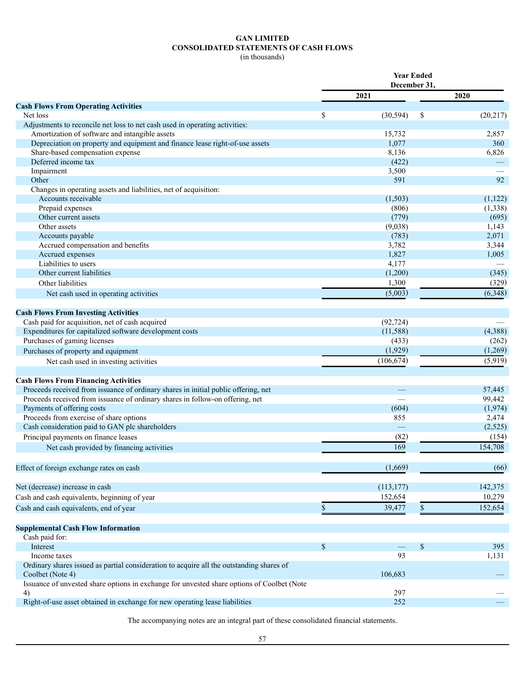# **GAN LIMITED CONSOLIDATED STATEMENTS OF CASH FLOWS**

(in thousands)

|                                                                                            | <b>Year Ended</b><br>December 31, |                          |              |                      |  |
|--------------------------------------------------------------------------------------------|-----------------------------------|--------------------------|--------------|----------------------|--|
|                                                                                            |                                   | 2021                     |              | 2020                 |  |
| <b>Cash Flows From Operating Activities</b>                                                |                                   |                          |              |                      |  |
| Net loss                                                                                   | \$                                | (30, 594)                | \$           | (20, 217)            |  |
| Adjustments to reconcile net loss to net cash used in operating activities:                |                                   |                          |              |                      |  |
| Amortization of software and intangible assets                                             |                                   | 15,732                   |              | 2,857                |  |
| Depreciation on property and equipment and finance lease right-of-use assets               |                                   | 1,077                    |              | 360                  |  |
| Share-based compensation expense                                                           |                                   | 8,136                    |              | 6,826                |  |
| Deferred income tax                                                                        |                                   | (422)                    |              |                      |  |
| Impairment                                                                                 |                                   | 3,500                    |              |                      |  |
| Other                                                                                      |                                   | 591                      |              | 92                   |  |
| Changes in operating assets and liabilities, net of acquisition:                           |                                   |                          |              |                      |  |
| Accounts receivable                                                                        |                                   | (1,503)                  |              | (1, 122)             |  |
| Prepaid expenses                                                                           |                                   | (806)                    |              | (1, 338)             |  |
| Other current assets                                                                       |                                   | (779)                    |              | (695)                |  |
| Other assets                                                                               |                                   | (9,038)                  |              | 1,143                |  |
| Accounts payable                                                                           |                                   | (783)                    |              | 2,071                |  |
| Accrued compensation and benefits                                                          |                                   | 3,782                    |              | 3,344                |  |
| Accrued expenses                                                                           |                                   | 1,827                    |              | 1,005                |  |
| Liabilities to users                                                                       |                                   | 4,177                    |              |                      |  |
| Other current liabilities                                                                  |                                   | (1,200)                  |              | (345)                |  |
| Other liabilities                                                                          |                                   | 1,300                    |              | (329)                |  |
|                                                                                            |                                   |                          |              | $\overline{(6,348)}$ |  |
| Net cash used in operating activities                                                      |                                   | (5,003)                  |              |                      |  |
| <b>Cash Flows From Investing Activities</b>                                                |                                   |                          |              |                      |  |
| Cash paid for acquisition, net of cash acquired                                            |                                   | (92, 724)                |              |                      |  |
| Expenditures for capitalized software development costs                                    |                                   | (11, 588)                |              | (4,388)              |  |
| Purchases of gaming licenses                                                               |                                   | (433)                    |              | (262)                |  |
| Purchases of property and equipment                                                        |                                   | (1,929)                  |              | (1,269)              |  |
| Net cash used in investing activities                                                      |                                   | (106, 674)               |              | (5,919)              |  |
|                                                                                            |                                   |                          |              |                      |  |
| <b>Cash Flows From Financing Activities</b>                                                |                                   |                          |              |                      |  |
| Proceeds received from issuance of ordinary shares in initial public offering, net         |                                   |                          |              | 57,445               |  |
| Proceeds received from issuance of ordinary shares in follow-on offering, net              |                                   |                          |              | 99,442               |  |
| Payments of offering costs                                                                 |                                   | (604)                    |              | (1,974)              |  |
| Proceeds from exercise of share options                                                    |                                   | 855                      |              | 2,474                |  |
| Cash consideration paid to GAN plc shareholders                                            |                                   | $\overline{\phantom{m}}$ |              | (2,525)              |  |
| Principal payments on finance leases                                                       |                                   | (82)                     |              | (154)                |  |
| Net cash provided by financing activities                                                  |                                   | 169                      |              | 154,708              |  |
| Effect of foreign exchange rates on cash                                                   |                                   | (1,669)                  |              | (66)                 |  |
|                                                                                            |                                   |                          |              |                      |  |
| Net (decrease) increase in cash                                                            |                                   | (113, 177)               |              | 142,375              |  |
| Cash and cash equivalents, beginning of year                                               |                                   | 152,654                  |              | 10,279               |  |
| Cash and cash equivalents, end of year                                                     | \$                                | 39,477                   | $\mathbb{S}$ | 152,654              |  |
| <b>Supplemental Cash Flow Information</b>                                                  |                                   |                          |              |                      |  |
| Cash paid for:                                                                             |                                   |                          |              |                      |  |
| Interest                                                                                   | \$                                |                          | \$           | 395                  |  |
| Income taxes                                                                               |                                   | 93                       |              | 1,131                |  |
| Ordinary shares issued as partial consideration to acquire all the outstanding shares of   |                                   |                          |              |                      |  |
| Coolbet (Note 4)                                                                           |                                   | 106,683                  |              |                      |  |
| Issuance of unvested share options in exchange for unvested share options of Coolbet (Note |                                   |                          |              |                      |  |
| 4)                                                                                         |                                   | 297                      |              |                      |  |
| Right-of-use asset obtained in exchange for new operating lease liabilities                |                                   | 252                      |              |                      |  |
|                                                                                            |                                   |                          |              |                      |  |

The accompanying notes are an integral part of these consolidated financial statements.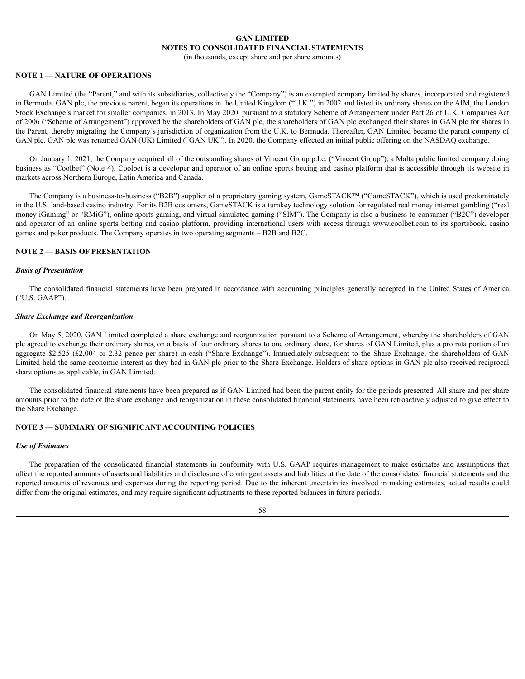(in thousands, except share and per share amounts)

# **NOTE 1** — **NATURE OF OPERATIONS**

GAN Limited (the "Parent," and with its subsidiaries, collectively the "Company") is an exempted company limited by shares, incorporated and registered in Bermuda. GAN plc, the previous parent, began its operations in the United Kingdom ("U.K.") in 2002 and listed its ordinary shares on the AIM, the London Stock Exchange's market for smaller companies, in 2013. In May 2020, pursuant to a statutory Scheme of Arrangement under Part 26 of U.K. Companies Act of 2006 ("Scheme of Arrangement") approved by the shareholders of GAN plc, the shareholders of GAN plc exchanged their shares in GAN plc for shares in the Parent, thereby migrating the Company's jurisdiction of organization from the U.K. to Bermuda. Thereafter, GAN Limited became the parent company of GAN plc. GAN plc was renamed GAN (UK) Limited ("GAN UK"). In 2020, the Company effected an initial public offering on the NASDAQ exchange.

On January 1, 2021, the Company acquired all of the outstanding shares of Vincent Group p.l.c. ("Vincent Group"), a Malta public limited company doing business as "Coolbet" (Note 4). Coolbet is a developer and operator of an online sports betting and casino platform that is accessible through its website in markets across Northern Europe, Latin America and Canada.

The Company is a business-to-business ("B2B") supplier of a proprietary gaming system, GameSTACK™ ("GameSTACK"), which is used predominately in the U.S. land-based casino industry. For its B2B customers, GameSTACK is a turnkey technology solution for regulated real money internet gambling ("real money iGaming" or "RMiG"), online sports gaming, and virtual simulated gaming ("SIM"). The Company is also a business-to-consumer ("B2C") developer and operator of an online sports betting and casino platform, providing international users with access through www.coolbet.com to its sportsbook, casino games and poker products. The Company operates in two operating segments – B2B and B2C.

### **NOTE 2** — **BASIS OF PRESENTATION**

#### *Basis of Presentation*

The consolidated financial statements have been prepared in accordance with accounting principles generally accepted in the United States of America ("U.S. GAAP").

#### *Share Exchange and Reorganization*

On May 5, 2020, GAN Limited completed a share exchange and reorganization pursuant to a Scheme of Arrangement, whereby the shareholders of GAN plc agreed to exchange their ordinary shares, on a basis of four ordinary shares to one ordinary share, for shares of GAN Limited, plus a pro rata portion of an aggregate \$2,525 (£2,004 or 2.32 pence per share) in cash ("Share Exchange"). Immediately subsequent to the Share Exchange, the shareholders of GAN Limited held the same economic interest as they had in GAN plc prior to the Share Exchange. Holders of share options in GAN plc also received reciprocal share options as applicable, in GAN Limited.

The consolidated financial statements have been prepared as if GAN Limited had been the parent entity for the periods presented. All share and per share amounts prior to the date of the share exchange and reorganization in these consolidated financial statements have been retroactively adjusted to give effect to the Share Exchange.

# **NOTE 3 — SUMMARY OF SIGNIFICANT ACCOUNTING POLICIES**

### *Use of Estimates*

The preparation of the consolidated financial statements in conformity with U.S. GAAP requires management to make estimates and assumptions that affect the reported amounts of assets and liabilities and disclosure of contingent assets and liabilities at the date of the consolidated financial statements and the reported amounts of revenues and expenses during the reporting period. Due to the inherent uncertainties involved in making estimates, actual results could differ from the original estimates, and may require significant adjustments to these reported balances in future periods.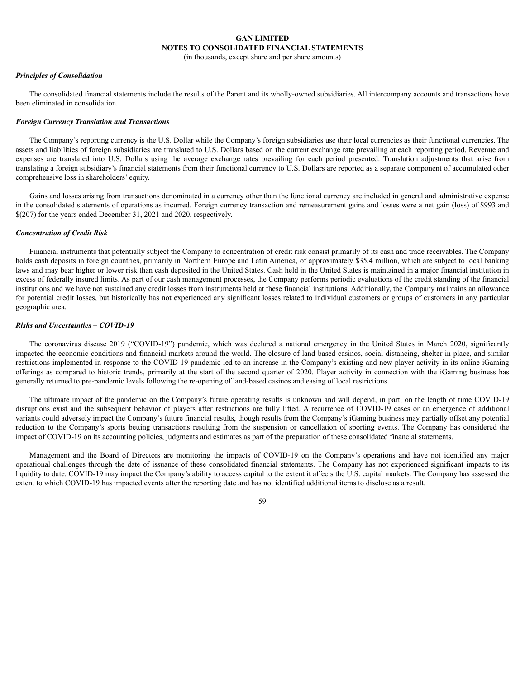(in thousands, except share and per share amounts)

#### *Principles of Consolidation*

The consolidated financial statements include the results of the Parent and its wholly-owned subsidiaries. All intercompany accounts and transactions have been eliminated in consolidation.

### *Foreign Currency Translation and Transactions*

The Company's reporting currency is the U.S. Dollar while the Company's foreign subsidiaries use their local currencies as their functional currencies. The assets and liabilities of foreign subsidiaries are translated to U.S. Dollars based on the current exchange rate prevailing at each reporting period. Revenue and expenses are translated into U.S. Dollars using the average exchange rates prevailing for each period presented. Translation adjustments that arise from translating a foreign subsidiary's financial statements from their functional currency to U.S. Dollars are reported as a separate component of accumulated other comprehensive loss in shareholders' equity.

Gains and losses arising from transactions denominated in a currency other than the functional currency are included in general and administrative expense in the consolidated statements of operations as incurred. Foreign currency transaction and remeasurement gains and losses were a net gain (loss) of \$993 and \$(207) for the years ended December 31, 2021 and 2020, respectively.

#### *Concentration of Credit Risk*

Financial instruments that potentially subject the Company to concentration of credit risk consist primarily of its cash and trade receivables. The Company holds cash deposits in foreign countries, primarily in Northern Europe and Latin America, of approximately \$35.4 million, which are subject to local banking laws and may bear higher or lower risk than cash deposited in the United States. Cash held in the United States is maintained in a major financial institution in excess of federally insured limits. As part of our cash management processes, the Company performs periodic evaluations of the credit standing of the financial institutions and we have not sustained any credit losses from instruments held at these financial institutions. Additionally, the Company maintains an allowance for potential credit losses, but historically has not experienced any significant losses related to individual customers or groups of customers in any particular geographic area.

### *Risks and Uncertainties – COVID-19*

The coronavirus disease 2019 ("COVID-19") pandemic, which was declared a national emergency in the United States in March 2020, significantly impacted the economic conditions and financial markets around the world. The closure of land-based casinos, social distancing, shelter-in-place, and similar restrictions implemented in response to the COVID-19 pandemic led to an increase in the Company's existing and new player activity in its online iGaming offerings as compared to historic trends, primarily at the start of the second quarter of 2020. Player activity in connection with the iGaming business has generally returned to pre-pandemic levels following the re-opening of land-based casinos and easing of local restrictions.

The ultimate impact of the pandemic on the Company's future operating results is unknown and will depend, in part, on the length of time COVID-19 disruptions exist and the subsequent behavior of players after restrictions are fully lifted. A recurrence of COVID-19 cases or an emergence of additional variants could adversely impact the Company's future financial results, though results from the Company's iGaming business may partially offset any potential reduction to the Company's sports betting transactions resulting from the suspension or cancellation of sporting events. The Company has considered the impact of COVID-19 on its accounting policies, judgments and estimates as part of the preparation of these consolidated financial statements.

Management and the Board of Directors are monitoring the impacts of COVID-19 on the Company's operations and have not identified any major operational challenges through the date of issuance of these consolidated financial statements. The Company has not experienced significant impacts to its liquidity to date. COVID-19 may impact the Company's ability to access capital to the extent it affects the U.S. capital markets. The Company has assessed the extent to which COVID-19 has impacted events after the reporting date and has not identified additional items to disclose as a result.

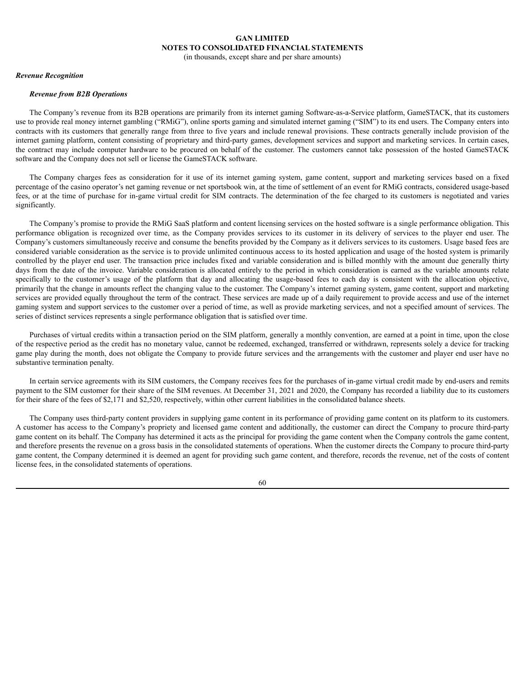(in thousands, except share and per share amounts)

#### *Revenue Recognition*

### *Revenue from B2B Operations*

The Company's revenue from its B2B operations are primarily from its internet gaming Software-as-a-Service platform, GameSTACK, that its customers use to provide real money internet gambling ("RMiG"), online sports gaming and simulated internet gaming ("SIM") to its end users. The Company enters into contracts with its customers that generally range from three to five years and include renewal provisions. These contracts generally include provision of the internet gaming platform, content consisting of proprietary and third-party games, development services and support and marketing services. In certain cases, the contract may include computer hardware to be procured on behalf of the customer. The customers cannot take possession of the hosted GameSTACK software and the Company does not sell or license the GameSTACK software.

The Company charges fees as consideration for it use of its internet gaming system, game content, support and marketing services based on a fixed percentage of the casino operator's net gaming revenue or net sportsbook win, at the time of settlement of an event for RMiG contracts, considered usage-based fees, or at the time of purchase for in-game virtual credit for SIM contracts. The determination of the fee charged to its customers is negotiated and varies significantly.

The Company's promise to provide the RMiG SaaS platform and content licensing services on the hosted software is a single performance obligation. This performance obligation is recognized over time, as the Company provides services to its customer in its delivery of services to the player end user. The Company's customers simultaneously receive and consume the benefits provided by the Company as it delivers services to its customers. Usage based fees are considered variable consideration as the service is to provide unlimited continuous access to its hosted application and usage of the hosted system is primarily controlled by the player end user. The transaction price includes fixed and variable consideration and is billed monthly with the amount due generally thirty days from the date of the invoice. Variable consideration is allocated entirely to the period in which consideration is earned as the variable amounts relate specifically to the customer's usage of the platform that day and allocating the usage-based fees to each day is consistent with the allocation objective, primarily that the change in amounts reflect the changing value to the customer. The Company's internet gaming system, game content, support and marketing services are provided equally throughout the term of the contract. These services are made up of a daily requirement to provide access and use of the internet gaming system and support services to the customer over a period of time, as well as provide marketing services, and not a specified amount of services. The series of distinct services represents a single performance obligation that is satisfied over time.

Purchases of virtual credits within a transaction period on the SIM platform, generally a monthly convention, are earned at a point in time, upon the close of the respective period as the credit has no monetary value, cannot be redeemed, exchanged, transferred or withdrawn, represents solely a device for tracking game play during the month, does not obligate the Company to provide future services and the arrangements with the customer and player end user have no substantive termination penalty.

In certain service agreements with its SIM customers, the Company receives fees for the purchases of in-game virtual credit made by end-users and remits payment to the SIM customer for their share of the SIM revenues. At December 31, 2021 and 2020, the Company has recorded a liability due to its customers for their share of the fees of \$2,171 and \$2,520, respectively, within other current liabilities in the consolidated balance sheets.

The Company uses third-party content providers in supplying game content in its performance of providing game content on its platform to its customers. A customer has access to the Company's propriety and licensed game content and additionally, the customer can direct the Company to procure third-party game content on its behalf. The Company has determined it acts as the principal for providing the game content when the Company controls the game content, and therefore presents the revenue on a gross basis in the consolidated statements of operations. When the customer directs the Company to procure third-party game content, the Company determined it is deemed an agent for providing such game content, and therefore, records the revenue, net of the costs of content license fees, in the consolidated statements of operations.

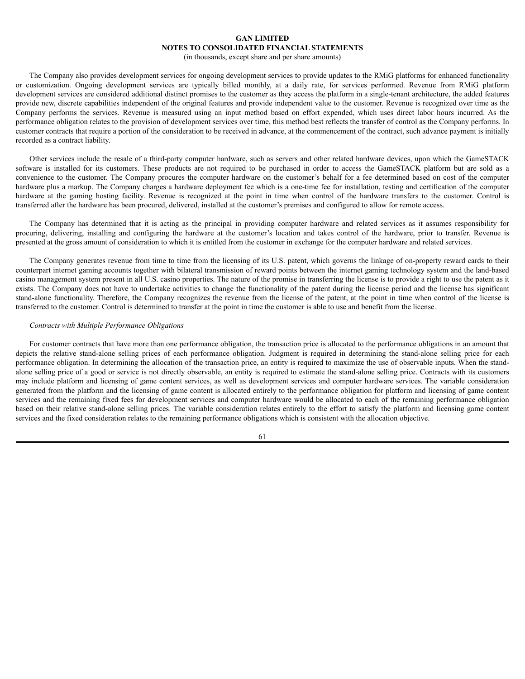(in thousands, except share and per share amounts)

The Company also provides development services for ongoing development services to provide updates to the RMiG platforms for enhanced functionality or customization. Ongoing development services are typically billed monthly, at a daily rate, for services performed. Revenue from RMiG platform development services are considered additional distinct promises to the customer as they access the platform in a single-tenant architecture, the added features provide new, discrete capabilities independent of the original features and provide independent value to the customer. Revenue is recognized over time as the Company performs the services. Revenue is measured using an input method based on effort expended, which uses direct labor hours incurred. As the performance obligation relates to the provision of development services over time, this method best reflects the transfer of control as the Company performs. In customer contracts that require a portion of the consideration to be received in advance, at the commencement of the contract, such advance payment is initially recorded as a contract liability.

Other services include the resale of a third-party computer hardware, such as servers and other related hardware devices, upon which the GameSTACK software is installed for its customers. These products are not required to be purchased in order to access the GameSTACK platform but are sold as a convenience to the customer. The Company procures the computer hardware on the customer's behalf for a fee determined based on cost of the computer hardware plus a markup. The Company charges a hardware deployment fee which is a one-time fee for installation, testing and certification of the computer hardware at the gaming hosting facility. Revenue is recognized at the point in time when control of the hardware transfers to the customer. Control is transferred after the hardware has been procured, delivered, installed at the customer's premises and configured to allow for remote access.

The Company has determined that it is acting as the principal in providing computer hardware and related services as it assumes responsibility for procuring, delivering, installing and configuring the hardware at the customer's location and takes control of the hardware, prior to transfer. Revenue is presented at the gross amount of consideration to which it is entitled from the customer in exchange for the computer hardware and related services.

The Company generates revenue from time to time from the licensing of its U.S. patent, which governs the linkage of on-property reward cards to their counterpart internet gaming accounts together with bilateral transmission of reward points between the internet gaming technology system and the land-based casino management system present in all U.S. casino properties. The nature of the promise in transferring the license is to provide a right to use the patent as it exists. The Company does not have to undertake activities to change the functionality of the patent during the license period and the license has significant stand-alone functionality. Therefore, the Company recognizes the revenue from the license of the patent, at the point in time when control of the license is transferred to the customer. Control is determined to transfer at the point in time the customer is able to use and benefit from the license.

### *Contracts with Multiple Performance Obligations*

For customer contracts that have more than one performance obligation, the transaction price is allocated to the performance obligations in an amount that depicts the relative stand-alone selling prices of each performance obligation. Judgment is required in determining the stand-alone selling price for each performance obligation. In determining the allocation of the transaction price, an entity is required to maximize the use of observable inputs. When the standalone selling price of a good or service is not directly observable, an entity is required to estimate the stand-alone selling price. Contracts with its customers may include platform and licensing of game content services, as well as development services and computer hardware services. The variable consideration generated from the platform and the licensing of game content is allocated entirely to the performance obligation for platform and licensing of game content services and the remaining fixed fees for development services and computer hardware would be allocated to each of the remaining performance obligation based on their relative stand-alone selling prices. The variable consideration relates entirely to the effort to satisfy the platform and licensing game content services and the fixed consideration relates to the remaining performance obligations which is consistent with the allocation objective.

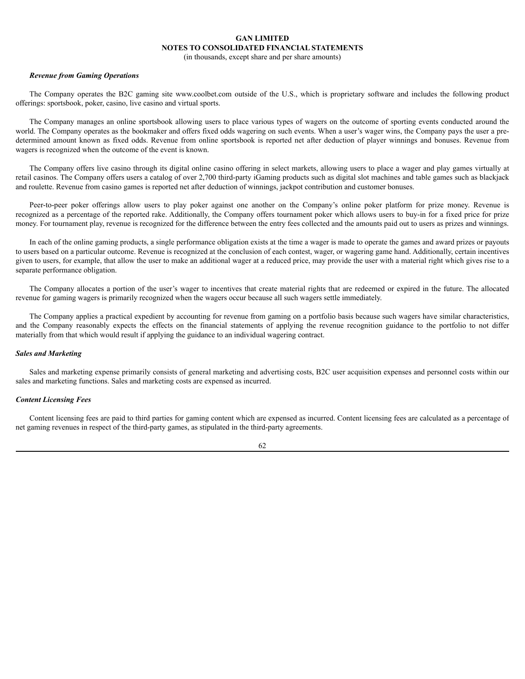(in thousands, except share and per share amounts)

#### *Revenue from Gaming Operations*

The Company operates the B2C gaming site www.coolbet.com outside of the U.S., which is proprietary software and includes the following product offerings: sportsbook, poker, casino, live casino and virtual sports.

The Company manages an online sportsbook allowing users to place various types of wagers on the outcome of sporting events conducted around the world. The Company operates as the bookmaker and offers fixed odds wagering on such events. When a user's wager wins, the Company pays the user a predetermined amount known as fixed odds. Revenue from online sportsbook is reported net after deduction of player winnings and bonuses. Revenue from wagers is recognized when the outcome of the event is known.

The Company offers live casino through its digital online casino offering in select markets, allowing users to place a wager and play games virtually at retail casinos. The Company offers users a catalog of over 2,700 third-party iGaming products such as digital slot machines and table games such as blackjack and roulette. Revenue from casino games is reported net after deduction of winnings, jackpot contribution and customer bonuses.

Peer-to-peer poker offerings allow users to play poker against one another on the Company's online poker platform for prize money. Revenue is recognized as a percentage of the reported rake. Additionally, the Company offers tournament poker which allows users to buy-in for a fixed price for prize money. For tournament play, revenue is recognized for the difference between the entry fees collected and the amounts paid out to users as prizes and winnings.

In each of the online gaming products, a single performance obligation exists at the time a wager is made to operate the games and award prizes or payouts to users based on a particular outcome. Revenue is recognized at the conclusion of each contest, wager, or wagering game hand. Additionally, certain incentives given to users, for example, that allow the user to make an additional wager at a reduced price, may provide the user with a material right which gives rise to a separate performance obligation.

The Company allocates a portion of the user's wager to incentives that create material rights that are redeemed or expired in the future. The allocated revenue for gaming wagers is primarily recognized when the wagers occur because all such wagers settle immediately.

The Company applies a practical expedient by accounting for revenue from gaming on a portfolio basis because such wagers have similar characteristics, and the Company reasonably expects the effects on the financial statements of applying the revenue recognition guidance to the portfolio to not differ materially from that which would result if applying the guidance to an individual wagering contract.

# *Sales and Marketing*

Sales and marketing expense primarily consists of general marketing and advertising costs, B2C user acquisition expenses and personnel costs within our sales and marketing functions. Sales and marketing costs are expensed as incurred.

#### *Content Licensing Fees*

Content licensing fees are paid to third parties for gaming content which are expensed as incurred. Content licensing fees are calculated as a percentage of net gaming revenues in respect of the third-party games, as stipulated in the third-party agreements.

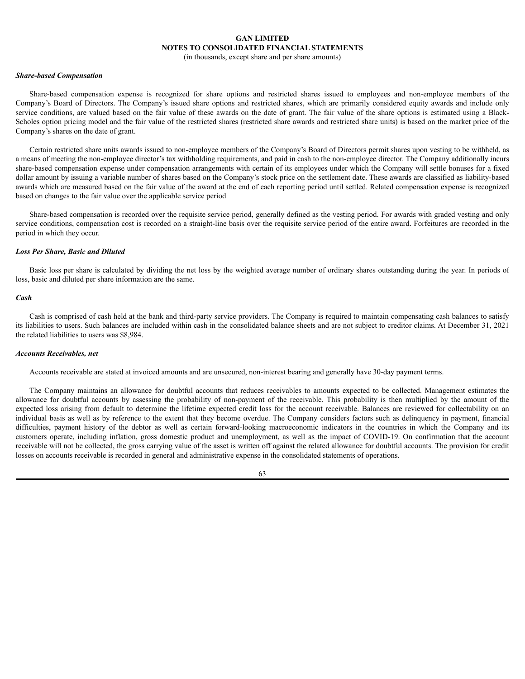(in thousands, except share and per share amounts)

#### *Share-based Compensation*

Share-based compensation expense is recognized for share options and restricted shares issued to employees and non-employee members of the Company's Board of Directors. The Company's issued share options and restricted shares, which are primarily considered equity awards and include only service conditions, are valued based on the fair value of these awards on the date of grant. The fair value of the share options is estimated using a Black-Scholes option pricing model and the fair value of the restricted shares (restricted share awards and restricted share units) is based on the market price of the Company's shares on the date of grant.

Certain restricted share units awards issued to non-employee members of the Company's Board of Directors permit shares upon vesting to be withheld, as a means of meeting the non-employee director's tax withholding requirements, and paid in cash to the non-employee director. The Company additionally incurs share-based compensation expense under compensation arrangements with certain of its employees under which the Company will settle bonuses for a fixed dollar amount by issuing a variable number of shares based on the Company's stock price on the settlement date. These awards are classified as liability-based awards which are measured based on the fair value of the award at the end of each reporting period until settled. Related compensation expense is recognized based on changes to the fair value over the applicable service period

Share-based compensation is recorded over the requisite service period, generally defined as the vesting period. For awards with graded vesting and only service conditions, compensation cost is recorded on a straight-line basis over the requisite service period of the entire award. Forfeitures are recorded in the period in which they occur.

### *Loss Per Share, Basic and Diluted*

Basic loss per share is calculated by dividing the net loss by the weighted average number of ordinary shares outstanding during the year. In periods of loss, basic and diluted per share information are the same.

## *Cash*

Cash is comprised of cash held at the bank and third-party service providers. The Company is required to maintain compensating cash balances to satisfy its liabilities to users. Such balances are included within cash in the consolidated balance sheets and are not subject to creditor claims. At December 31, 2021 the related liabilities to users was \$8,984.

### *Accounts Receivables, net*

Accounts receivable are stated at invoiced amounts and are unsecured, non-interest bearing and generally have 30-day payment terms.

The Company maintains an allowance for doubtful accounts that reduces receivables to amounts expected to be collected. Management estimates the allowance for doubtful accounts by assessing the probability of non-payment of the receivable. This probability is then multiplied by the amount of the expected loss arising from default to determine the lifetime expected credit loss for the account receivable. Balances are reviewed for collectability on an individual basis as well as by reference to the extent that they become overdue. The Company considers factors such as delinquency in payment, financial difficulties, payment history of the debtor as well as certain forward-looking macroeconomic indicators in the countries in which the Company and its customers operate, including inflation, gross domestic product and unemployment, as well as the impact of COVID-19. On confirmation that the account receivable will not be collected, the gross carrying value of the asset is written off against the related allowance for doubtful accounts. The provision for credit losses on accounts receivable is recorded in general and administrative expense in the consolidated statements of operations.

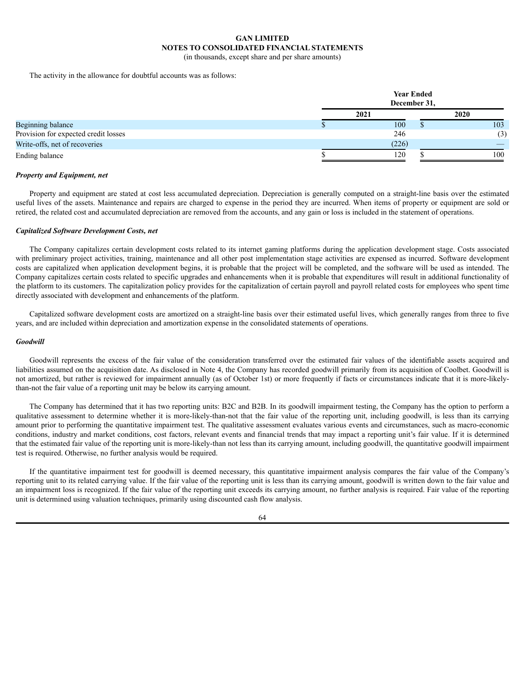(in thousands, except share and per share amounts)

The activity in the allowance for doubtful accounts was as follows:

|                                      | <b>Year Ended</b><br>December 31, |  |      |  |  |
|--------------------------------------|-----------------------------------|--|------|--|--|
|                                      | 2021                              |  | 2020 |  |  |
| Beginning balance                    | 100                               |  | 103  |  |  |
| Provision for expected credit losses | 246                               |  | (3)  |  |  |
| Write-offs, net of recoveries        | (226)                             |  |      |  |  |
| Ending balance                       | 120                               |  | 100  |  |  |

### *Property and Equipment, net*

Property and equipment are stated at cost less accumulated depreciation. Depreciation is generally computed on a straight-line basis over the estimated useful lives of the assets. Maintenance and repairs are charged to expense in the period they are incurred. When items of property or equipment are sold or retired, the related cost and accumulated depreciation are removed from the accounts, and any gain or loss is included in the statement of operations.

# *Capitalized Software Development Costs, net*

The Company capitalizes certain development costs related to its internet gaming platforms during the application development stage. Costs associated with preliminary project activities, training, maintenance and all other post implementation stage activities are expensed as incurred. Software development costs are capitalized when application development begins, it is probable that the project will be completed, and the software will be used as intended. The Company capitalizes certain costs related to specific upgrades and enhancements when it is probable that expenditures will result in additional functionality of the platform to its customers. The capitalization policy provides for the capitalization of certain payroll and payroll related costs for employees who spent time directly associated with development and enhancements of the platform.

Capitalized software development costs are amortized on a straight-line basis over their estimated useful lives, which generally ranges from three to five years, and are included within depreciation and amortization expense in the consolidated statements of operations.

### *Goodwill*

Goodwill represents the excess of the fair value of the consideration transferred over the estimated fair values of the identifiable assets acquired and liabilities assumed on the acquisition date. As disclosed in Note 4, the Company has recorded goodwill primarily from its acquisition of Coolbet. Goodwill is not amortized, but rather is reviewed for impairment annually (as of October 1st) or more frequently if facts or circumstances indicate that it is more-likelythan-not the fair value of a reporting unit may be below its carrying amount.

The Company has determined that it has two reporting units: B2C and B2B. In its goodwill impairment testing, the Company has the option to perform a qualitative assessment to determine whether it is more-likely-than-not that the fair value of the reporting unit, including goodwill, is less than its carrying amount prior to performing the quantitative impairment test. The qualitative assessment evaluates various events and circumstances, such as macro-economic conditions, industry and market conditions, cost factors, relevant events and financial trends that may impact a reporting unit's fair value. If it is determined that the estimated fair value of the reporting unit is more-likely-than not less than its carrying amount, including goodwill, the quantitative goodwill impairment test is required. Otherwise, no further analysis would be required.

If the quantitative impairment test for goodwill is deemed necessary, this quantitative impairment analysis compares the fair value of the Company's reporting unit to its related carrying value. If the fair value of the reporting unit is less than its carrying amount, goodwill is written down to the fair value and an impairment loss is recognized. If the fair value of the reporting unit exceeds its carrying amount, no further analysis is required. Fair value of the reporting unit is determined using valuation techniques, primarily using discounted cash flow analysis.

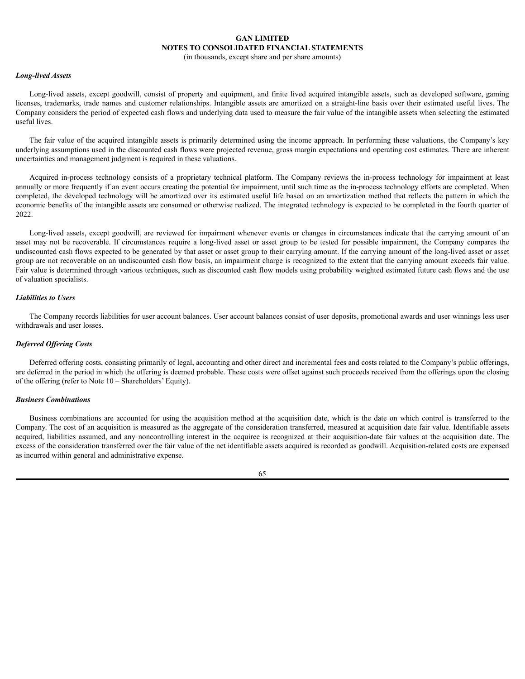(in thousands, except share and per share amounts)

#### *Long-lived Assets*

Long-lived assets, except goodwill, consist of property and equipment, and finite lived acquired intangible assets, such as developed software, gaming licenses, trademarks, trade names and customer relationships. Intangible assets are amortized on a straight-line basis over their estimated useful lives. The Company considers the period of expected cash flows and underlying data used to measure the fair value of the intangible assets when selecting the estimated useful lives.

The fair value of the acquired intangible assets is primarily determined using the income approach. In performing these valuations, the Company's key underlying assumptions used in the discounted cash flows were projected revenue, gross margin expectations and operating cost estimates. There are inherent uncertainties and management judgment is required in these valuations.

Acquired in-process technology consists of a proprietary technical platform. The Company reviews the in-process technology for impairment at least annually or more frequently if an event occurs creating the potential for impairment, until such time as the in-process technology efforts are completed. When completed, the developed technology will be amortized over its estimated useful life based on an amortization method that reflects the pattern in which the economic benefits of the intangible assets are consumed or otherwise realized. The integrated technology is expected to be completed in the fourth quarter of 2022.

Long-lived assets, except goodwill, are reviewed for impairment whenever events or changes in circumstances indicate that the carrying amount of an asset may not be recoverable. If circumstances require a long-lived asset or asset group to be tested for possible impairment, the Company compares the undiscounted cash flows expected to be generated by that asset or asset group to their carrying amount. If the carrying amount of the long-lived asset or asset group are not recoverable on an undiscounted cash flow basis, an impairment charge is recognized to the extent that the carrying amount exceeds fair value. Fair value is determined through various techniques, such as discounted cash flow models using probability weighted estimated future cash flows and the use of valuation specialists.

# *Liabilities to Users*

The Company records liabilities for user account balances. User account balances consist of user deposits, promotional awards and user winnings less user withdrawals and user losses.

# *Deferred Of ering Costs*

Deferred offering costs, consisting primarily of legal, accounting and other direct and incremental fees and costs related to the Company's public offerings, are deferred in the period in which the offering is deemed probable. These costs were offset against such proceeds received from the offerings upon the closing of the offering (refer to Note 10 – Shareholders' Equity).

#### *Business Combinations*

Business combinations are accounted for using the acquisition method at the acquisition date, which is the date on which control is transferred to the Company. The cost of an acquisition is measured as the aggregate of the consideration transferred, measured at acquisition date fair value. Identifiable assets acquired, liabilities assumed, and any noncontrolling interest in the acquiree is recognized at their acquisition-date fair values at the acquisition date. The excess of the consideration transferred over the fair value of the net identifiable assets acquired is recorded as goodwill. Acquisition-related costs are expensed as incurred within general and administrative expense.

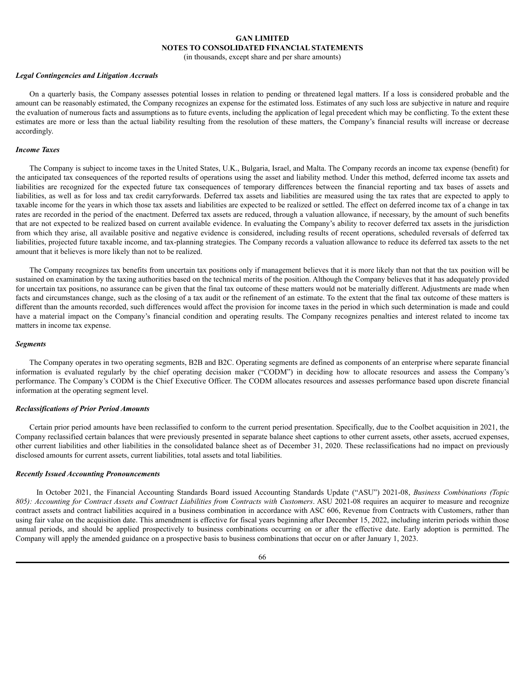(in thousands, except share and per share amounts)

#### *Legal Contingencies and Litigation Accruals*

On a quarterly basis, the Company assesses potential losses in relation to pending or threatened legal matters. If a loss is considered probable and the amount can be reasonably estimated, the Company recognizes an expense for the estimated loss. Estimates of any such loss are subjective in nature and require the evaluation of numerous facts and assumptions as to future events, including the application of legal precedent which may be conflicting. To the extent these estimates are more or less than the actual liability resulting from the resolution of these matters, the Company's financial results will increase or decrease accordingly.

### *Income Taxes*

The Company is subject to income taxes in the United States, U.K., Bulgaria, Israel, and Malta. The Company records an income tax expense (benefit) for the anticipated tax consequences of the reported results of operations using the asset and liability method. Under this method, deferred income tax assets and liabilities are recognized for the expected future tax consequences of temporary differences between the financial reporting and tax bases of assets and liabilities, as well as for loss and tax credit carryforwards. Deferred tax assets and liabilities are measured using the tax rates that are expected to apply to taxable income for the years in which those tax assets and liabilities are expected to be realized or settled. The effect on deferred income tax of a change in tax rates are recorded in the period of the enactment. Deferred tax assets are reduced, through a valuation allowance, if necessary, by the amount of such benefits that are not expected to be realized based on current available evidence. In evaluating the Company's ability to recover deferred tax assets in the jurisdiction from which they arise, all available positive and negative evidence is considered, including results of recent operations, scheduled reversals of deferred tax liabilities, projected future taxable income, and tax-planning strategies. The Company records a valuation allowance to reduce its deferred tax assets to the net amount that it believes is more likely than not to be realized.

The Company recognizes tax benefits from uncertain tax positions only if management believes that it is more likely than not that the tax position will be sustained on examination by the taxing authorities based on the technical merits of the position. Although the Company believes that it has adequately provided for uncertain tax positions, no assurance can be given that the final tax outcome of these matters would not be materially different. Adjustments are made when facts and circumstances change, such as the closing of a tax audit or the refinement of an estimate. To the extent that the final tax outcome of these matters is different than the amounts recorded, such differences would affect the provision for income taxes in the period in which such determination is made and could have a material impact on the Company's financial condition and operating results. The Company recognizes penalties and interest related to income tax matters in income tax expense.

### *Segments*

The Company operates in two operating segments, B2B and B2C. Operating segments are defined as components of an enterprise where separate financial information is evaluated regularly by the chief operating decision maker ("CODM") in deciding how to allocate resources and assess the Company's performance. The Company's CODM is the Chief Executive Officer. The CODM allocates resources and assesses performance based upon discrete financial information at the operating segment level.

#### *Reclassifications of Prior Period Amounts*

Certain prior period amounts have been reclassified to conform to the current period presentation. Specifically, due to the Coolbet acquisition in 2021, the Company reclassified certain balances that were previously presented in separate balance sheet captions to other current assets, other assets, accrued expenses, other current liabilities and other liabilities in the consolidated balance sheet as of December 31, 2020. These reclassifications had no impact on previously disclosed amounts for current assets, current liabilities, total assets and total liabilities.

#### *Recently Issued Accounting Pronouncements*

In October 2021, the Financial Accounting Standards Board issued Accounting Standards Update ("ASU") 2021-08, *Business Combinations (Topic* 805): Accounting for Contract Assets and Contract Liabilities from Contracts with Customers. ASU 2021-08 requires an acquirer to measure and recognize contract assets and contract liabilities acquired in a business combination in accordance with ASC 606, Revenue from Contracts with Customers, rather than using fair value on the acquisition date. This amendment is effective for fiscal years beginning after December 15, 2022, including interim periods within those annual periods, and should be applied prospectively to business combinations occurring on or after the effective date. Early adoption is permitted. The Company will apply the amended guidance on a prospective basis to business combinations that occur on or after January 1, 2023.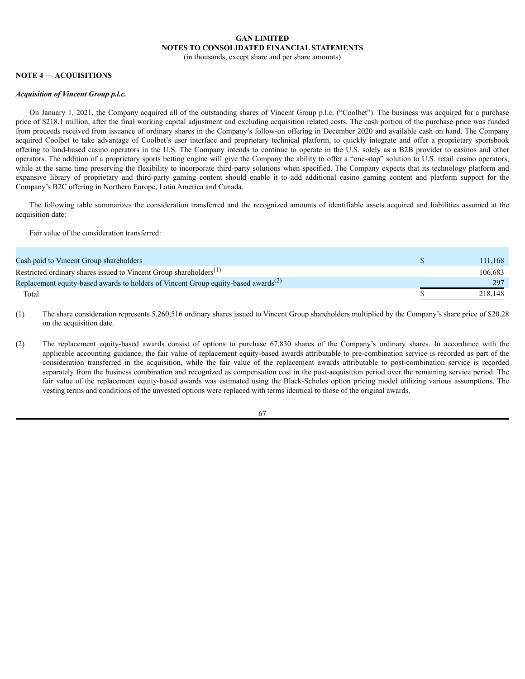(in thousands, except share and per share amounts)

# **NOTE 4** — **ACQUISITIONS**

#### *Acquisition of Vincent Group p.l.c.*

On January 1, 2021, the Company acquired all of the outstanding shares of Vincent Group p.l.c. ("Coolbet"). The business was acquired for a purchase price of \$218.1 million, after the final working capital adjustment and excluding acquisition related costs. The cash portion of the purchase price was funded from proceeds received from issuance of ordinary shares in the Company's follow-on offering in December 2020 and available cash on hand. The Company acquired Coolbet to take advantage of Coolbet's user interface and proprietary technical platform, to quickly integrate and offer a proprietary sportsbook offering to land-based casino operators in the U.S. The Company intends to continue to operate in the U.S. solely as a B2B provider to casinos and other operators. The addition of a proprietary sports betting engine will give the Company the ability to offer a "one-stop" solution to U.S. retail casino operators, while at the same time preserving the flexibility to incorporate third-party solutions when specified. The Company expects that its technology platform and expansive library of proprietary and third-party gaming content should enable it to add additional casino gaming content and platform support for the Company's B2C offering in Northern Europe, Latin America and Canada.

The following table summarizes the consideration transferred and the recognized amounts of identifiable assets acquired and liabilities assumed at the acquisition date:

Fair value of the consideration transferred:

| Cash paid to Vincent Group shareholders                                                        | 111.168 |
|------------------------------------------------------------------------------------------------|---------|
| Restricted ordinary shares issued to Vincent Group shareholders <sup>(1)</sup>                 | 106.683 |
| Replacement equity-based awards to holders of Vincent Group equity-based awards <sup>(2)</sup> | 297     |
| Total                                                                                          | 218.148 |

(1) The share consideration represents 5,260,516 ordinary shares issued to Vincent Group shareholders multiplied by the Company's share price of \$20.28 on the acquisition date.

(2) The replacement equity-based awards consist of options to purchase 67,830 shares of the Company's ordinary shares. In accordance with the applicable accounting guidance, the fair value of replacement equity-based awards attributable to pre-combination service is recorded as part of the consideration transferred in the acquisition, while the fair value of the replacement awards attributable to post-combination service is recorded separately from the business combination and recognized as compensation cost in the post-acquisition period over the remaining service period. The fair value of the replacement equity-based awards was estimated using the Black-Scholes option pricing model utilizing various assumptions. The vesting terms and conditions of the unvested options were replaced with terms identical to those of the original awards.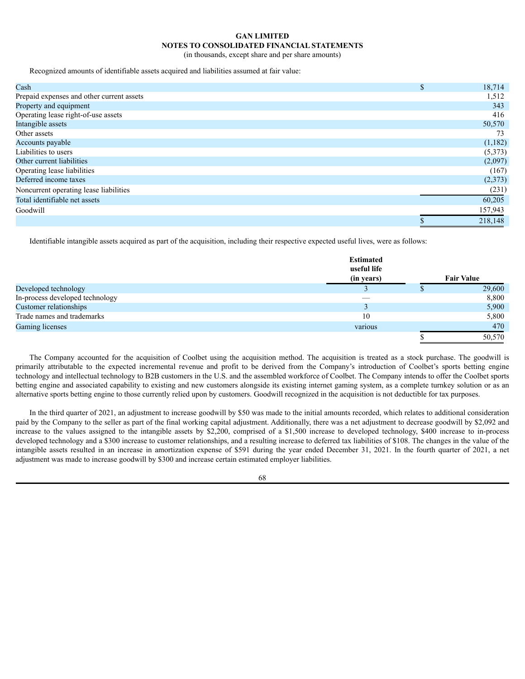(in thousands, except share and per share amounts)

Recognized amounts of identifiable assets acquired and liabilities assumed at fair value:

| Cash                                      | \$<br>18,714 |
|-------------------------------------------|--------------|
| Prepaid expenses and other current assets | 1,512        |
| Property and equipment                    | 343          |
| Operating lease right-of-use assets       | 416          |
| Intangible assets                         | 50,570       |
| Other assets                              | 73           |
| Accounts payable                          | (1,182)      |
| Liabilities to users                      | (5,373)      |
| Other current liabilities                 | (2,097)      |
| Operating lease liabilities               | (167)        |
| Deferred income taxes                     | (2,373)      |
| Noncurrent operating lease liabilities    | (231)        |
| Total identifiable net assets             | 60,205       |
| Goodwill                                  | 157,943      |
|                                           | 218.148      |

Identifiable intangible assets acquired as part of the acquisition, including their respective expected useful lives, were as follows:

|                                 | <b>Estimated</b><br>useful life<br>(in years) | <b>Fair Value</b> |
|---------------------------------|-----------------------------------------------|-------------------|
|                                 |                                               |                   |
| Developed technology            |                                               | 29,600            |
| In-process developed technology |                                               | 8,800             |
| Customer relationships          |                                               | 5,900             |
| Trade names and trademarks      | 10                                            | 5,800             |
| Gaming licenses                 | various                                       | 470               |
|                                 |                                               | 50,570            |

The Company accounted for the acquisition of Coolbet using the acquisition method. The acquisition is treated as a stock purchase. The goodwill is primarily attributable to the expected incremental revenue and profit to be derived from the Company's introduction of Coolbet's sports betting engine technology and intellectual technology to B2B customers in the U.S. and the assembled workforce of Coolbet. The Company intends to offer the Coolbet sports betting engine and associated capability to existing and new customers alongside its existing internet gaming system, as a complete turnkey solution or as an alternative sports betting engine to those currently relied upon by customers. Goodwill recognized in the acquisition is not deductible for tax purposes.

In the third quarter of 2021, an adjustment to increase goodwill by \$50 was made to the initial amounts recorded, which relates to additional consideration paid by the Company to the seller as part of the final working capital adjustment. Additionally, there was a net adjustment to decrease goodwill by \$2,092 and increase to the values assigned to the intangible assets by \$2,200, comprised of a \$1,500 increase to developed technology, \$400 increase to in-process developed technology and a \$300 increase to customer relationships, and a resulting increase to deferred tax liabilities of \$108. The changes in the value of the intangible assets resulted in an increase in amortization expense of \$591 during the year ended December 31, 2021. In the fourth quarter of 2021, a net adjustment was made to increase goodwill by \$300 and increase certain estimated employer liabilities.

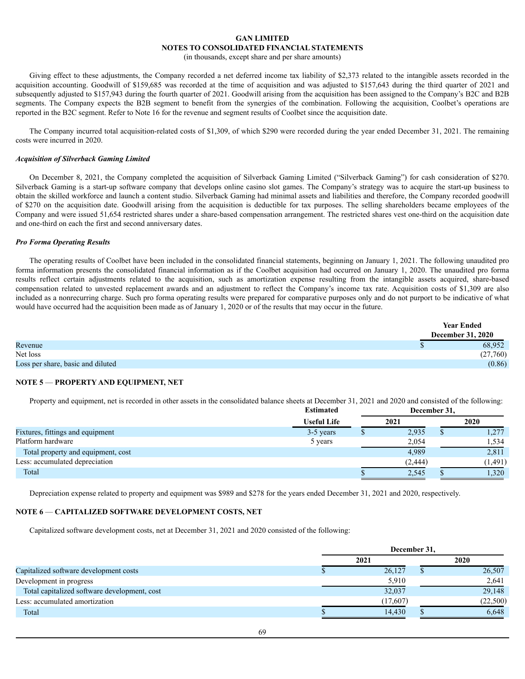(in thousands, except share and per share amounts)

Giving effect to these adjustments, the Company recorded a net deferred income tax liability of \$2,373 related to the intangible assets recorded in the acquisition accounting. Goodwill of \$159,685 was recorded at the time of acquisition and was adjusted to \$157,643 during the third quarter of 2021 and subsequently adjusted to \$157,943 during the fourth quarter of 2021. Goodwill arising from the acquisition has been assigned to the Company's B2C and B2B segments. The Company expects the B2B segment to benefit from the synergies of the combination. Following the acquisition, Coolbet's operations are reported in the B2C segment. Refer to Note 16 for the revenue and segment results of Coolbet since the acquisition date.

The Company incurred total acquisition-related costs of \$1,309, of which \$290 were recorded during the year ended December 31, 2021. The remaining costs were incurred in 2020.

# *Acquisition of Silverback Gaming Limited*

On December 8, 2021, the Company completed the acquisition of Silverback Gaming Limited ("Silverback Gaming") for cash consideration of \$270. Silverback Gaming is a start-up software company that develops online casino slot games. The Company's strategy was to acquire the start-up business to obtain the skilled workforce and launch a content studio. Silverback Gaming had minimal assets and liabilities and therefore, the Company recorded goodwill of \$270 on the acquisition date. Goodwill arising from the acquisition is deductible for tax purposes. The selling shareholders became employees of the Company and were issued 51,654 restricted shares under a share-based compensation arrangement. The restricted shares vest one-third on the acquisition date and one-third on each the first and second anniversary dates.

#### *Pro Forma Operating Results*

The operating results of Coolbet have been included in the consolidated financial statements, beginning on January 1, 2021. The following unaudited pro forma information presents the consolidated financial information as if the Coolbet acquisition had occurred on January 1, 2020. The unaudited pro forma results reflect certain adjustments related to the acquisition, such as amortization expense resulting from the intangible assets acquired, share-based compensation related to unvested replacement awards and an adjustment to reflect the Company's income tax rate. Acquisition costs of \$1,309 are also included as a nonrecurring charge. Such pro forma operating results were prepared for comparative purposes only and do not purport to be indicative of what would have occurred had the acquisition been made as of January 1, 2020 or of the results that may occur in the future.

|                                   | <b>Year Ended</b>        |
|-----------------------------------|--------------------------|
|                                   | <b>December 31, 2020</b> |
| Revenue                           | 68,952                   |
| Net loss                          | (27,760)                 |
| Loss per share, basic and diluted | (0.86)                   |

# **NOTE 5** — **PROPERTY AND EQUIPMENT, NET**

Property and equipment, net is recorded in other assets in the consolidated balance sheets at December 31, 2021 and 2020 and consisted of the following:

|                                    | <b>Estimated</b>   |      | December 31, |  |          |  |
|------------------------------------|--------------------|------|--------------|--|----------|--|
|                                    | <b>Useful Life</b> | 2021 |              |  | 2020     |  |
| Fixtures, fittings and equipment   | 3-5 years          |      | 2,935        |  | 1,277    |  |
| Platform hardware                  | 5 years            |      | 2.054        |  | 1.534    |  |
| Total property and equipment, cost |                    |      | 4,989        |  | 2,811    |  |
| Less: accumulated depreciation     |                    |      | (2, 444)     |  | (1, 491) |  |
| Total                              |                    |      | 2,545        |  | 1,320    |  |

Depreciation expense related to property and equipment was \$989 and \$278 for the years ended December 31, 2021 and 2020, respectively.

# **NOTE 6** — **CAPITALIZED SOFTWARE DEVELOPMENT COSTS, NET**

Capitalized software development costs, net at December 31, 2021 and 2020 consisted of the following:

|                                              | December 31. |          |  |          |
|----------------------------------------------|--------------|----------|--|----------|
|                                              | 2021         |          |  | 2020     |
| Capitalized software development costs       |              | 26,127   |  | 26,507   |
| Development in progress                      |              | 5,910    |  | 2,641    |
| Total capitalized software development, cost |              | 32,037   |  | 29,148   |
| Less: accumulated amortization               |              | (17,607) |  | (22,500) |
| Total                                        |              | 14.430   |  | 6.648    |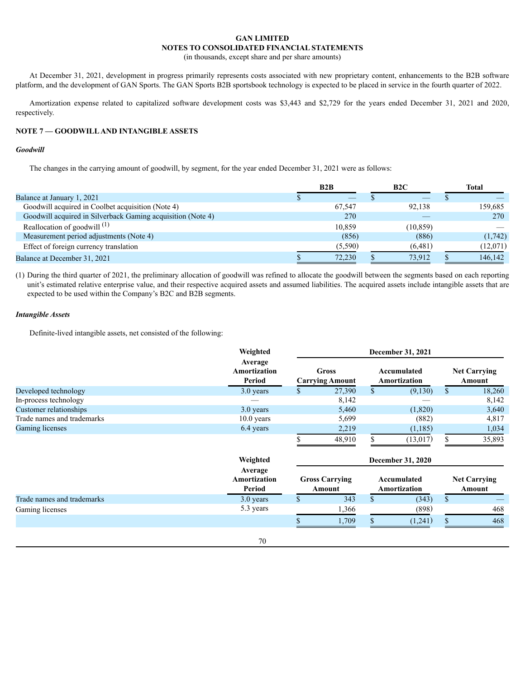(in thousands, except share and per share amounts)

At December 31, 2021, development in progress primarily represents costs associated with new proprietary content, enhancements to the B2B software platform, and the development of GAN Sports. The GAN Sports B2B sportsbook technology is expected to be placed in service in the fourth quarter of 2022.

Amortization expense related to capitalized software development costs was \$3,443 and \$2,729 for the years ended December 31, 2021 and 2020, respectively.

# **NOTE 7 — GOODWILLAND INTANGIBLE ASSETS**

# *Goodwill*

The changes in the carrying amount of goodwill, by segment, for the year ended December 31, 2021 were as follows:

|                                                             | B2B     | B2C       | Total    |
|-------------------------------------------------------------|---------|-----------|----------|
| Balance at January 1, 2021                                  |         |           |          |
| Goodwill acquired in Coolbet acquisition (Note 4)           | 67.547  | 92.138    | 159,685  |
| Goodwill acquired in Silverback Gaming acquisition (Note 4) | 270     |           | 270      |
| Reallocation of goodwill $(1)$                              | 10.859  | (10, 859) |          |
| Measurement period adjustments (Note 4)                     | (856)   | (886)     | (1,742)  |
| Effect of foreign currency translation                      | (5,590) | (6,481)   | (12,071) |
| Balance at December 31, 2021                                | 72.230  | 73.912    | 146,142  |

(1) During the third quarter of 2021, the preliminary allocation of goodwill was refined to allocate the goodwill between the segments based on each reporting unit's estimated relative enterprise value, and their respective acquired assets and assumed liabilities. The acquired assets include intangible assets that are expected to be used within the Company's B2C and B2B segments.

# *Intangible Assets*

Definite-lived intangible assets, net consisted of the following:

|                            | Weighted                                 | December 31, 2021 |                                        |              |                             |              |                               |
|----------------------------|------------------------------------------|-------------------|----------------------------------------|--------------|-----------------------------|--------------|-------------------------------|
|                            | Average<br><b>Amortization</b><br>Period |                   | <b>Gross</b><br><b>Carrying Amount</b> |              | Accumulated<br>Amortization |              | <b>Net Carrying</b><br>Amount |
| Developed technology       | 3.0 years                                | \$                | 27,390                                 | $\mathbb{S}$ | (9,130)                     | \$           | 18,260                        |
| In-process technology      |                                          |                   | 8,142                                  |              |                             |              | 8,142                         |
| Customer relationships     | 3.0 years                                |                   | 5,460                                  |              | (1,820)                     |              | 3,640                         |
| Trade names and trademarks | $10.0$ years                             |                   | 5,699                                  |              | (882)                       |              | 4,817                         |
| Gaming licenses            | 6.4 years                                |                   | 2,219                                  |              | (1,185)                     |              | 1,034                         |
|                            |                                          |                   | 48,910                                 | S.           | (13, 017)                   | \$           | 35,893                        |
|                            | Weighted                                 |                   |                                        |              | <b>December 31, 2020</b>    |              |                               |
|                            | Average<br>Amortization<br>Period        |                   | <b>Gross Carrying</b><br>Amount        |              | Accumulated<br>Amortization |              | <b>Net Carrying</b><br>Amount |
| Trade names and trademarks | 3.0 years                                | \$                | 343                                    | $\mathbf S$  | (343)                       | $\mathbb{S}$ |                               |
| Gaming licenses            | 5.3 years                                |                   | 1,366                                  |              | (898)                       |              | 468                           |
|                            |                                          |                   | 1,709                                  |              | (1,241)                     |              | 468                           |
|                            | 70                                       |                   |                                        |              |                             |              |                               |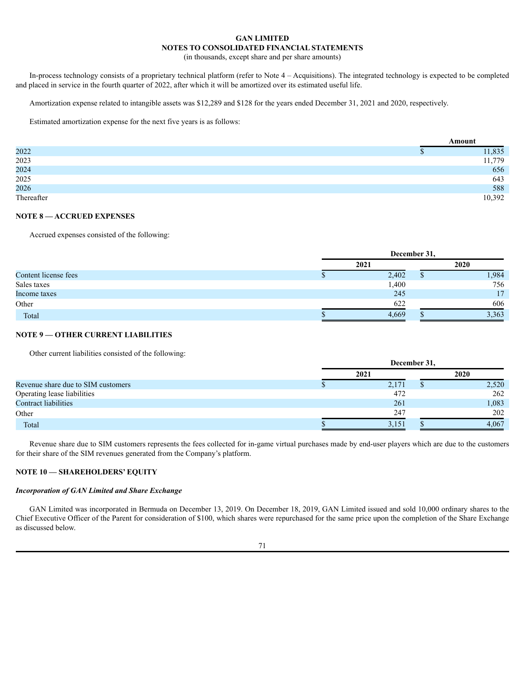(in thousands, except share and per share amounts)

In-process technology consists of a proprietary technical platform (refer to Note 4 – Acquisitions). The integrated technology is expected to be completed and placed in service in the fourth quarter of 2022, after which it will be amortized over its estimated useful life.

Amortization expense related to intangible assets was \$12,289 and \$128 for the years ended December 31, 2021 and 2020, respectively.

Estimated amortization expense for the next five years is as follows:

|              |    | Amount |
|--------------|----|--------|
| 2022         | ۰U | 11,835 |
| 2023<br>2024 |    | 11,779 |
|              |    | 656    |
| 2025         |    | 643    |
| 2026         |    | 588    |
| Thereafter   |    | 10,392 |

# **NOTE 8 — ACCRUED EXPENSES**

Accrued expenses consisted of the following:

|                      | December 31, |     |       |  |
|----------------------|--------------|-----|-------|--|
|                      | 2021         |     | 2020  |  |
| Content license fees | 2,402        | AD. | 1,984 |  |
| Sales taxes          | 1,400        |     | 756   |  |
| Income taxes         | 245          |     | 17    |  |
| Other                | 622          |     | 606   |  |
| Total                | 4,669        |     | 3,363 |  |

# **NOTE 9 — OTHER CURRENT LIABILITIES**

Other current liabilities consisted of the following:

|                                    | December 31, |  |       |  |
|------------------------------------|--------------|--|-------|--|
|                                    | 2021         |  | 2020  |  |
| Revenue share due to SIM customers | 2,171        |  | 2,520 |  |
| Operating lease liabilities        | 472          |  | 262   |  |
| <b>Contract liabilities</b>        | 261          |  | 1,083 |  |
| Other                              | 247          |  | 202   |  |
| Total                              | 3,151        |  | 4.067 |  |

Revenue share due to SIM customers represents the fees collected for in-game virtual purchases made by end-user players which are due to the customers for their share of the SIM revenues generated from the Company's platform.

# **NOTE 10 — SHAREHOLDERS' EQUITY**

# *Incorporation of GAN Limited and Share Exchange*

GAN Limited was incorporated in Bermuda on December 13, 2019. On December 18, 2019, GAN Limited issued and sold 10,000 ordinary shares to the Chief Executive Officer of the Parent for consideration of \$100, which shares were repurchased for the same price upon the completion of the Share Exchange as discussed below.

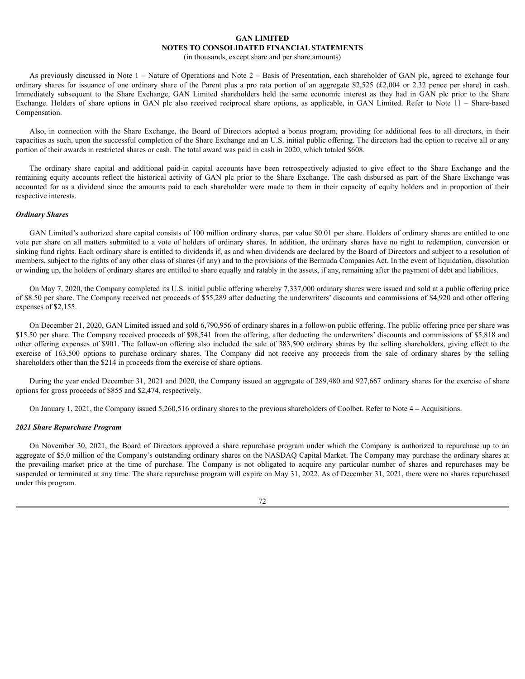(in thousands, except share and per share amounts)

As previously discussed in Note 1 – Nature of Operations and Note 2 – Basis of Presentation, each shareholder of GAN plc, agreed to exchange four ordinary shares for issuance of one ordinary share of the Parent plus a pro rata portion of an aggregate \$2,525 (£2,004 or 2.32 pence per share) in cash. Immediately subsequent to the Share Exchange, GAN Limited shareholders held the same economic interest as they had in GAN plc prior to the Share Exchange. Holders of share options in GAN plc also received reciprocal share options, as applicable, in GAN Limited. Refer to Note 11 – Share-based Compensation.

Also, in connection with the Share Exchange, the Board of Directors adopted a bonus program, providing for additional fees to all directors, in their capacities as such, upon the successful completion of the Share Exchange and an U.S. initial public offering. The directors had the option to receive all or any portion of their awards in restricted shares or cash. The total award was paid in cash in 2020, which totaled \$608.

The ordinary share capital and additional paid-in capital accounts have been retrospectively adjusted to give effect to the Share Exchange and the remaining equity accounts reflect the historical activity of GAN plc prior to the Share Exchange. The cash disbursed as part of the Share Exchange was accounted for as a dividend since the amounts paid to each shareholder were made to them in their capacity of equity holders and in proportion of their respective interests.

#### *Ordinary Shares*

GAN Limited's authorized share capital consists of 100 million ordinary shares, par value \$0.01 per share. Holders of ordinary shares are entitled to one vote per share on all matters submitted to a vote of holders of ordinary shares. In addition, the ordinary shares have no right to redemption, conversion or sinking fund rights. Each ordinary share is entitled to dividends if, as and when dividends are declared by the Board of Directors and subject to a resolution of members, subject to the rights of any other class of shares (if any) and to the provisions of the Bermuda Companies Act. In the event of liquidation, dissolution or winding up, the holders of ordinary shares are entitled to share equally and ratably in the assets, if any, remaining after the payment of debt and liabilities.

On May 7, 2020, the Company completed its U.S. initial public offering whereby 7,337,000 ordinary shares were issued and sold at a public offering price of \$8.50 per share. The Company received net proceeds of \$55,289 after deducting the underwriters' discounts and commissions of \$4,920 and other offering expenses of \$2,155.

On December 21, 2020, GAN Limited issued and sold 6,790,956 of ordinary shares in a follow-on public offering. The public offering price per share was \$15.50 per share. The Company received proceeds of \$98,541 from the offering, after deducting the underwriters' discounts and commissions of \$5,818 and other offering expenses of \$901. The follow-on offering also included the sale of 383,500 ordinary shares by the selling shareholders, giving effect to the exercise of 163,500 options to purchase ordinary shares. The Company did not receive any proceeds from the sale of ordinary shares by the selling shareholders other than the \$214 in proceeds from the exercise of share options.

During the year ended December 31, 2021 and 2020, the Company issued an aggregate of 289,480 and 927,667 ordinary shares for the exercise of share options for gross proceeds of \$855 and \$2,474, respectively.

On January 1, 2021, the Company issued 5,260,516 ordinary shares to the previous shareholders of Coolbet. Refer to Note 4 **–** Acquisitions.

#### *2021 Share Repurchase Program*

On November 30, 2021, the Board of Directors approved a share repurchase program under which the Company is authorized to repurchase up to an aggregate of \$5.0 million of the Company's outstanding ordinary shares on the NASDAQ Capital Market. The Company may purchase the ordinary shares at the prevailing market price at the time of purchase. The Company is not obligated to acquire any particular number of shares and repurchases may be suspended or terminated at any time. The share repurchase program will expire on May 31, 2022. As of December 31, 2021, there were no shares repurchased under this program.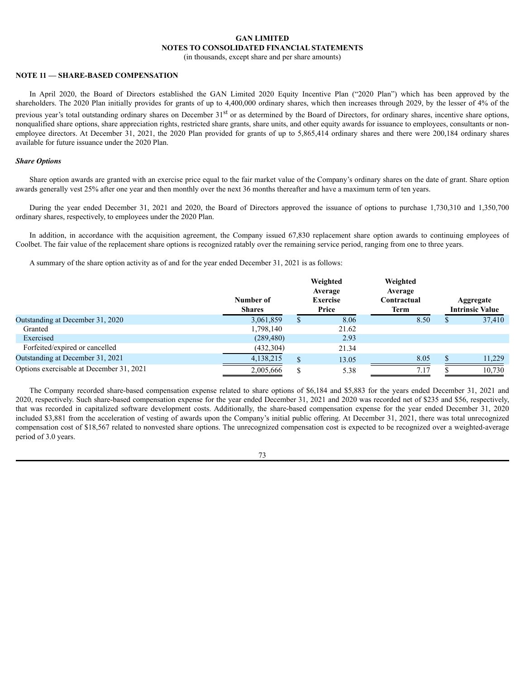(in thousands, except share and per share amounts)

### **NOTE 11 — SHARE-BASED COMPENSATION**

In April 2020, the Board of Directors established the GAN Limited 2020 Equity Incentive Plan ("2020 Plan") which has been approved by the shareholders. The 2020 Plan initially provides for grants of up to 4,400,000 ordinary shares, which then increases through 2029, by the lesser of 4% of the previous year's total outstanding ordinary shares on December 31<sup>st</sup> or as determined by the Board of Directors, for ordinary shares, incentive share options, nonqualified share options, share appreciation rights, restricted share grants, share units, and other equity awards for issuance to employees, consultants or nonemployee directors. At December 31, 2021, the 2020 Plan provided for grants of up to 5,865,414 ordinary shares and there were 200,184 ordinary shares available for future issuance under the 2020 Plan.

### *Share Options*

Share option awards are granted with an exercise price equal to the fair market value of the Company's ordinary shares on the date of grant. Share option awards generally vest 25% after one year and then monthly over the next 36 months thereafter and have a maximum term of ten years.

During the year ended December 31, 2021 and 2020, the Board of Directors approved the issuance of options to purchase 1,730,310 and 1,350,700 ordinary shares, respectively, to employees under the 2020 Plan.

In addition, in accordance with the acquisition agreement, the Company issued 67,830 replacement share option awards to continuing employees of Coolbet. The fair value of the replacement share options is recognized ratably over the remaining service period, ranging from one to three years.

A summary of the share option activity as of and for the year ended December 31, 2021 is as follows:

|                                          | Number of<br><b>Shares</b> |    | Weighted<br>Average<br><b>Exercise</b><br>Price | Weighted<br>Average<br>Contractual<br><b>Term</b> | Aggregate<br><b>Intrinsic Value</b> |
|------------------------------------------|----------------------------|----|-------------------------------------------------|---------------------------------------------------|-------------------------------------|
| Outstanding at December 31, 2020         | 3,061,859                  | ۰D | 8.06                                            | 8.50                                              | 37,410                              |
| Granted                                  | 1,798,140                  |    | 21.62                                           |                                                   |                                     |
| Exercised                                | (289, 480)                 |    | 2.93                                            |                                                   |                                     |
| Forfeited/expired or cancelled           | (432,304)                  |    | 21.34                                           |                                                   |                                     |
| Outstanding at December 31, 2021         | 4,138,215                  |    | 13.05                                           | 8.05                                              | 11,229                              |
| Options exercisable at December 31, 2021 | 2,005,666                  |    | 5.38                                            | 7.17                                              | 10,730                              |

The Company recorded share-based compensation expense related to share options of \$6,184 and \$5,883 for the years ended December 31, 2021 and 2020, respectively. Such share-based compensation expense for the year ended December 31, 2021 and 2020 was recorded net of \$235 and \$56, respectively, that was recorded in capitalized software development costs. Additionally, the share-based compensation expense for the year ended December 31, 2020 included \$3,881 from the acceleration of vesting of awards upon the Company's initial public offering. At December 31, 2021, there was total unrecognized compensation cost of \$18,567 related to nonvested share options. The unrecognized compensation cost is expected to be recognized over a weighted-average period of 3.0 years.

73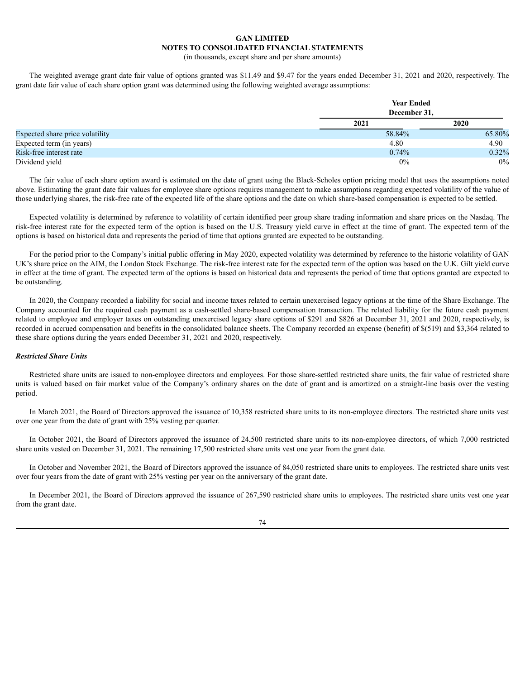(in thousands, except share and per share amounts)

The weighted average grant date fair value of options granted was \$11.49 and \$9.47 for the years ended December 31, 2021 and 2020, respectively. The grant date fair value of each share option grant was determined using the following weighted average assumptions:

|                                 | <b>Year Ended</b><br>December 31, |        |  |  |
|---------------------------------|-----------------------------------|--------|--|--|
|                                 | 2021                              | 2020   |  |  |
| Expected share price volatility | 58.84%                            | 65.80% |  |  |
| Expected term (in years)        | 4.80                              | 4.90   |  |  |
| Risk-free interest rate         | 0.74%                             | 0.32%  |  |  |
| Dividend yield                  | 0%                                | $0\%$  |  |  |

The fair value of each share option award is estimated on the date of grant using the Black-Scholes option pricing model that uses the assumptions noted above. Estimating the grant date fair values for employee share options requires management to make assumptions regarding expected volatility of the value of those underlying shares, the risk-free rate of the expected life of the share options and the date on which share-based compensation is expected to be settled.

Expected volatility is determined by reference to volatility of certain identified peer group share trading information and share prices on the Nasdaq. The risk-free interest rate for the expected term of the option is based on the U.S. Treasury yield curve in effect at the time of grant. The expected term of the options is based on historical data and represents the period of time that options granted are expected to be outstanding.

For the period prior to the Company's initial public offering in May 2020, expected volatility was determined by reference to the historic volatility of GAN UK's share price on the AIM, the London Stock Exchange. The risk-free interest rate for the expected term of the option was based on the U.K. Gilt yield curve in effect at the time of grant. The expected term of the options is based on historical data and represents the period of time that options granted are expected to be outstanding.

In 2020, the Company recorded a liability for social and income taxes related to certain unexercised legacy options at the time of the Share Exchange. The Company accounted for the required cash payment as a cash-settled share-based compensation transaction. The related liability for the future cash payment related to employee and employer taxes on outstanding unexercised legacy share options of \$291 and \$826 at December 31, 2021 and 2020, respectively, is recorded in accrued compensation and benefits in the consolidated balance sheets. The Company recorded an expense (benefit) of \$(519) and \$3,364 related to these share options during the years ended December 31, 2021 and 2020, respectively.

## *Restricted Share Units*

Restricted share units are issued to non-employee directors and employees. For those share-settled restricted share units, the fair value of restricted share units is valued based on fair market value of the Company's ordinary shares on the date of grant and is amortized on a straight-line basis over the vesting period.

In March 2021, the Board of Directors approved the issuance of 10,358 restricted share units to its non-employee directors. The restricted share units vest over one year from the date of grant with 25% vesting per quarter.

In October 2021, the Board of Directors approved the issuance of 24,500 restricted share units to its non-employee directors, of which 7,000 restricted share units vested on December 31, 2021. The remaining 17,500 restricted share units vest one year from the grant date.

In October and November 2021, the Board of Directors approved the issuance of 84,050 restricted share units to employees. The restricted share units vest over four years from the date of grant with 25% vesting per year on the anniversary of the grant date.

In December 2021, the Board of Directors approved the issuance of 267,590 restricted share units to employees. The restricted share units vest one year from the grant date.

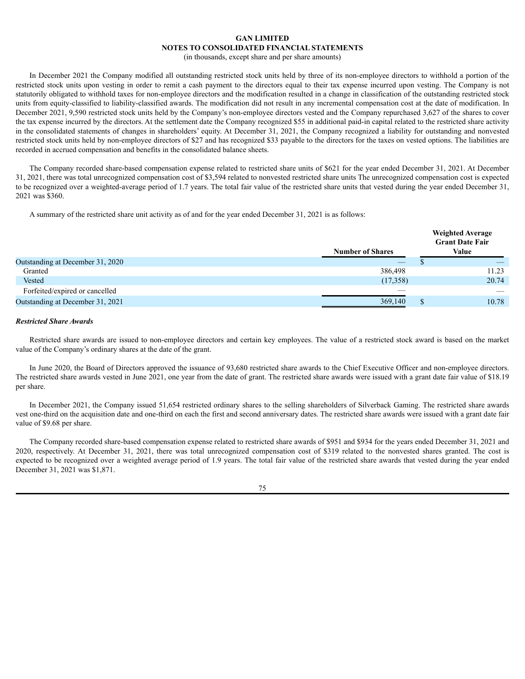(in thousands, except share and per share amounts)

In December 2021 the Company modified all outstanding restricted stock units held by three of its non-employee directors to withhold a portion of the restricted stock units upon vesting in order to remit a cash payment to the directors equal to their tax expense incurred upon vesting. The Company is not statutorily obligated to withhold taxes for non-employee directors and the modification resulted in a change in classification of the outstanding restricted stock units from equity-classified to liability-classified awards. The modification did not result in any incremental compensation cost at the date of modification. In December 2021, 9,590 restricted stock units held by the Company's non-employee directors vested and the Company repurchased 3,627 of the shares to cover the tax expense incurred by the directors. At the settlement date the Company recognized \$55 in additional paid-in capital related to the restricted share activity in the consolidated statements of changes in shareholders' equity. At December 31, 2021, the Company recognized a liability for outstanding and nonvested restricted stock units held by non-employee directors of \$27 and has recognized \$33 payable to the directors for the taxes on vested options. The liabilities are recorded in accrued compensation and benefits in the consolidated balance sheets.

The Company recorded share-based compensation expense related to restricted share units of \$621 for the year ended December 31, 2021. At December 31, 2021, there was total unrecognized compensation cost of \$3,594 related to nonvested restricted share units The unrecognized compensation cost is expected to be recognized over a weighted-average period of 1.7 years. The total fair value of the restricted share units that vested during the year ended December 31, 2021 was \$360.

A summary of the restricted share unit activity as of and for the year ended December 31, 2021 is as follows:

|                                  |                         | <b>Weighted Average</b><br><b>Grant Date Fair</b> |
|----------------------------------|-------------------------|---------------------------------------------------|
|                                  | <b>Number of Shares</b> | Value                                             |
| Outstanding at December 31, 2020 | __                      |                                                   |
| Granted                          | 386,498                 | 11.23                                             |
| Vested                           | (17,358)                | 20.74                                             |
| Forfeited/expired or cancelled   |                         |                                                   |
| Outstanding at December 31, 2021 | 369,140                 | £.<br>10.78                                       |
|                                  |                         |                                                   |

### *Restricted Share Awards*

Restricted share awards are issued to non-employee directors and certain key employees. The value of a restricted stock award is based on the market value of the Company's ordinary shares at the date of the grant.

In June 2020, the Board of Directors approved the issuance of 93,680 restricted share awards to the Chief Executive Officer and non-employee directors. The restricted share awards vested in June 2021, one year from the date of grant. The restricted share awards were issued with a grant date fair value of \$18.19 per share.

In December 2021, the Company issued 51,654 restricted ordinary shares to the selling shareholders of Silverback Gaming. The restricted share awards vest one-third on the acquisition date and one-third on each the first and second anniversary dates. The restricted share awards were issued with a grant date fair value of \$9.68 per share.

The Company recorded share-based compensation expense related to restricted share awards of \$951 and \$934 for the years ended December 31, 2021 and 2020, respectively. At December 31, 2021, there was total unrecognized compensation cost of \$319 related to the nonvested shares granted. The cost is expected to be recognized over a weighted average period of 1.9 years. The total fair value of the restricted share awards that vested during the year ended December 31, 2021 was \$1,871.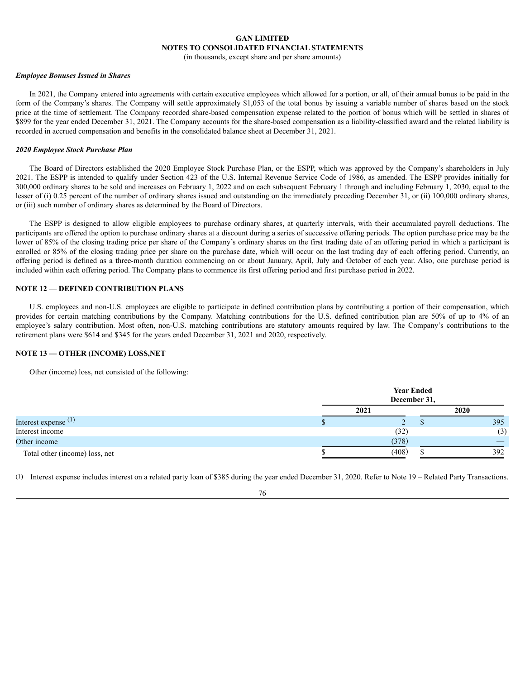(in thousands, except share and per share amounts)

#### *Employee Bonuses Issued in Shares*

In 2021, the Company entered into agreements with certain executive employees which allowed for a portion, or all, of their annual bonus to be paid in the form of the Company's shares. The Company will settle approximately \$1,053 of the total bonus by issuing a variable number of shares based on the stock price at the time of settlement. The Company recorded share-based compensation expense related to the portion of bonus which will be settled in shares of \$899 for the year ended December 31, 2021. The Company accounts for the share-based compensation as a liability-classified award and the related liability is recorded in accrued compensation and benefits in the consolidated balance sheet at December 31, 2021.

#### *2020 Employee Stock Purchase Plan*

The Board of Directors established the 2020 Employee Stock Purchase Plan, or the ESPP, which was approved by the Company's shareholders in July 2021. The ESPP is intended to qualify under Section 423 of the U.S. Internal Revenue Service Code of 1986, as amended. The ESPP provides initially for 300,000 ordinary shares to be sold and increases on February 1, 2022 and on each subsequent February 1 through and including February 1, 2030, equal to the lesser of (i) 0.25 percent of the number of ordinary shares issued and outstanding on the immediately preceding December 31, or (ii) 100,000 ordinary shares, or (iii) such number of ordinary shares as determined by the Board of Directors.

The ESPP is designed to allow eligible employees to purchase ordinary shares, at quarterly intervals, with their accumulated payroll deductions. The participants are offered the option to purchase ordinary shares at a discount during a series of successive offering periods. The option purchase price may be the lower of 85% of the closing trading price per share of the Company's ordinary shares on the first trading date of an offering period in which a participant is enrolled or 85% of the closing trading price per share on the purchase date, which will occur on the last trading day of each offering period. Currently, an offering period is defined as a three-month duration commencing on or about January, April, July and October of each year. Also, one purchase period is included within each offering period. The Company plans to commence its first offering period and first purchase period in 2022.

## **NOTE 12** — **DEFINED CONTRIBUTION PLANS**

U.S. employees and non-U.S. employees are eligible to participate in defined contribution plans by contributing a portion of their compensation, which provides for certain matching contributions by the Company. Matching contributions for the U.S. defined contribution plan are 50% of up to 4% of an employee's salary contribution. Most often, non-U.S. matching contributions are statutory amounts required by law. The Company's contributions to the retirement plans were \$614 and \$345 for the years ended December 31, 2021 and 2020, respectively.

## **NOTE 13 — OTHER (INCOME) LOSS,NET**

Other (income) loss, net consisted of the following:

|                                | <b>Year Ended</b><br>December 31, |  |      |  |
|--------------------------------|-----------------------------------|--|------|--|
|                                | 2021                              |  | 2020 |  |
| Interest expense $(1)$         | ∠                                 |  | 395  |  |
| Interest income                | (32)                              |  | (3)  |  |
| Other income                   | (378)                             |  |      |  |
| Total other (income) loss, net | (408)                             |  | 392  |  |

(1) Interest expense includes interest on a related party loan of \$385 during the year ended December 31, 2020. Refer to Note 19 – Related Party Transactions.

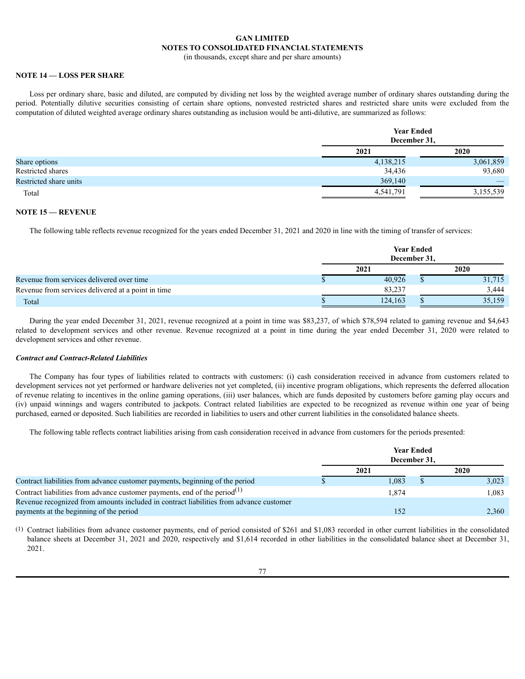(in thousands, except share and per share amounts)

# **NOTE 14 — LOSS PER SHARE**

Loss per ordinary share, basic and diluted, are computed by dividing net loss by the weighted average number of ordinary shares outstanding during the period. Potentially dilutive securities consisting of certain share options, nonvested restricted shares and restricted share units were excluded from the computation of diluted weighted average ordinary shares outstanding as inclusion would be anti-dilutive, are summarized as follows:

|                        | <b>Year Ended</b><br>December 31, |           |
|------------------------|-----------------------------------|-----------|
|                        | 2021                              | 2020      |
| Share options          | 4,138,215                         | 3,061,859 |
| Restricted shares      | 34,436                            | 93,680    |
| Restricted share units | 369,140                           |           |
| Total                  | 4,541,791                         | 3,155,539 |

### **NOTE 15 — REVENUE**

The following table reflects revenue recognized for the years ended December 31, 2021 and 2020 in line with the timing of transfer of services:

|                                                    |         | <b>Year Ended</b><br>December 31, |        |
|----------------------------------------------------|---------|-----------------------------------|--------|
|                                                    | 2021    |                                   | 2020   |
| Revenue from services delivered over time          | 40,926  |                                   | 31,715 |
| Revenue from services delivered at a point in time | 83,237  |                                   | 3,444  |
| Total                                              | 124,163 |                                   | 35,159 |

During the year ended December 31, 2021, revenue recognized at a point in time was \$83,237, of which \$78,594 related to gaming revenue and \$4,643 related to development services and other revenue. Revenue recognized at a point in time during the year ended December 31, 2020 were related to development services and other revenue.

### *Contract and Contract-Related Liabilities*

The Company has four types of liabilities related to contracts with customers: (i) cash consideration received in advance from customers related to development services not yet performed or hardware deliveries not yet completed, (ii) incentive program obligations, which represents the deferred allocation of revenue relating to incentives in the online gaming operations, (iii) user balances, which are funds deposited by customers before gaming play occurs and (iv) unpaid winnings and wagers contributed to jackpots. Contract related liabilities are expected to be recognized as revenue within one year of being purchased, earned or deposited. Such liabilities are recorded in liabilities to users and other current liabilities in the consolidated balance sheets.

The following table reflects contract liabilities arising from cash consideration received in advance from customers for the periods presented:

|                                                                                        | <b>Year Ended</b><br>December 31, |       |  |       |
|----------------------------------------------------------------------------------------|-----------------------------------|-------|--|-------|
|                                                                                        |                                   | 2021  |  | 2020  |
| Contract liabilities from advance customer payments, beginning of the period           |                                   | .083  |  | 3,023 |
| Contract liabilities from advance customer payments, end of the period <sup>(1)</sup>  |                                   | 1.874 |  | 1.083 |
| Revenue recognized from amounts included in contract liabilities from advance customer |                                   |       |  |       |
| payments at the beginning of the period                                                |                                   | 152   |  | 2,360 |

(1) Contract liabilities from advance customer payments, end of period consisted of \$261 and \$1,083 recorded in other current liabilities in the consolidated balance sheets at December 31, 2021 and 2020, respectively and \$1,614 recorded in other liabilities in the consolidated balance sheet at December 31, 2021.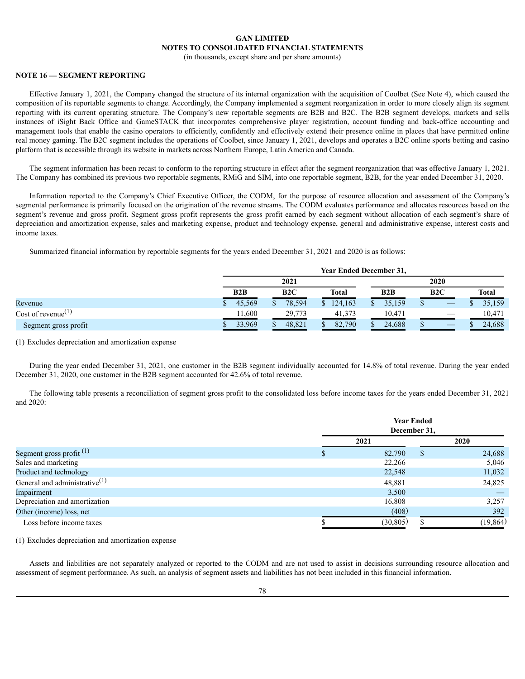(in thousands, except share and per share amounts)

## **NOTE 16 — SEGMENT REPORTING**

Effective January 1, 2021, the Company changed the structure of its internal organization with the acquisition of Coolbet (See Note 4), which caused the composition of its reportable segments to change. Accordingly, the Company implemented a segment reorganization in order to more closely align its segment reporting with its current operating structure. The Company's new reportable segments are B2B and B2C. The B2B segment develops, markets and sells instances of iSight Back Office and GameSTACK that incorporates comprehensive player registration, account funding and back-office accounting and management tools that enable the casino operators to efficiently, confidently and effectively extend their presence online in places that have permitted online real money gaming. The B2C segment includes the operations of Coolbet, since January 1, 2021, develops and operates a B2C online sports betting and casino platform that is accessible through its website in markets across Northern Europe, Latin America and Canada.

The segment information has been recast to conform to the reporting structure in effect after the segment reorganization that was effective January 1, 2021. The Company has combined its previous two reportable segments, RMiG and SIM, into one reportable segment, B2B, for the year ended December 31, 2020.

Information reported to the Company's Chief Executive Officer, the CODM, for the purpose of resource allocation and assessment of the Company's segmental performance is primarily focused on the origination of the revenue streams. The CODM evaluates performance and allocates resources based on the segment's revenue and gross profit. Segment gross profit represents the gross profit earned by each segment without allocation of each segment's share of depreciation and amortization expense, sales and marketing expense, product and technology expense, general and administrative expense, interest costs and income taxes.

Summarized financial information by reportable segments for the years ended December 31, 2021 and 2020 is as follows:

|                                |        | <b>Year Ended December 31,</b> |              |        |      |              |  |  |
|--------------------------------|--------|--------------------------------|--------------|--------|------|--------------|--|--|
|                                |        | 2021                           |              |        | 2020 |              |  |  |
|                                | B2B    | B2C                            | <b>Total</b> | B2B    | B2C  | <b>Total</b> |  |  |
| Revenue                        | 45,569 | 78,594                         | 124,163      | 35,159 |      | 35,159       |  |  |
| Cost of revenue <sup>(1)</sup> | 11,600 | 29,773                         | 41.373       | 10.471 |      | 10.471       |  |  |
| Segment gross profit           | 33,969 | 48.821                         | 82,790       | 24,688 |      | 24,688       |  |  |

(1) Excludes depreciation and amortization expense

During the year ended December 31, 2021, one customer in the B2B segment individually accounted for 14.8% of total revenue. During the year ended December 31, 2020, one customer in the B2B segment accounted for 42.6% of total revenue.

The following table presents a reconciliation of segment gross profit to the consolidated loss before income taxes for the years ended December 31, 2021 and 2020:

|                                  | <b>Year Ended</b><br>December 31, |           |              |           |
|----------------------------------|-----------------------------------|-----------|--------------|-----------|
|                                  | 2021                              |           |              | 2020      |
| Segment gross profit $(1)$       |                                   | 82,790    | <sup>S</sup> | 24,688    |
| Sales and marketing              |                                   | 22,266    |              | 5,046     |
| Product and technology           |                                   | 22,548    |              | 11,032    |
| General and administrative $(1)$ |                                   | 48,881    |              | 24,825    |
| Impairment                       |                                   | 3,500     |              |           |
| Depreciation and amortization    |                                   | 16,808    |              | 3,257     |
| Other (income) loss, net         |                                   | (408)     |              | 392       |
| Loss before income taxes         |                                   | (30, 805) |              | (19, 864) |

(1) Excludes depreciation and amortization expense

Assets and liabilities are not separately analyzed or reported to the CODM and are not used to assist in decisions surrounding resource allocation and assessment of segment performance. As such, an analysis of segment assets and liabilities has not been included in this financial information.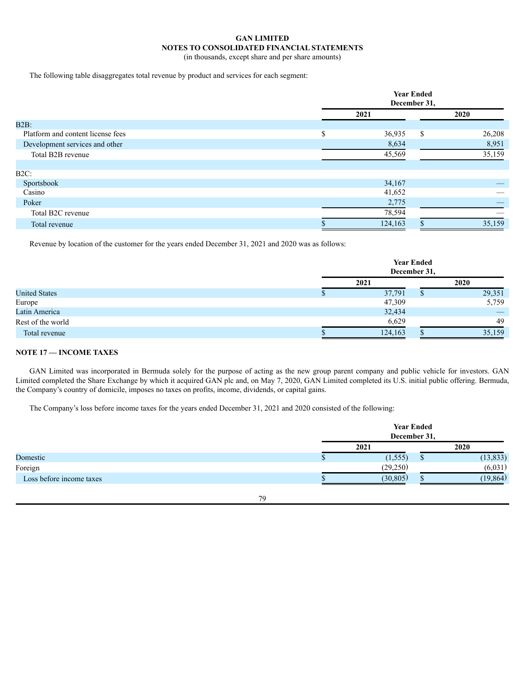(in thousands, except share and per share amounts)

The following table disaggregates total revenue by product and services for each segment:

|                                   |     | <b>Year Ended</b><br>December 31, |    |        |  |
|-----------------------------------|-----|-----------------------------------|----|--------|--|
|                                   |     | 2021                              |    | 2020   |  |
| B2B:                              |     |                                   |    |        |  |
| Platform and content license fees | \$. | 36,935                            | \$ | 26,208 |  |
| Development services and other    |     | 8,634                             |    | 8,951  |  |
| Total B2B revenue                 |     | 45,569                            |    | 35,159 |  |
| $B2C$ :                           |     |                                   |    |        |  |
| Sportsbook                        |     | 34,167                            |    |        |  |
| Casino                            |     | 41,652                            |    |        |  |
| Poker                             |     | 2,775                             |    |        |  |
| Total B2C revenue                 |     | 78,594                            |    |        |  |
| Total revenue                     |     | 124,163                           | \$ | 35,159 |  |

Revenue by location of the customer for the years ended December 31, 2021 and 2020 was as follows:

|                      |         | <b>Year Ended</b><br>December 31, |        |
|----------------------|---------|-----------------------------------|--------|
|                      | 2021    |                                   | 2020   |
| <b>United States</b> | 37,791  |                                   | 29,351 |
| Europe               | 47,309  |                                   | 5,759  |
| Latin America        | 32,434  |                                   |        |
| Rest of the world    | 6,629   |                                   | 49     |
| Total revenue        | 124,163 |                                   | 35,159 |

## **NOTE 17 — INCOME TAXES**

GAN Limited was incorporated in Bermuda solely for the purpose of acting as the new group parent company and public vehicle for investors. GAN Limited completed the Share Exchange by which it acquired GAN plc and, on May 7, 2020, GAN Limited completed its U.S. initial public offering. Bermuda, the Company's country of domicile, imposes no taxes on profits, income, dividends, or capital gains.

The Company's loss before income taxes for the years ended December 31, 2021 and 2020 consisted of the following:

|                          | <b>Year Ended</b><br>December 31, |   |           |
|--------------------------|-----------------------------------|---|-----------|
|                          | 2021                              |   | 2020      |
| Domestic                 | (1, 555)                          | ю | (13, 833) |
| Foreign                  | (29,250)                          |   | (6,031)   |
| Loss before income taxes | (30, 805)                         |   | (19, 864) |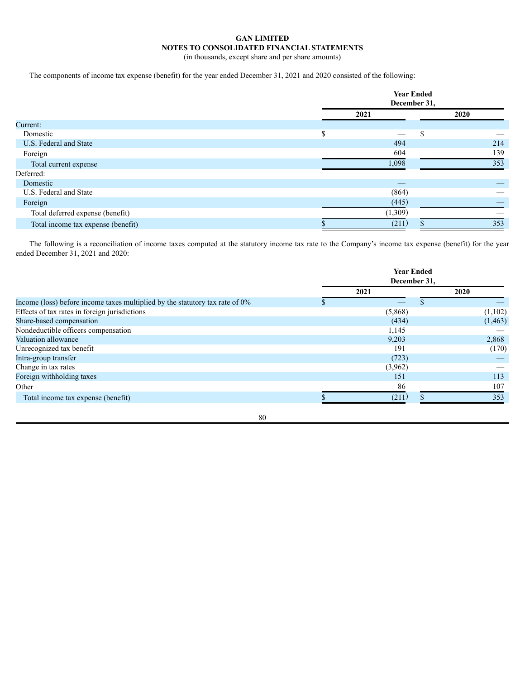(in thousands, except share and per share amounts)

The components of income tax expense (benefit) for the year ended December 31, 2021 and 2020 consisted of the following:

|                                    | <b>Year Ended</b><br>December 31, |               |      |  |
|------------------------------------|-----------------------------------|---------------|------|--|
|                                    | 2021                              |               | 2020 |  |
| Current:                           |                                   |               |      |  |
| Domestic                           | \$                                | <sup>\$</sup> |      |  |
| U.S. Federal and State             | 494                               |               | 214  |  |
| Foreign                            | 604                               |               | 139  |  |
| Total current expense              | 1,098                             |               | 353  |  |
| Deferred:                          |                                   |               |      |  |
| Domestic                           |                                   |               |      |  |
| U.S. Federal and State             | (864)                             |               |      |  |
| Foreign                            | (445)                             |               |      |  |
| Total deferred expense (benefit)   | (1,309)                           |               |      |  |
| Total income tax expense (benefit) | (211)                             |               | 353  |  |

The following is a reconciliation of income taxes computed at the statutory income tax rate to the Company's income tax expense (benefit) for the year ended December 31, 2021 and 2020:

|                                                                                 | <b>Year Ended</b><br>December 31, |  |          |  |
|---------------------------------------------------------------------------------|-----------------------------------|--|----------|--|
|                                                                                 | 2021                              |  | 2020     |  |
| Income (loss) before income taxes multiplied by the statutory tax rate of $0\%$ |                                   |  |          |  |
| Effects of tax rates in foreign jurisdictions                                   | (5,868)                           |  | (1,102)  |  |
| Share-based compensation                                                        | (434)                             |  | (1, 463) |  |
| Nondeductible officers compensation                                             | 1,145                             |  |          |  |
| Valuation allowance                                                             | 9,203                             |  | 2,868    |  |
| Unrecognized tax benefit                                                        | 191                               |  | (170)    |  |
| Intra-group transfer                                                            | (723)                             |  |          |  |
| Change in tax rates                                                             | (3,962)                           |  |          |  |
| Foreign withholding taxes                                                       | 151                               |  | 113      |  |
| Other                                                                           | 86                                |  | 107      |  |
| Total income tax expense (benefit)                                              | (211)                             |  | 353      |  |
| 80                                                                              |                                   |  |          |  |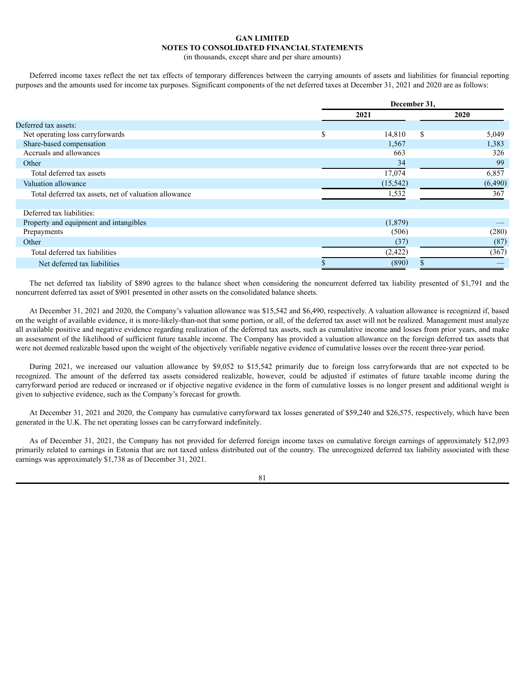(in thousands, except share and per share amounts)

Deferred income taxes reflect the net tax effects of temporary differences between the carrying amounts of assets and liabilities for financial reporting purposes and the amounts used for income tax purposes. Significant components of the net deferred taxes at December 31, 2021 and 2020 are as follows:

|                                                       |               | December 31, |    |          |  |
|-------------------------------------------------------|---------------|--------------|----|----------|--|
|                                                       |               | 2021         |    | 2020     |  |
| Deferred tax assets:                                  |               |              |    |          |  |
| Net operating loss carryforwards                      | <sup>\$</sup> | 14,810       | \$ | 5,049    |  |
| Share-based compensation                              |               | 1,567        |    | 1,383    |  |
| Accruals and allowances                               |               | 663          |    | 326      |  |
| Other                                                 |               | 34           |    | 99       |  |
| Total deferred tax assets                             |               | 17,074       |    | 6,857    |  |
| Valuation allowance                                   |               | (15, 542)    |    | (6, 490) |  |
| Total deferred tax assets, net of valuation allowance |               | 1,532        |    | 367      |  |
|                                                       |               |              |    |          |  |
| Deferred tax liabilities:                             |               |              |    |          |  |
| Property and equipment and intangibles                |               | (1,879)      |    |          |  |
| Prepayments                                           |               | (506)        |    | (280)    |  |
| Other                                                 |               | (37)         |    | (87)     |  |
| Total deferred tax liabilities                        |               | (2, 422)     |    | (367)    |  |
| Net deferred tax liabilities                          |               | (890)        |    |          |  |
|                                                       |               |              |    |          |  |

The net deferred tax liability of \$890 agrees to the balance sheet when considering the noncurrent deferred tax liability presented of \$1,791 and the noncurrent deferred tax asset of \$901 presented in other assets on the consolidated balance sheets.

At December 31, 2021 and 2020, the Company's valuation allowance was \$15,542 and \$6,490, respectively. A valuation allowance is recognized if, based on the weight of available evidence, it is more-likely-than-not that some portion, or all, of the deferred tax asset will not be realized. Management must analyze all available positive and negative evidence regarding realization of the deferred tax assets, such as cumulative income and losses from prior years, and make an assessment of the likelihood of sufficient future taxable income. The Company has provided a valuation allowance on the foreign deferred tax assets that were not deemed realizable based upon the weight of the objectively verifiable negative evidence of cumulative losses over the recent three-year period.

During 2021, we increased our valuation allowance by \$9,052 to \$15,542 primarily due to foreign loss carryforwards that are not expected to be recognized. The amount of the deferred tax assets considered realizable, however, could be adjusted if estimates of future taxable income during the carryforward period are reduced or increased or if objective negative evidence in the form of cumulative losses is no longer present and additional weight is given to subjective evidence, such as the Company's forecast for growth.

At December 31, 2021 and 2020, the Company has cumulative carryforward tax losses generated of \$59,240 and \$26,575, respectively, which have been generated in the U.K. The net operating losses can be carryforward indefinitely.

As of December 31, 2021, the Company has not provided for deferred foreign income taxes on cumulative foreign earnings of approximately \$12,093 primarily related to earnings in Estonia that are not taxed unless distributed out of the country. The unrecognized deferred tax liability associated with these earnings was approximately \$1,738 as of December 31, 2021.

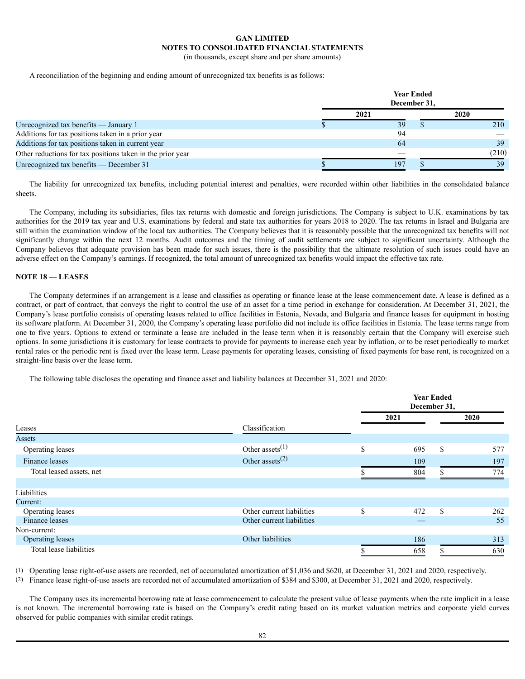(in thousands, except share and per share amounts)

A reconciliation of the beginning and ending amount of unrecognized tax benefits is as follows:

|                                                            | <b>Year Ended</b><br>December 31, |      |  |       |
|------------------------------------------------------------|-----------------------------------|------|--|-------|
|                                                            |                                   | 2021 |  | 2020  |
| Unrecognized tax benefits — January 1                      |                                   | 39   |  | 210   |
| Additions for tax positions taken in a prior year          |                                   | 94   |  |       |
| Additions for tax positions taken in current year          |                                   | 64   |  | 39    |
| Other reductions for tax positions taken in the prior year |                                   |      |  | (210) |
| Unrecognized tax benefits — December 31                    |                                   | 197  |  | 39    |

The liability for unrecognized tax benefits, including potential interest and penalties, were recorded within other liabilities in the consolidated balance sheets.

The Company, including its subsidiaries, files tax returns with domestic and foreign jurisdictions. The Company is subject to U.K. examinations by tax authorities for the 2019 tax year and U.S. examinations by federal and state tax authorities for years 2018 to 2020. The tax returns in Israel and Bulgaria are still within the examination window of the local tax authorities. The Company believes that it is reasonably possible that the unrecognized tax benefits will not significantly change within the next 12 months. Audit outcomes and the timing of audit settlements are subject to significant uncertainty. Although the Company believes that adequate provision has been made for such issues, there is the possibility that the ultimate resolution of such issues could have an adverse effect on the Company's earnings. If recognized, the total amount of unrecognized tax benefits would impact the effective tax rate.

## **NOTE 18 — LEASES**

The Company determines if an arrangement is a lease and classifies as operating or finance lease at the lease commencement date. A lease is defined as a contract, or part of contract, that conveys the right to control the use of an asset for a time period in exchange for consideration. At December 31, 2021, the Company's lease portfolio consists of operating leases related to office facilities in Estonia, Nevada, and Bulgaria and finance leases for equipment in hosting its software platform. At December 31, 2020, the Company's operating lease portfolio did not include its office facilities in Estonia. The lease terms range from one to five years. Options to extend or terminate a lease are included in the lease term when it is reasonably certain that the Company will exercise such options. In some jurisdictions it is customary for lease contracts to provide for payments to increase each year by inflation, or to be reset periodically to market rental rates or the periodic rent is fixed over the lease term. Lease payments for operating leases, consisting of fixed payments for base rent, is recognized on a straight-line basis over the lease term.

The following table discloses the operating and finance asset and liability balances at December 31, 2021 and 2020:

|                          |                                          | <b>Year Ended</b><br>December 31, |      |               |      |
|--------------------------|------------------------------------------|-----------------------------------|------|---------------|------|
|                          |                                          |                                   | 2021 |               | 2020 |
| Leases                   | Classification                           |                                   |      |               |      |
| Assets                   |                                          |                                   |      |               |      |
| Operating leases         | Other assets $^{(1)}$                    | \$                                | 695  | \$            | 577  |
| Finance leases           | Other assets <sup><math>(2)</math></sup> |                                   | 109  |               | 197  |
| Total leased assets, net |                                          |                                   | 804  |               | 774  |
| Liabilities              |                                          |                                   |      |               |      |
| Current:                 |                                          |                                   |      |               |      |
| Operating leases         | Other current liabilities                | \$                                | 472  | <sup>\$</sup> | 262  |
| Finance leases           | Other current liabilities                |                                   |      |               | 55   |
| Non-current:             |                                          |                                   |      |               |      |
| Operating leases         | Other liabilities                        |                                   | 186  |               | 313  |
| Total lease liabilities  |                                          |                                   | 658  |               | 630  |

(1) Operating lease right-of-use assets are recorded, net of accumulated amortization of \$1,036 and \$620, at December 31, 2021 and 2020, respectively.

(2) Finance lease right-of-use assets are recorded net of accumulated amortization of \$384 and \$300, at December 31, 2021 and 2020, respectively.

The Company uses its incremental borrowing rate at lease commencement to calculate the present value of lease payments when the rate implicit in a lease is not known. The incremental borrowing rate is based on the Company's credit rating based on its market valuation metrics and corporate yield curves observed for public companies with similar credit ratings.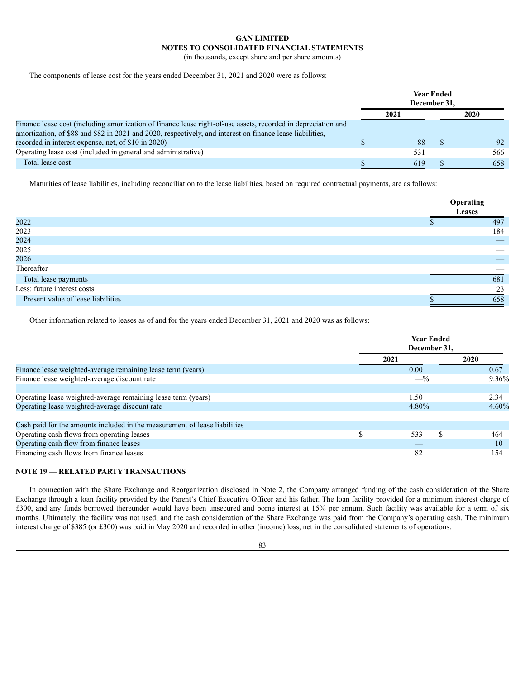(in thousands, except share and per share amounts)

The components of lease cost for the years ended December 31, 2021 and 2020 were as follows:

|                                                                                                               | <b>Year Ended</b><br>December 31. |      |  |      |
|---------------------------------------------------------------------------------------------------------------|-----------------------------------|------|--|------|
|                                                                                                               |                                   | 2021 |  | 2020 |
| Finance lease cost (including amortization of finance lease right-of-use assets, recorded in depreciation and |                                   |      |  |      |
| amortization, of \$88 and \$82 in 2021 and 2020, respectively, and interest on finance lease liabilities,     |                                   |      |  |      |
| recorded in interest expense, net, of \$10 in 2020)                                                           |                                   | 88   |  | 92   |
| Operating lease cost (included in general and administrative)                                                 |                                   | 531  |  | 566  |
| Total lease cost                                                                                              |                                   | 619  |  | 658  |

Maturities of lease liabilities, including reconciliation to the lease liabilities, based on required contractual payments, are as follows:

|                                    | Operating |
|------------------------------------|-----------|
|                                    | Leases    |
| 2022                               | 497       |
| 2023                               | 184       |
| 2024                               |           |
| 2025                               | __        |
| 2026                               |           |
| Thereafter                         |           |
| Total lease payments               | 681       |
| Less: future interest costs        | 23        |
| Present value of lease liabilities | 658       |

Other information related to leases as of and for the years ended December 31, 2021 and 2020 was as follows:

|                                                                            | <b>Year Ended</b><br>December 31. |    |             |
|----------------------------------------------------------------------------|-----------------------------------|----|-------------|
|                                                                            | 2021                              |    | <b>2020</b> |
| Finance lease weighted-average remaining lease term (years)                | 0.00                              |    | 0.67        |
| Finance lease weighted-average discount rate                               | $-$ %                             |    | 9.36%       |
|                                                                            |                                   |    |             |
| Operating lease weighted-average remaining lease term (years)              | 1.50                              |    | 2.34        |
| Operating lease weighted-average discount rate                             | $4.80\%$                          |    | 4.60%       |
|                                                                            |                                   |    |             |
| Cash paid for the amounts included in the measurement of lease liabilities |                                   |    |             |
| Operating cash flows from operating leases                                 | 533                               | ה. | 464         |
| Operating cash flow from finance leases                                    |                                   |    | 10          |
| Financing cash flows from finance leases                                   | 82                                |    | 154         |

## **NOTE 19 — RELATED PARTY TRANSACTIONS**

In connection with the Share Exchange and Reorganization disclosed in Note 2, the Company arranged funding of the cash consideration of the Share Exchange through a loan facility provided by the Parent's Chief Executive Officer and his father. The loan facility provided for a minimum interest charge of £300, and any funds borrowed thereunder would have been unsecured and borne interest at 15% per annum. Such facility was available for a term of six months. Ultimately, the facility was not used, and the cash consideration of the Share Exchange was paid from the Company's operating cash. The minimum interest charge of \$385 (or £300) was paid in May 2020 and recorded in other (income) loss, net in the consolidated statements of operations.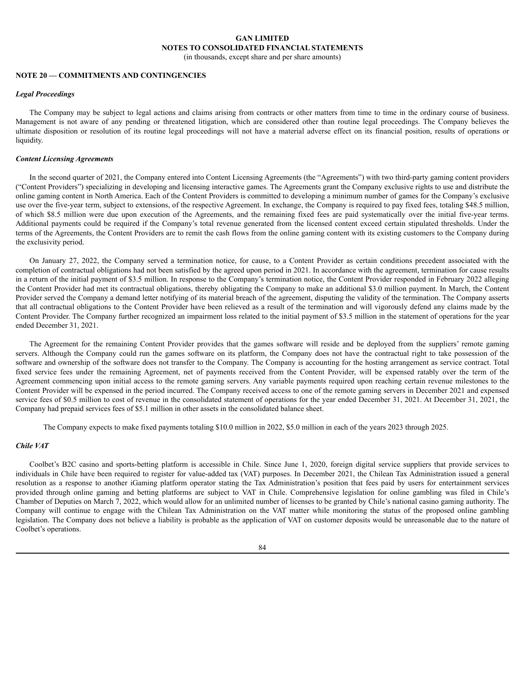(in thousands, except share and per share amounts)

### **NOTE 20 — COMMITMENTS AND CONTINGENCIES**

#### *Legal Proceedings*

The Company may be subject to legal actions and claims arising from contracts or other matters from time to time in the ordinary course of business. Management is not aware of any pending or threatened litigation, which are considered other than routine legal proceedings. The Company believes the ultimate disposition or resolution of its routine legal proceedings will not have a material adverse effect on its financial position, results of operations or liquidity.

#### *Content Licensing Agreements*

In the second quarter of 2021, the Company entered into Content Licensing Agreements (the "Agreements") with two third-party gaming content providers ("Content Providers") specializing in developing and licensing interactive games. The Agreements grant the Company exclusive rights to use and distribute the online gaming content in North America. Each of the Content Providers is committed to developing a minimum number of games for the Company's exclusive use over the five-year term, subject to extensions, of the respective Agreement. In exchange, the Company is required to pay fixed fees, totaling \$48.5 million, of which \$8.5 million were due upon execution of the Agreements, and the remaining fixed fees are paid systematically over the initial five-year terms. Additional payments could be required if the Company's total revenue generated from the licensed content exceed certain stipulated thresholds. Under the terms of the Agreements, the Content Providers are to remit the cash flows from the online gaming content with its existing customers to the Company during the exclusivity period.

On January 27, 2022, the Company served a termination notice, for cause, to a Content Provider as certain conditions precedent associated with the completion of contractual obligations had not been satisfied by the agreed upon period in 2021. In accordance with the agreement, termination for cause results in a return of the initial payment of \$3.5 million. In response to the Company's termination notice, the Content Provider responded in February 2022 alleging the Content Provider had met its contractual obligations, thereby obligating the Company to make an additional \$3.0 million payment. In March, the Content Provider served the Company a demand letter notifying of its material breach of the agreement, disputing the validity of the termination. The Company asserts that all contractual obligations to the Content Provider have been relieved as a result of the termination and will vigorously defend any claims made by the Content Provider. The Company further recognized an impairment loss related to the initial payment of \$3.5 million in the statement of operations for the year ended December 31, 2021.

The Agreement for the remaining Content Provider provides that the games software will reside and be deployed from the suppliers' remote gaming servers. Although the Company could run the games software on its platform, the Company does not have the contractual right to take possession of the software and ownership of the software does not transfer to the Company. The Company is accounting for the hosting arrangement as service contract. Total fixed service fees under the remaining Agreement, net of payments received from the Content Provider, will be expensed ratably over the term of the Agreement commencing upon initial access to the remote gaming servers. Any variable payments required upon reaching certain revenue milestones to the Content Provider will be expensed in the period incurred. The Company received access to one of the remote gaming servers in December 2021 and expensed service fees of \$0.5 million to cost of revenue in the consolidated statement of operations for the year ended December 31, 2021. At December 31, 2021, the Company had prepaid services fees of \$5.1 million in other assets in the consolidated balance sheet.

The Company expects to make fixed payments totaling \$10.0 million in 2022, \$5.0 million in each of the years 2023 through 2025.

### *Chile VAT*

Coolbet's B2C casino and sports-betting platform is accessible in Chile. Since June 1, 2020, foreign digital service suppliers that provide services to individuals in Chile have been required to register for value-added tax (VAT) purposes. In December 2021, the Chilean Tax Administration issued a general resolution as a response to another iGaming platform operator stating the Tax Administration's position that fees paid by users for entertainment services provided through online gaming and betting platforms are subject to VAT in Chile. Comprehensive legislation for online gambling was filed in Chile's Chamber of Deputies on March 7, 2022, which would allow for an unlimited number of licenses to be granted by Chile's national casino gaming authority. The Company will continue to engage with the Chilean Tax Administration on the VAT matter while monitoring the status of the proposed online gambling legislation. The Company does not believe a liability is probable as the application of VAT on customer deposits would be unreasonable due to the nature of Coolbet's operations.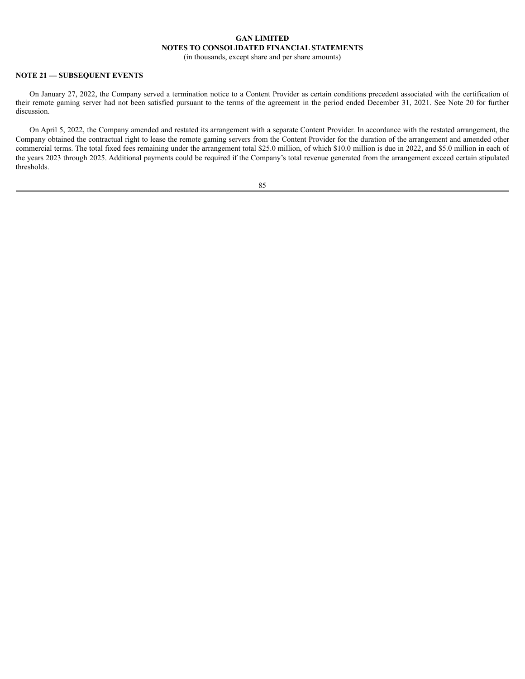(in thousands, except share and per share amounts)

## **NOTE 21 — SUBSEQUENT EVENTS**

On January 27, 2022, the Company served a termination notice to a Content Provider as certain conditions precedent associated with the certification of their remote gaming server had not been satisfied pursuant to the terms of the agreement in the period ended December 31, 2021. See Note 20 for further discussion.

On April 5, 2022, the Company amended and restated its arrangement with a separate Content Provider. In accordance with the restated arrangement, the Company obtained the contractual right to lease the remote gaming servers from the Content Provider for the duration of the arrangement and amended other commercial terms. The total fixed fees remaining under the arrangement total \$25.0 million, of which \$10.0 million is due in 2022, and \$5.0 million in each of the years 2023 through 2025. Additional payments could be required if the Company's total revenue generated from the arrangement exceed certain stipulated thresholds.

### 85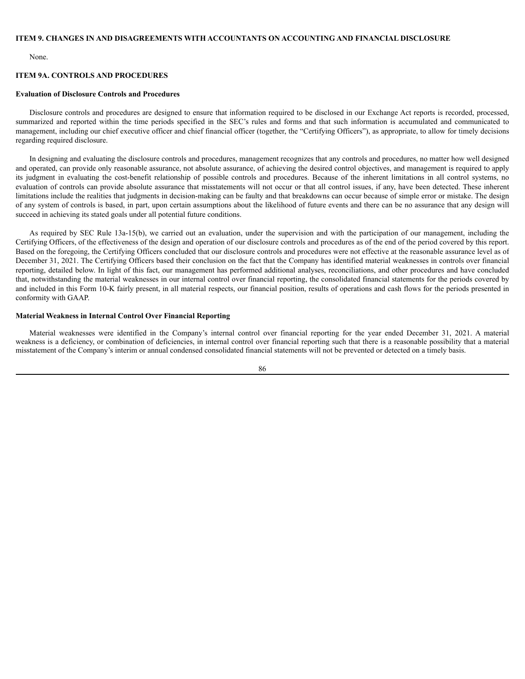#### **ITEM 9. CHANGES IN AND DISAGREEMENTS WITH ACCOUNTANTS ON ACCOUNTING AND FINANCIAL DISCLOSURE**

None.

#### **ITEM 9A. CONTROLS AND PROCEDURES**

#### **Evaluation of Disclosure Controls and Procedures**

Disclosure controls and procedures are designed to ensure that information required to be disclosed in our Exchange Act reports is recorded, processed, summarized and reported within the time periods specified in the SEC's rules and forms and that such information is accumulated and communicated to management, including our chief executive officer and chief financial officer (together, the "Certifying Officers"), as appropriate, to allow for timely decisions regarding required disclosure.

In designing and evaluating the disclosure controls and procedures, management recognizes that any controls and procedures, no matter how well designed and operated, can provide only reasonable assurance, not absolute assurance, of achieving the desired control objectives, and management is required to apply its judgment in evaluating the cost-benefit relationship of possible controls and procedures. Because of the inherent limitations in all control systems, no evaluation of controls can provide absolute assurance that misstatements will not occur or that all control issues, if any, have been detected. These inherent limitations include the realities that judgments in decision-making can be faulty and that breakdowns can occur because of simple error or mistake. The design of any system of controls is based, in part, upon certain assumptions about the likelihood of future events and there can be no assurance that any design will succeed in achieving its stated goals under all potential future conditions.

As required by SEC Rule 13a-15(b), we carried out an evaluation, under the supervision and with the participation of our management, including the Certifying Officers, of the effectiveness of the design and operation of our disclosure controls and procedures as of the end of the period covered by this report. Based on the foregoing, the Certifying Officers concluded that our disclosure controls and procedures were not effective at the reasonable assurance level as of December 31, 2021. The Certifying Officers based their conclusion on the fact that the Company has identified material weaknesses in controls over financial reporting, detailed below. In light of this fact, our management has performed additional analyses, reconciliations, and other procedures and have concluded that, notwithstanding the material weaknesses in our internal control over financial reporting, the consolidated financial statements for the periods covered by and included in this Form 10-K fairly present, in all material respects, our financial position, results of operations and cash flows for the periods presented in conformity with GAAP.

#### **Material Weakness in Internal Control Over Financial Reporting**

Material weaknesses were identified in the Company's internal control over financial reporting for the year ended December 31, 2021. A material weakness is a deficiency, or combination of deficiencies, in internal control over financial reporting such that there is a reasonable possibility that a material misstatement of the Company's interim or annual condensed consolidated financial statements will not be prevented or detected on a timely basis.

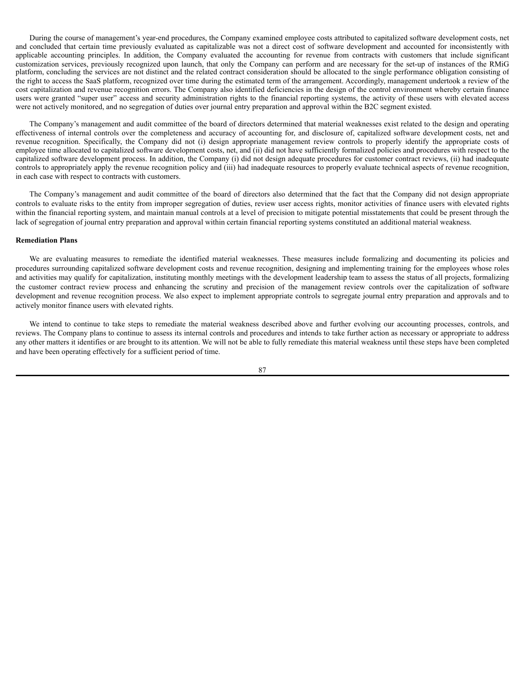During the course of management's year-end procedures, the Company examined employee costs attributed to capitalized software development costs, net and concluded that certain time previously evaluated as capitalizable was not a direct cost of software development and accounted for inconsistently with applicable accounting principles. In addition, the Company evaluated the accounting for revenue from contracts with customers that include significant customization services, previously recognized upon launch, that only the Company can perform and are necessary for the set-up of instances of the RMiG platform, concluding the services are not distinct and the related contract consideration should be allocated to the single performance obligation consisting of the right to access the SaaS platform, recognized over time during the estimated term of the arrangement. Accordingly, management undertook a review of the cost capitalization and revenue recognition errors. The Company also identified deficiencies in the design of the control environment whereby certain finance users were granted "super user" access and security administration rights to the financial reporting systems, the activity of these users with elevated access were not actively monitored, and no segregation of duties over journal entry preparation and approval within the B2C segment existed.

The Company's management and audit committee of the board of directors determined that material weaknesses exist related to the design and operating effectiveness of internal controls over the completeness and accuracy of accounting for, and disclosure of, capitalized software development costs, net and revenue recognition. Specifically, the Company did not (i) design appropriate management review controls to properly identify the appropriate costs of employee time allocated to capitalized software development costs, net, and (ii) did not have sufficiently formalized policies and procedures with respect to the capitalized software development process. In addition, the Company (i) did not design adequate procedures for customer contract reviews, (ii) had inadequate controls to appropriately apply the revenue recognition policy and (iii) had inadequate resources to properly evaluate technical aspects of revenue recognition, in each case with respect to contracts with customers.

The Company's management and audit committee of the board of directors also determined that the fact that the Company did not design appropriate controls to evaluate risks to the entity from improper segregation of duties, review user access rights, monitor activities of finance users with elevated rights within the financial reporting system, and maintain manual controls at a level of precision to mitigate potential misstatements that could be present through the lack of segregation of journal entry preparation and approval within certain financial reporting systems constituted an additional material weakness.

#### **Remediation Plans**

We are evaluating measures to remediate the identified material weaknesses. These measures include formalizing and documenting its policies and procedures surrounding capitalized software development costs and revenue recognition, designing and implementing training for the employees whose roles and activities may qualify for capitalization, instituting monthly meetings with the development leadership team to assess the status of all projects, formalizing the customer contract review process and enhancing the scrutiny and precision of the management review controls over the capitalization of software development and revenue recognition process. We also expect to implement appropriate controls to segregate journal entry preparation and approvals and to actively monitor finance users with elevated rights.

We intend to continue to take steps to remediate the material weakness described above and further evolving our accounting processes, controls, and reviews. The Company plans to continue to assess its internal controls and procedures and intends to take further action as necessary or appropriate to address any other matters it identifies or are brought to its attention. We will not be able to fully remediate this material weakness until these steps have been completed and have been operating effectively for a sufficient period of time.

87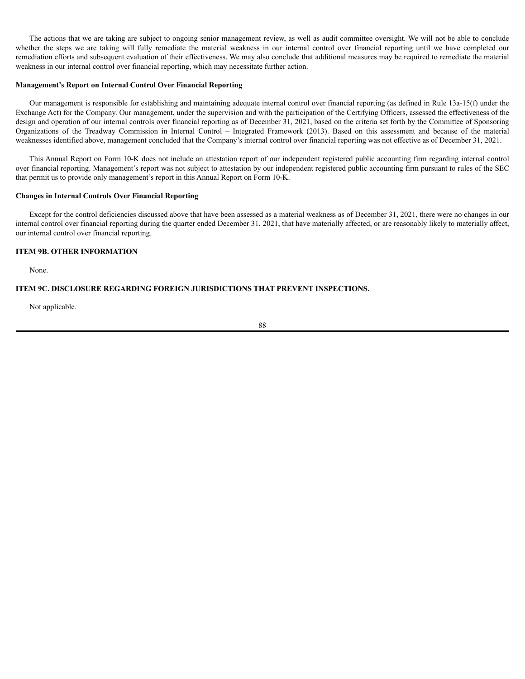The actions that we are taking are subject to ongoing senior management review, as well as audit committee oversight. We will not be able to conclude whether the steps we are taking will fully remediate the material weakness in our internal control over financial reporting until we have completed our remediation efforts and subsequent evaluation of their effectiveness. We may also conclude that additional measures may be required to remediate the material weakness in our internal control over financial reporting, which may necessitate further action.

### **Management's Report on Internal Control Over Financial Reporting**

Our management is responsible for establishing and maintaining adequate internal control over financial reporting (as defined in Rule 13a-15(f) under the Exchange Act) for the Company. Our management, under the supervision and with the participation of the Certifying Officers, assessed the effectiveness of the design and operation of our internal controls over financial reporting as of December 31, 2021, based on the criteria set forth by the Committee of Sponsoring Organizations of the Treadway Commission in Internal Control – Integrated Framework (2013). Based on this assessment and because of the material weaknesses identified above, management concluded that the Company's internal control over financial reporting was not effective as of December 31, 2021.

This Annual Report on Form 10-K does not include an attestation report of our independent registered public accounting firm regarding internal control over financial reporting. Management's report was not subject to attestation by our independent registered public accounting firm pursuant to rules of the SEC that permit us to provide only management's report in this Annual Report on Form 10-K.

#### **Changes in Internal Controls Over Financial Reporting**

Except for the control deficiencies discussed above that have been assessed as a material weakness as of December 31, 2021, there were no changes in our internal control over financial reporting during the quarter ended December 31, 2021, that have materially affected, or are reasonably likely to materially affect, our internal control over financial reporting.

#### **ITEM 9B. OTHER INFORMATION**

None.

# **ITEM 9C. DISCLOSURE REGARDING FOREIGN JURISDICTIONS THAT PREVENT INSPECTIONS.**

Not applicable.

$$
88 \\
$$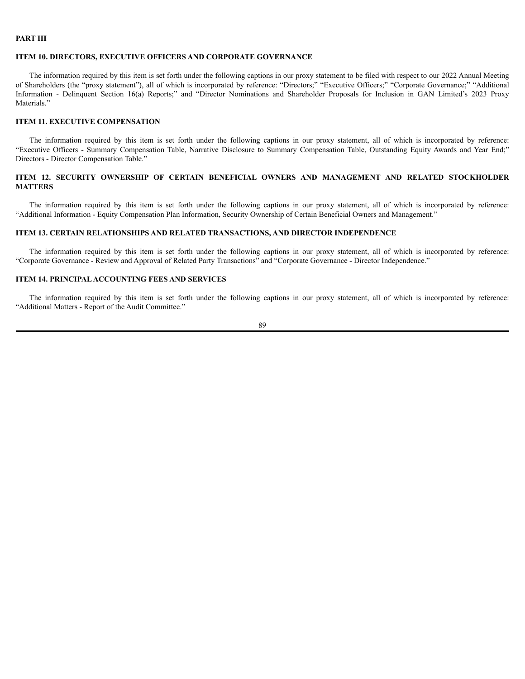### **PART III**

### **ITEM 10. DIRECTORS, EXECUTIVE OFFICERS AND CORPORATE GOVERNANCE**

The information required by this item is set forth under the following captions in our proxy statement to be filed with respect to our 2022 Annual Meeting of Shareholders (the "proxy statement"), all of which is incorporated by reference: "Directors;" "Executive Officers;" "Corporate Governance;" "Additional Information - Delinquent Section 16(a) Reports;" and "Director Nominations and Shareholder Proposals for Inclusion in GAN Limited's 2023 Proxy Materials."

#### **ITEM 11. EXECUTIVE COMPENSATION**

The information required by this item is set forth under the following captions in our proxy statement, all of which is incorporated by reference: "Executive Officers - Summary Compensation Table, Narrative Disclosure to Summary Compensation Table, Outstanding Equity Awards and Year End;" Directors - Director Compensation Table."

### **ITEM 12. SECURITY OWNERSHIP OF CERTAIN BENEFICIAL OWNERS AND MANAGEMENT AND RELATED STOCKHOLDER MATTERS**

The information required by this item is set forth under the following captions in our proxy statement, all of which is incorporated by reference: "Additional Information - Equity Compensation Plan Information, Security Ownership of Certain Beneficial Owners and Management."

#### **ITEM 13. CERTAIN RELATIONSHIPS AND RELATED TRANSACTIONS, AND DIRECTOR INDEPENDENCE**

The information required by this item is set forth under the following captions in our proxy statement, all of which is incorporated by reference: "Corporate Governance - Review and Approval of Related Party Transactions" and "Corporate Governance - Director Independence."

## **ITEM 14. PRINCIPALACCOUNTING FEES AND SERVICES**

The information required by this item is set forth under the following captions in our proxy statement, all of which is incorporated by reference: "Additional Matters - Report of the Audit Committee."

$$
89\\
$$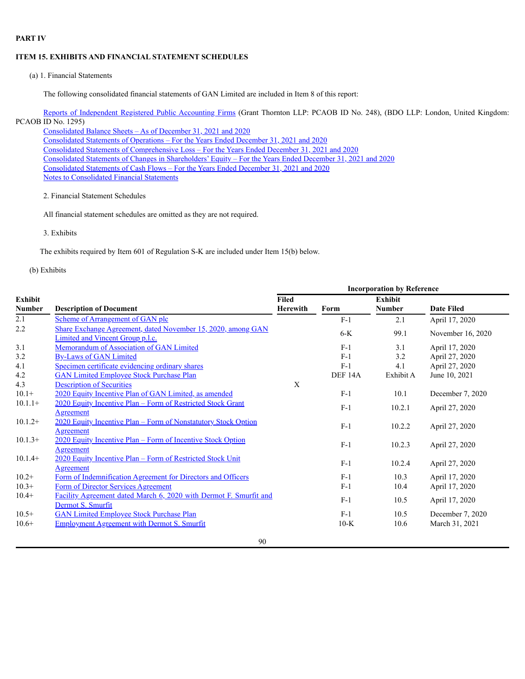## **PART IV**

# **ITEM 15. EXHIBITS AND FINANCIAL STATEMENT SCHEDULES**

(a) 1. Financial Statements

The following consolidated financial statements of GAN Limited are included in Item 8 of this report:

Reports of [Independent](#page-51-0) Registered Public Accounting Firms (Grant Thornton LLP: PCAOB ID No. 248), (BDO LLP: London, United Kingdom: PCAOB ID No. 1295)

[Consolidated](#page-53-0) Balance Sheets – As of December 31, 2021 and 2020 [Consolidated](#page-54-0) Statements of Operations – For the Years Ended December 31, 2021 and 2020 Consolidated Statements of [Comprehensive](#page-55-0) Loss – For the Years Ended December 31, 2021 and 2020 Consolidated Statements of Changes in [Shareholders'](#page-56-0) Equity – For the Years Ended December 31, 2021 and 2020 [Consolidated](#page-57-0) Statements of Cash Flows – For the Years Ended December 31, 2021 and 2020 Notes to [Consolidated](#page-58-0) Financial Statements

### 2. Financial Statement Schedules

All financial statement schedules are omitted as they are not required.

### 3. Exhibits

The exhibits required by Item 601 of Regulation S-K are included under Item 15(b) below.

### (b) Exhibits

| <b>Incorporation by Reference</b> |                   |  |  |
|-----------------------------------|-------------------|--|--|
| Exhibit<br><b>Number</b>          | <b>Date Filed</b> |  |  |
| 2.1                               | April 17, 2020    |  |  |
| 99.1                              | November 16, 2020 |  |  |
| 3.1                               | April 17, 2020    |  |  |
| 3.2                               | April 27, 2020    |  |  |
| 4.1                               | April 27, 2020    |  |  |
| Exhibit A                         | June 10, 2021     |  |  |
|                                   |                   |  |  |
| 10.1                              | December 7, 2020  |  |  |
| 10.2.1                            | April 27, 2020    |  |  |
|                                   |                   |  |  |
| 10.2.2                            | April 27, 2020    |  |  |
| 10.2.3                            | April 27, 2020    |  |  |
| 10.2.4                            | April 27, 2020    |  |  |
| 10.3                              | April 17, 2020    |  |  |
| 10.4                              | April 17, 2020    |  |  |
| 10.5                              | April 17, 2020    |  |  |
| 10.5                              | December 7, 2020  |  |  |
| 10.6                              | March 31, 2021    |  |  |
|                                   |                   |  |  |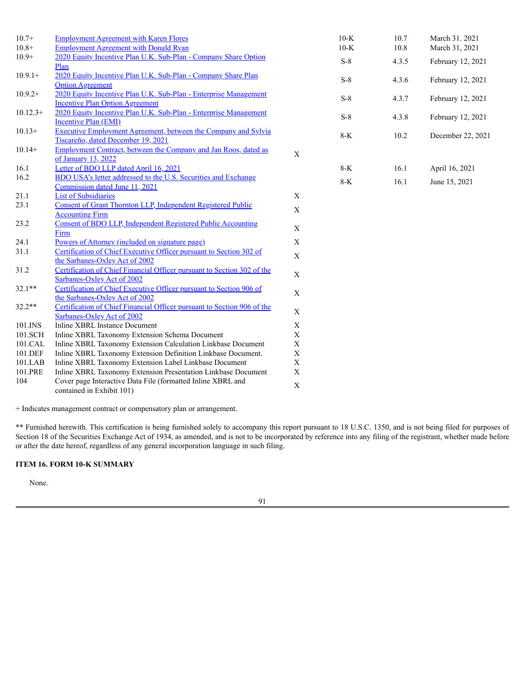| $10.7+$    | <b>Employment Agreement with Karen Flores</b>                                            |                           | $10-K$ | 10.7  | March 31. 2021    |
|------------|------------------------------------------------------------------------------------------|---------------------------|--------|-------|-------------------|
| $10.8+$    | <b>Employment Agreement with Donald Ryan</b>                                             |                           | $10-K$ | 10.8  | March 31, 2021    |
| $10.9+$    | 2020 Equity Incentive Plan U.K. Sub-Plan - Company Share Option                          |                           | $S-8$  | 4.3.5 | February 12, 2021 |
|            | Plan                                                                                     |                           |        |       |                   |
| $10.9.1+$  | 2020 Equity Incentive Plan U.K. Sub-Plan - Company Share Plan                            |                           | $S-8$  | 4.3.6 | February 12, 2021 |
|            | <b>Option Agreement</b>                                                                  |                           |        |       |                   |
| $10.9.2+$  | 2020 Equity Incentive Plan U.K. Sub-Plan - Enterprise Management                         |                           | $S-8$  | 4.3.7 | February 12, 2021 |
|            | <b>Incentive Plan Option Agreement</b>                                                   |                           |        |       |                   |
| $10.12.3+$ | 2020 Equity Incentive Plan U.K. Sub-Plan - Enterprise Management                         |                           | $S-8$  | 4.3.8 | February 12, 2021 |
|            | Incentive Plan (EMI)                                                                     |                           |        |       |                   |
| $10.13+$   | <b>Executive Employment Agreement, between the Company and Sylvia</b>                    |                           | $8-K$  | 10.2  | December 22, 2021 |
|            | Tiscareño, dated December 19, 2021                                                       |                           |        |       |                   |
| $10.14+$   | <b>Employment Contract, between the Company and Jan Roos, dated as</b>                   | $\mathbf X$               |        |       |                   |
|            | of January 13, 2022                                                                      |                           |        |       |                   |
| 16.1       | Letter of BDO LLP dated April 16, 2021                                                   |                           | $8-K$  | 16.1  | April 16, 2021    |
| 16.2       | BDO USA's letter addressed to the U.S. Securities and Exchange                           |                           | $8-K$  | 16.1  | June 15, 2021     |
|            | Commission dated June 11, 2021                                                           |                           |        |       |                   |
| 21.1       | <b>List of Subsidiaries</b>                                                              | $\boldsymbol{\mathrm{X}}$ |        |       |                   |
| 23.1       | Consent of Grant Thornton LLP, Independent Registered Public                             | $\mathbf X$               |        |       |                   |
|            | <b>Accounting Firm</b>                                                                   |                           |        |       |                   |
| 23.2       | Consent of BDO LLP, Independent Registered Public Accounting                             | $\mathbf X$               |        |       |                   |
|            | Firm                                                                                     |                           |        |       |                   |
| 24.1       | Powers of Attorney (included on signature page)                                          | $\boldsymbol{\mathrm{X}}$ |        |       |                   |
| 31.1       | Certification of Chief Executive Officer pursuant to Section 302 of                      | $\mathbf X$               |        |       |                   |
|            | the Sarbanes-Oxley Act of 2002                                                           |                           |        |       |                   |
| 31.2       | Certification of Chief Financial Officer pursuant to Section 302 of the                  | $\mathbf X$               |        |       |                   |
|            | Sarbanes-Oxley Act of 2002                                                               |                           |        |       |                   |
| $32.1**$   | Certification of Chief Executive Officer pursuant to Section 906 of                      | $\mathbf X$               |        |       |                   |
|            | the Sarbanes-Oxley Act of 2002                                                           |                           |        |       |                   |
| $32.2**$   | Certification of Chief Financial Officer pursuant to Section 906 of the                  | $\mathbf X$               |        |       |                   |
|            | Sarbanes-Oxley Act of 2002                                                               |                           |        |       |                   |
| 101.INS    | <b>Inline XBRL Instance Document</b>                                                     | $\mathbf X$               |        |       |                   |
| 101.SCH    | Inline XBRL Taxonomy Extension Schema Document                                           | $\mathbf X$               |        |       |                   |
| 101.CAL    | Inline XBRL Taxonomy Extension Calculation Linkbase Document                             | $\mathbf X$               |        |       |                   |
| 101.DEF    | Inline XBRL Taxonomy Extension Definition Linkbase Document.                             | $\mathbf X$               |        |       |                   |
| 101.LAB    | Inline XBRL Taxonomy Extension Label Linkbase Document                                   | $\mathbf X$               |        |       |                   |
| 101.PRE    | Inline XBRL Taxonomy Extension Presentation Linkbase Document                            | $\mathbf X$               |        |       |                   |
| 104        | Cover page Interactive Data File (formatted Inline XBRL and<br>contained in Exhibit 101) | $\mathbf X$               |        |       |                   |
|            |                                                                                          |                           |        |       |                   |

+ Indicates management contract or compensatory plan or arrangement.

\*\* Furnished herewith. This certification is being furnished solely to accompany this report pursuant to 18 U.S.C. 1350, and is not being filed for purposes of Section 18 of the Securities Exchange Act of 1934, as amended, and is not to be incorporated by reference into any filing of the registrant, whether made before or after the date hereof, regardless of any general incorporation language in such filing.

# **ITEM 16. FORM 10-K SUMMARY**

None.

91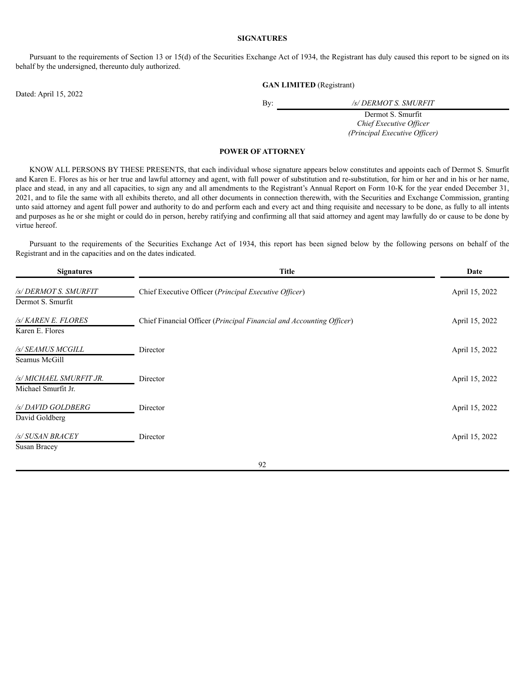#### <span id="page-92-0"></span>**SIGNATURES**

Pursuant to the requirements of Section 13 or 15(d) of the Securities Exchange Act of 1934, the Registrant has duly caused this report to be signed on its behalf by the undersigned, thereunto duly authorized.

Dated: April 15, 2022

**GAN LIMITED** (Registrant)

By: */s/ DERMOT S. SMURFIT*

Dermot S. Smurfit *Chief Executive Of icer (Principal Executive Of icer)*

## **POWER OF ATTORNEY**

KNOW ALL PERSONS BY THESE PRESENTS, that each individual whose signature appears below constitutes and appoints each of Dermot S. Smurfit and Karen E. Flores as his or her true and lawful attorney and agent, with full power of substitution and re-substitution, for him or her and in his or her name, place and stead, in any and all capacities, to sign any and all amendments to the Registrant's Annual Report on Form 10-K for the year ended December 31, 2021, and to file the same with all exhibits thereto, and all other documents in connection therewith, with the Securities and Exchange Commission, granting unto said attorney and agent full power and authority to do and perform each and every act and thing requisite and necessary to be done, as fully to all intents and purposes as he or she might or could do in person, hereby ratifying and confirming all that said attorney and agent may lawfully do or cause to be done by virtue hereof.

Pursuant to the requirements of the Securities Exchange Act of 1934, this report has been signed below by the following persons on behalf of the Registrant and in the capacities and on the dates indicated.

| <b>Signatures</b>                              | <b>Title</b>                                                         | Date           |
|------------------------------------------------|----------------------------------------------------------------------|----------------|
| /s/ DERMOT S. SMURFIT<br>Dermot S. Smurfit     | Chief Executive Officer (Principal Executive Officer)                | April 15, 2022 |
| /s/ KAREN E. FLORES<br>Karen E. Flores         | Chief Financial Officer (Principal Financial and Accounting Officer) | April 15, 2022 |
| /s/ SEAMUS MCGILL<br>Seamus McGill             | Director                                                             | April 15, 2022 |
| /s/ MICHAEL SMURFIT JR.<br>Michael Smurfit Jr. | Director                                                             | April 15, 2022 |
| /s/ DAVID GOLDBERG<br>David Goldberg           | Director                                                             | April 15, 2022 |
| /s/ SUSAN BRACEY<br>Susan Bracey               | Director                                                             | April 15, 2022 |
|                                                | $\Omega$                                                             |                |

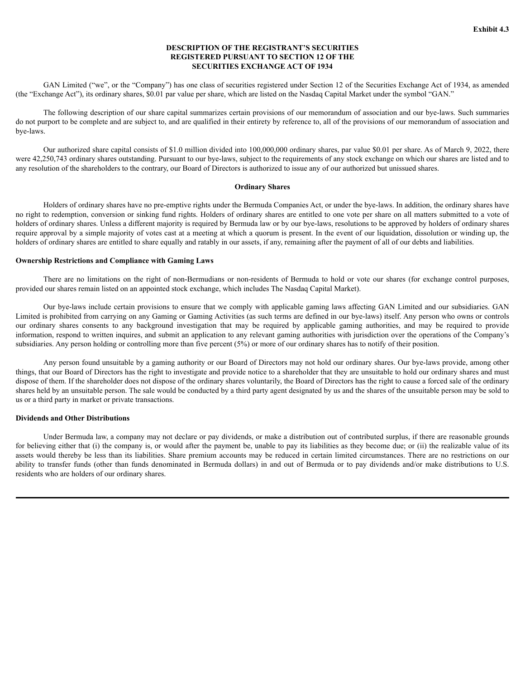### **DESCRIPTION OF THE REGISTRANT'S SECURITIES REGISTERED PURSUANT TO SECTION 12 OF THE SECURITIES EXCHANGE ACT OF 1934**

<span id="page-93-0"></span>GAN Limited ("we", or the "Company") has one class of securities registered under Section 12 of the Securities Exchange Act of 1934, as amended (the "Exchange Act"), its ordinary shares, \$0.01 par value per share, which are listed on the Nasdaq Capital Market under the symbol "GAN."

The following description of our share capital summarizes certain provisions of our memorandum of association and our bye-laws. Such summaries do not purport to be complete and are subject to, and are qualified in their entirety by reference to, all of the provisions of our memorandum of association and bye-laws.

Our authorized share capital consists of \$1.0 million divided into 100,000,000 ordinary shares, par value \$0.01 per share. As of March 9, 2022, there were 42,250,743 ordinary shares outstanding. Pursuant to our bye-laws, subject to the requirements of any stock exchange on which our shares are listed and to any resolution of the shareholders to the contrary, our Board of Directors is authorized to issue any of our authorized but unissued shares.

#### **Ordinary Shares**

Holders of ordinary shares have no pre-emptive rights under the Bermuda Companies Act, or under the bye-laws. In addition, the ordinary shares have no right to redemption, conversion or sinking fund rights. Holders of ordinary shares are entitled to one vote per share on all matters submitted to a vote of holders of ordinary shares. Unless a different majority is required by Bermuda law or by our bye-laws, resolutions to be approved by holders of ordinary shares require approval by a simple majority of votes cast at a meeting at which a quorum is present. In the event of our liquidation, dissolution or winding up, the holders of ordinary shares are entitled to share equally and ratably in our assets, if any, remaining after the payment of all of our debts and liabilities.

#### **Ownership Restrictions and Compliance with Gaming Laws**

There are no limitations on the right of non-Bermudians or non-residents of Bermuda to hold or vote our shares (for exchange control purposes, provided our shares remain listed on an appointed stock exchange, which includes The Nasdaq Capital Market).

Our bye-laws include certain provisions to ensure that we comply with applicable gaming laws affecting GAN Limited and our subsidiaries. GAN Limited is prohibited from carrying on any Gaming or Gaming Activities (as such terms are defined in our bye-laws) itself. Any person who owns or controls our ordinary shares consents to any background investigation that may be required by applicable gaming authorities, and may be required to provide information, respond to written inquires, and submit an application to any relevant gaming authorities with jurisdiction over the operations of the Company's subsidiaries. Any person holding or controlling more than five percent (5%) or more of our ordinary shares has to notify of their position.

Any person found unsuitable by a gaming authority or our Board of Directors may not hold our ordinary shares. Our bye-laws provide, among other things, that our Board of Directors has the right to investigate and provide notice to a shareholder that they are unsuitable to hold our ordinary shares and must dispose of them. If the shareholder does not dispose of the ordinary shares voluntarily, the Board of Directors has the right to cause a forced sale of the ordinary shares held by an unsuitable person. The sale would be conducted by a third party agent designated by us and the shares of the unsuitable person may be sold to us or a third party in market or private transactions.

## **Dividends and Other Distributions**

Under Bermuda law, a company may not declare or pay dividends, or make a distribution out of contributed surplus, if there are reasonable grounds for believing either that (i) the company is, or would after the payment be, unable to pay its liabilities as they become due; or (ii) the realizable value of its assets would thereby be less than its liabilities. Share premium accounts may be reduced in certain limited circumstances. There are no restrictions on our ability to transfer funds (other than funds denominated in Bermuda dollars) in and out of Bermuda or to pay dividends and/or make distributions to U.S. residents who are holders of our ordinary shares.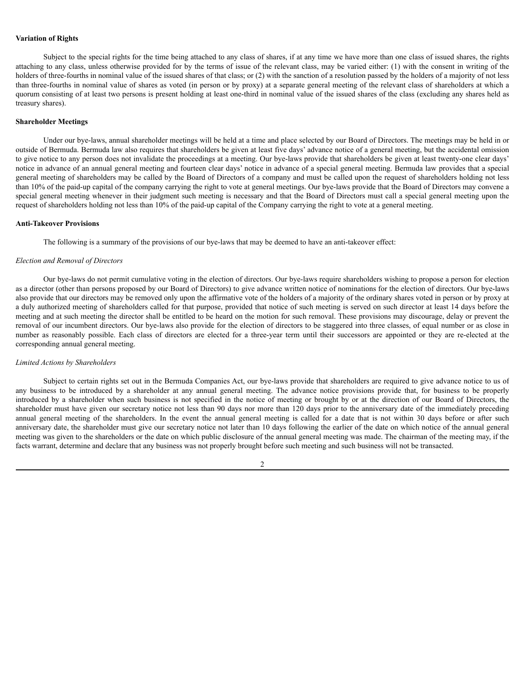### **Variation of Rights**

Subject to the special rights for the time being attached to any class of shares, if at any time we have more than one class of issued shares, the rights attaching to any class, unless otherwise provided for by the terms of issue of the relevant class, may be varied either: (1) with the consent in writing of the holders of three-fourths in nominal value of the issued shares of that class; or (2) with the sanction of a resolution passed by the holders of a majority of not less than three-fourths in nominal value of shares as voted (in person or by proxy) at a separate general meeting of the relevant class of shareholders at which a quorum consisting of at least two persons is present holding at least one-third in nominal value of the issued shares of the class (excluding any shares held as treasury shares).

#### **Shareholder Meetings**

Under our bye-laws, annual shareholder meetings will be held at a time and place selected by our Board of Directors. The meetings may be held in or outside of Bermuda. Bermuda law also requires that shareholders be given at least five days' advance notice of a general meeting, but the accidental omission to give notice to any person does not invalidate the proceedings at a meeting. Our bye-laws provide that shareholders be given at least twenty-one clear days' notice in advance of an annual general meeting and fourteen clear days' notice in advance of a special general meeting. Bermuda law provides that a special general meeting of shareholders may be called by the Board of Directors of a company and must be called upon the request of shareholders holding not less than 10% of the paid-up capital of the company carrying the right to vote at general meetings. Our bye-laws provide that the Board of Directors may convene a special general meeting whenever in their judgment such meeting is necessary and that the Board of Directors must call a special general meeting upon the request of shareholders holding not less than 10% of the paid-up capital of the Company carrying the right to vote at a general meeting.

#### **Anti-Takeover Provisions**

The following is a summary of the provisions of our bye-laws that may be deemed to have an anti-takeover effect:

### *Election and Removal of Directors*

Our bye-laws do not permit cumulative voting in the election of directors. Our bye-laws require shareholders wishing to propose a person for election as a director (other than persons proposed by our Board of Directors) to give advance written notice of nominations for the election of directors. Our bye-laws also provide that our directors may be removed only upon the affirmative vote of the holders of a majority of the ordinary shares voted in person or by proxy at a duly authorized meeting of shareholders called for that purpose, provided that notice of such meeting is served on such director at least 14 days before the meeting and at such meeting the director shall be entitled to be heard on the motion for such removal. These provisions may discourage, delay or prevent the removal of our incumbent directors. Our bye-laws also provide for the election of directors to be staggered into three classes, of equal number or as close in number as reasonably possible. Each class of directors are elected for a three-year term until their successors are appointed or they are re-elected at the corresponding annual general meeting.

### *Limited Actions by Shareholders*

Subject to certain rights set out in the Bermuda Companies Act, our bye-laws provide that shareholders are required to give advance notice to us of any business to be introduced by a shareholder at any annual general meeting. The advance notice provisions provide that, for business to be properly introduced by a shareholder when such business is not specified in the notice of meeting or brought by or at the direction of our Board of Directors, the shareholder must have given our secretary notice not less than 90 days nor more than 120 days prior to the anniversary date of the immediately preceding annual general meeting of the shareholders. In the event the annual general meeting is called for a date that is not within 30 days before or after such anniversary date, the shareholder must give our secretary notice not later than 10 days following the earlier of the date on which notice of the annual general meeting was given to the shareholders or the date on which public disclosure of the annual general meeting was made. The chairman of the meeting may, if the facts warrant, determine and declare that any business was not properly brought before such meeting and such business will not be transacted.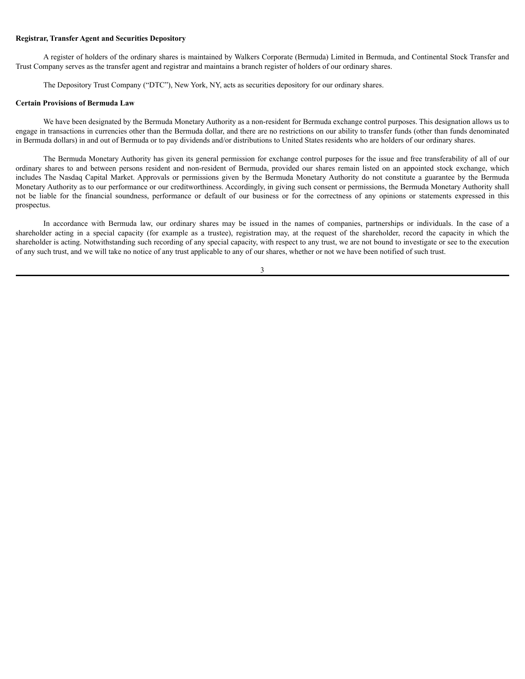### **Registrar, Transfer Agent and Securities Depository**

A register of holders of the ordinary shares is maintained by Walkers Corporate (Bermuda) Limited in Bermuda, and Continental Stock Transfer and Trust Company serves as the transfer agent and registrar and maintains a branch register of holders of our ordinary shares.

The Depository Trust Company ("DTC"), New York, NY, acts as securities depository for our ordinary shares.

#### **Certain Provisions of Bermuda Law**

We have been designated by the Bermuda Monetary Authority as a non-resident for Bermuda exchange control purposes. This designation allows us to engage in transactions in currencies other than the Bermuda dollar, and there are no restrictions on our ability to transfer funds (other than funds denominated in Bermuda dollars) in and out of Bermuda or to pay dividends and/or distributions to United States residents who are holders of our ordinary shares.

The Bermuda Monetary Authority has given its general permission for exchange control purposes for the issue and free transferability of all of our ordinary shares to and between persons resident and non-resident of Bermuda, provided our shares remain listed on an appointed stock exchange, which includes The Nasdaq Capital Market. Approvals or permissions given by the Bermuda Monetary Authority do not constitute a guarantee by the Bermuda Monetary Authority as to our performance or our creditworthiness. Accordingly, in giving such consent or permissions, the Bermuda Monetary Authority shall not be liable for the financial soundness, performance or default of our business or for the correctness of any opinions or statements expressed in this prospectus.

In accordance with Bermuda law, our ordinary shares may be issued in the names of companies, partnerships or individuals. In the case of a shareholder acting in a special capacity (for example as a trustee), registration may, at the request of the shareholder, record the capacity in which the shareholder is acting. Notwithstanding such recording of any special capacity, with respect to any trust, we are not bound to investigate or see to the execution of any such trust, and we will take no notice of any trust applicable to any of our shares, whether or not we have been notified of such trust.

3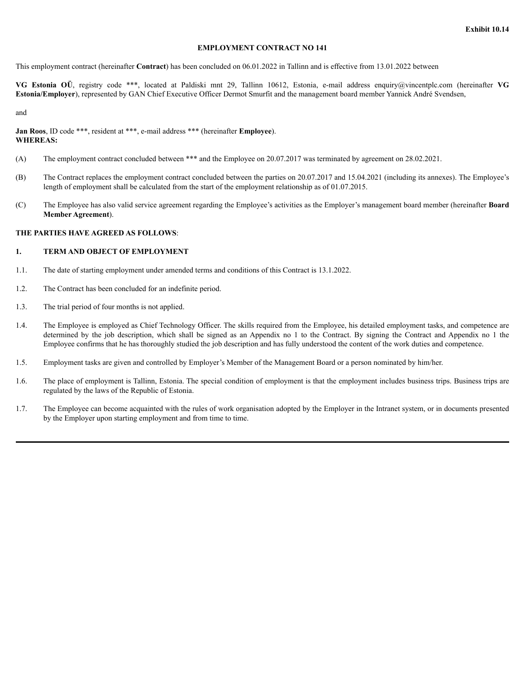### **EMPLOYMENT CONTRACT NO 141**

<span id="page-96-0"></span>This employment contract (hereinafter **Contract**) has been concluded on 06.01.2022 in Tallinn and is effective from 13.01.2022 between

**VG Estonia OÜ**, registry code \*\*\*, located at Paldiski mnt 29, Tallinn 10612, Estonia, e-mail address enquiry@vincentplc.com (hereinafter **VG Estonia/Employer**), represented by GAN Chief Executive Officer Dermot Smurfit and the management board member Yannick André Svendsen,

and

**Jan Roos**, ID code \*\*\*, resident at \*\*\*, e-mail address \*\*\* (hereinafter **Employee**). **WHEREAS:**

- (A) The employment contract concluded between \*\*\* and the Employee on 20.07.2017 was terminated by agreement on 28.02.2021.
- (B) The Contract replaces the employment contract concluded between the parties on 20.07.2017 and 15.04.2021 (including its annexes). The Employee's length of employment shall be calculated from the start of the employment relationship as of 01.07.2015.
- (C) The Employee has also valid service agreement regarding the Employee's activities as the Employer's management board member (hereinafter **Board Member Agreement**).

#### **THE PARTIES HAVE AGREED AS FOLLOWS**:

#### **1. TERM AND OBJECT OF EMPLOYMENT**

- 1.1. The date of starting employment under amended terms and conditions of this Contract is 13.1.2022.
- 1.2. The Contract has been concluded for an indefinite period.
- 1.3. The trial period of four months is not applied.
- 1.4. The Employee is employed as Chief Technology Officer. The skills required from the Employee, his detailed employment tasks, and competence are determined by the job description, which shall be signed as an Appendix no 1 to the Contract. By signing the Contract and Appendix no 1 the Employee confirms that he has thoroughly studied the job description and has fully understood the content of the work duties and competence.
- 1.5. Employment tasks are given and controlled by Employer's Member of the Management Board or a person nominated by him/her.
- 1.6. The place of employment is Tallinn, Estonia. The special condition of employment is that the employment includes business trips. Business trips are regulated by the laws of the Republic of Estonia.
- 1.7. The Employee can become acquainted with the rules of work organisation adopted by the Employer in the Intranet system, or in documents presented by the Employer upon starting employment and from time to time.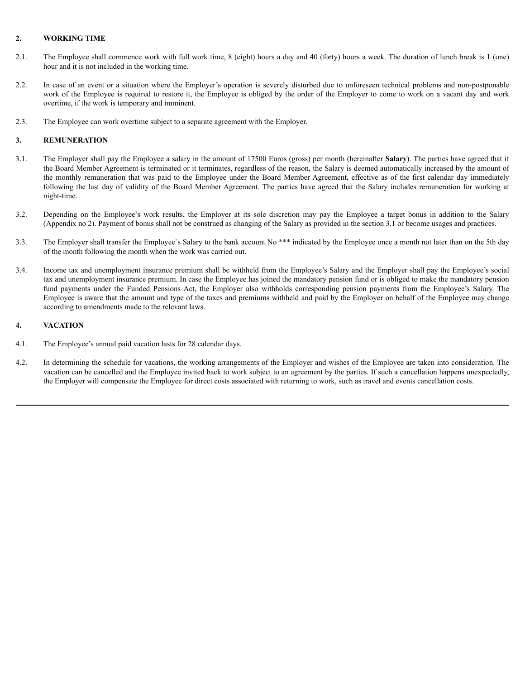## **2. WORKING TIME**

- 2.1. The Employee shall commence work with full work time, 8 (eight) hours a day and 40 (forty) hours a week. The duration of lunch break is 1 (one) hour and it is not included in the working time.
- 2.2. In case of an event or a situation where the Employer's operation is severely disturbed due to unforeseen technical problems and non-postponable work of the Employee is required to restore it, the Employee is obliged by the order of the Employer to come to work on a vacant day and work overtime, if the work is temporary and imminent.
- 2.3. The Employee can work overtime subject to a separate agreement with the Employer.

## **3. REMUNERATION**

- 3.1. The Employer shall pay the Employee a salary in the amount of 17500 Euros (gross) per month (hereinafter **Salary**). The parties have agreed that if the Board Member Agreement is terminated or it terminates, regardless of the reason, the Salary is deemed automatically increased by the amount of the monthly remuneration that was paid to the Employee under the Board Member Agreement, effective as of the first calendar day immediately following the last day of validity of the Board Member Agreement. The parties have agreed that the Salary includes remuneration for working at night-time.
- 3.2. Depending on the Employee's work results, the Employer at its sole discretion may pay the Employee a target bonus in addition to the Salary (Appendix no 2). Payment of bonus shall not be construed as changing of the Salary as provided in the section 3.1 or become usages and practices.
- 3.3. The Employer shall transfer the Employee's Salary to the bank account No \*\*\* indicated by the Employee once a month not later than on the 5th day of the month following the month when the work was carried out.
- 3.4. Income tax and unemployment insurance premium shall be withheld from the Employee's Salary and the Employer shall pay the Employee's social tax and unemployment insurance premium. In case the Employee has joined the mandatory pension fund or is obliged to make the mandatory pension fund payments under the Funded Pensions Act, the Employer also withholds corresponding pension payments from the Employee's Salary. The Employee is aware that the amount and type of the taxes and premiums withheld and paid by the Employer on behalf of the Employee may change according to amendments made to the relevant laws.

## **4. VACATION**

- 4.1. The Employee's annual paid vacation lasts for 28 calendar days.
- 4.2. In determining the schedule for vacations, the working arrangements of the Employer and wishes of the Employee are taken into consideration. The vacation can be cancelled and the Employee invited back to work subject to an agreement by the parties. If such a cancellation happens unexpectedly, the Employer will compensate the Employee for direct costs associated with returning to work, such as travel and events cancellation costs.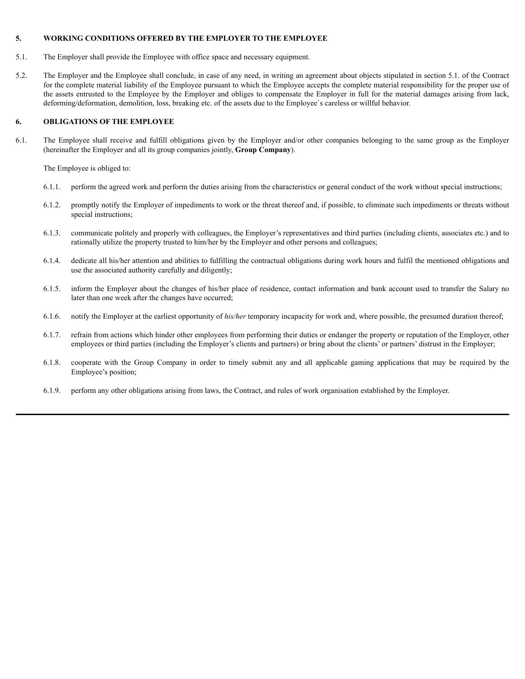### **5. WORKING CONDITIONS OFFERED BY THE EMPLOYER TO THE EMPLOYEE**

- 5.1. The Employer shall provide the Employee with office space and necessary equipment.
- 5.2. The Employer and the Employee shall conclude, in case of any need, in writing an agreement about objects stipulated in section 5.1. of the Contract for the complete material liability of the Employee pursuant to which the Employee accepts the complete material responsibility for the proper use of the assets entrusted to the Employee by the Employer and obliges to compensate the Employer in full for the material damages arising from lack, deforming/deformation, demolition, loss, breaking etc. of the assets due to the Employee`s careless or willful behavior.

## **6. OBLIGATIONS OF THE EMPLOYEE**

6.1. The Employee shall receive and fulfill obligations given by the Employer and/or other companies belonging to the same group as the Employer (hereinafter the Employer and all its group companies jointly, **Group Company**).

The Employee is obliged to:

- 6.1.1. perform the agreed work and perform the duties arising from the characteristics or general conduct of the work without special instructions;
- 6.1.2. promptly notify the Employer of impediments to work or the threat thereof and, if possible, to eliminate such impediments or threats without special instructions;
- 6.1.3. communicate politely and properly with colleagues, the Employer's representatives and third parties (including clients, associates etc.) and to rationally utilize the property trusted to him/her by the Employer and other persons and colleagues;
- 6.1.4. dedicate all his/her attention and abilities to fulfilling the contractual obligations during work hours and fulfil the mentioned obligations and use the associated authority carefully and diligently;
- 6.1.5. inform the Employer about the changes of his/her place of residence, contact information and bank account used to transfer the Salary no later than one week after the changes have occurred;
- 6.1.6. notify the Employer at the earliest opportunity of *his/her* temporary incapacity for work and, where possible, the presumed duration thereof;
- 6.1.7. refrain from actions which hinder other employees from performing their duties or endanger the property or reputation of the Employer, other employees or third parties (including the Employer's clients and partners) or bring about the clients' or partners' distrust in the Employer;
- 6.1.8. cooperate with the Group Company in order to timely submit any and all applicable gaming applications that may be required by the Employee's position;
- 6.1.9. perform any other obligations arising from laws, the Contract, and rules of work organisation established by the Employer.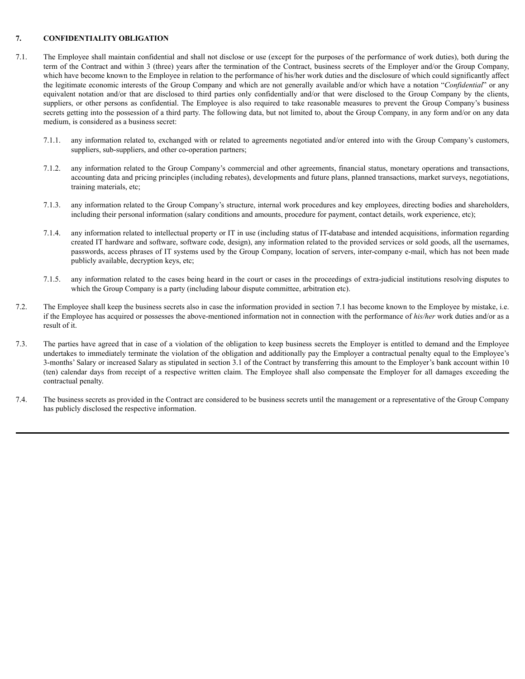# **7. CONFIDENTIALITY OBLIGATION**

- 7.1. The Employee shall maintain confidential and shall not disclose or use (except for the purposes of the performance of work duties), both during the term of the Contract and within 3 (three) years after the termination of the Contract, business secrets of the Employer and/or the Group Company, which have become known to the Employee in relation to the performance of his/her work duties and the disclosure of which could significantly affect the legitimate economic interests of the Group Company and which are not generally available and/or which have a notation "*Confidential*" or any equivalent notation and/or that are disclosed to third parties only confidentially and/or that were disclosed to the Group Company by the clients, suppliers, or other persons as confidential. The Employee is also required to take reasonable measures to prevent the Group Company's business secrets getting into the possession of a third party. The following data, but not limited to, about the Group Company, in any form and/or on any data medium, is considered as a business secret:
	- 7.1.1. any information related to, exchanged with or related to agreements negotiated and/or entered into with the Group Company's customers, suppliers, sub-suppliers, and other co-operation partners;
	- 7.1.2. any information related to the Group Company's commercial and other agreements, financial status, monetary operations and transactions, accounting data and pricing principles (including rebates), developments and future plans, planned transactions, market surveys, negotiations, training materials, etc;
	- 7.1.3. any information related to the Group Company's structure, internal work procedures and key employees, directing bodies and shareholders, including their personal information (salary conditions and amounts, procedure for payment, contact details, work experience, etc);
	- 7.1.4. any information related to intellectual property or IT in use (including status of IT-database and intended acquisitions, information regarding created IT hardware and software, software code, design), any information related to the provided services or sold goods, all the usernames, passwords, access phrases of IT systems used by the Group Company, location of servers, inter-company e-mail, which has not been made publicly available, decryption keys, etc;
	- 7.1.5. any information related to the cases being heard in the court or cases in the proceedings of extra-judicial institutions resolving disputes to which the Group Company is a party (including labour dispute committee, arbitration etc).
- 7.2. The Employee shall keep the business secrets also in case the information provided in section 7.1 has become known to the Employee by mistake, i.e. if the Employee has acquired or possesses the above-mentioned information not in connection with the performance of *his/her* work duties and/or as a result of it.
- 7.3. The parties have agreed that in case of a violation of the obligation to keep business secrets the Employer is entitled to demand and the Employee undertakes to immediately terminate the violation of the obligation and additionally pay the Employer a contractual penalty equal to the Employee's 3-months' Salary or increased Salary as stipulated in section 3.1 of the Contract by transferring this amount to the Employer's bank account within 10 (ten) calendar days from receipt of a respective written claim. The Employee shall also compensate the Employer for all damages exceeding the contractual penalty.
- 7.4. The business secrets as provided in the Contract are considered to be business secrets until the management or a representative of the Group Company has publicly disclosed the respective information.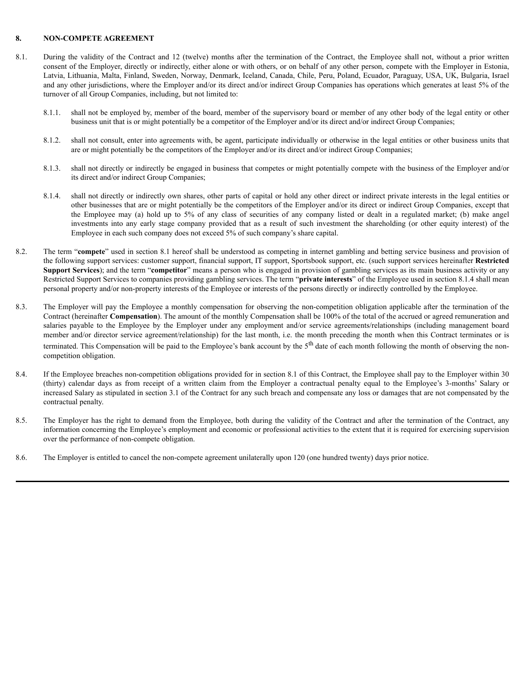## **8. NON-COMPETE AGREEMENT**

- 8.1. During the validity of the Contract and 12 (twelve) months after the termination of the Contract, the Employee shall not, without a prior written consent of the Employer, directly or indirectly, either alone or with others, or on behalf of any other person, compete with the Employer in Estonia, Latvia, Lithuania, Malta, Finland, Sweden, Norway, Denmark, Iceland, Canada, Chile, Peru, Poland, Ecuador, Paraguay, USA, UK, Bulgaria, Israel and any other jurisdictions, where the Employer and/or its direct and/or indirect Group Companies has operations which generates at least 5% of the turnover of all Group Companies, including, but not limited to:
	- 8.1.1. shall not be employed by, member of the board, member of the supervisory board or member of any other body of the legal entity or other business unit that is or might potentially be a competitor of the Employer and/or its direct and/or indirect Group Companies;
	- 8.1.2. shall not consult, enter into agreements with, be agent, participate individually or otherwise in the legal entities or other business units that are or might potentially be the competitors of the Employer and/or its direct and/or indirect Group Companies;
	- 8.1.3. shall not directly or indirectly be engaged in business that competes or might potentially compete with the business of the Employer and/or its direct and/or indirect Group Companies;
	- 8.1.4. shall not directly or indirectly own shares, other parts of capital or hold any other direct or indirect private interests in the legal entities or other businesses that are or might potentially be the competitors of the Employer and/or its direct or indirect Group Companies, except that the Employee may (a) hold up to 5% of any class of securities of any company listed or dealt in a regulated market; (b) make angel investments into any early stage company provided that as a result of such investment the shareholding (or other equity interest) of the Employee in each such company does not exceed 5% of such company's share capital.
- 8.2. The term "**compete**" used in section 8.1 hereof shall be understood as competing in internet gambling and betting service business and provision of the following support services: customer support, financial support, IT support, Sportsbook support, etc. (such support services hereinafter **Restricted Support Services**); and the term "**competitor**" means a person who is engaged in provision of gambling services as its main business activity or any Restricted Support Services to companies providing gambling services. The term "**private interests**" of the Employee used in section 8.1.4 shall mean personal property and/or non-property interests of the Employee or interests of the persons directly or indirectly controlled by the Employee.
- 8.3. The Employer will pay the Employee a monthly compensation for observing the non-competition obligation applicable after the termination of the Contract (hereinafter **Compensation**). The amount of the monthly Compensation shall be 100% of the total of the accrued or agreed remuneration and salaries payable to the Employee by the Employer under any employment and/or service agreements/relationships (including management board member and/or director service agreement/relationship) for the last month, i.e. the month preceding the month when this Contract terminates or is terminated. This Compensation will be paid to the Employee's bank account by the 5<sup>th</sup> date of each month following the month of observing the noncompetition obligation.
- 8.4. If the Employee breaches non-competition obligations provided for in section 8.1 of this Contract, the Employee shall pay to the Employer within 30 (thirty) calendar days as from receipt of a written claim from the Employer a contractual penalty equal to the Employee's 3-months' Salary or increased Salary as stipulated in section 3.1 of the Contract for any such breach and compensate any loss or damages that are not compensated by the contractual penalty.
- 8.5. The Employer has the right to demand from the Employee, both during the validity of the Contract and after the termination of the Contract, any information concerning the Employee's employment and economic or professional activities to the extent that it is required for exercising supervision over the performance of non-compete obligation.
- 8.6. The Employer is entitled to cancel the non-compete agreement unilaterally upon 120 (one hundred twenty) days prior notice.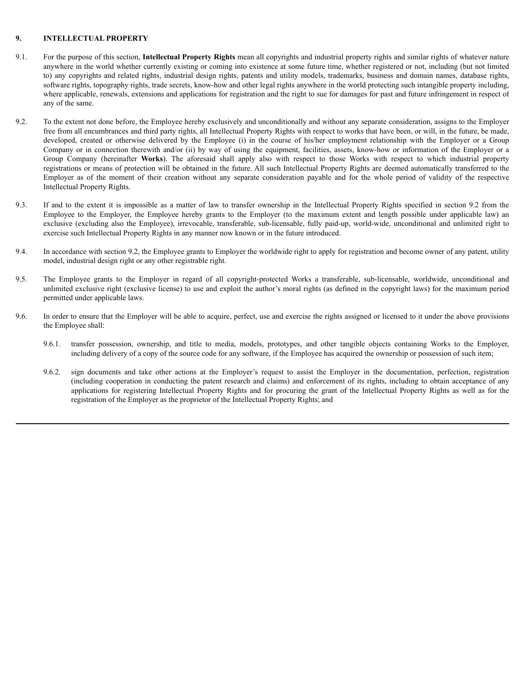# **9. INTELLECTUAL PROPERTY**

- 9.1. For the purpose of this section, **Intellectual Property Rights** mean all copyrights and industrial property rights and similar rights of whatever nature anywhere in the world whether currently existing or coming into existence at some future time, whether registered or not, including (but not limited to) any copyrights and related rights, industrial design rights, patents and utility models, trademarks, business and domain names, database rights, software rights, topography rights, trade secrets, know-how and other legal rights anywhere in the world protecting such intangible property including, where applicable, renewals, extensions and applications for registration and the right to sue for damages for past and future infringement in respect of any of the same.
- 9.2. To the extent not done before, the Employee hereby exclusively and unconditionally and without any separate consideration, assigns to the Employer free from all encumbrances and third party rights, all Intellectual Property Rights with respect to works that have been, or will, in the future, be made, developed, created or otherwise delivered by the Employee (i) in the course of his/her employment relationship with the Employer or a Group Company or in connection therewith and/or (ii) by way of using the equipment, facilities, assets, know-how or information of the Employer or a Group Company (hereinafter **Works**). The aforesaid shall apply also with respect to those Works with respect to which industrial property registrations or means of protection will be obtained in the future. All such Intellectual Property Rights are deemed automatically transferred to the Employer as of the moment of their creation without any separate consideration payable and for the whole period of validity of the respective Intellectual Property Rights.
- 9.3. If and to the extent it is impossible as a matter of law to transfer ownership in the Intellectual Property Rights specified in section 9.2 from the Employee to the Employer, the Employee hereby grants to the Employer (to the maximum extent and length possible under applicable law) an exclusive (excluding also the Employee), irrevocable, transferable, sub-licensable, fully paid-up, world-wide, unconditional and unlimited right to exercise such Intellectual Property Rights in any manner now known or in the future introduced.
- 9.4. In accordance with section 9.2, the Employee grants to Employer the worldwide right to apply for registration and become owner of any patent, utility model, industrial design right or any other registrable right.
- 9.5. The Employee grants to the Employer in regard of all copyright-protected Works a transferable, sub-licensable, worldwide, unconditional and unlimited exclusive right (exclusive license) to use and exploit the author's moral rights (as defined in the copyright laws) for the maximum period permitted under applicable laws.
- 9.6. In order to ensure that the Employer will be able to acquire, perfect, use and exercise the rights assigned or licensed to it under the above provisions the Employee shall:
	- 9.6.1. transfer possession, ownership, and title to media, models, prototypes, and other tangible objects containing Works to the Employer, including delivery of a copy of the source code for any software, if the Employee has acquired the ownership or possession of such item;
	- 9.6.2. sign documents and take other actions at the Employer's request to assist the Employer in the documentation, perfection, registration (including cooperation in conducting the patent research and claims) and enforcement of its rights, including to obtain acceptance of any applications for registering Intellectual Property Rights and for procuring the grant of the Intellectual Property Rights as well as for the registration of the Employer as the proprietor of the Intellectual Property Rights; and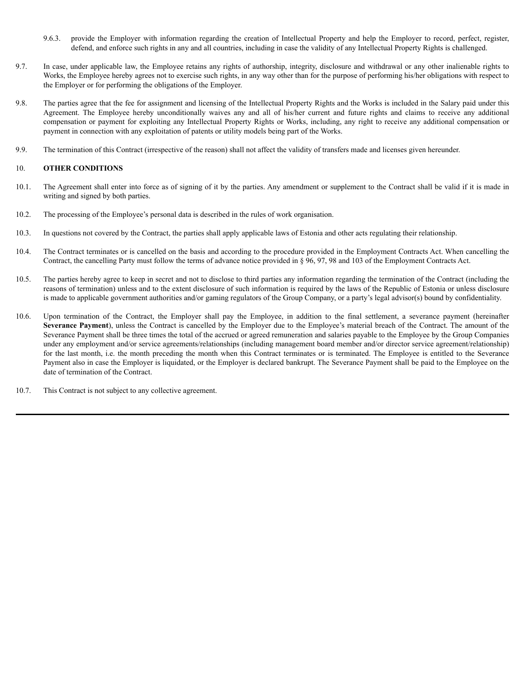- 9.6.3. provide the Employer with information regarding the creation of Intellectual Property and help the Employer to record, perfect, register, defend, and enforce such rights in any and all countries, including in case the validity of any Intellectual Property Rights is challenged.
- 9.7. In case, under applicable law, the Employee retains any rights of authorship, integrity, disclosure and withdrawal or any other inalienable rights to Works, the Employee hereby agrees not to exercise such rights, in any way other than for the purpose of performing his/her obligations with respect to the Employer or for performing the obligations of the Employer.
- 9.8. The parties agree that the fee for assignment and licensing of the Intellectual Property Rights and the Works is included in the Salary paid under this Agreement. The Employee hereby unconditionally waives any and all of his/her current and future rights and claims to receive any additional compensation or payment for exploiting any Intellectual Property Rights or Works, including, any right to receive any additional compensation or payment in connection with any exploitation of patents or utility models being part of the Works.
- 9.9. The termination of this Contract (irrespective of the reason) shall not affect the validity of transfers made and licenses given hereunder.

### 10. **OTHER CONDITIONS**

- 10.1. The Agreement shall enter into force as of signing of it by the parties. Any amendment or supplement to the Contract shall be valid if it is made in writing and signed by both parties.
- 10.2. The processing of the Employee's personal data is described in the rules of work organisation.
- 10.3. In questions not covered by the Contract, the parties shall apply applicable laws of Estonia and other acts regulating their relationship.
- 10.4. The Contract terminates or is cancelled on the basis and according to the procedure provided in the Employment Contracts Act. When cancelling the Contract, the cancelling Party must follow the terms of advance notice provided in § 96, 97, 98 and 103 of the Employment Contracts Act.
- 10.5. The parties hereby agree to keep in secret and not to disclose to third parties any information regarding the termination of the Contract (including the reasons of termination) unless and to the extent disclosure of such information is required by the laws of the Republic of Estonia or unless disclosure is made to applicable government authorities and/or gaming regulators of the Group Company, or a party's legal advisor(s) bound by confidentiality.
- 10.6. Upon termination of the Contract, the Employer shall pay the Employee, in addition to the final settlement, a severance payment (hereinafter **Severance Payment**), unless the Contract is cancelled by the Employer due to the Employee's material breach of the Contract. The amount of the Severance Payment shall be three times the total of the accrued or agreed remuneration and salaries payable to the Employee by the Group Companies under any employment and/or service agreements/relationships (including management board member and/or director service agreement/relationship) for the last month, i.e. the month preceding the month when this Contract terminates or is terminated. The Employee is entitled to the Severance Payment also in case the Employer is liquidated, or the Employer is declared bankrupt. The Severance Payment shall be paid to the Employee on the date of termination of the Contract.
- 10.7. This Contract is not subject to any collective agreement.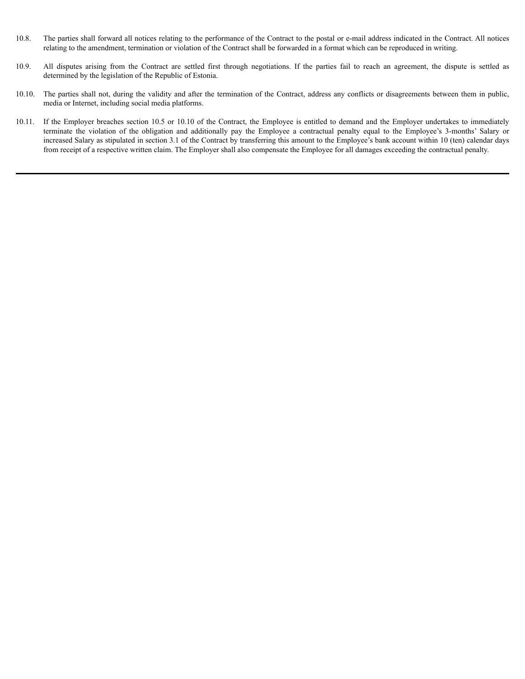- 10.8. The parties shall forward all notices relating to the performance of the Contract to the postal or e-mail address indicated in the Contract. All notices relating to the amendment, termination or violation of the Contract shall be forwarded in a format which can be reproduced in writing.
- 10.9. All disputes arising from the Contract are settled first through negotiations. If the parties fail to reach an agreement, the dispute is settled as determined by the legislation of the Republic of Estonia.
- 10.10. The parties shall not, during the validity and after the termination of the Contract, address any conflicts or disagreements between them in public, media or Internet, including social media platforms.
- 10.11. If the Employer breaches section 10.5 or 10.10 of the Contract, the Employee is entitled to demand and the Employer undertakes to immediately terminate the violation of the obligation and additionally pay the Employee a contractual penalty equal to the Employee's 3-months' Salary or increased Salary as stipulated in section 3.1 of the Contract by transferring this amount to the Employee's bank account within 10 (ten) calendar days from receipt of a respective written claim. The Employer shall also compensate the Employee for all damages exceeding the contractual penalty.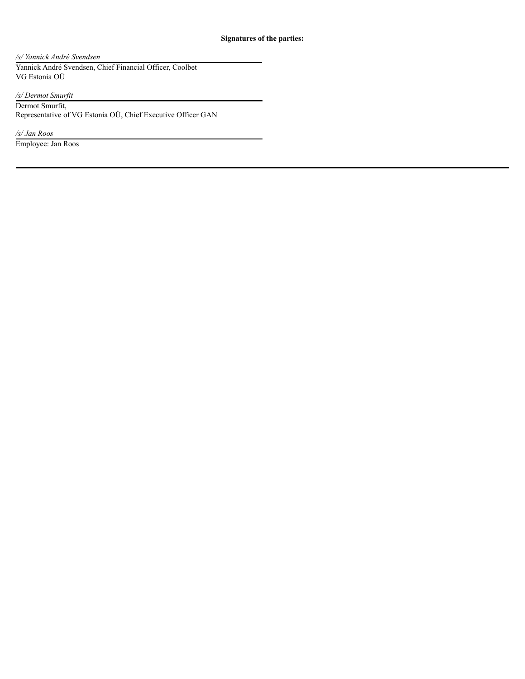*/s/ Yannick André Svendsen*

Yannick André Svendsen, Chief Financial Officer, Coolbet VG Estonia OÜ

*/s/ Dermot Smurfit*

Dermot Smurfit, Representative of VG Estonia OÜ, Chief Executive Officer GAN

*/s/ Jan Roos*

Employee: Jan Roos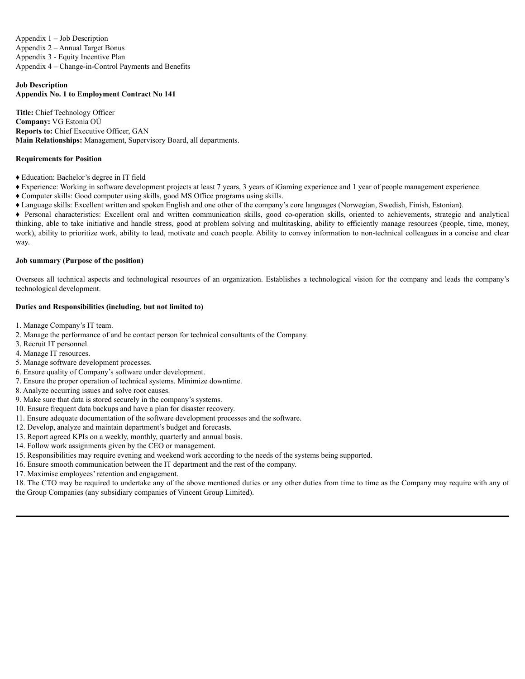Appendix 1 – Job Description Appendix 2 – Annual Target Bonus Appendix 3 - Equity Incentive Plan Appendix 4 – Change-in-Control Payments and Benefits

## **Job Description Appendix No. 1 to Employment Contract No 141**

**Title:** Chief Technology Officer **Company:** VG Estonia OÜ **Reports to:** Chief Executive Officer, GAN **Main Relationships:** Management, Supervisory Board, all departments.

### **Requirements for Position**

- ♦ Education: Bachelor's degree in IT field
- ♦ Experience: Working in software development projects at least 7 years, 3 years of iGaming experience and 1 year of people management experience.
- ♦ Computer skills: Good computer using skills, good MS Office programs using skills.
- ♦ Language skills: Excellent written and spoken English and one other of the company's core languages (Norwegian, Swedish, Finish, Estonian).

♦ Personal characteristics: Excellent oral and written communication skills, good co-operation skills, oriented to achievements, strategic and analytical thinking, able to take initiative and handle stress, good at problem solving and multitasking, ability to efficiently manage resources (people, time, money, work), ability to prioritize work, ability to lead, motivate and coach people. Ability to convey information to non-technical colleagues in a concise and clear way.

### **Job summary (Purpose of the position)**

Oversees all technical aspects and technological resources of an organization. Establishes a technological vision for the company and leads the company's technological development.

### **Duties and Responsibilities (including, but not limited to)**

- 1. Manage Company's IT team.
- 2. Manage the performance of and be contact person for technical consultants of the Company.
- 3. Recruit IT personnel.
- 4. Manage IT resources.
- 5. Manage software development processes.
- 6. Ensure quality of Company's software under development.
- 7. Ensure the proper operation of technical systems. Minimize downtime.
- 8. Analyze occurring issues and solve root causes.
- 9. Make sure that data is stored securely in the company's systems.
- 10. Ensure frequent data backups and have a plan for disaster recovery.
- 11. Ensure adequate documentation of the software development processes and the software.
- 12. Develop, analyze and maintain department's budget and forecasts.
- 13. Report agreed KPIs on a weekly, monthly, quarterly and annual basis.
- 14. Follow work assignments given by the CEO or management.
- 15. Responsibilities may require evening and weekend work according to the needs of the systems being supported.
- 16. Ensure smooth communication between the IT department and the rest of the company.
- 17. Maximise employees' retention and engagement.

18. The CTO may be required to undertake any of the above mentioned duties or any other duties from time to time as the Company may require with any of the Group Companies (any subsidiary companies of Vincent Group Limited).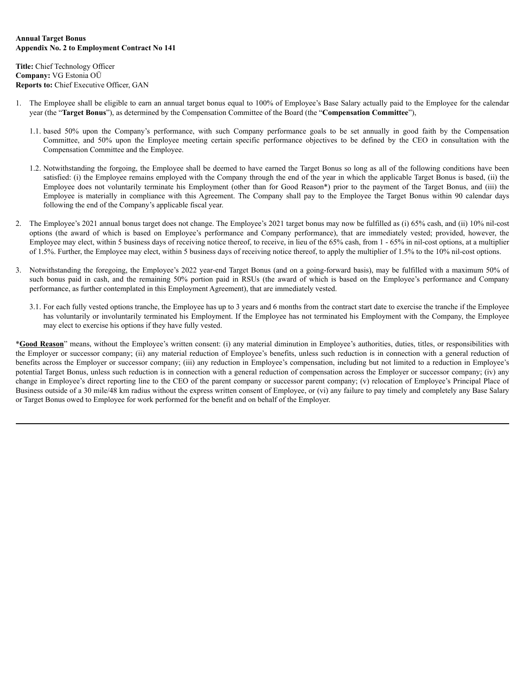## **Annual Target Bonus Appendix No. 2 to Employment Contract No 141**

**Title:** Chief Technology Officer **Company:** VG Estonia OÜ **Reports to:** Chief Executive Officer, GAN

- 1. The Employee shall be eligible to earn an annual target bonus equal to 100% of Employee's Base Salary actually paid to the Employee for the calendar year (the "**Target Bonus**"), as determined by the Compensation Committee of the Board (the "**Compensation Committee**"),
	- 1.1. based 50% upon the Company's performance, with such Company performance goals to be set annually in good faith by the Compensation Committee, and 50% upon the Employee meeting certain specific performance objectives to be defined by the CEO in consultation with the Compensation Committee and the Employee.
	- 1.2. Notwithstanding the forgoing, the Employee shall be deemed to have earned the Target Bonus so long as all of the following conditions have been satisfied: (i) the Employee remains employed with the Company through the end of the year in which the applicable Target Bonus is based, (ii) the Employee does not voluntarily terminate his Employment (other than for Good Reason\*) prior to the payment of the Target Bonus, and (iii) the Employee is materially in compliance with this Agreement. The Company shall pay to the Employee the Target Bonus within 90 calendar days following the end of the Company's applicable fiscal year.
- 2. The Employee's 2021 annual bonus target does not change. The Employee's 2021 target bonus may now be fulfilled as (i) 65% cash, and (ii) 10% nil-cost options (the award of which is based on Employee's performance and Company performance), that are immediately vested; provided, however, the Employee may elect, within 5 business days of receiving notice thereof, to receive, in lieu of the 65% cash, from 1 - 65% in nil-cost options, at a multiplier of 1.5%. Further, the Employee may elect, within 5 business days of receiving notice thereof, to apply the multiplier of 1.5% to the 10% nil-cost options.
- 3. Notwithstanding the foregoing, the Employee's 2022 year-end Target Bonus (and on a going-forward basis), may be fulfilled with a maximum 50% of such bonus paid in cash, and the remaining 50% portion paid in RSUs (the award of which is based on the Employee's performance and Company performance, as further contemplated in this Employment Agreement), that are immediately vested.
	- 3.1. For each fully vested options tranche, the Employee has up to 3 years and 6 months from the contract start date to exercise the tranche if the Employee has voluntarily or involuntarily terminated his Employment. If the Employee has not terminated his Employment with the Company, the Employee may elect to exercise his options if they have fully vested.

\***Good Reason**" means, without the Employee's written consent: (i) any material diminution in Employee's authorities, duties, titles, or responsibilities with the Employer or successor company; (ii) any material reduction of Employee's benefits, unless such reduction is in connection with a general reduction of benefits across the Employer or successor company; (iii) any reduction in Employee's compensation, including but not limited to a reduction in Employee's potential Target Bonus, unless such reduction is in connection with a general reduction of compensation across the Employer or successor company; (iv) any change in Employee's direct reporting line to the CEO of the parent company or successor parent company; (v) relocation of Employee's Principal Place of Business outside of a 30 mile/48 km radius without the express written consent of Employee, or (vi) any failure to pay timely and completely any Base Salary or Target Bonus owed to Employee for work performed for the benefit and on behalf of the Employer.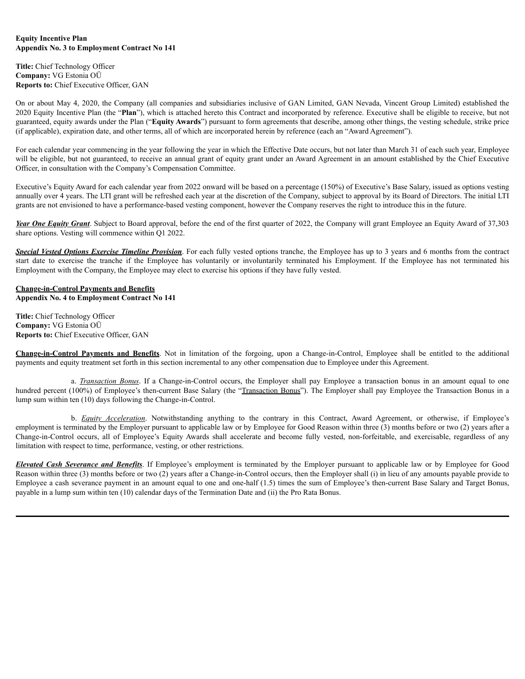## **Equity Incentive Plan Appendix No. 3 to Employment Contract No 141**

**Title:** Chief Technology Officer **Company:** VG Estonia OÜ **Reports to:** Chief Executive Officer, GAN

On or about May 4, 2020, the Company (all companies and subsidiaries inclusive of GAN Limited, GAN Nevada, Vincent Group Limited) established the 2020 Equity Incentive Plan (the "**Plan**"), which is attached hereto this Contract and incorporated by reference. Executive shall be eligible to receive, but not guaranteed, equity awards under the Plan ("**Equity Awards**") pursuant to form agreements that describe, among other things, the vesting schedule, strike price (if applicable), expiration date, and other terms, all of which are incorporated herein by reference (each an "Award Agreement").

For each calendar year commencing in the year following the year in which the Effective Date occurs, but not later than March 31 of each such year, Employee will be eligible, but not guaranteed, to receive an annual grant of equity grant under an Award Agreement in an amount established by the Chief Executive Officer, in consultation with the Company's Compensation Committee.

Executive's Equity Award for each calendar year from 2022 onward will be based on a percentage (150%) of Executive's Base Salary, issued as options vesting annually over 4 years. The LTI grant will be refreshed each year at the discretion of the Company, subject to approval by its Board of Directors. The initial LTI grants are not envisioned to have a performance-based vesting component, however the Company reserves the right to introduce this in the future.

*Year One Equity Grant*. Subject to Board approval, before the end of the first quarter of 2022, the Company will grant Employee an Equity Award of 37,303 share options. Vesting will commence within Q1 2022.

*Special Vested Options Exercise Timeline Provision*. For each fully vested options tranche, the Employee has up to 3 years and 6 months from the contract start date to exercise the tranche if the Employee has voluntarily or involuntarily terminated his Employment. If the Employee has not terminated his Employment with the Company, the Employee may elect to exercise his options if they have fully vested.

## **Change-in-Control Payments and Benefits Appendix No. 4 to Employment Contract No 141**

**Title:** Chief Technology Officer **Company:** VG Estonia OÜ **Reports to:** Chief Executive Officer, GAN

**Change-in-Control Payments and Benefits**. Not in limitation of the forgoing, upon a Change-in-Control, Employee shall be entitled to the additional payments and equity treatment set forth in this section incremental to any other compensation due to Employee under this Agreement.

a. *Transaction Bonus*. If a Change-in-Control occurs, the Employer shall pay Employee a transaction bonus in an amount equal to one hundred percent (100%) of Employee's then-current Base Salary (the "Transaction Bonus"). The Employer shall pay Employee the Transaction Bonus in a lump sum within ten (10) days following the Change-in-Control.

b. *Equity Acceleration*. Notwithstanding anything to the contrary in this Contract, Award Agreement, or otherwise, if Employee's employment is terminated by the Employer pursuant to applicable law or by Employee for Good Reason within three (3) months before or two (2) years after a Change-in-Control occurs, all of Employee's Equity Awards shall accelerate and become fully vested, non-forfeitable, and exercisable, regardless of any limitation with respect to time, performance, vesting, or other restrictions.

*Elevated Cash Severance and Benefits*. If Employee's employment is terminated by the Employer pursuant to applicable law or by Employee for Good Reason within three (3) months before or two (2) years after a Change-in-Control occurs, then the Employer shall (i) in lieu of any amounts payable provide to Employee a cash severance payment in an amount equal to one and one-half (1.5) times the sum of Employee's then-current Base Salary and Target Bonus, payable in a lump sum within ten (10) calendar days of the Termination Date and (ii) the Pro Rata Bonus.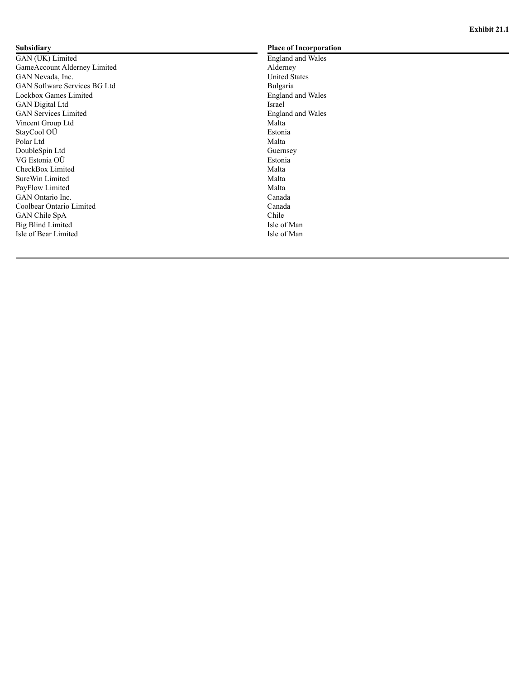| Subsidiary                   | <b>Place of Incorporation</b> |
|------------------------------|-------------------------------|
| GAN (UK) Limited             | <b>England and Wales</b>      |
| GameAccount Alderney Limited | Alderney                      |
| GAN Nevada, Inc.             | <b>United States</b>          |
| GAN Software Services BG Ltd | Bulgaria                      |
| Lockbox Games Limited        | <b>England and Wales</b>      |
| <b>GAN Digital Ltd</b>       | Israel                        |
| <b>GAN Services Limited</b>  | <b>England and Wales</b>      |
| Vincent Group Ltd            | Malta                         |
| StayCool OÜ                  | Estonia                       |
| Polar Ltd                    | Malta                         |
| DoubleSpin Ltd               | Guernsey                      |
| VG Estonia OÜ                | Estonia                       |
| CheckBox Limited             | Malta                         |
| SureWin Limited              | Malta                         |
| PayFlow Limited              | Malta                         |
| GAN Ontario Inc.             | Canada                        |
| Coolbear Ontario Limited     | Canada                        |
| GAN Chile SpA                | Chile                         |
| <b>Big Blind Limited</b>     | Isle of Man                   |
| Isle of Bear Limited         | Isle of Man                   |
|                              |                               |
|                              |                               |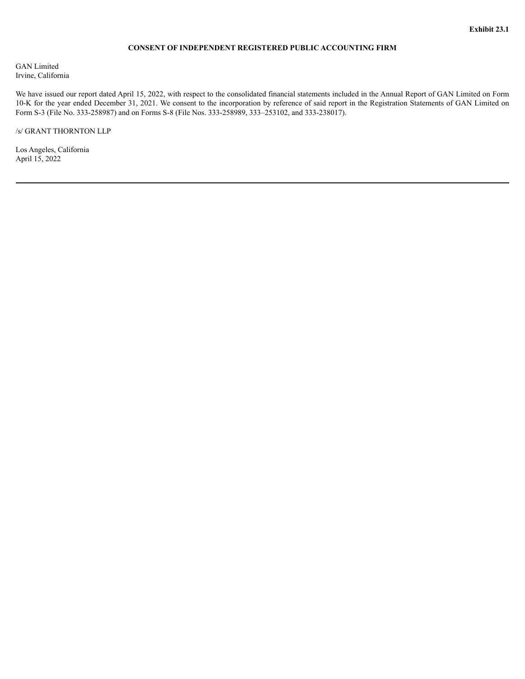## **CONSENT OF INDEPENDENT REGISTERED PUBLIC ACCOUNTING FIRM**

GAN Limited Irvine, California

We have issued our report dated April 15, 2022, with respect to the consolidated financial statements included in the Annual Report of GAN Limited on Form 10-K for the year ended December 31, 2021. We consent to the incorporation by reference of said report in the Registration Statements of GAN Limited on Form S-3 (File No. 333-258987) and on Forms S-8 (File Nos. 333-258989, 333–253102, and 333-238017).

/s/ GRANT THORNTON LLP

Los Angeles, California April 15, 2022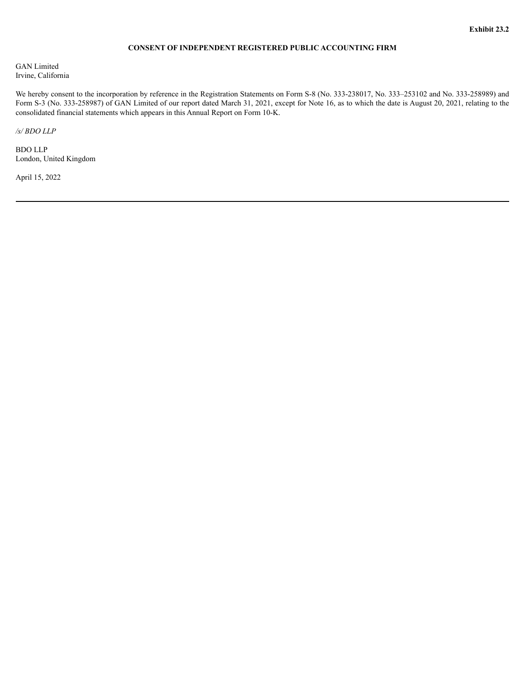# **CONSENT OF INDEPENDENT REGISTERED PUBLIC ACCOUNTING FIRM**

GAN Limited Irvine, California

We hereby consent to the incorporation by reference in the Registration Statements on Form S-8 (No. 333-238017, No. 333–253102 and No. 333-258989) and Form S-3 (No. 333-258987) of GAN Limited of our report dated March 31, 2021, except for Note 16, as to which the date is August 20, 2021, relating to the consolidated financial statements which appears in this Annual Report on Form 10-K.

*/s/ BDO LLP*

BDO LLP London, United Kingdom

April 15, 2022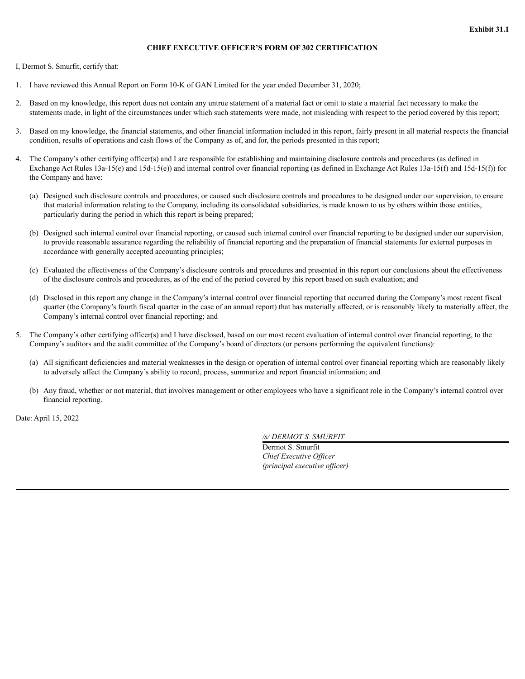### **CHIEF EXECUTIVE OFFICER'S FORM OF 302 CERTIFICATION**

I, Dermot S. Smurfit, certify that:

- 1. I have reviewed this Annual Report on Form 10-K of GAN Limited for the year ended December 31, 2020;
- 2. Based on my knowledge, this report does not contain any untrue statement of a material fact or omit to state a material fact necessary to make the statements made, in light of the circumstances under which such statements were made, not misleading with respect to the period covered by this report;
- 3. Based on my knowledge, the financial statements, and other financial information included in this report, fairly present in all material respects the financial condition, results of operations and cash flows of the Company as of, and for, the periods presented in this report;
- 4. The Company's other certifying officer(s) and I are responsible for establishing and maintaining disclosure controls and procedures (as defined in Exchange Act Rules 13a-15(e) and 15d-15(e)) and internal control over financial reporting (as defined in Exchange Act Rules 13a-15(f) and 15d-15(f)) for the Company and have:
	- (a) Designed such disclosure controls and procedures, or caused such disclosure controls and procedures to be designed under our supervision, to ensure that material information relating to the Company, including its consolidated subsidiaries, is made known to us by others within those entities, particularly during the period in which this report is being prepared;
	- (b) Designed such internal control over financial reporting, or caused such internal control over financial reporting to be designed under our supervision, to provide reasonable assurance regarding the reliability of financial reporting and the preparation of financial statements for external purposes in accordance with generally accepted accounting principles;
	- (c) Evaluated the effectiveness of the Company's disclosure controls and procedures and presented in this report our conclusions about the effectiveness of the disclosure controls and procedures, as of the end of the period covered by this report based on such evaluation; and
	- (d) Disclosed in this report any change in the Company's internal control over financial reporting that occurred during the Company's most recent fiscal quarter (the Company's fourth fiscal quarter in the case of an annual report) that has materially affected, or is reasonably likely to materially affect, the Company's internal control over financial reporting; and
- 5. The Company's other certifying officer(s) and I have disclosed, based on our most recent evaluation of internal control over financial reporting, to the Company's auditors and the audit committee of the Company's board of directors (or persons performing the equivalent functions):
	- (a) All significant deficiencies and material weaknesses in the design or operation of internal control over financial reporting which are reasonably likely to adversely affect the Company's ability to record, process, summarize and report financial information; and
	- (b) Any fraud, whether or not material, that involves management or other employees who have a significant role in the Company's internal control over financial reporting.

Date: April 15, 2022

*/s/ DERMOT S. SMURFIT*

Dermot S. Smurfit *Chief Executive Of icer (principal executive of icer)*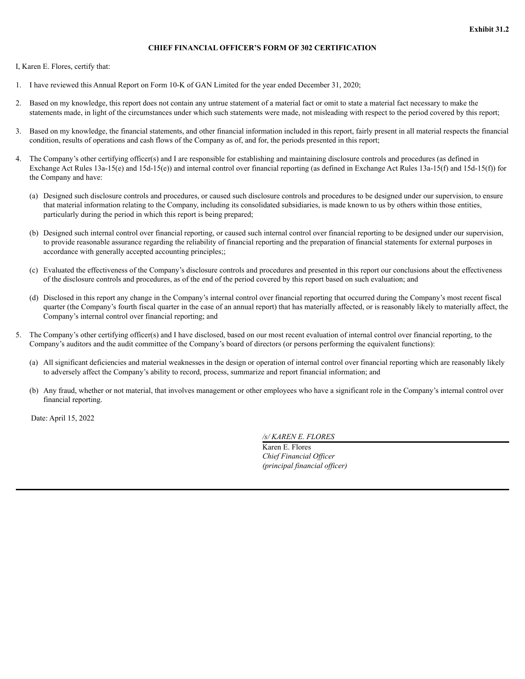#### **CHIEF FINANCIAL OFFICER'S FORM OF 302 CERTIFICATION**

I, Karen E. Flores, certify that:

- 1. I have reviewed this Annual Report on Form 10-K of GAN Limited for the year ended December 31, 2020;
- 2. Based on my knowledge, this report does not contain any untrue statement of a material fact or omit to state a material fact necessary to make the statements made, in light of the circumstances under which such statements were made, not misleading with respect to the period covered by this report;
- 3. Based on my knowledge, the financial statements, and other financial information included in this report, fairly present in all material respects the financial condition, results of operations and cash flows of the Company as of, and for, the periods presented in this report;
- 4. The Company's other certifying officer(s) and I are responsible for establishing and maintaining disclosure controls and procedures (as defined in Exchange Act Rules 13a-15(e) and 15d-15(e)) and internal control over financial reporting (as defined in Exchange Act Rules 13a-15(f) and 15d-15(f)) for the Company and have:
	- (a) Designed such disclosure controls and procedures, or caused such disclosure controls and procedures to be designed under our supervision, to ensure that material information relating to the Company, including its consolidated subsidiaries, is made known to us by others within those entities, particularly during the period in which this report is being prepared;
	- (b) Designed such internal control over financial reporting, or caused such internal control over financial reporting to be designed under our supervision, to provide reasonable assurance regarding the reliability of financial reporting and the preparation of financial statements for external purposes in accordance with generally accepted accounting principles;;
	- (c) Evaluated the effectiveness of the Company's disclosure controls and procedures and presented in this report our conclusions about the effectiveness of the disclosure controls and procedures, as of the end of the period covered by this report based on such evaluation; and
	- (d) Disclosed in this report any change in the Company's internal control over financial reporting that occurred during the Company's most recent fiscal quarter (the Company's fourth fiscal quarter in the case of an annual report) that has materially affected, or is reasonably likely to materially affect, the Company's internal control over financial reporting; and
- 5. The Company's other certifying officer(s) and I have disclosed, based on our most recent evaluation of internal control over financial reporting, to the Company's auditors and the audit committee of the Company's board of directors (or persons performing the equivalent functions):
	- (a) All significant deficiencies and material weaknesses in the design or operation of internal control over financial reporting which are reasonably likely to adversely affect the Company's ability to record, process, summarize and report financial information; and
	- (b) Any fraud, whether or not material, that involves management or other employees who have a significant role in the Company's internal control over financial reporting.

Date: April 15, 2022

*/s/ KAREN E. FLORES*

Karen E. Flores *Chief Financial Of icer (principal financial of icer)*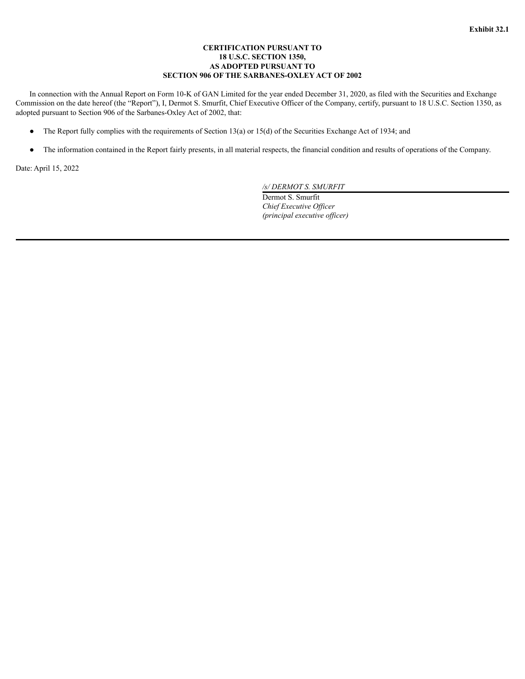## **CERTIFICATION PURSUANT TO 18 U.S.C. SECTION 1350, AS ADOPTED PURSUANT TO SECTION 906 OF THE SARBANES-OXLEY ACT OF 2002**

In connection with the Annual Report on Form 10-K of GAN Limited for the year ended December 31, 2020, as filed with the Securities and Exchange Commission on the date hereof (the "Report"), I, Dermot S. Smurfit, Chief Executive Officer of the Company, certify, pursuant to 18 U.S.C. Section 1350, as adopted pursuant to Section 906 of the Sarbanes-Oxley Act of 2002, that:

- The Report fully complies with the requirements of Section 13(a) or 15(d) of the Securities Exchange Act of 1934; and
- The information contained in the Report fairly presents, in all material respects, the financial condition and results of operations of the Company.

Date: April 15, 2022

*/s/ DERMOT S. SMURFIT*

Dermot S. Smurfit *Chief Executive Of icer (principal executive of icer)*